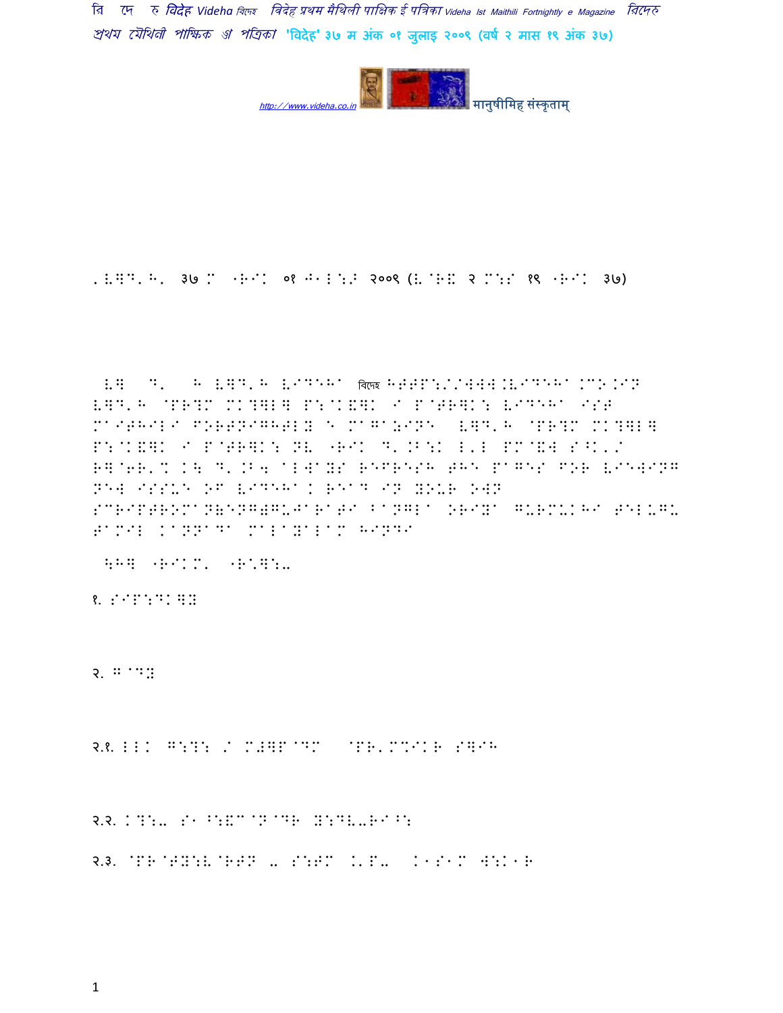

'V]D'H' ३७ M "RIK ०१ J1L:> २००९ (V@R& २ M:S १९ "RIK ३७)

 $V(\mathbb{R},\mathbb{R})$  decay in the contract of  $\mathbb{R}$  and  $\mathbb{R}$  is defined in the contract of  $\mathbb{R}$ . V]D'H @PR?M MK?]L] P:@K&]K I P@TR]K: VIDEHa IST Maithili Forther Company (1975) (1976) (1981) Magazine P:@K&]K I P@TR]K: NV "RIK D'.B:K L'L PM@&W S^K'/ RETWEIT IN THE TEATHER FRESH THE PAGES FOR VIEW BRANGE NEW YOUR DEALERSHIP ISSUE OF VIOLATION SCRIPTROMaN(ENG)GUJaRaTI BaNGLa ORIYa GURMUKHI TELUGU TaMIL KaNNaDa MaLaYaLaM HINDI

\H] "RIKM' "R\*]:-

१. SIP:DK]Y

२.  $\frac{1}{2}$   $\frac{1}{2}$ 

२.१. LLC GRID CONSIDER COMPANY OF PROPERTY OF SINCE A SINGLE SERVICE

२.२. KIRIA: SHARE Y: YE SHARE HE SHARE Y

२.३. MPR MATHEMARTN - SCHEP ON PLAN ON PHOTOGREAM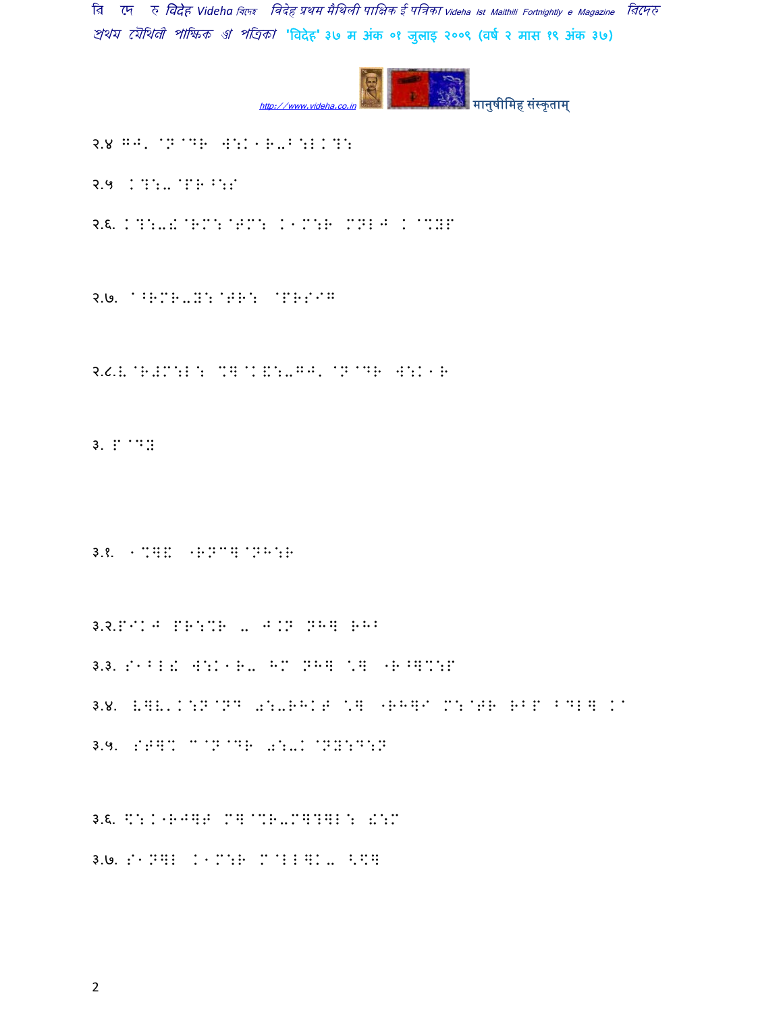ৱি দে *হ विदेह Videha बिलर विदेह प्रथम मैथिली पाक्षिक ई पत्रिका Videha Ist Maithili Fortnightly e Magazine <i>ৱিদে*হ õथम मैिथली पािक्षक ई पिñका **'**िवदेह**'** ३७ म अंक ०१ जुलाइ २००९ (वष र् २ मास १९ अंक ३७)



२.४ मेमे. 1317में अधि अधि अधि अधि

 $2.9$  (PRO):  $2.9$ 

२.६. 1 MB:2.1 MB: 1971 KONTER MORE ROMAN MORE

२.७. @^RMR-Y:P: @TR: @PRSIGN-Y:P: @PRSIGN-Y:P: @PRSIGN-Y: @PRSIGN-Y: @PRSIGN-Y: @PRSIGN-Y: @PRSIGN-Y

२.८.E: NEWSTEP NORTH WELL BE A MELTIC CONTROL OF THE CHANGE OF

 $3.$   $P^{\text{new}}$ 

 $3.8.$   $+7.900$   $+8.7000$   $+7.9000$ 

३.२.PIKJ PR:%R - J.N NH] RHB

३.३. S1BL! W:K1R- HM NH] \*] "R^]%:P

३.४. V]V'K:N@ND 0:-RHKT \*] "RH]I M:@TR RBP BDL] Ka

३.५. FRED 77000000 20:20 20:20 20:20

3.6. \$::: : RHP MARSHIP MARSHIP MARSHIP MARSHIP MARSHIP MARSHIP MARSHIP MARSHIP MARSHIP MARSHIP MARSHIP MARSHIP

३.७. F-79H (1-70H (70HHH) & 57H

2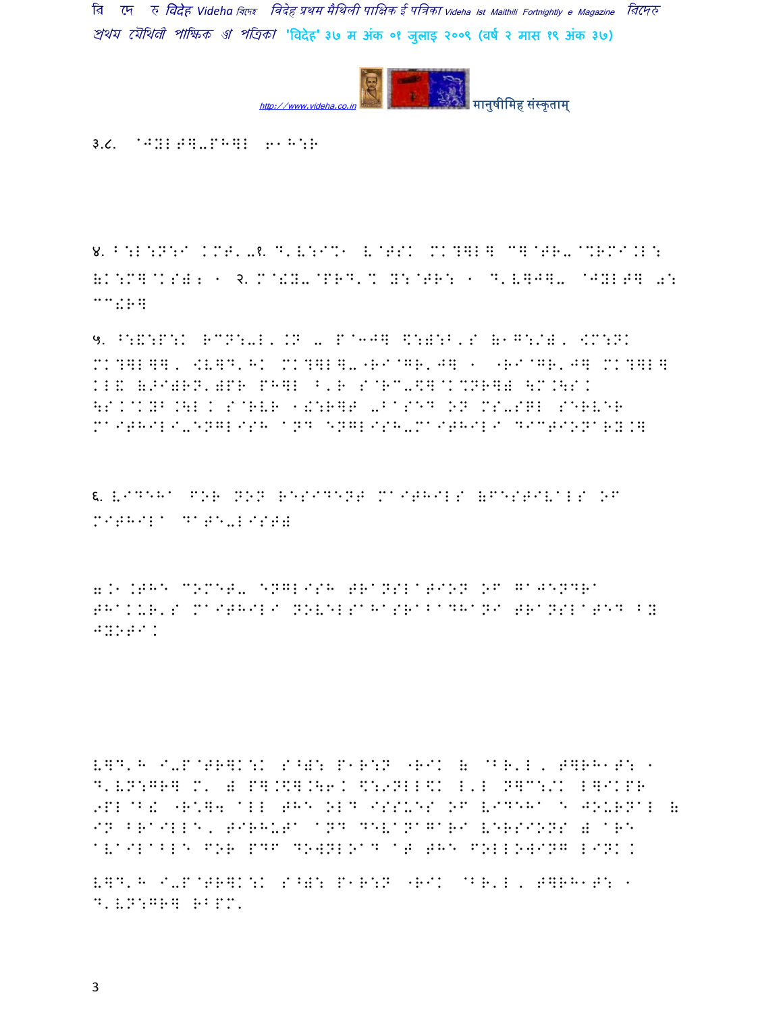ৱি দে হ*বিदेह Videha ৰিভে ৰিবলৈ স্থम मैथिली पाक्षिक ई पत्रिका Videha Ist Maithili Fortnightly e Magazine <i>ৱিদে*হ õथम मैिथली पािक्षक ई पिñका **'**िवदेह**'** ३७ म अंक ०१ जुलाइ २००९ (वष र् २ मास १९ अंक ३७)



3.6. <sup>20</sup>70. PHILEPHI 61H:R 61H:

४. B:L:N:I KMT'-१. D'V:I%1 V@TSK MK?]L] C]@TR-@%RMI.L: (K:M]@KS); 1 २. M@!Y-@PRD'% Y:@TR: 1 D'V]J]- @JYLT] 0:  $\cdots$  :  $\cdots$  :

५. ^:&:P:K RCN:-L'.N - P@3J] \$:):B'S (1G:/), [M:NK MACHER MAKER, AN MANHER, HE'SHE, HRIOGRAPH, HRIOGRAPH MANHER KLB (BJPARR, APR) PRHET P. R (PORTLANHO) SORRHA (ROSHA) : \S.@KYB.\L. S@RVR 1!:R]T -BaSED ON MS-SQL SERVER MaITHILI-ENGLISH aND ENGLISH-MaITHILI DICTIONaRY.]

६. VIDEHa FOR NON RESIDENT MaITHILS (FESTIVaLS OF MITHILA DATE-LIST ON THE

7.1.THE COMET- ENGLISH TRaNSLaTION OF GaJENDRa THaKUR'S MaITHILI NOVELSaHaSRaBaDHaNI TRaNSLaTED BY **JYOTI** 

V]D'H I-P@TR]K:K S^): P1R:N "RIK ( @BR'L, T]RH1T: 1 D'VN:GR] M' ) P].\$].\6. \$:9NLL\$K L'L N]C:/K L]IKPR 9PL@B! "R\*]4 aLL THE OLD ISSUES OF VIDEHa E JOURNaL ( IN BRaILLE, TIRHUTa aND DEVaNaGaRI VERSIONS ) aRE available for population possible for the series population of the following link.

V]D'H I-P@TR]K:K S^): P1R:N "RIK @BR'L, T]RH1T: 1 D'VN:GR] RBPM'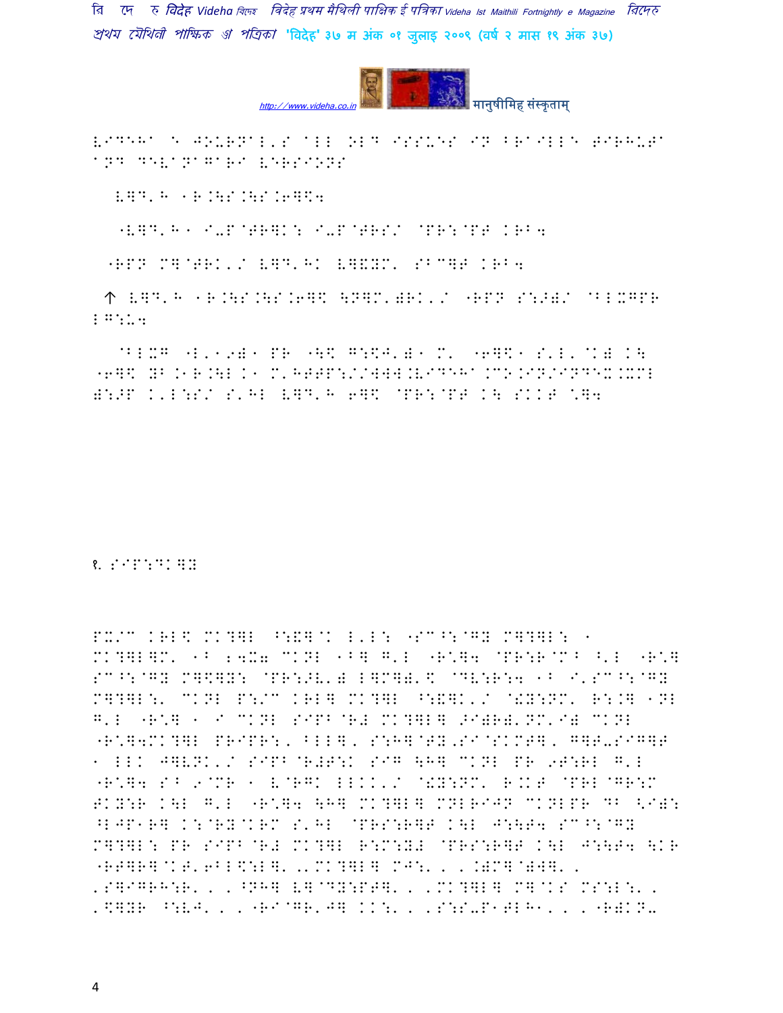

BATAN E ANDRE LY THE NET AYYENY AT FRICHES FARALLE aND DEVaNaGaRI VERSIONS

V]D'H 1R.\S.\S.6]\$4

VERTLAN VON MERIN VON MEEIL MIEN TRACERA

"RPN M]@TRK'/ V]D'HK V]&YM' SBC]T KRB4

 $\uparrow$  EUP. A  $\rightarrow$  B information served and since  $\uparrow$  which since  $\uparrow$ LG:U4

 @BLXG "L'19)" PR "\\$ G:\$J')" M' "6]\$" S'L'@K) K\ "6]\$ YB.1R.\L." M'HTTP://WWW.VIDEHa.CO.IN/INDEX.XML ):>P K'L:S/ S'HL V]D'H 6]\$ @PR:@PT K\ SKKT \*]4

१. SIP:DK]Y

PX/C KRES COMBE CHRES OF LENCORNEY MAY A CHRISTED NOT MK?]L]M' 1B 24X7 CKNL 1B] G'L "R\*]4 @PR:R@M^ ^'L "R\*] SC^:@GY M]\$]Y: @PR:>V') L]M])'\$ @DV:R:4 1B I'SC^:@GY MARRIN, TIPE PRIT IGEN MINH, PRENILI MERRIN GRIN RI R B. E SHAN S STORE SHIPP ON THE MANUSCRIPS OF TANK "R\*]4MK?]L PRIPR:, BLL], S:H]@TY,SI@SKMT], G]T-SIG]T  $1$  . This discussed in the signal problem to  $\mathbb{R}^n$  is started in the signal problem of  $\mathbb{R}^n$  . The signal problem is the signal problem of  $\mathbb{R}^n$  is the signal problem in the signal problem in the signal pro "R\*]4 S^ 9@MR 1 V@RGK LLKK'/ @!Y:NM' R.KT @PRL@GR:M TKY:R K\L G'L "R\*]4 \H] MK?]L] MNLRIJN CKNLPR DB <I): ^LJP1R] K:@RY@KRM S'HL @PRS:R]T K\L J:\T4 SC^:@GY MARING WAS SERVED AND RELEASED ON A MARKED AND MANUSCRIPS ON A MARKED AND MANUSCRIPS ON  $\mathcal{L}$  $\mathcal{A}\oplus\mathcal{B}\oplus\mathcal{B}$  (  $\mathcal{B}\oplus\mathcal{B}\oplus\mathcal{B}\oplus\mathcal{B}$  ),  $\mathcal{A}\oplus\mathcal{B}\oplus\mathcal{B}$  ,  $\mathcal{B}\oplus\mathcal{B}$  ),  $\mathcal{B}\oplus\mathcal{B}\oplus\mathcal{B}$  ,  $\mathcal{B}\oplus\mathcal{B}$  ,  $\mathcal{B}\oplus\mathcal{B}$  ,  $\mathcal{B}\oplus\mathcal{B}$  ,  $\mathcal{B}\oplus\mathcal{B}$  ,  $\mathcal{B}\opl$ 'S]IGRH:R', '^NH] V]@DY:PT]', 'MK?]L] M]@KS MS:L:', '\$]YR ^:VJ', '"RI@GR'J] KK:', 'S:S-P1TLH1', '"R)KN-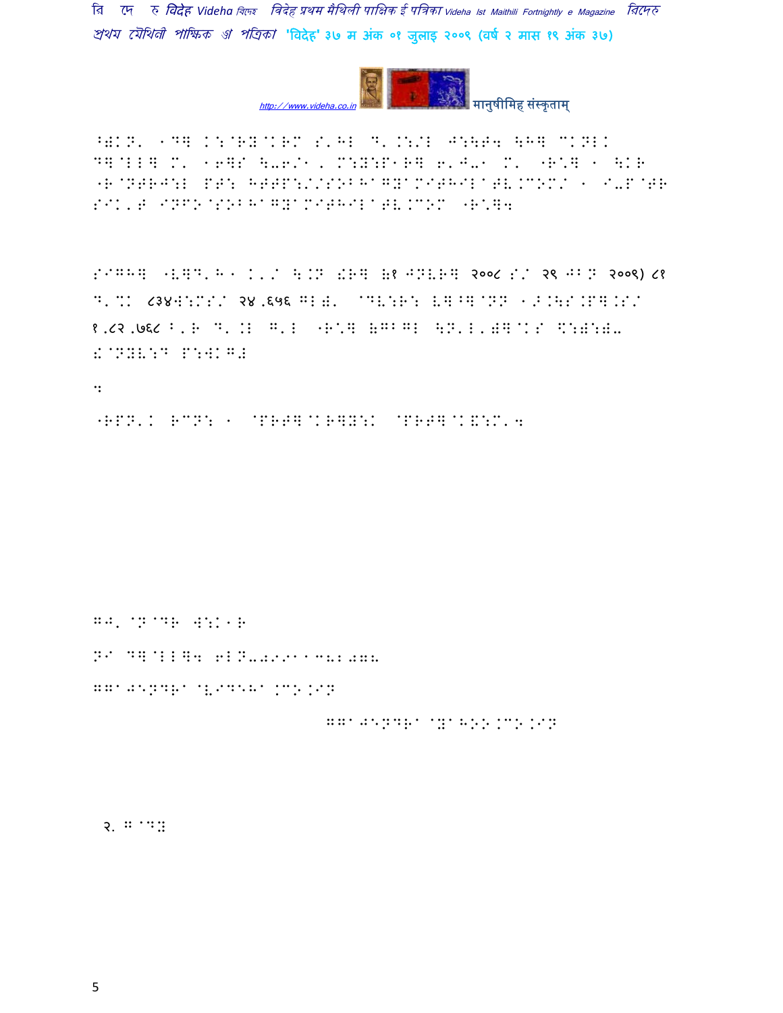

FALS, INDEXTRANSELY RIGHT DI.: CAN STARR SPECTIFIC DECEMBER 16, MI 16, MI 16, MI 16, MI 16, MI 16, MI 16, MI 16, MI 16, MI 16, MI 16, MI 16, MI 16, MI 16, MI 16,  $R$  (Ranter ) and the second of the complete  $R$  and  $R$  is the complete  $R$ SIK'T INFO@SOBHaGYaMITHILaTV.COM "R\*]4

 $S^2$   $S^2$   $S^2$   $S^2$   $S^2$   $S^2$   $S^2$   $S^2$   $S^2$   $S^2$   $S^2$   $S^2$   $S^2$   $S^2$   $S^2$   $S^2$   $S^2$   $S^2$   $S^2$   $S^2$   $S^2$   $S^2$   $S^2$   $S^2$   $S^2$   $S^2$   $S^2$   $S^2$   $S^2$   $S^2$   $S^2$   $S^2$   $S^2$   $S^2$   $S^2$   $S^2$   $S^2$  $D^2$  ,  $D^2$  ,  $C^2$  ,  $C^2$  ,  $C^2$  ,  $C^2$  ,  $C^2$  ,  $C^2$  ,  $C^2$  ,  $C^2$  ,  $C^2$  ,  $C^2$  ,  $C^2$  ,  $C^2$  ,  $C^2$  ,  $C^2$  ,  $C^2$  ,  $C^2$  ,  $C^2$  ,  $C^2$  ,  $C^2$  ,  $C^2$  ,  $C^2$  ,  $C^2$  ,  $C^2$  ,  $C^2$  ,  $C^2$  ,  $C^2$ १,८२,७६८ F. Bill F. Dill Rich (GBCL BRIR HI) (GBCL BECK) (GBGL BECK) !@NYV:D P:WKG#

 $\dddot{\phantom{0}}$ 

"RPN'K RCN: 1 @PRT]@KR]Y:K @PRT]@K&:M'4

 $\mathbb{G}$  ,  $\mathbb{G}$  ,  $\mathbb{G}$  ,  $\mathbb{G}$  ,  $\mathbb{G}$  ,  $\mathbb{G}$  ,  $\mathbb{G}$  ,  $\mathbb{G}$  ,  $\mathbb{G}$  ,  $\mathbb{G}$  ,  $\mathbb{G}$  ,  $\mathbb{G}$  ,  $\mathbb{G}$  ,  $\mathbb{G}$  ,  $\mathbb{G}$  ,  $\mathbb{G}$  ,  $\mathbb{G}$  ,  $\mathbb{G}$  ,  $\mathbb{G}$  ,  $\mathbb{G}$  ,

NI D]@LL]4 6LN-09911382078

GGALENDRAG IN DER

GGALENDRAGHENDRAGHENDRAGHENDRAGHENDRAGHENDRAGHENDRAGHENDRAGHENDRAGHENDRAGHENDRAGHENDRAGHENDRAGHENDRAGHENDRAGHE

२.  $\cdots$  :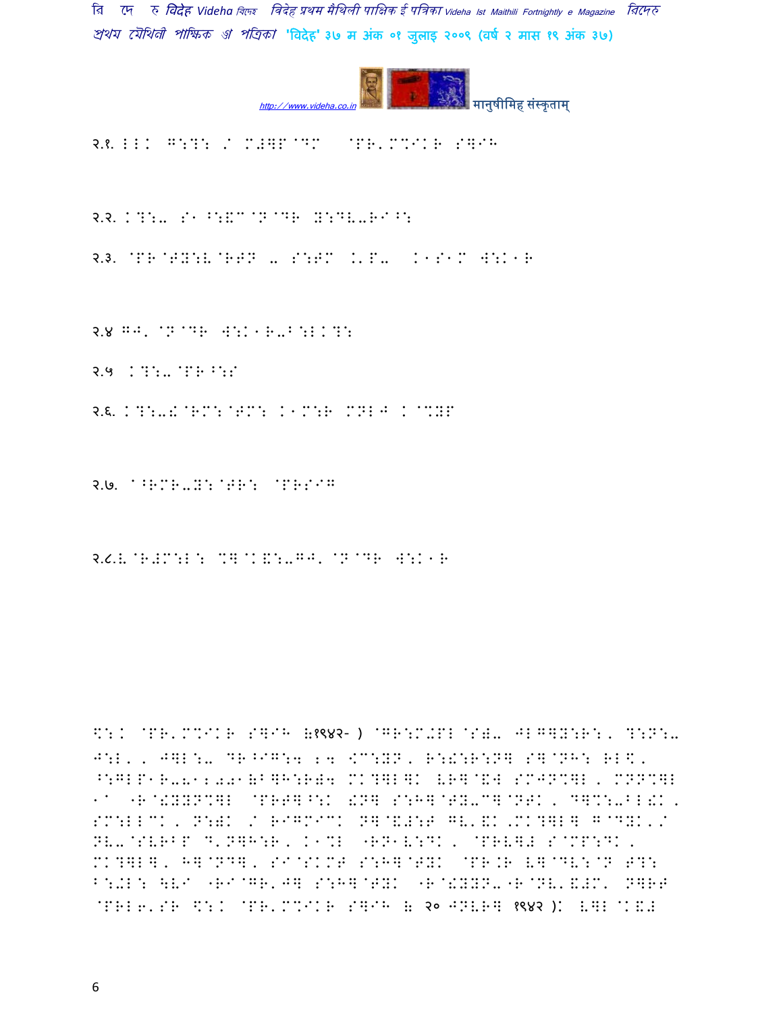

२.१. LLC GRIEVE ZONDER TRIO OPRINTED SINGE

२.२. KIRE SHARE YEAR SHARE YOU

२.३. MPR MEDHEMPER AN FHAM AND AN UNIVERSITY OF THE SERVE

२.४ म.म. 1311मी अधिकारी संघात करते हैं।

 $2.9 \div 3311... \div 3311 \div 33111...$ 

२.६. CONNECTED YOUR CONTROL AND THE ROOM OF THE ROOM

२.७. @^RMR-Y:P: @PRSIGNER-Y:P: @PRSIGNER-Y:P: @PRSIGNER-Y:P: @PRSIGNER-Y:P: @PRSIGNER-Y:P: @PRSIGNER-Y:P: @PRSIGNER-Y:P: @PRSIGNER-Y:P: @PRSIGNER-Y:P: @PRSIGNER-Y:P: @PRSIGNER-Y:P: @PRSIGNER-Y:P: @PRSIGNER-Y:P: @PRSIGNER-

२.८.E: 19.ET 1616 | 11811 E12.##. | 1311 1311 411 1411

\$:. @PR'M%IKR S]IH (१९४२- ) @GR:M+PL@S)- JLG]Y:R:, ?:N:- J:L', J.:- PRE GU. (TR: PORGH) E.H.: RONGER, L': RGEGRAPH (ER 17 PRO) (RESUL ^:GLP1R-812001(B]H:R)4 MK?]L]K VR]@&W SMJN%]L, MNN%]L 1a "R@!YYN%]L @PRT]^:K !N] S:H]@TY-C]@NTK, D]%:-BL!K, SM:LLCK, N:)K / RIGMICK N]@&#:T GV'&K,MK?]L] G@DYK'/ NV-@SVRBP D'N]H:R, K1%L "RN1V:DK, @PRV]# S@MP:DK, MK?BREARY: HAR TOPPA SIGNATION, SIGNATO THOS CONTINUES TO DEPERT SERVICE OF SEPIED B:+L: \VI "RI@GR'J] S:H]@TYK "R@!YYN-"R@NV'&#M' N]RT @PRL6'SR \$:. @PR'M%IKR S]IH ( २० JNVR] १९४२ )K V]L@K&#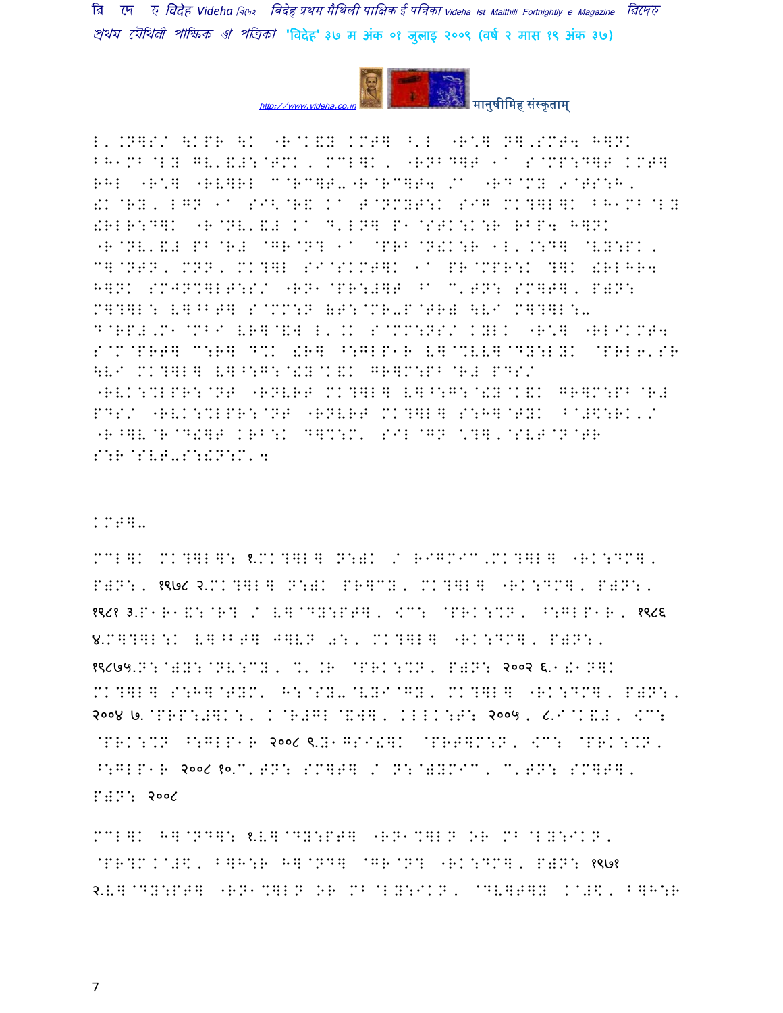

L'.N]S/ \KPR \K "R@K&Y KMT] ^'L "R\*] N],SMT4 H]NK BH1MB: THE CONSTRUCTION OF THE SAME REPORTED A SAME REPORTED A SAME REPORTED A SAME REPORTED A SAME REPORTED A RHL "R\*] "RV]RL C@RC]T-"R@RC]T4 /a "RD@MY 9@TS:H, !K@RY, LGN 1a SI<@R& Ka T@NMYT:K SIG MK?]L]K BH1MB@LY !RLR:D]K "R@NV'&# Ka D'LN] P1@STK:K:R RBP4 H]NK "RONA EACH PROBA" (PROPER OF CONSIDERATION DESCRIPTION) CA CARA LONG CARD CAN CONTROL AND CONTROL CONTROL CONTROL. H]NK SMJN%]LT:S/ "RN1@PR:#]T ^a C'TN: SM]T], P)N: M]?]L: V]^BT] S@MM:N (T:@MR-P@TR) \VI M]?]L:- DORPHISM ON RESIDENCE IN AN INSTITUTION CONTROL THE COMMON S@M@PRT] C:R] D%K !R] ^:GLP1R V]@%VV]@DY:LYK @PRL6'SR \VI MK?]L] V]^:G:@!Y@K&K GR]M:PB@R# PDS/  $R$  . Reconstruction  $R$  . The problem is a set of  $R$  and  $R$  and  $R$  are  $\mathcal{R}$  and  $\mathcal{R}$  are  $\mathcal{R}$ POSA/ "RVK: NORT POSA/ "POSA "ROKALE MAY "DO "RRETE "ROKALE" "ROKALE" ("ROKALE") ("C "RECREATE TRADHECONDERS" TO RECRETE IN A RECORD THE UNITED STATES TO THE S:R@SVT-S:!N:M'4

 $1.79911$ 

MCL]K MK?]L]: १.MK?]L] N:)K / RIGMIC,MK?]L] "RK:DM], PEPS, RN& R.M. THE RUPSEN PRRTH, MK?HE RUPS PRINT , PEPS,  $8$ ९८१ ३.P+ B+ E1: 1971 (1) E4: 1981:PH . [c: "BI | TE: 103, [ F1R, PHET+ B .  $8$ ९८६)  $8.7\pm\textcolor{red}{\textbf{1211}}\pm\textcolor{red}{\textbf{131}}\pm\textcolor{red}{\textbf{1422}}\hspace{0.05cm}\textcolor{red}{\textbf{1423}}\hspace{0.05cm}\textcolor{red}{\textbf{1433}}\hspace{0.05cm}\textcolor{red}{\textbf{145}}\pm\textcolor{red}{\textbf{1313}}\hspace{0.05cm}\textcolor{red}{\textbf{147}}\pm\textcolor{red}{\textbf{1483}}\hspace{0.05cm}\textcolor{red}{\textbf{1475}}\hspace{0.05cm}\textcolor{red}{$ १९८७५.N: YEN: YPENTH . T. IE | YEE: YTH . FENT: २००२ ६.1 2111 MARRIE S:HEPARY, B: MARRIE MARRIE H: H: HIVE, PAPY, २००४ ७. PRPP: HE: N.H. KOR#HE: ME: KOR#, KOR#, K.A.NE.H. (2004), K.A.N.K.E., [C: C: C: C: C: C: C: C  $\mathcal{A}(\mathbb{P}_\mathcal{D},\mathbb{P}_\mathcal{D}(\mathcal{D}))$  . Then the property of  $\mathcal{B}(\mathcal{D},\mathbb{P})$  and  $\mathcal{B}(\mathcal{D},\mathbb{P})$  . Then the property of  $\mathcal{B}(\mathcal{D},\mathbb{P})$  $G:G\to G$  . So  $G$  (see the small contains  $G$  ,  $G$  is small contained and  $G$  is small contained and  $G$  $P: P: P: P \cup P$ 

MCL]K H]@ND]: १.V]@DY:PT] "RN1%]LN OR MB@LY:IKN, @PR?M.@#\$, B]H:R H]@ND] @GR@N? "RK:DM], P)N: १९७१ २.V]@DY:PT] "RN1%]LN OR MB@LY:IKN, @DV]T]Y .@#\$, B]H:R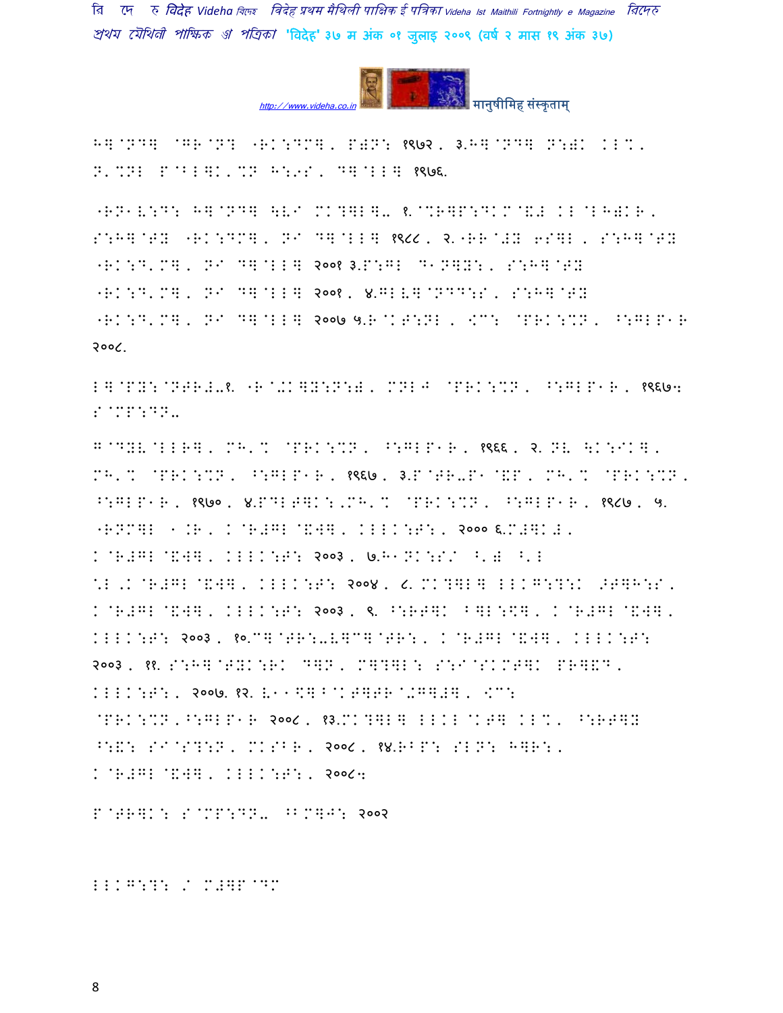िव दिप रु विदेह Videha *वि*लरु *विदेह प्रथम मैथिली पाक्षिक ई पत्रिका videha Ist Maithili Fortnightly e Magazine विदमरु* õथम मैिथली पािक्षक ई पिñका **'**िवदेह**'** ३७ म अंक ०१ जुलाइ २००९ (वष र् २ मास १९ अंक ३७)



H]@ND] @GR@N? "RK:DM], P)N: १९७२, ३.H]@ND] N:)K KL%, N'%NL P@BL]K'%N H:9S, D]@LL] १९७६.

"RN1V:D: H]@ND] \VI MK?]L]- १.@%R]P:DKM@&# KL@LH)KR, S: "ERFIELD "RESCRIPTE", LODENT "PRINTER BIKKS", IRL (PRINCIPALE), SIGNED FROM "RK:D'M], NI D]@LL] २००१ ३.P:GL D1N]Y:, S:H]@TY "RK:D'M], NI D]@LL] २००१, ४.GLV]@NDD:S, S:H]@TY "RK:D'M], NI D]@LL] २००७ ५.R@KT:NL, [C: @PRK:%N, ^:GLP1R २००८.

L]@PY:@NTR#-१. "R@+K]Y:N:), MNLJ @PRK:%N, ^:GLP1R, १९६७4  $S$  SMP  $S$  SMP  $\sim$ 

GOVORNIE GRAND, MHY WALLER, MARIE CHRISTIAN, 1986, 2. NEW HOMESTIC MH, NO TRESINING OF PHRIRY BO, 1980, 19.P.TRELINY TREVIS OF TRESINING . ^:GLP1R, १९७०, ४.PDLT]K:,MH'% @PRK:%N, ^:GLP1R, १९८७, ५. "RNM]L 1.R, K@R#GL@&W], KLLK:T:, २००० ६.M#]K#,  $K^{\text{H}}$  (Fig.  $K^{\text{H}}$ ),  $K^{\text{H}}$  (Fig.  $K^{\text{H}}$ ),  $K^{\text{H}}$  (Poos ,  $\Theta$ ,  $\Theta$ ,  $\Theta$ ,  $\Theta$ ,  $\Theta$ ,  $\Theta$ ,  $\Theta$ ,  $\Theta$ ,  $\Theta$ ,  $\Theta$  $\mathcal{M}$  . The contract of the contract  $\mathcal{M}$  . The contract of the contract of the contract of  $\mathcal{M}$ K@R#GR#GL@&W], K.H&#H, Panalish, K.RT; PART BEGREE KLLK:T: 2003, 10.TH:-PHALLHTH:PHAL, MICHAH, MEHH, KLLK:T:PHA २००३, ११. STERR TAGO TEL (1982), 298381 E. STERNTON, DARIATOR, IN  $k: \mathbb{R}^n \times \mathbb{R}^n \times \mathbb{R}^n$  . Replacing the set  $\mathbb{R}^n$  is the function  $\mathbb{R}^n$  and  $\mathbb{R}^n$  is the function of  $\mathbb{R}^n$ @PRK:%N,^:GLP1R २००८, १३.MK?]L] LLKL@KT] KL%, ^:RT]Y ^:&: SI@S?:N, MKSBR, २००८, १४.RBP: SLN: H]R:,  $K: \mathbb{R}^n \to \mathbb{R}^n$  is the contribution of  $\mathbb{R}^n$  ,  $K$  . The contribution  $\mathbb{R}^n$ 

PATRES POSSESSES REPORTS 2002

 $\frac{1}{2}$  ,  $\frac{1}{2}$  ,  $\frac{1}{2}$  ,  $\frac{1}{2}$  ,  $\frac{1}{2}$  ,  $\frac{1}{2}$  ,  $\frac{1}{2}$  ,  $\frac{1}{2}$  ,  $\frac{1}{2}$  ,  $\frac{1}{2}$  ,  $\frac{1}{2}$  ,  $\frac{1}{2}$  ,  $\frac{1}{2}$  ,  $\frac{1}{2}$  ,  $\frac{1}{2}$  ,  $\frac{1}{2}$  ,  $\frac{1}{2}$  ,  $\frac{1}{2}$  ,  $\frac{1$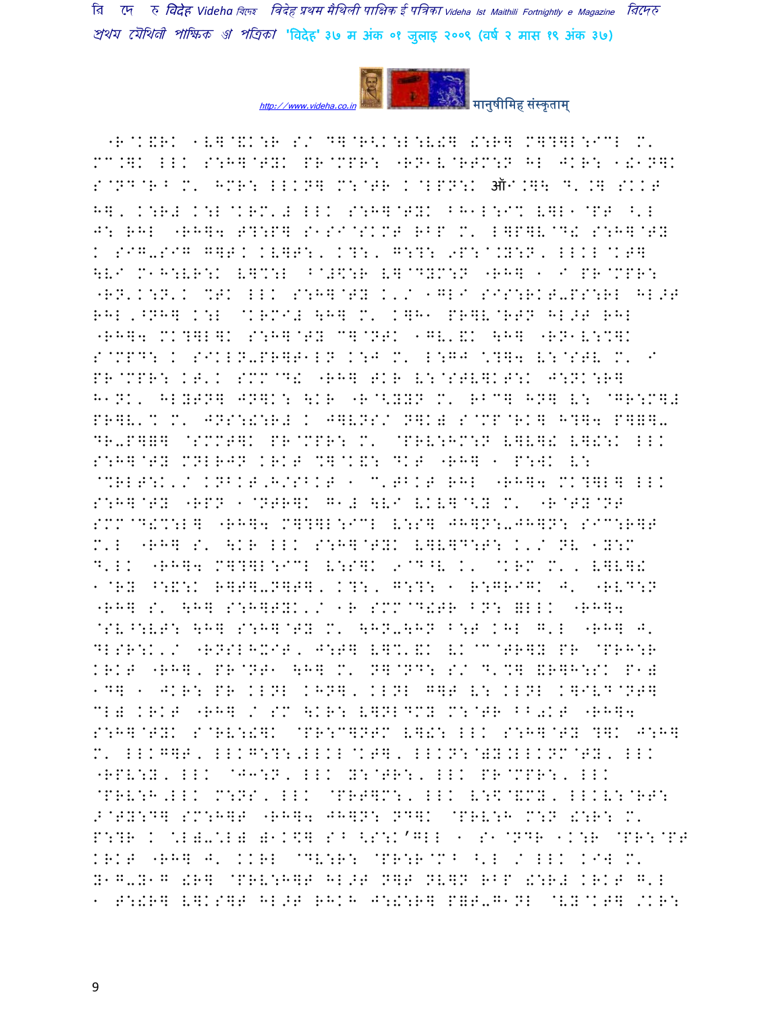

 "R@K&RK 1V]@&K:R S/ D]@R<K:L:V!] !:R] M]?]L:ICL M' MC. THE REAL SECTION OF THE REAL PROPERTY AND A REAL PROPERTY AND A RANGER OF THE UNIVERSITY OF THE UNIVERSITY OF THE UNIVERSITY OF THE UNIVERSITY OF THE UNIVERSITY OF THE UNIVERSITY OF THE UNIVERSITY OF THE UNIVERSITY OF SAND ROOMS IN THE ROOMS OF THE ROOMS OF TREES IN THE RESIDENCE OF TRACKERS OF TRACKERS OF TRACKERS OF THE ROOM HE, C:R# C:R MIRLA BEC S:HHIGH, FROESCO BH1L:TH F.B J: RHL "RH]4 T?:P] S1SI@SKMT RBP M' L]P]V@D! S:H]@TY K SIG-SIG G]T. KV]T:, K?:, G:?: 9P:@.Y:N, LLKL@KT] \VI M1H:VR:K V]%:L ^@#\$:R V]@DYM:N "RH] 1 I PR@MPR: "RN'K: "RN'K: "RN'K: "RN'K: "RN'K: "RN'K: "RN'K: "RN'K: "RN'K: "RN'K: "RN'K: "RN'K: "RN'K: "RN'K: "RN'K: "RN'K<br>The RN'K: "RN'K: "RN'K: "RN'K: "RN'K: "RN'K: "RN'K: "RN'K: "RN'K: "RN'K: "RN'K: "RN'K: "RN'K: "RN'K: "RN'K: "R RHL,PRHE (11 MINUM APR 2. 1960 PRHL/BHL/H2 A122 BH1 "RHARA" DI GREGI "RISHA 1903" MACRAI "KAL'AK "AHAR" (PER ESISA) SMORTH: K SAMIRINHENIR KIGA OL IGAA NIHA KESKAR OL Y PR@MPR: KT'K SMM@D! "RH] TKR V:@STV]KT:K J:NK:R] H1NK' HLYTN] JN]K: \KR "R@<YYN M' RBC] HN] V: @GR:M]# PR]V'% M' JNS:!:R# K J]VNS/ N]K) S@MP@RK] H?]4 P]=]- DR-P]=] @SMMT]K PR@MPR: M' @PRV:HM:N V]V]! V]!:K LLK S: S: A REPORT OF THE RELEASE OF THE RELEASE OF THE RELEASE OF THE RELEASE OF THE RELEASE OF THE RELEASE OF TH @%RLT:K'/ KNBKT,H/SBKT 1 C'TBKT RHL "RH]4 MK?]L] LLK S: "S: R: TY "RPN 1000 "RENTRIC "RENTRIC "ROOM " "ROOM " DOWN" "ROOM " "RENT " "RENT " TY "RENT " RE SMM PRODECT "RHAN MADANG" "RHITI "RHITA" "PANGALAHAN "SICURANA M'L E CORPAR (ST. CADE) E E DICEMBRARI SERIE E AREAR MENSE (D. L.C. DALCO 1990) D'LI "RHH TUNU N'N BIRD A'N K' D'L'IEL D'A BURG 1@RY ^:&:K R]T]-N]T], K?:, G:?: 1 R:GRIGK J' "RVD:N "RHA S' ARA S'ERABLIC' 'R SMM MERR FRY ALLI "RHA4 @SV^:VT: \H] S:H]@TY M' \HN-\HN B:T KHL G'L "RH] J' DLSR:K'/ "PROSLERICA", ANARE ERICOLI EL CONFERRI ER (MERRNE KRKT "RH], PR@NT1 \H] M' N]@ND: S/ D'%] &R]H:SK P1) 1009 1 JKR: PR KLANDER, KLANDER, KLANDER, KLNL KAN KLANDER, KLNL KINNER, KORNE CL) KRKT "RHOUDER" (SM HINDER STATE STATE STATE STATE STATE STATE STATE STATE STATE STATE STATE STATE STATE S S:H]@TYK S@RV:!]K @PR:C]NTM V]!: LLK S:H]@TY ?]K J:H] MO LLEBES PRE LLEBES DE LLEBES DE LLEBES DE THE TE LLOT DE LLATES DE LLEBES DE LLEBES "RPV:YOS: LLK OSTANOV", LLK PROVINCE I LEK PROVINCE I LLK PROVINCE I LLK PROVINCE I LLK PROVINCE I LLK PROVINC @PRV:H,LLK M:NS, LLK @PRT]M:, LLK V:\$@&MY, LLKV:@RT: >@TY:D] SM:H]T "RH]4 JH]N: ND]K @PRV:H M:N !:R: M' P:?R K \*L)-\*L) )1K\$] S^ <S:K'GLL 1 S1@NDR 1K:R @PR:@PT KRKT "RH] J' KKRL @DV:R: @PR:R@M^ ^'L / LLK KIW M' Y1G-Y1G !R] @PRV:H]T HL>T N]T NV]N RBP !:R# KRKT G'L 1 T::RINGER (ELRO) VARIA PERSENT PERSONER (PERSONER DER MOSCOLOGIE IN DER STOLEN)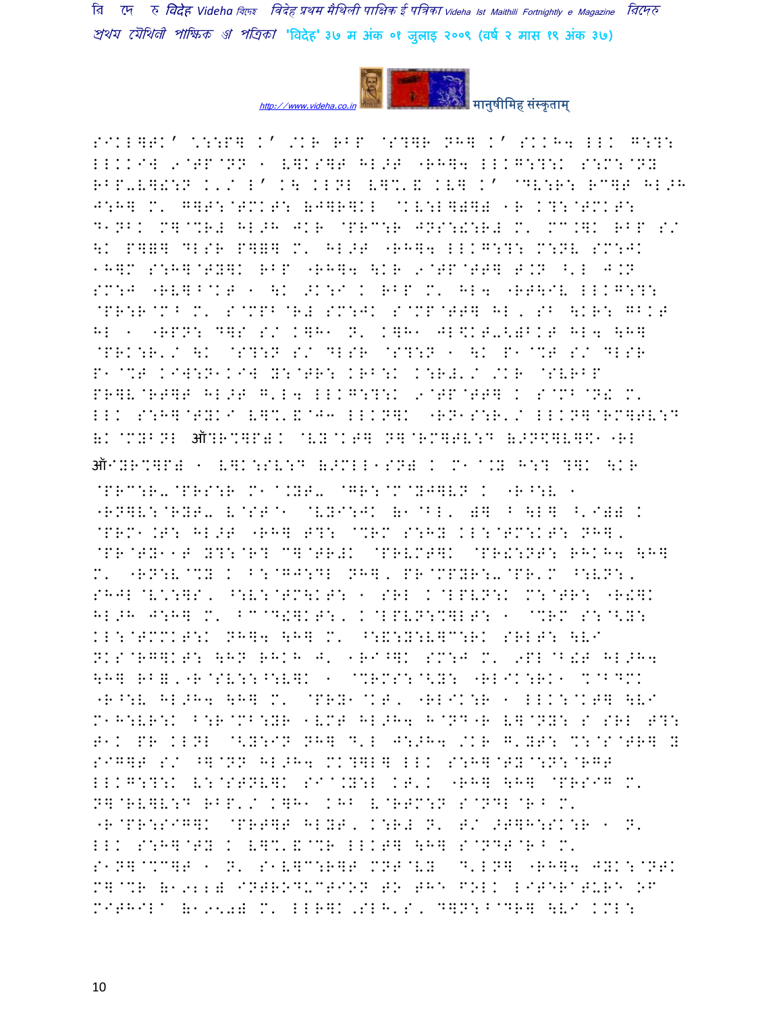http://www.videha.co.in स्ट्रीया स्ट्रेलिया मानुषीमिह संस्कृताम्

SIKLER: KONSTRUIK AND BEROGNIER DAR I KONSTRUIK GER LLAN 1 VI SET TRE SHIKA NG TAHUNG ANG ANG ANG ANG ANG TAONG TRE RR PULEMENTA (D. 2014) A CONSTRUCTION CONTROL CONTROL PARTIES AND PROPE J:H] M' G]T:@TMKT: (J]R]KL @KV:L])]) 1R K?:@TMKT: D1NBK M]@%R# HL>H JKR @PRC:R JNS:!:R# M' MC.]K RBP S/ \K P]=] DLSR P]=] M' HL>T "RH]4 LLKG:?: M:NV SM:JK 1H]M S:H]@TY]K RBP "RH]4 \KR 9@TP@TT] T.N ^'L J.N SM:J "RESOR "RI RIG" I RT M. RESORTE @PR:R@M^ M' S@MPB@R# SM:JK S@MP@TT] HL, SB \KR: GBKT HE 1 SHEPS THE POSITION PROTHECOMERING HEATHER @PRK:R'/ \K @S?:N S/ DLSR @S?:N 1 \K P1@%T S/ DLSR PHOTOR: CARBORY CAR OBSIGES (CERSIC COSPER, 2002) EXCREME PR]V@RT]T HL>T G'L4 LLKG:?:K 9@TP@TT] K S@MB@N! M' LLK S:HIMATHIS: LANDARY LLKNING SHIMATHIS: LLKNING: LLKNING: LLKNING: LLKNING: LLKNING: LLKNING: LLKNING: LLKNING: L  $K$   $\mathbb{R}$   $\mathbb{R}$   $\mathbb{R}$   $\mathbb{R}$   $\mathbb{R}$   $\mathbb{R}$   $\mathbb{R}$   $\mathbb{R}$   $\mathbb{R}$   $\mathbb{R}$   $\mathbb{R}$   $\mathbb{R}$   $\mathbb{R}$   $\mathbb{R}$   $\mathbb{R}$   $\mathbb{R}$   $\mathbb{R}$   $\mathbb{R}$   $\mathbb{R}$   $\mathbb{R}$   $\mathbb{R}$   $\mathbb{R}$   $\mathbb{R}$   $\mathbb{R}$  ऑVRGYAPA ( BALGAR GATE) 276 I TV VI AGE TAL ALG @PRC:R-@PRS:R M1@.YT- @GR:@M@YJ]VN K "R^:V 1 "RNIPELS TROENL" ELTERETY ("TEOPTSPIL" GY TROL" (ER) (P) REFRIGION PEED (" @PRM1.T: HL>T "RH] T?: @%RM S:HY KL:@TM:KT: NH], @PR@TY11T Y?:@R? C]@TR#K @PRVMT]K @PR!:NT: RHKH4 \H] M. "RESERVE I FROM RESERVED AND MESSENGERS. SHAD VENGARY. SYEN YANG KARA KARENG YE DA SARL KOMA MARENG KAREN HI:HA JANA T:, K@LPWEERS, I MERIPHERS & CORT PSCHIN KL: NHIMMKI: KALI MARA (AHR) M. CONANANISAN MARI (KALAN ANG NKS@RG]KT: \HN RHKH J' 1RI^]K SM:J M' 9PL@B!T HL>H4 \H] RB=,"R@SV::^:V]K 1 @%RMS:@<Y: "RLIK:RK1 %@BDMK "RESTAIN THE MANUTING OF THE CONSTRUCTION OF THE CONSTRUCTION OF THE REPORT OF THE REPORT OF THE REPORT OF THE REPORT OF THE REPORT OF THE REPORT OF THE REPORT OF THE REPORT OF THE REPORT OF THE REPORT OF THE REPORT OF THE M1H:VR:K B:R@MB:YR 1VMT HL>H4 H@ND"R V]@NY: S SRL T?: TH AN INFORMATION OF THE REPORT OF THE CONTROL OF THE GENERAL CONTROL OF THE GENERAL CONTROL OF THE GENERAL CO SIGHT SIGE SOMETIGE SIGNED SIGNED SIGNED SIGNED STATES LLCASTED ESTERVHED EXTIGEL CALD APPROPED MARKET DU N]@RV]V:D RBP'/ K]H1 KHB V@RTM:N S@NDL@R^ M' "REPRINSIPATED "PRINTER "PRIDE, DIARIE DU "BIJ" DETERATIONE "POD. LLK S:H]@TY K V]%'&@%R LLKT] \H] S@NDT@R^ M' S1N]@%C]T 1 N' S1V]C:R]T MNT@VY D'LN] "RH]4 JYK:@NTK M]@%R (1922) INTRODUCTION TO THE FOLK LITERaTURE OF MITHILA (1950) MITHILA (1950) MERECA (1950) MITHILA (1950) MITHILA (1950) MITHILA (1950) MITHILA (1950) MITHILA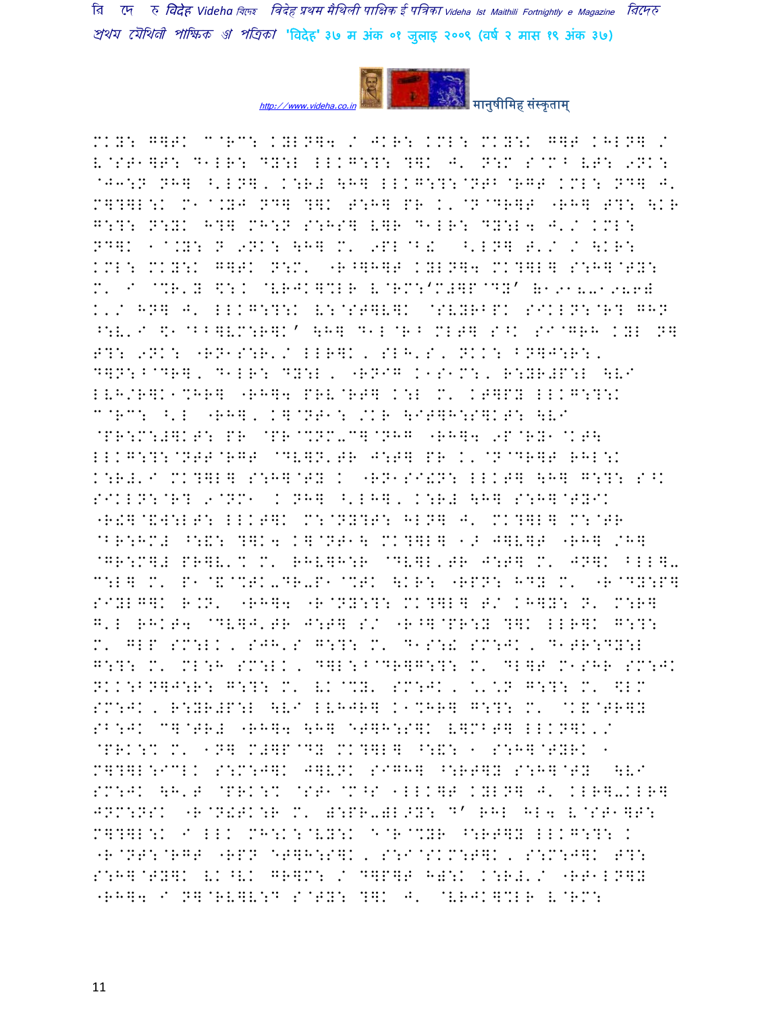

MAKE GREEN MAKING COMPANY OF A LINE CONTROL CONTROL CONTROL OF A SALE OF A V@ST1]T: D1LR: DY:L LLKG:?: ?]K J' N:M S@M^ VT: 9NK: @J3:N NH] ^'LN], K:R# \H] LLKG:?:@NTB@RGT KML: ND] J' M]?]L:K M1@.YJ ND] ?]K T:H] PR K'@N@DR]T "RH] T?: \KR G:?: N:YK H?] MH:N S:HS] V]R D1LR: DY:L4 J'/ KML: ND]K 1@.Y: N 9NK: \H] M' 9PL@B! ^'LN] T'/ / \KR: KML: MARIN: MARIN: MONTHER SING N: MARIN: MARIN: M' I @%R'Y \$:. @VRJK]%LR V@RM:'M#]P@DY' (1918-1986) K'/ HN] J' LLKG:? HN] J' LLKG:? HN] J' LLKG:? HN] J' LLKG:? HN] J' LLKG: HN] J' LLKG: HN] J' LLKG: HN] J' LLKG ^:V'I \$1@BB]VM:R]K' \H] D1L@R^ MLT] S^K SI@GRH KYL N] TR: 9NK: "RNIS: PARA EN EN LEGISTE BOLINIA DE L'ALRICA EN PRESENTE L' DERSIONER, DIES DRIE, "ROOM (FIND, RIBERIG ALO LVH/R]K1%HR] "RH]4 PRV@RT] K:L M' KT]PY LLKG:?:K CORC: ^:L RHANT, CONTRACT CONTRACTED AND ALC @PR:M:#]KT: PR @PR@%NM-C]@NHG "RH]4 9P@RY1@KT\ LLKG:?:@NTT@RGT @DV]N'TR J:T] PR K'@N@DR]T RHL:K K:R#'I MK? 'I MK? 'I MK? 'I MK? 'I MK? 'I MK? 'I MK? 'I MK? 'I MK? 'I MK? 'I MK? 'I MK? 'I MK? 'I MK? 'I MK? ' SIKLI:@R: 9@NM1 . NH] SIKLN:@R: 9@NM1 . NH] S: 9@NM1 . NH] S: 9@NM1 . NH] S: 9@NM1 . NH] S: 9@NM1 . NH] S: 9@NM "R!]@&W:LT: LLKT]K M:@NY?T: HLN] J' MK?]L] M:@TR @BR:HM# ^:&: ?]K4 K]@NT1\ MK?]L] 1> J]V]T "RH] /H] @GR:M]# PR]V'% M' RHV]H:R @DV]L'TR J:T] M' JN]K BLL]- C:L] M' P1@&@%TK-DR-P1@%TK \KR: "RPN: HDY M' "R@DY:P] SYGEPHI R.N. "RHHA" RENDISIS IN HER R.N. MHOS D. ISBN G'L E RHKT4 BY TYR HALLAR CANAR (STOCK) SR FHOTEN GER OF E RHKT CHNORN M. GLP SMALL, SAH.S GATE M. G. SANG SMALL G. MERTANI G:?: M' ML:H SM:LK, D]L:^@DR]G:?: M' DL]T M1SHR SM:JK NK:BRIG: G:R: BAJ: MA: MY SM: MY SM: MY SM: MY SM: MY SM:JK, R:YR#P:L \VI LVHJR] K1%HR] G:?: M' @K&@TR]Y SP:JA: "MB"BEJ (BHBH) BHB "PEBHJSTB" (EBITKBB) BEI DRB). J @PRK:% M' 1N] M#]P@DY MK?]L] ^:&: 1 S:H]@TYRK 1 M]?]L:ICLK S:M:J]K J]VNK SIGH] ^:RT]Y S:H]@TY \VI SM:JK ARIE MELSI MEN MUR (11188) IN KURA (11982) I JADI NAK "PR-PARANG "RANG" DI PRESENSI DI RANG "PR-PARA DI REPERTEN RENGI MARAH:K:K K LELK MARI ROLERI MASA ONIH MARAHI LELANGRY I  $R$  . The second the second second second second second second second second second second second second second second second second second second second second second second second second second second second second secon S:NHR:MORIN: ALCORARING (2) PRIPRESSENTING NEWS (2) (PEER EDRI "RH]4 I N]@RV]V:D S@TY: ?]K J' @VRJK]%LR V@RM: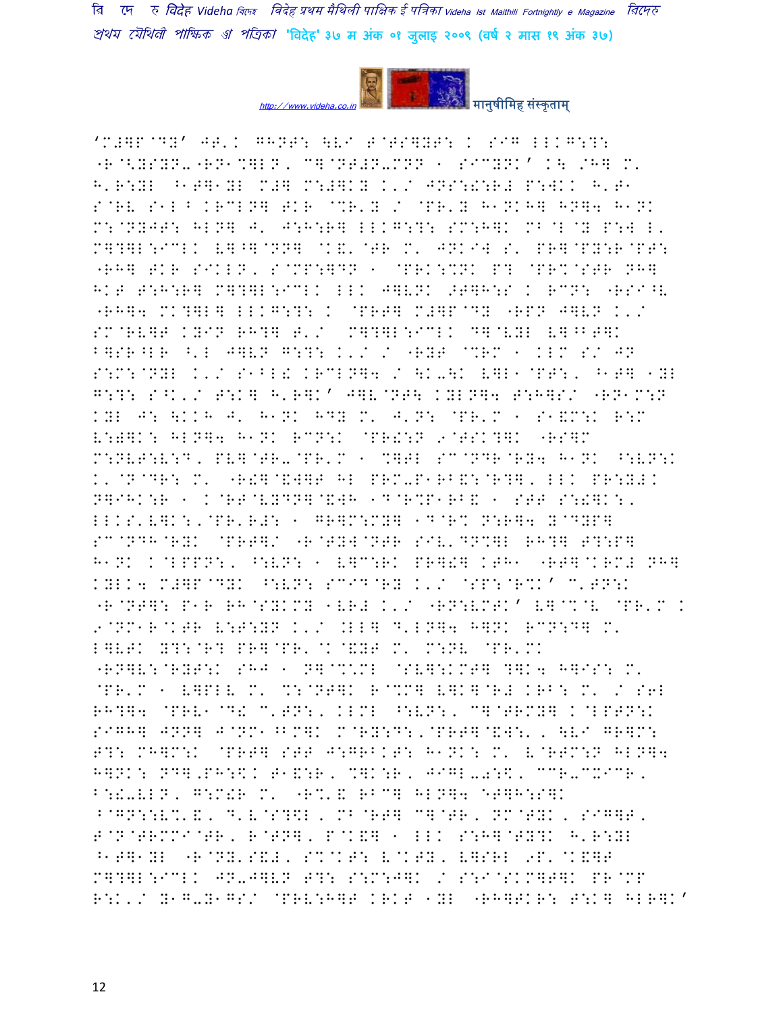

YMINPORY ARIS ARRAY HEY PORNHER I FYA IIIARIR "R@NT#N\_MANAHATAN | R@NT#N\_MANAHATAN | R@NT#NAHATAN | R@NT#NAHATAN | R@NT#NAHATAN | R@NT#N-MNN 1 SICYNK | R@NT<br>LN, C\_ANAHATAN | R@NT#N-MNN | R@NT#N-MNN | R@NT#NAHATAN | R@NT#NAHATAN | R@NT#NAHATAN | R@NT#NAHATAN | R@NT#NA H'R:YL ^1T]1YL M#] M:#]KY K'/ JNS:!:R# P:WKK H'T1 S@RV S1L^ KRCLN] TKR @%R'Y / @PR'Y H1NKH] HN]4 H1NK MY MOREALE HORE ALS ANAGER OO DANNEY WORKERS ON ME MORE BY OUR MARIN CONTROL CONTROL CONTROLS OF TRANSPORTANCE OF TRANSPORTANCE OF TRANSPORTANCE OF TRANSPORTANCE  $R$  The sixted states of the states of  $R$  . The state  $R$ HI: RI:H:R:R] MATH: NATE: IE: (ANLE: "RANAMI": "RTP: "REAT": "RHARA ON BALA E LORRABA O "TOPAR O DIAROTAD" (PPO) ARD "ARLO" (UN SM@RRVERSON RH?] R.V. MARVARYL PANDR LANGARY BISROP BE SALE OF HER PARTY ON A CONSTRUCTION OF A SOCIAL SALE OF THE SALE OF THE SALE OF THE SALE OF THE SALE SSIM: MARI (I. Z. SVIER (1971-1994) / ADLAD (E91) (TES ) (P. F9 ) AR G:?: S^K'/ T:K] H'R]K' J]V@NT\ KYLN]4 T:H]S/ "RN1M:N KYL J: HI: H1NK H1NK HI MI J. H1NK HI: MELI H S1&M:K R:M: K:BO: HINH HING RONE, TORIN A ROOM (HINA) MIREARING PROGRESS OF STREET SCONDING HIS CONDITION K'@N@DR: M' "R!]@&W]T HL PRM-P1RB&:@R?], LLK PR:Y#. NARIAN ING KACAMATAN ING PINAGPALAN PINANG PARA 1 STAGE 1 ST LLKS'V]K:,@PR'R#: 1 GR]M:MY] 1D@R% N:R]4 Y@DYP] SCOME RYK @PRT\_PRINTS & PRINTS OF REAL PROPERTY AND INCOME AND INTERFERENCE HANK KONSTRUKT KONSTRUKTER PROGRESSEN ALLE DER STRUKT DER PROGRESSEN MED ALLE DER KONSTRUKTER NEUE ALLE DER KO KYLKA MAJARI YA SHIRKA MATUKAT YA KUTOKA MATUKAT YA SHIRKA MATUKAT YA SHIRKA MATUKAT YA SHIRKA MATUKAT YA SHI "R@NT]: P1R RH@SYKMY 1VR# K'/ "RN:VMTK' V]@%@V @PR'M K 9@NM1R@KTR V:T:YN K'/ .LL] D'LN]4 H]NK RCN:D] M' L]VTK Y?:@R? PR]@PR'@K@&YT M' M:NV @PR'MK  $R$  (RN) (RN)  $R$  and  $R$  is the state of  $R$  and  $R$  and  $R$  and  $R$  and  $R$  and  $R$  and  $R$  and  $R$ @PR'M 1 V]PLV M' %:@NT]K R@%M] V]K]@R# KRB: M' / S6L RH?]4 @PRV1@D! C'TN:, KLML ^:VN:, C]@TRMY] K@LPTN:K SIGH] JNN] J@NM1^BM]K M@RY:D:,@PRT]@&W:', \VI GR]M: T?: MH]M:K @PRT] STT J:GRBKT: H1NK: M' V@RTM:N HLN]4 HER: NORTH VEHICLE AND HOLD THE VEHICLE AND LOCATED AT A REAL MODEL OF THE VEHICLE AND RELEASED AT A REAL MODEL OF THE VEHICLE AND RELEASED AT  $\mathcal{R}$ B: B: VAN DE REAL MORE AND HEN HEN DE SHARKER ME ^@GN::V%'&, D'V@S?\$L, MB@RT] C]@TR, NM@TYK, SIG]T, TAN TRANSIS TRANSPORTED TO THE TRANSPORTED TO A SERVE TRANSPORTED TO A LANCHER. ^1T]1YL "R@NY'S&#, S%@KT: V@KTY, V]SRL 9P'@K&]T M]?]L:ICLK JN-J]VN T?: S:M:J]K / S:I@SKM]T]K PR@MP R:K'/ YING-YIGS-YEV: HERENHAR (PRVE) HITCH-HARRITHN: PNOTHERICK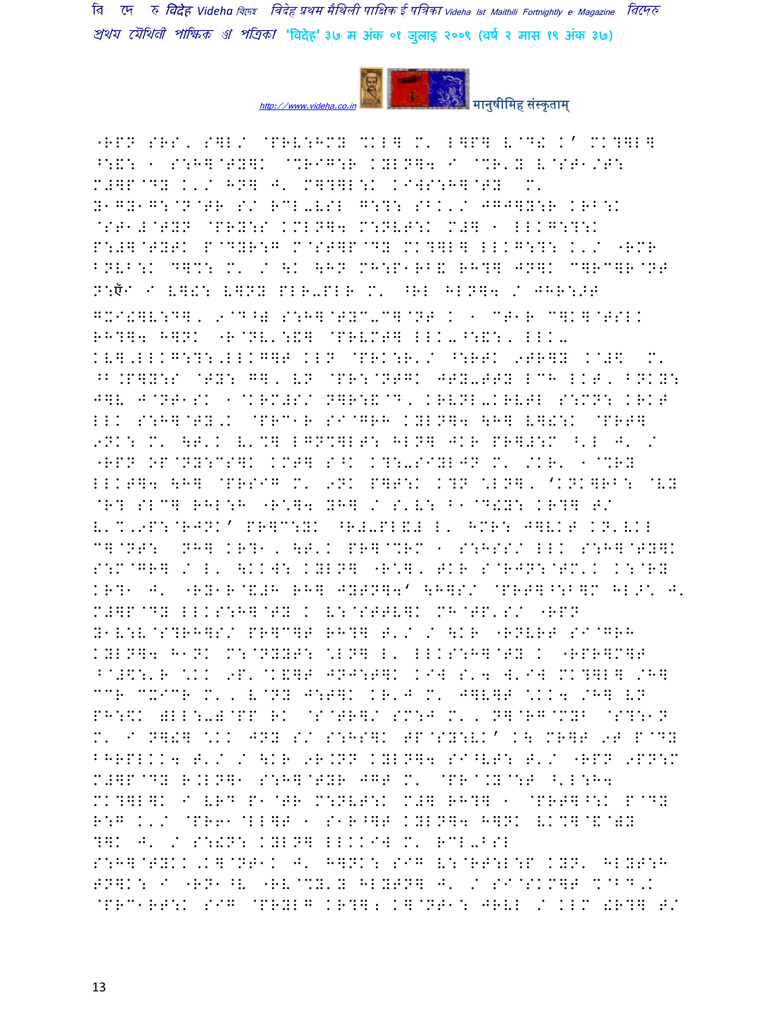http://www.videha.co.in स्ट्रीया स्ट्रेलिया मानुषीमिह संस्कृताम्

"RPN SRS, S]L/ @PRV:HMY %KL] M' L]P] V@D! K' MK?]L] ^:&: 1 S:H]@TY]K @%RIG:R KYLN]4 I @%R'Y V@ST1/T: M#]P@DY K'/ HN] J' M]?]L:K KIWS:H]@TY M' Y1GY1G:@N@TR S/ RCL-VSL G:?: SBK'/ JGJ]Y:R KRB:K @ST1#@TYN @PRY:S KMLN]4 M:NVT:K M#] 1 LLKG:?:K PYLEUMEN: POWER: MONARTOW MUSEUM ELIMINE LLA GENE ROBER: MEDS O. J. R. RHP. DRIER BRE BREE ROBER. MEEMBEIDE N:ऍI I V]!: V]NY PLR-PLR M' ^RL HLN]4 / JHR:>T GXI!]V:D], 9@D^) S:H]@TYC-C]@NT K 1 CT1R C]K]@TSLK RH?]4 H]NK "R@NV':&] @PRVMT] LLK-^:&:, LLK-KLAG:::PRISUE:PAR(IP (PR)YR)/ (RHI) 2008 2018 (2 ^B.P]Y:S @TY: G], VN @PR:@NTGK JTY-TTY LCH LKT, BNKY: JANTI JA JOHA JAN JANG 1 JAN 1989 (NEGERI SI NAMA DI KRATTA SI DI KRATTA SI NAMA DI KRATTA SI NAMA DI KRATTA N  $\pm$  for a sympath of the sign of the field of  $\mu$  is defined by  $\mu$  and  $\mu$  is  $\mu$  and  $\mu$ 9NK: M' \T'K V'%] LGN%]LT: HLN] JKR PR]#:M ^'L J' / "RPN" OP MAARTEEN OPDER EN DIE SAKELING MET DIE VOLGEN IN MODE LLCAMA APR (PRSIG M) 2NK PAANS COR NEWRO VORCHPING NEW @R? SLC] RHL:H "R\*]4 YH] / S'V: B1@D!Y: KR?] T/ B. T. STO ORAT Y PROTOK 'RALPERA EL' HTRO HOLLA (S. L.C. C]@NT: NH] KR?1, \T'K PR]@%RM 1 S:HSS/ LLK S:H]@TY]K S:M@GR] / L' \KKW: KYLN] "R\*], TKR S@RJN:@TM'K K:@RY KR?1 J' "RY1R@&#H RH] JYTN]4' \H]S/ @PRT]^:B]M HL>\* J' DANE MARIE LEGISHAN DI KENING DI SERIE DI SERIE DI SERIE SI SERIE DI SERIE DI SERIE DI SERIE DI SERIE DI SERIE B-1V1/PTBP82/ PR9788 PPT8 B.Z.Z RIB (BRIER SYTHP) KYLN)4 HENNES AN DER STRAND HENNES HENNES AN DER STRAND HENNES HENNES HENNES HENNES HENNES HENNES HENNES HENNE ^@#\$:'R \*KK 9P'@K&]T JNJ:T]K KIW S'4 W'IW MK?]L] /H] CCR CCCR MY, V@NY JOHN JR, P. C. PALAR (11) A VPA ER PH:\$K )LL:-)@PP RK @S@TR]/ SM:J M', N]@RG@MYB @S?:1N M' I NAME OF STREET STREET AND STREET SOME OF POST BHARPLICH BLOV I ROB DA CRISTA CHERRA BY REBN BLOV (HERR DERNI DIARE TROOP ROOF RANK IN STARK TAOR IN MARINITY OF THE TOOL TAKE IN A NARRY MAKRED PILLER BY DE MILLER MIN BROWN PORTION PORT R:G K'/ @PR61@LLGD VYLOGE SERVER SERVER SIGNES SER THE GUINT CHEFF HILES IN BUILDING S:H]@TYKK,K]@NT1K J' H]NK: SIG V:@RT:L:P KYN' HLYT:H THIN K: APP BO ABOTING ALGEBRAN IN BANKITHE THRU @PRC1RT:K SIG @PRYLG KR?]; K]@NT1: JRVL / KLM !R?] T/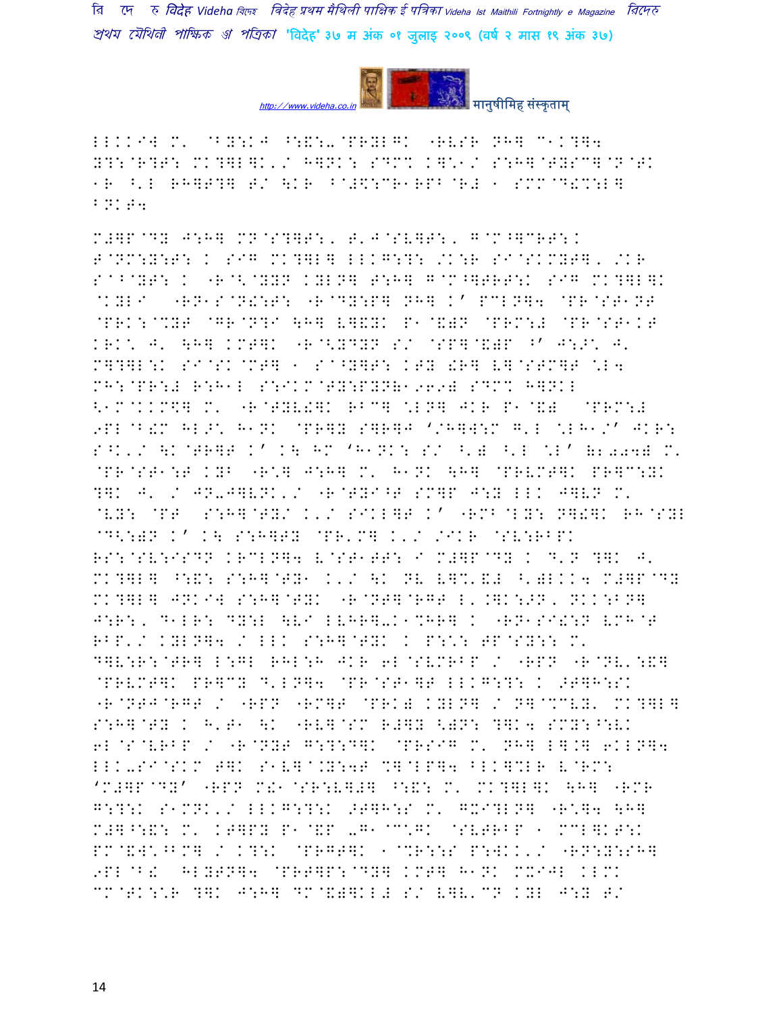

LLCCCKIA MODISTRA MERING "RIGHT "PRYLGER" (PRYLGRAN Y: A ROTE OF THE ROOM HARD SOMETH SAN WARRANT MARK THE SUMMER 1R ^'L RH]T?] T/ \KR ^@#\$:CR1RPB@R# 1 SMM@D!%:L] BNKT4

MARP TRD: HISHRI MO SYNCHAL LIGI, HISPARAS LIGIT THITGHES C T@NM:Y:T: K SIG MK?]L] LLKG:?: /K:R SI@SKMYT], /KR S@^@YT: K "R@<@YYN KYLN] T:H] G@M^]TRT:K SIG MK?]L]K @KYLI "RN1S@N!:T: "R@DY:P] NH] K' PCLN]4 @PR@ST1NT @PRK:@%YT @GR@N?I \H] V]&YK P1@&)N @PRM:# @PR@ST1KT KRK A. HAN KORNE SPANNIN SZ SEPNIN S/ PAZY A. MONTH IS A REPORT OF A SAME OF THE SAME OF A SAME OF A SAME OF A SAME OF A SAME OF A SAME OF A SAME OF A SAME MH:@PR:# R:H1L S:IKM@TY:PYN(1969) SDM% H]NKL AN DISCORDE DO IN RESERVED THE THIS LEARED HOTEL THAT HE IN STEP DAY 9PL@B!M HL>\* H1NK @PR]Y S]R]J '/H]W:M G'L \*LH1/' JKR: S^K'/ Z` AI MARAR (17 ^ 18 AT 'HR SI') SI S/ (2004) All (2004) ME Aard (2) @PR@ST1:T KYB "R\*] J:H] M' H1NK \H] @PRVMT]K PR]C:YK ?]K J' / JN-J]VNK'/ "R@TYI^T SM]P J:Y LLK J]VN M' @VY: @PT S:H]@TY/ K'/ SIKL]T K' "RMB@LY: N]!]K RH@SYL MADGE IK IN KGHARA MELIM ILI JAIH KENGHATI RS: MORTHS CROLOGE KARLEY WAR MORTHS CONDUCTS MK?]L] ^:&: S:H]@TY1 K'/ \K NV V]%'&# ^')LKK4 M#]P@DY MK?]L] JNKIW S:H]@TYK "R@NT]@RGT L'.]K:>N, NKK:BN] J:R:, D1LR: DY:L \VI LVHR]-K1%HR] K "RN1SI!:N VMH@T RBP'/ KYLN)4 / LAND AND AN ARTICLE AND A STRONG AND A STRONG AND A STRONG AND A STRONG AND A STRONG AND A STRONG D]V:R:@TR] L:GL RHL:H JKR 6L@SVMRBP / "RPN "R@NV':&] @PRVMT]K PR]CY D'LN]4 @PR@ST1]T LLKG:?: K >T]H:SK  $R$  . The set of  $R$  is the set of  $R$  in the set of  $R$  is the set of  $R$ S: S: HIT \ RIGHT \ RV \ RIGHT \ RIGHT \ RIGHT \ RIGHT \ RIGHT \ RIGHT \ RIGHT \ RIGHT \ RIGHT \ RIGHT \ RIGHT 6L@S@VRBP / "R@NYT G:?:D]K @PRSIG M' NH] L].] 6KLN]4 LLK-SI@SKM T]K S1V]@.Y:4T %]@LP]4 BLK]%LR V@RM: 'M#]P@DY' "RPN M!1@SR:V]#] ^:&: M' MK?]L]K \H] "RMR G::K S1MNK'/ LLEAG: CHING: SANDY "RESIDE AND " M#]^:&: M' KT]PY P1@&P -G1@C\*GK @SVTRBP 1 MCL]KT:K PM@&W\*^BM] / K?:K @PRGT]K 1@%R::S P:WKK'/ "RN:Y:SH] 9PL@B! HLYTN]4 @PRT]P:@DY] KMT] H1NK MXIJL KLMK CM@TK:\*R ?]K J:H] DM@&)]KL# S/ V]V'CN KYL J:Y T/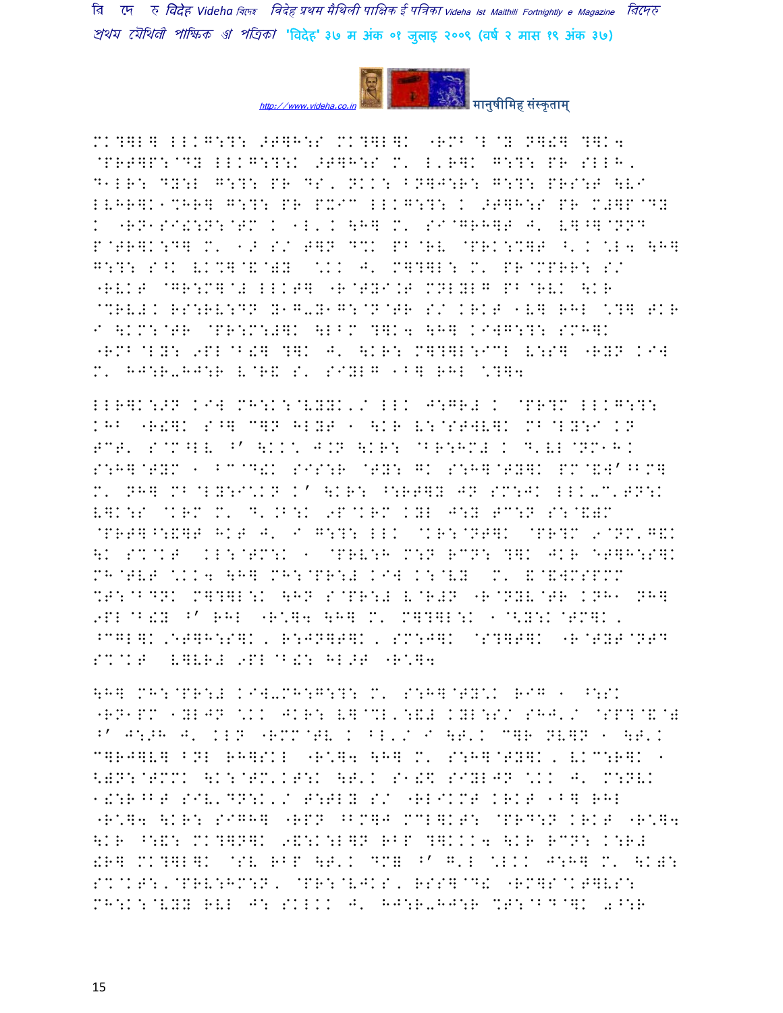http://www.videha.co.in स्ट्रीय कार्या मानुषीमिह संस्कृताम्

MACHER RESERVED AND MACHINE SHOW HOW THIS MACHINE THIS @PRT]P:@DY LLKG:?:K >T]H:S M' L'R]K G:?: PR SLLH, D1LR: DY:L G:?: PR DS, NKK: BN]J:R: G:?: PRS:T \VI LLAND: TAND ANTH PR PICT LLOANTH COZADHNIC PROTHUCTOR K "RNNISIE:N:MI SI DE LI SHE T. IN'THANN A. LEAN OND P@TR]K:D] M' 1> S/ T]N D%K PB@RV @PRK:%]T ^'. \*L4 \H] G:?: S^K VK%]@&@)Y \*KK J' M]?]L: M' PR@MPRR: S/  $R$  . The construction of the latter  $R$  and  $R$  is the construction of the construction of the construction of the construction of the construction of the construction of the construction of the construction of the constr @%RV#. RS:RV:DN Y1G-Y1G:@N@TR S/ KRKT 1V] RHL \*?] TKR  $\mathcal{L} \in \mathbb{R}$  , which is a set of the set of the set of the set of the set of the set of the set of the set of the set of the set of the set of the set of the set of the set of the set of the set of the set of the set "RMB" PER "PLOT" PRESIDENT PROPERTY TO A REPORT OF THE REPORT OF THE REPORT OF THE REPORT OF THE REPORT OF THE M. HANBURANE EMBERT, SYGHARA PAR BREAMAN

LLR]K:>N KIW MH:K:@VYYK'/ LLK J:GR# K @PR?M LLKG:?: KHB "PENIS KUN MUR PENES "KIR EG'IPHEN. IN MENGIN K TCT' SAMPLE TO SAMPLE OF SAMPLE IN THE CONTROL  $\pm$  1 bit is the sign of the sign of the sign of the sign of the sign of the sign of the sign of the sign of the sign of the sign of the sign of the sign of the sign of the sign of the sign of the sign of the sign of the M' NHE M' NHE MARKET AN DIE SOME V]K:S @KRM M' D'.B:K 9P@KRM KYL J:Y TC:N S:@&)M @PRT]^:&]T HKT J' I G:?: LLK @KR:@NT]K @PR?M 9@NM'G&K  $K$  S S  $K$  (  $K$  )  $K$  and  $K$  are  $K$  . The  $K$  and  $K$  is the  $K$  denoted in  $K$ MH@TVT \*KK4 \H] MH:@PR:# KIW K:@VY M' &@&WMSPMM %T:@BDNK M]?]L:K \HN S@PR:# V@R#N "R@NYV@TR KNH1 NH] 9PL@B!Y ^' RHL "R\*]4 \H] M' M]?]L:K 1@<Y:K@TM]K, ^CGL]K,ET]H:S]K, R:JN]T]K, SM:J]K @S?]T]K "R@TYT@NTD S% ON THE VALUE OF THE STATE OF THE SERVE OF THE STATE OF THE STATE OF THE STATE OF THE STATE OF THE STATE OF THE STATE OF THE STATE OF THE STATE OF THE STATE OF THE STATE OF THE STATE OF THE STATE OF THE STATE OF THE STAT

\H] MH:@PR:# KIW-MH:G:?: M' S:H]@TY\*K RIG 1 ^:SK "RN1PM 1YLJN \*KK JKR: V]@%L':&# KYL:S/ SHJ'/ @SP?@&@)  $:$  J: J: H J: H J: H: W H I K H I A H H I  $:$  H I  $:$  H I  $:$  H I  $:$  H I  $:$  H  $:$  H  $:$   $:$ MALAHIR POR (BAANTI) (ANTAK AAR DO VINAR MIRIK), EDMARAD (K N: STORY A STORY AND A SAN A SAN A SAN A SAN A SAN A SAN A SAN A SAN A SAN AIR SAN A SAN AIR SAN AIR SAN AIR S<br>Na san air san air an air an t-Air an air air an air air air an air air an air air an air air air air air air 1!:R^BT SIV'DN:K'/ T:TLY S/ "RLIKMT KRKT 1B] RHL  $\sim$  4  $\sim$  4  $\sim$  6  $\sim$  5  $\sim$  4  $\sim$  4  $\sim$  4  $\sim$  5  $\sim$  0  $\sim$  0  $\sim$  0  $\sim$  0  $\sim$  0  $\sim$  0  $\sim$  0  $\sim$  0  $\sim$  0  $\sim$  0  $\sim$  0  $\sim$  0  $\sim$  0  $\sim$  0  $\sim$  0  $\sim$  0  $\sim$  0  $\sim$  0  $\sim$  0  $\sim$  0  $\sim$  0  $\sim$  0  $\sim$  0  $\sim$ \KR ^:&: MK?]N]K 9&:K:L]N RBP ?]KKK4 \KR RCN: K:R# RIER (DICHELRIC) NEIL EF BOARD. DONNE FAN HIJE OILE FANAR (DIC) AI BI S%@KT:, PRODUCED: THE WAT: REFUSE THE SPIRIT CONDITI MH:K:@VYYY RVL J: SKLKK J: SKLK J: SKLK J: SKLK J: SKLK DI: R & SKLK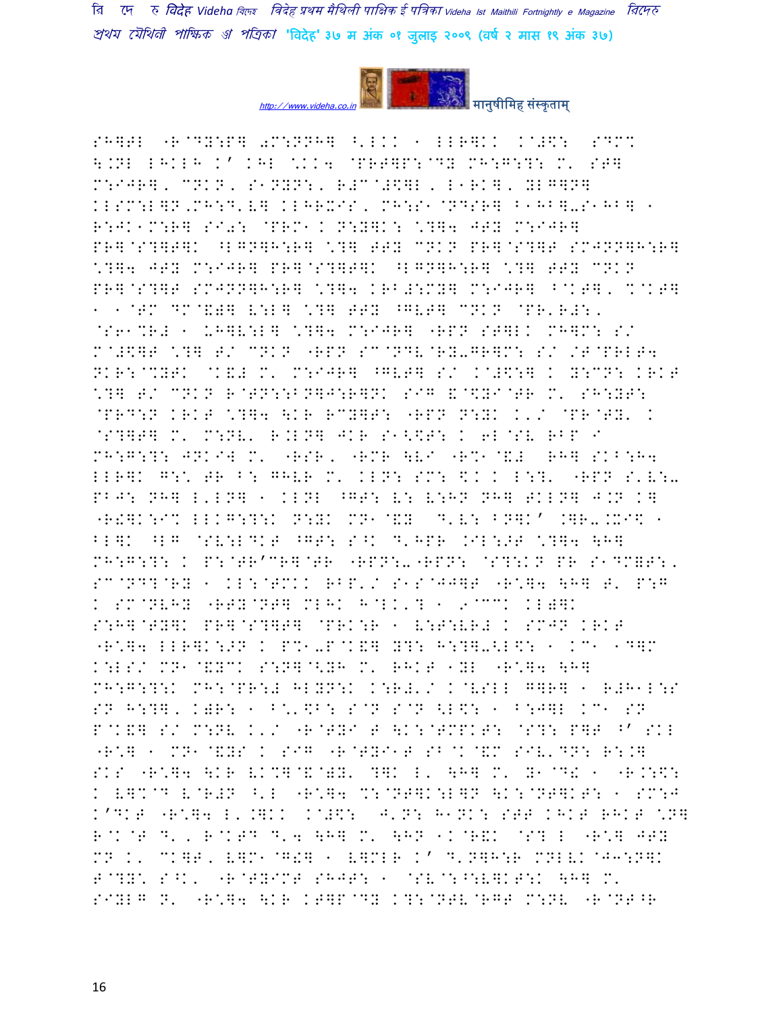http://www.videha.co.in स्ट्रीलिया मानुषीमिह संस्कृताम्

SHART "ROOM: ROOM: SOME AND START " SOME ALL A LARGE . SOME . SOME . SOME \.NL LHKLH K' KHL \*KK4 @PRT]P:@DY MH:G:?: M' ST] M:IJR], CNKN, S1NYN:, R#C@#\$]L, L1RK], YLG]N] KLSM:LASSAN:LASSAN:LIN,MH:S1MH:D'VISTOR:LASSAN:LASSAN R:JK1M:RICH:RICH:RICH:RICH:RICH:RICH:RICH: PR]@S?]T]K ^LGN]H:R] \*?] TTY CNKN PR]@S?]T SMJNN]H:R]  $\Lambda$  THA  $\sim$  HPS. The Milkin Milkin Milkin  $\sim$  to the Milkin  $\sim$  The Milkin  $\sim$ PR]@S?]T SMJNN]H:R] \*?]4 KRB#:MY] M:IJR] ^@KT], %@KT] 1 1@TM DM@&)] V:L] \*?] TTY ^GVT] CNKN @PR'R#:, W: THE R LANGER THE TRANS HER SHULL TANKS ST M@#\$]T \*?] T/ CNKN "RPN SC@NDV@RY-GR]M: S/ /T@PRLT4 NKR:@%YTK @K&# M' M:IJR] ^GVT] S/ .@#\$:] K Y:CN: KRKT \*?] T/ CNKN R@TN::BN]J:R]NK SIG &@\$YI@TR M' SH:YT: @PRD:N KRKT \*?]4 \KR RCY]T: "RPN N:YK K'/ @PR@TY' K @S?]T] M' M:NV' R.LN] JKR S1<\$T: K 6L@SV RBP I MH:G:?: JNKIW M' "RSR, "RMR \VI "R%1@&# RH] SKB:H4 LLRAK GRY BE FR GHER MY KLRR BUR AN I KRY (GENERAL) PP-PG (PRB): ECHI PU (CECHI) PREGLIEG (EGRO CRB) PRB): ECHI PUP (CR) C: B "RECORD BICENTAL STOL CONTOUR TO BND PORTY . IN LARGE BLACK ON SV:LD BLACK OF STRAIN .IL: SOME .IL: MH:G:?: K P:@TR'CR]@TR "RPN:-"RPN: @S?:KN PR S1DM=T:, SCOMPTIBE SCIENCERTIC RAPIDS STANDED SPINE RAD RICER K SMONVIER IN HERTYPER OF ROOK HOLGE HOW TO A CONTROL IT EEN S:HIMAGIN PRINTING MENSION KANALIKAN KENTURI  $R$  -P 10 LLP FOR 200 P IS A P 10 LP 200 P IS THE LATE TO A REPORT OF LATE THE LATE TO A VEHICLE IN THE LATE TO A VEHICLE IN THE LATE TO A VEHICLE IN THE LATE TO A VEHICLE IN THE LATE TO A VEHICLE IN THE LATE TO A VEHICLE K:LS/ MANING S:NI MI MONT PHILAND 1991 MH:G:PR:N: MOH: ME:G: A: G:PR:N: (AD: ALY) 1 R:P: (AD: P: HE: A C: B: B: A: G: G SN H:: 1 B+'\$B: S@N S@N S@N SON SN SN SAN SN SN S POMISH S/ MYSPE M: NV (RETHER SP) HIS YETHI F & SYSTEM FREQUES. "R\*) 1 MN1. 1 MN1. 1 MN1. 1 MN1. 1 MN1. 1 MN1. 1 MN1. 1 MN1. 1 MN1. 1 MN1. 1 MN1. 1 MN1. 1 MN1. 1 MN1. 1 MN1. SKS "R\*DHA" ROF KONFINIAL (18) "PO" RAH OO "IR" "PO" R. "R. O. R. K VARIT VAN AF DE KAN NEWER VOOR DE KONTROLLE IN DIE VAN DIE VAN DIE VAN DIE VAN DIE VAN DIE VAN DIE VAN DIE V K'MI R'. (PANGHA) E L'IGHI D'O COGNIA (CORLIN PACH) A COGNE CORLEGIO POR ESPIGNIENT ANN R@K@T D'4 D'4 D'4 RAB D'4 RAF D'1981 (21 F ) AN 48 MN K' CK]T, V]M1@G!] 1 V]MLR K' D'N]H:R MNLVK@J3:N]K T@?Y\* Shimi Shimi Shimi Shimi Shimi Shimi Shimi Shimi Shimi Shimi Shimi Shimi Shimi Shimi Shimi Shimi Shimi Sh SIYOB PODU "PANJAR" ADA DI RABI 190 "DY 1941, 1998. DYDAL" PANDA PA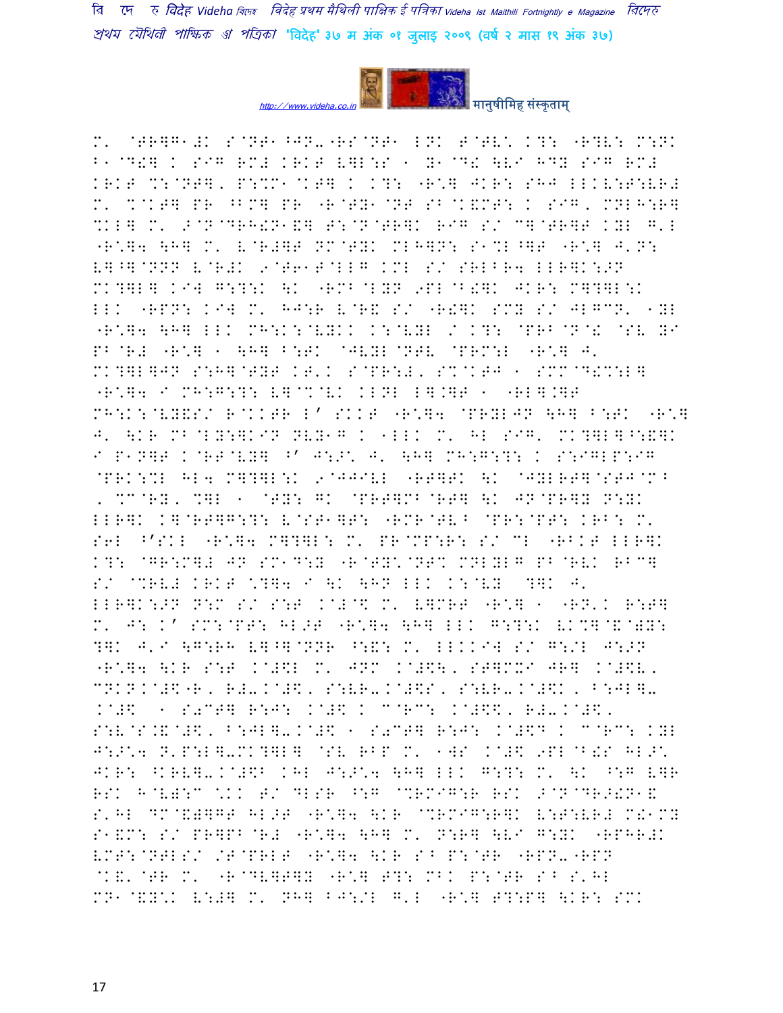

M' at the second state of the second state of the second state of the second state of the second state of the<br>As a constant of the second state of the second state of the second state of the second state of the second st B1@D!] K SIG RM# KRKT V]L:S 1 Y1@D! \VI HDY SIG RM# KRKT %:@NT], P:%M1@KT] K K?: "R\*] JKR: SHJ LLKV:T:VR#  $\mathcal{P}$  , and the proposition of the proposition of the proposition of the proposition of the proposition of the proposition of the proposition of the proposition of the proposition of the proposition of the proposition o %KL] M' >@N@DRH!N1&] T:@N@TR]K RIG S/ C]@TR]T KYL G'L "RATH ARE TO EMBLE TO GEN TERETA YANG MENGHALI ADIS V]^]@NNN V@R#K 9@T61T@LLG KML S/ SRLBR4 LLR]K:>N MK?]L] KIW G:?:K \K "RMB@LYN 9PL@B!]K JKR: M]?]L:K LLK "PROPI (PR) MY HI:R ROBERT SAMY SOM SAMY SYLWEST (PR)  $R$  -produce the probability of the control of the state of the control of the control of the control of the control of the control of the control of the control of the control of the control of the control of the control PP@R# "R\*PR" 1 \HPP = 1 \HPP" @DR#: "PRM: "PRPM: " \#\#" 4. MK?]L]JN S:H]@TYT KT'K S@PR:#, S%@KTJ 1 SMM@D!%:L]  $R$  +  $R$  i means that the state of  $R$  is the state  $\sim$  . The state  $\sim$ MH:K: NABAY B:TV&B: E/ STVB "RANH" (PRBER) ARE FARI "RAN J' HI BOTT 'N HANDELH MODELH MODELH MAD SIG KOMPONING ME I P1ND KORT KORT I STANDARD I STANDARD I STANDARD @PRK:%L HL4 M]?]L:K 9@JJIVL "RT]TK \K @JYLRT]@STJ@M^ , %C@RY, %]L 1 @TY: GK @PRT]MB@RT] \K JN@PR]Y N:YK LLRAK (SAMRAGHEN)K KARA ARTE MER (MIRENTEN (PP): M. S6L (PYDE) (BNAW MATAL) D. PROMPIR: S/ CL "ROKELF LLRA K?: @GR:M]# JN SM1D:Y "R@TY\*@NT% MNLYLG PB@RVK RBC] S/ MMHLA CHOF NAHA Y AD ARM BEO DATAB (AHD 4. LLRAK: N:M S/ S:T . MA:M W. LAMRT "R:A " (RN'K R:T) M' J: K' SM:@PT: HL>T "R\*]4 \H] LLK G:?:K VK%]@&@)Y: ?]K J'I \G:RH V]^]@NNR ^:&: M' LLKKIW S/ G:/L J:>N  $H^4$  . And the structure of the structure of  $H^4$  is the structure  $\mathcal{A}$  ,  $\mathcal{B}$ CONCRITER (P. P. R. P. R. S. S. R. P. P. R. S. S. R. P. C. B:V. B:J. B: J. B: J. B: .@#\$ 1 S0CT] R:J: .@#\$ K C@RC: .@#\$\$, R#-.@#\$, S:V@S.&@#\$, B:JL]-.@#\$ 1 S0CT] R:J: .@#\$D K C@RC: KYL J:>\*4 N'P:L]-MK?]L] @SV RBP M' 1WS .@#\$ 9PL@B!S HL>\* JKR: ^KRV]-.@#\$B KHL J:>\*4 \H] LLK G:?: M' \K ^:G V]R RSK H@V):C \*KK T/ DLSR ^:G @%RMIG:R RSK >@N@DR>!N1& S'HL DM@&)]GT HL>T "R\*]4 \KR @%RMIG:R]K V:T:VR# M!1MY S1&M: S/ PR]PB@R# "R\*]4 \H] M' N:R] \VI G:YK "RPHR#K VMT:@NTLS/ /T@PRLT "R\*]4 \KR S^ P:@TR "RPN-"RPN @K&'@TR M' "R@DV]T]Y "R\*] T?: MBK P:@TR S^ S'HL MN1@&Y\*K V:#] M' NH] BJ:/L G'L "R\*] T?:P] \KR: SMK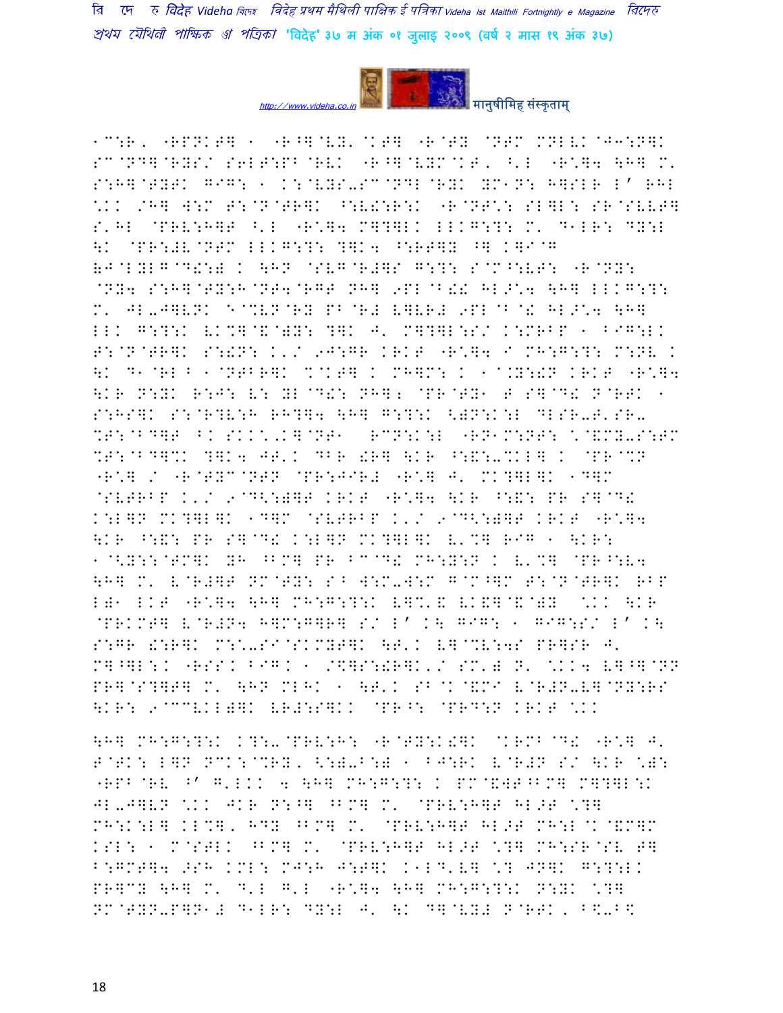

1C:R, "RPNKT] 1 "R^]@VY'@KT] "R@TY @NTM MNLVK@J3:N]K SCOMBRIEGH "RYSCOME "RYSCOME "RYSCOME "RYSCOME "RYSCOME "RYSCOME "RYSCOME "RYSCOME "RYSCOME "RYSCOME "RYSCOME " S:H]@TYTK GIG: 1 K:@VYS-SC@NDL@RYK YM1N: H]SLR L' RHL  $N_{\rm eff}$  ) with  $N_{\rm eff}$  and  $N_{\rm eff}$  the results in the results of  $N_{\rm eff}$  . See the results in the results in the results in the results in the results in the results in the results in the results in the results in the S.H. MPRV:HE B.E. GRAH MATHIC BIOGRADE M. MIBS MODE  $\kappa$  . The set of the control control control control control  $\kappa$ (J&P) A REPORT OF STREET SOME PROPERTY AS A STREET SOME PROPERTY AS A STREET @NY4 S:H]@TY:H@NT4@RGT NH] 9PL@B!! HL>\*4 \H] LLKG:?: M' JL-JA JL-JA JA JA JU JL-JA JA JA JA JA JA JA JU JL-JA JA JU JL-JA JA JU JL-JA JA JU JL-JA JA JA JA JA JA JA LLK G:?:K VK%]@&@)Y: ?]K J' M]?]L:S/ K:MRBP 1 BIG:LK T:@N@TR]K S:!N: K'/ 9J:GR KRKT "R\*]4 I MH:G:?: M:NV K \K D1@RL^ 1@NTBR]K %@KT] K MH]M: K 1@.Y:!N KRKT "R\*]4 \KR N:YK R:J: V: YL@D!: NH]; @PR@TY1 T S]@D! N@RTK 1 S:NH:HI: S:N:P:RINH PH?RH AHR PN?N: KEPN:N: N: SP.LE. CP.L %T:@BD]T ^. SKK\*,K]@NT1 RCN:K:L "RN1M:NT: \*@&MY-S:TM %THE TO PROVE THREE ASSOCIATED BE THE RELEASED ON THE RELEASED ON THE RELEASED ON THE RELEASED ON THE RELEASED "R\*D#" / "Parties" / Province "R\*D#" (R\*) Journal #10 (Province DELABR KOLONO SUMAGARA (1914) HENRA GEL PORTE KREDIRITIK K:LAN MKRAIN STAN MALAHIN KANG MANAHIN KALENDAR  $\kappa$ : Production and  $\kappa$  is production and  $\kappa$  and  $\kappa$  is production and  $\kappa$ 1@<Y::@TM]K YH ^BM] PR BC@D! MH:Y:N K V'%] @PR^:V4 \H] M' V@R#]T NM@TY: S^ W:M-W:M G@M^]M T:@N@TR]K RBP L)1 LKT "R\*]4 \H] MH:G:?:K V]%'& VK&]@&@)Y \*KK \KR @PRKMT] V@R#N4 H]M:G]R] S/ L' K\ GIG: 1 GIG:S/ L' K\  $S\backslash\{0\}$  . So the state  $\{0\}$  of  $\{0\}$  and  $\{0\}$  are stated as  $\{0\}$ MARANA MARA ARAKA MARANGAN SA SA SA SA SA RAYA YA S PR]@S?]T] M' \HN MLHK 1 \T'K SB@K@&MI V@R#N-V]@NY:RS \KR: 9@CCVKL)]K VR#:S]KK @PR^: @PRD:N KRKT \*KK

\H] MH:G:?:K K?:-@PRV:H: "R@TY:K!]K @KRMB@D! "R\*] J' T@TK: L]N NCK:@%RY, <:)-B:) 1 BJ:RK V@R#N S/ \KR \*):  $R$ PRB@RK (PRB) FOR THE CHAPATE IS POSSED FOR CHINESE JL-J]VN \*KK JKR N:^] ^BM] M' @PRV:H]T HL>T \*?] DH:K:N: BOOI ESPE , HPS (FROM D. ) (PEELSHAW AFJAR OPRY:HIT (DIDAG) KSL: 1 MOSTLE OF THE MOSTLE OF THE SAME CONSTRUCTS THE STRAIN SET B:GMT:HH SH KML: MI:H AND AND CONTROL AND AND AND ANIMAL PRATO ARA D'L G'L E RI HAIRA ARA DRIARITI D'ESO COR NM@TYN-P]N1# D1LR: DY:L J' \K D]@VY# N@RTK, B\$-B\$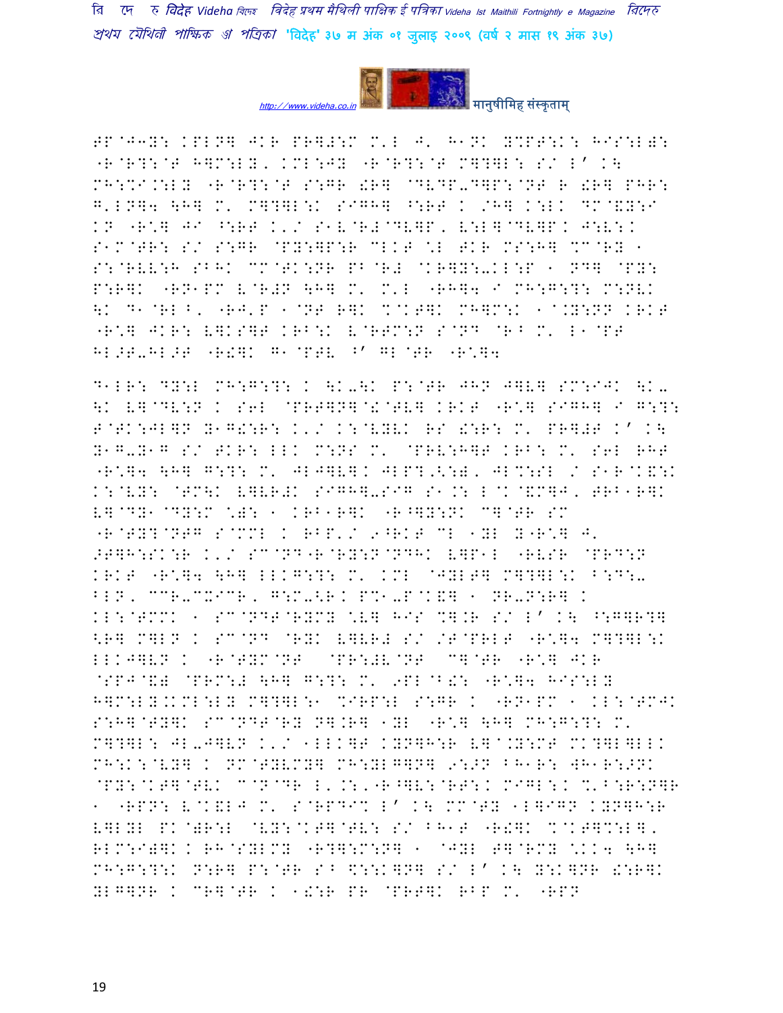

TP@J3Y: KPLN] JKR PR]#:M M'L J' H1NK Y%PT:K: HIS:L): "RESTACTORIES HAD TO DIE LIGUATION DE TOETA TOE DIE DIE TOETAE ALS GEVOLGIEK OOK MH:%I.:LY "R@R?:@T S:GR !R] @DVDP-D]P:@NT R !R] PHR: G'LN]4 \H] M' M]?]L:K SIGH] ^:RT K /H] K:LK DM@&Y:I KN "R\*] JI AN "R\*] JI AN "R\*] JI AN "R\*] JI AN "R\*] JI AN "R\*] JI AN "R\*] JI AN "R\*] JI AN "R\*] JI AN "R\*] JI S1M@TR: S/ S:GR @PY:]P:R CLKT \*L TKR MS:H] %C@RY 1 S: S: MELL 19 H SERIES IN THE CONSTRUCTION OF THE CONSTRUCTION OF THE CONSTRUCTION OF THE CONSTRUCTION OF THE C P:R]K "RN1PM V@R#N \H] M' M'L "RH]4 I MH:G:?: M:NVK \K D1@RL^, "RJ'P 1@NT R]K %@KT]K MH]M:K 1@.Y:NN KRKT  $R$  and an expected the solution of the solution of  $R$  and  $R$ HIJFLPEJE (PENE B) TEEL OM BENED (PNDE)

D1LR: DY:L MH:G:?: K \K-\K P:@TR JHN J]V] SM:IJK \K-  $\tilde{H}$  , and the set of  $\tilde{H}$  is the significant of  $\tilde{H}$  and  $\tilde{H}$  is the significant of  $\tilde{H}$  and  $\tilde{H}$ T@TK:JL]N Y1G!:R: K'/ K:@VYVK RS !:R: M' PR]#T K' K\ Y1G-Y1G S/ TKR: LLK M:NS M' @PRV:H]T KRB: M' S6L RHT "R\*]4 \H] G:?: M' JLJ]V]. JLP?,<:), JL%:SL / S1R@K&:K C: MARIN CONSTRUCTION OF THE CONSTRUCTION OF THE SIGNED SIGNAL SIGNAL SIGNAL SIGNAL SIGNAL SIGNAL SUBSCRIPTION BACKER VAN VAN VOOR HET DIE NAAMGESTE VAN DIE SOME "RETHRESE SOMME SOMETHING SHEET CL 1980 AND THE SAME CLUBS >T]H:SK:R K'/ SC@ND"R@RY:N@NDHK V]P1L "RVSR @PRD:N KRKT "R\*D: MODELLAG: MODELLAG: MARIA MENGELLAG: MANGELLAG: MANGELLAG: MANGELLAG: M BLEN, CCR-CCROME, GRYDLAR I BOKAB I DER KORPLINING KL:@TMMK 1 SC@NDT@RYMY \*V] HIS %].R S/ L' K\ ^:G]R?] RAN CHEC I BOOCK ORD BALABA BIJGEN BARBA VAN CHING LLKJ ARELIA (L. 1988) VERSKE MONT DE SAME OVER DE SAME DE SAME DE SAME OVER DE SAME DE SAME DE SAME DE SAME D @SPJ@&) @PRM:# \H] G:?: M' 9PL@B!: "R\*]4 HIS:LY H]M:LY.KML:LY M]?]L:1 %IRP:L S:GR K "RN1PM 1 KL:@TMJK SSER SERRO SCORE NE DE RESERVED OF NE HE CENERAL CO MARIN MILANER (11) VILLAR CORNELL EN COLOR CONNENT MH:K:@VY] K NM@TYVMY] MH:YLG]N] 9:>N BH1R: WH1R:>NK @PY:@KT]@TVK C@N@DR L'.:,"R^]V:@RT:. MIGL:. %'B:R:N]R 1 "RPN: V@K&LJ M' S@RPDI% L' K\ MM@TY 1L]IGN KYN]H:R V]LYL PK@)R:L @VY:@KT]@TV: S/ BH1T "R!]K %@KT]%:L], RLOW:IN: I) RH@SYLMY "RRADISTYNY "POST "RADISTYNY "RYSTYNY "RADISTYNY" "R MH:G:?:K N:R] P:@TR S^ \$::K]N] S/ L' K\ Y:K]NR !:R]K YLGRING (TRIGR) A 1999 PROTEER DER MY "RPORT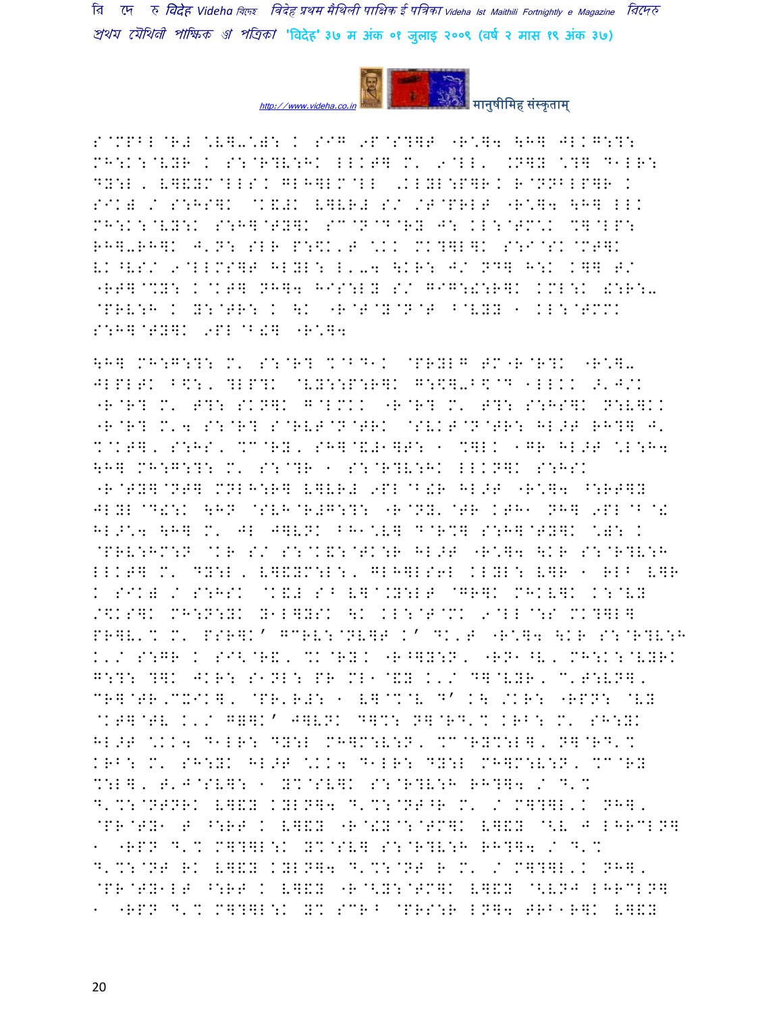

S@MPBL@R# \*V]-\*): K SIG 9P@S?]T "R\*]4 \H] JLKG:?: MH:K: N: YES: B: O: Y: S: Y: HE NE NH DI 3 E DI AT DI 2010 A SE E LINI DI 2010 A SE E PI BIN 9 DY:L, V]&YM@LLS. GLH]LM@LL ,KLYL:P]R. R@NNBLP]R K SIK) AND IN SIKI WARDER ON THE SAME SANDWARE SERIES. MH:K:@VY:K S:H]@TY]K SC@N@D@RY J: KL:@TM\*K %]@LP: RH]-RH]K J'N: SLR P:\$K'T \*KK MK?]L]K S:I@SK@MT]K ROCHER VAN HERRE HERRE ELLA HOBER HOCHER HIS CHECHO "RT]@%Y: K@KT] NH]4 HIS:LY S/ GIG:!:R]K KML:K !:R:- @PRV:H K Y:@TR: K \K "R@T@Y@N@T ^@VYY 1 KL:@TMMK S:HIMAGIN 991 991

\H] MH:G:?: M' S:@R? %@BD1K @PRYLG TM"R@R?K "R\*]- JLPLTK B\$:, ?LP?K @VY::P:R]K G:\$]-B\$@D 1LLKK >'J/K "RORE "RORE" RORE "RORE" ("STERN" TO SHARP "RORE" ("STERN" TO SHARP") "R@R? M'4 S:@R? S@RVT@N@TRK @SVKT@N@TR: HL>T RH?] J' %@KT], S:HS, %C@RY, SH]@&#1]T: 1 %]LK 1GR HL>T \*L:H4 \H] MH:G:?: M' S:@?R 1 S:@R?V:HK LLKN]K S:HSK "R@TY]@NT] MNLH:R] V]VR# 9PL@B!R HL>T "R\*]4 ^:RT]Y JALYLON @SVH@R#G:X \HN @SVH@R#C: "R#NY'@TR KTHIN NH] 9PL@B HESTA ARE T. HE HEET CORTER TORTE PRACHURE TEN VE @PRV:HM:N @KR S/ S:@K&:@TK:R HL>T "R\*]4 \KR S:@R?V:H LLKT] M' DY:L, V]&YM:L:, GLH]LS6L KLYL: V]R 1 RLB V]R K SIK) # (Z: S:HSK) / MEA SIK WE MAHKVIH HKV MHKV (SK) WH WY /\$KS]K MH:N:YK Y1L]YSK \K KL:@T@MK 9@LL@:S MK?]L] PRALIC MY PORTY ANDERSONER IN AN ALLE SENAR REPORTED. K'/ S:GR K SIMBO (SIMBO) (SIMBO) (SIMBO) (SIMBO) (SIMBO) (SIMBO) (SIMBO) (SIMBO) (SIMBO) (SIMBO) G:?: PRESCIPE RECEPTED TO THE CONTROL OF PROPERTY ON A SERVEY CR]@TR,CXIK], @PR'R#: 1 V]@%@V D' K\ /KR: "RPN: @VY @KT]@TV K'/ G=]K' J]VNK D]%: N]@RD'% KRB: M' SH:YK HL>T \*KK4 D1LR: DY:L MH]M:V:N, %C@RY%:L], N]@RD'% KRB: M. SH:YK HLPR: MIN DHIR: DHENHLING: MOOR %:L'A, The Sover Simon Sover Simon State State (1999), The State State State State State State State State Sta D'%:@NTNRK V]&Y KYLN]4 D'%:@NT^R M' / M]?]L'K NH], @PR@TY1 T ^:RT K V]&Y "R@!Y@:@TM]K V]&Y @<V J LHRCLN] 1 "RPN D'% M]?]L:K Y%@SV] S:@R?V:H RH?]4 / D'% D'%:@NT RK V]&Y KYLN]4 D'%:@NT R M' / M]?]L'K NH], MPR MADHI E A CANBAR (1) CEADD CHAMLAIN MACH (1) EADD CONDINATION MACH  $\sigma$ 1 "PRED' T. M. METHEN D' GIM RITE FOURFINE (E PRA) BEFORE: R EN LABOR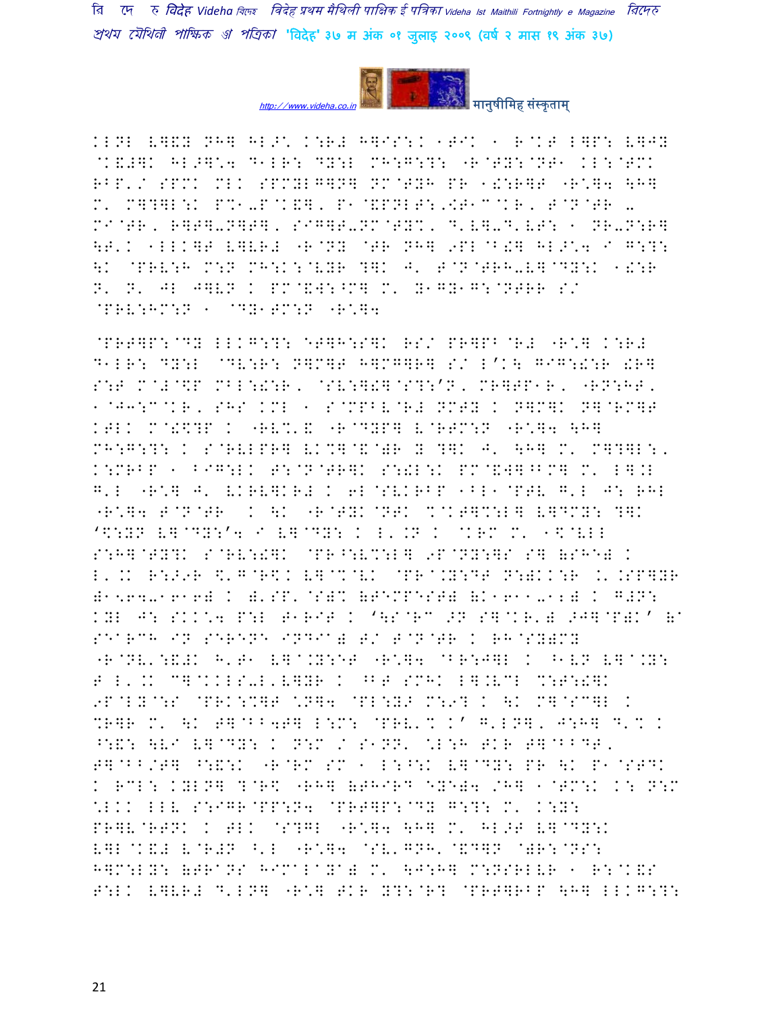

KLNL KARR VAN HLIV VAND ANGER FANG FOR KARR KNING @K&#]K HL>]\*4 D1LR: DY:L MH:G:?: "R@TY:@NT1 KL:@TMK RBP': 2008 PEVIL (VELO) SPMYLGE PRIPRI (PR 1980) PR 19 (2014-14 DEN 1941 HARD M' M' M' MORT EN L'ANNE MORT EN L'ANNE MORT EN L'ANNE MORT EN L'ANNE MORT EN L'ANNE MORT EN L'ANNE MORT EN L'A MI@TR, R]T]-N]T], SIG]T-NM@TY%, D'V]-D'VT: 1 NR-N:R] \T'K 1LLK]T V]VR# "R@NY @TR NH] 9PL@B!] HL>\*4 I G:?: \K @PRV:H M:N MH:K:@VYR ?]K J' T@N@TRH-V]@DY:K 1!:R N' N' JARA-DER DE NORMAN DE NORMAN DE NORMAN DE NORMAN DE NORMAN DE NORMAN DE NORMAN DE NORMAN DE NORMAN DE NO @PRV:HM:N 1 @DY1TM:N "R\*]4

@PRT]P:@DY LLKG:?: ET]H:S]K RS/ PR]PB@R# "R\*] K:R# D-116: POSI (PRIGG: POVOR GOVORNE KV L'E GVORINGE KRO STOR ON MENTION CONTROLLED TO THE MOVE OF RUN AND THE POST OF A RIGHT  $\chi$ 1@J3:C@KR, SHS KML 1 S@MPBV@R# NMTY K N]M]K N]@RM]T KTLK MARIN MARIN MARIN RADIO VARIA MH:G:: K K S@RVLPRD BINE (R YE) R YE! (A ) APE (N ) METH Y. K:MRBP 1 BIG:MAD:LK T:@N@TREPROWER: LK TRICK SENSE IN THE COMPUTATION OF LIGHT AND MY LATER COMPUTATION OF LIG B.: GRIE A. LIBLAIE I GETHIBP 1916 THE A.: AI AT BA:  $\cdot$  R  $\cdot$  The  $\cdot$  Tanger  $\cdot$  (  $\cdot$  )  $\cdot$  )  $\cdot$  (  $\cdot$  )  $\cdot$  (  $\cdot$  )  $\cdot$  (  $\cdot$  )  $\cdot$  (  $\cdot$  )  $\cdot$  (  $\cdot$  )  $\cdot$  (  $\cdot$  )  $\cdot$  (  $\cdot$  )  $\cdot$  (  $\cdot$  )  $\cdot$  (  $\cdot$  )  $\cdot$  (  $\cdot$  )  $\cdot$  (  $\cdot$  (  $\cdot$  )  $\cdot$  (  $\cdot$  '\$:YN V]@DY:'4 I V]@DY: K L'.N K @KRM M' 1\$@VLL S:H]@TY?K S@RV:!]K @PR^:V%:L] 9P@NY:]S S] (SHE) K L'.K R:>9R \$'G@R\$. V]@%@VK @PR@.Y:DT N:)KK:R .'.SP]YR )1564-1616) K )'SP'@S)% (TEMPEST) (K1611-12) K G#N: KHL AN SKKKA PNE AFRYA I YAZ'NY JR SATIKAZ JAATEN K B' SEARCH IN SERENGE INDIAN IN SERENGER IN SERIES TO DER KRAMMEN TR "R&NV':&#K H'THI YO "RANG": A H'TI VI YO "RANG": "PERSONAL A L'ANG PARTITIONE "RESERVATIONE" T E. M. TANIERLEIGH I (PF KTH) EAGH (THREE) 9P@LY@:S @PRK:%]T \*N]4 @PL:Y> M:9? K \K M]@SC]L K %R]R M' \K T]@BB4T] L:M: @PRV'% K' G'LN], J:H] D'% K ^:&: \VI V]@DY: K N:M / S1NN' \*L:H TKR T]@BBDT, THE TRANSPORTATION OF THE THE UNIT OF THE RADIO BAR TABLE TO PROVIDE THE THING PARTY. K RECRIS I REDRI RISER (THE BEEN ERHORD SENET) IN THIS CONSULT IN DISC \*LKK LLV S:IGR@PP:N4 @PRT]P:@DY G:?: M' K:Y: PRANCORRO K TRIK (PRANCORRO MANA) HAN VI HILAR NA MARK V]L@K&# V@R#N ^'L "R\*]4 @SV'GNH'@&D]N @)R:@NS: H]M:LY: (TRaNS HIMaLaYa) M' \J:H] M:NSRLVR 1 R:@K&S T:LK VARA DE LA VERTIGE DE LA VARIA DE LA VIOLENCE DE LA PROPORTAT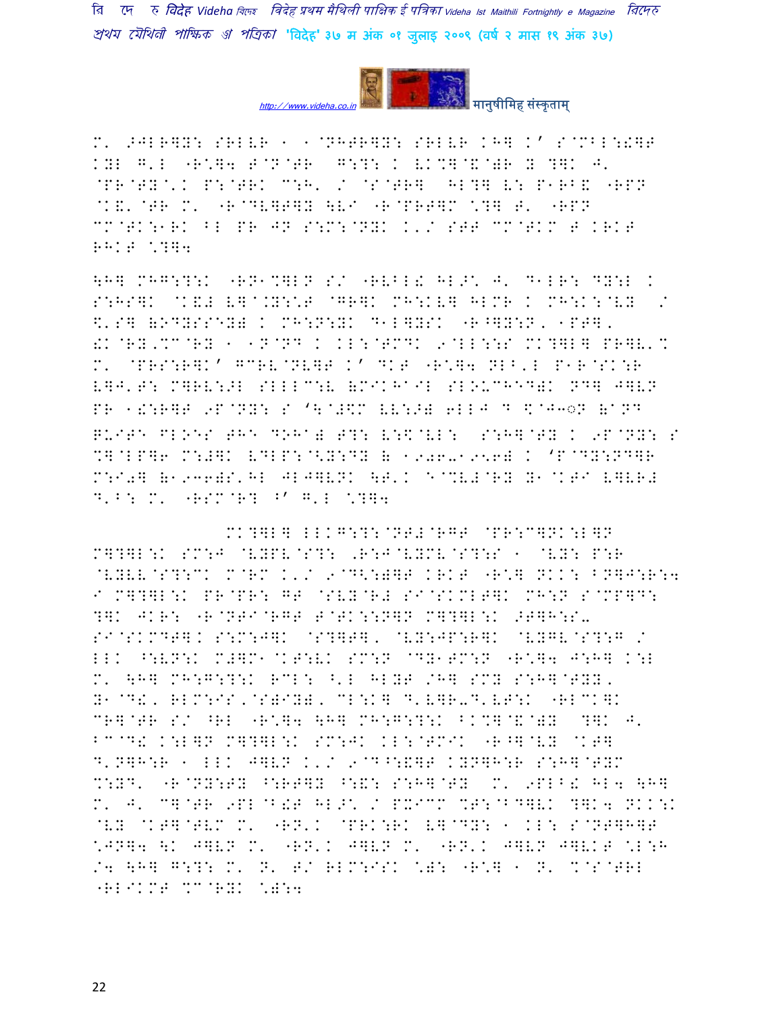

M' >JLR]Y: SRLVR 1 1@NHTR]Y: SRLVR KH] K' S@MBL:!]T KYL GYL GYL GYL GYL GYL "RANA" (RANA TRANSPORTANCY "RANA") @PR@TY@'K P:@TRK C:H' / @S@TR] HL?] V: P1RB& "RPN MED THE CONSTRUCTION TO THE TENNIS MOVED AND THE POSSIBLE TO THE TRANSPORT  $\mathcal{L}$ COMBINES: PROVINCE ARCHIVES OR DISCUSSED IN STAR AND MELTICAL STANDARD TO A RESIDENT ARCHIVE AND START OF THE  $H^1$   $H^1$   $H^1$   $H^1$   $H^1$   $H^1$ 

\H] MHG:?:K "RN1%]LN S/ "RVBL! HL>\* J' D1LR: DY:L K S:HS]K @K&# V]@.Y:\*T @GR]K MH:KV] HLMR K MH:K:@VY / \$'S] (ODYSSEY) K MH:N:YK D1L]YSK "R^]Y:N, 1PT], !K@RY,%C@RY 1 1N@ND K KL:@TMDK 9@LL::S MK?]L] PR]V'% M. MBRS:RU K' AMBEMBER (K' DIR' SKING DER E PSP SKIN LAG. PARLIN SILLO SLULLE SUN SILLO SLOUGHED AALD PR 1:RH 9P 20P 20P S 1: RED \$P\$P\$ D \$P\$P\$P\$P\$P\$ BLASH FLORE SHE TOHA STE SIN LIKELY: SINGLE SOMETIME I %]@LP]6 M:#]K VDLP:@<Y:DY ( 1906-1956) K 'P@DY:ND]R M:I08 (1936)S'HL JONES (1937)S'N MORY CONSTRUCT B: MY TO SHITTER AN WORLD TIRE

MAKPED AND MAKES ON A LIGHT OF A LIGHT OF A LIGHT OF A LIGHT OF A LIGHT OF A LIGHT OF A LIGHT OF A LIGHT OF A MARING SM:JA SERE SM: SPIANER SMER SM: S 1 @WY P:R @VYVV@S?:CK M@RM K'/ 9@D<:)]T KRKT "R\*] NKK: BN]J:R:4 I MOVING THE SIGN OF MELICIES OF SIGNIFICANT SIGNED SIGNED AS A STRIKE SIGNED OF SAME OF SAME OF SAME OF SAME ?]K JKR: "R@NTI@RGT T@TK::N]N M]?]L:K >T]H:S-SIA NO DIREBIO, SNONARO, GIZBERBO, GOLDARINERO, GOLDARINGIAR (D LLK \*:VA:K MA:N MA MI MA MI MA MI MA MI MA MI MA MI MA MI MA MI MA MI MA MI MA MI MA MI MA MI MA MI MA MI MA M M: HA: MH:G::: K ROL: A: HE: A MH:G:: SHI /HE: YA MARINI, REIDAYEN, MERYOR, LIMENSIA, MURELAR, BARINI, AREMI, RE TRACHE SV (ARL "ANA" APA CRNAMINI (FICA GODINA) MAI "AV BC O REAL MARKET REPORT OF A SMILL WAS SERIED AND REAL MODEL IN THE REAL MODEL IN MARKET WAS ARRESTED FOR A SM D. HH:R 1 LLK H:R 1 LLK J. 1 LLK S:HI:R 2001 %:YD' "R@NY:TY ^:RT]Y ^:&: S:H]@TY M' 9PLB! HL4 \H] M. A. MATHE 200 MAR ALSA AND AND THE MANAGEMENT WAS @VY @KT]@TVM MY @KT]@TVM MY @KT]@TVM MY @KT]@TVM MY @KT]@DY: 1 KL: S@NT]HI @KT\_2 MORTLAND @KT\_2 MORTLAND @KT\_2<br>Profile and profile and profile and profile and profile and profile and profile and profile and profile and pr \*JN]4 \K J]VN M' "RN'K J]VN M' "RN'K J]VN J]VKT \*L:H /4 \H] G:?: M' N' T/ RLM:ISK \*): "R\*] 1 N' %@S@TRL "REPORT WORK " NEW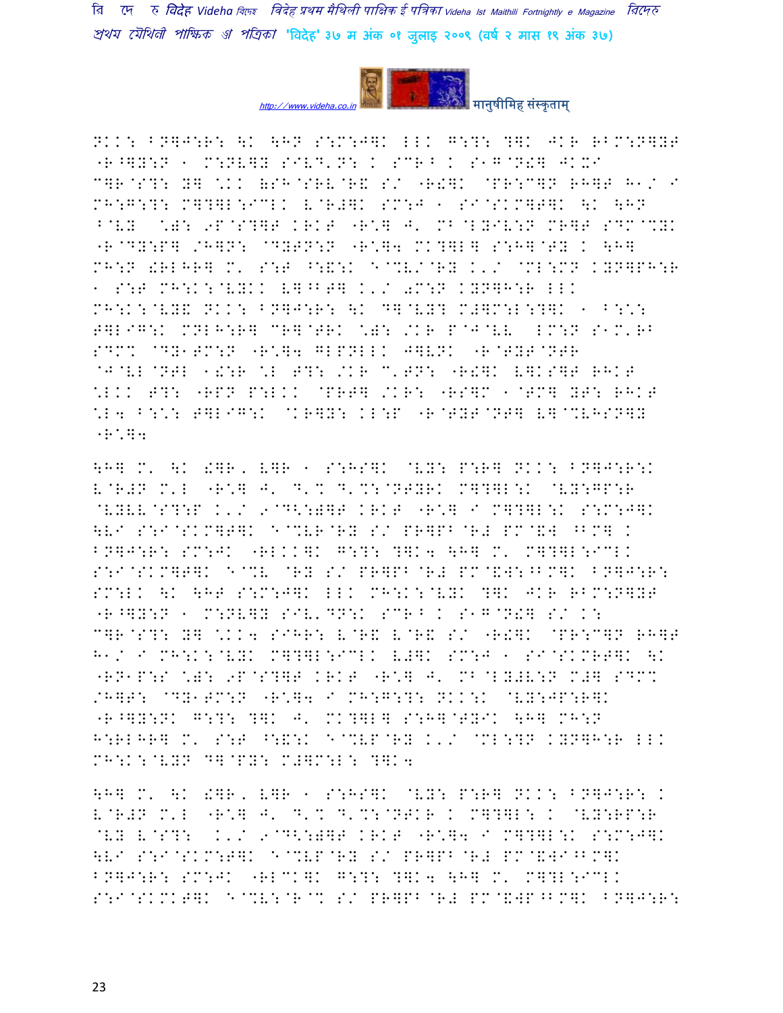

NK: A ROSE SERING PORT AN ANG MANGHANG PANGHANG PANGHANG PANGHANG PANGHANG PANGHANG PANGhANG PANGhANG PANGhANG "ROWSER" ROWSER (MINUTI I STEP 1 SPORTHUS ALL THE STIS COR COOL BEN STELTED EN "PEACH COOPER SHOW ANY IN MH:G:?: M]?]L:ICLK V@R#]K SM:J 1 SI@SKM]T]K \K \HN  $\overline{X}$   $\overline{Y}$   $\overline{Y}$   $\overline{Y}$   $\overline{Y}$   $\overline{Y}$   $\overline{Y}$   $\overline{Y}$   $\overline{Y}$   $\overline{Y}$   $\overline{Y}$   $\overline{Y}$   $\overline{Y}$   $\overline{Y}$   $\overline{Y}$   $\overline{Y}$   $\overline{Y}$   $\overline{Y}$   $\overline{Y}$   $\overline{Y}$   $\overline{Y}$   $\overline{Y}$   $\overline{Y}$   $\overline{Y}$   $\overline{Y$ "R@DY:P] /H]N: @DYTN:N "R\*]4 MK?]L] S:H]@TY K \H] MH:N !RLHR] M' S:T ^:&:K E@%V/@RY K'/ @ML:MN KYN]PH:R 1 S:T MH:K:@VYKK V]^BT] K'/ 0M:N KYN]H:R LLK MH: K: K: K: H: M: Michael And Distribution and Distribution and Distribution and Distribution and Distributio T]LIG:K MNLH:R] CR]@TRK \*): /KR P@J@VV LM:N S1M'RB SDM% @DY1TM:N "R\*]4 GLPNLLK J]VNK "R@TYT@NTR MATED 1980 (REPORT AND VID TVARY (ARROT BRING BAIR) \*LKK T?: "RPN P:LKK @PRT] /KR: "RS]M 1@TM] YT: RHKT  $\Delta$ E: A:: The Table of the Table of the Table of the Table of the Table of the Table of Table of Table of Table  $\cdot \vdots \cdot \vdots \cdot \cdot \cdot$ 

\H] M' \K !]R, V]R 1 S:HS]K @VY: P:R] NKK: BN]J:R:K V@R#N M'L "R\*] J' D'% D'%:@NTYRK M]?]L:K @VY:GP:R @VYVV@S?:P K'/ 9@D<:)]T KRKT "R\*] I M]?]L:K S:M:J]K \VI S:I@SKM]T]K E@%VR@RY S/ PR]PB@R# PM@&W ^BM] K ROBAT: SM: SM: SM: SM: SM: SM: PA: BA: SM: ARB: O. OB: BA: SM: IC  $\mathcal{S}(\mathcal{S})$  . The probability of the probability of the probability of the probability of the probability of SM:LK \K \HT S:M:J]K LLK MH:K:@VYK ?]K JKR RBM:N]YT "R^]Y:N 1 M:NV]Y SIV'DN:K SCR^ K S1G@N!] S/ K: C]R@S?: Y] \*KK4 SIHR: V@R& V@R& S/ "R!]K @PR:C]N RH]T H1/ I MH:K:WIK MHH:KIN: LIH: ITH 1 SIMINEH: H "RN1P:S \*): 9P@S?]T KRKT "R\*] J' MB@LY#V:N M#] SDM% /H]T: @DY1TM:N "R\*]4 I MH:G:?: NKK:K @VY:JP:R]K "R^]Y:NK G:?: ?]K J' MK?]L] S:H]@TYIK \H] MH:N H:RLHR] M' S:T ^:&:K E@%VP@RY K'/ @ML:?N KYN]H:R LLK MH:K:@VYN D]@PY: M#]M:L: ?]K4

\H] M' \K !]R, V]R 1 S:HS]K @VY: P:R] NKK: BN]J:R: K V@R#N M'L "R\*] J' D'% D'%:@NTKR K M]?]L: K @VY:RP:R OVER DE GOSSER (D. 1991). DE COMPARENT 19 AD LINE "RELATION "DE SON DE GOSSER "RELATION  $\overline{1}$  S:  $\overline{1}$  S:  $\overline{1}$  S:  $\overline{1}$  (  $\overline{2}$  )  $\overline{1}$  (  $\overline{2}$  )  $\overline{1}$  (  $\overline{2}$  )  $\overline{1}$  (  $\overline{2}$  )  $\overline{1}$  ( $\overline{2}$  )  $\overline{1}$  ( $\overline{2}$  )  $\overline{1}$  ( $\overline{2}$  )  $\overline{1}$  ( $\overline{2}$  )  $\overline{1}$  ( $\overline$ BSQ: SM: SM: SM: MI: PH: SM: 2016 AP: 2016 MI: 2016 SSEM SOURCE SOURCE SOURCE PRINT SERVICE POSSESSED A PRAISE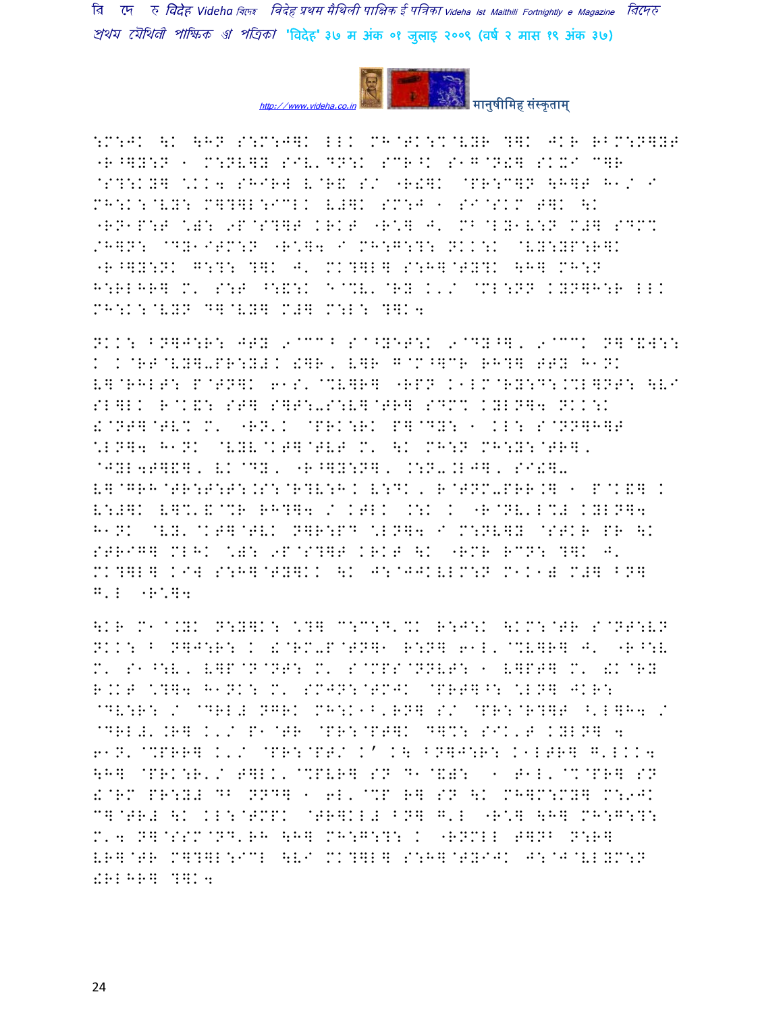

:M:JK \K \HN S:M:J]K LLK MH@TK:%@VYR ?]K JKR RBM:N]YT  $\cdot$ n (1 M:n)  $\cdot$  . The state of the state of the state of the state of the state of the state of the state of the @S?:KY] \*KK4 SHIRW V@R& S/ "R!]K @PR:C]N \H]T H1/ I TH:C: NEB: TANALISM: LIAL STOR (SM:CT) 201 SH: AL  $R$  . PO SO THE SPONDED SPACE IS A SOME TO A SOME SPACE  $R$ /H]N: @DY1ITM:N "R\*]4 I MH:G:?: NKK:K @VY:YP:R]K "R^]Y:NK G:?: ?]K J' MK?]L] S:H]@TY?K \H] MH:N H:RLHR] M' S:T ^:&:K E@%V'@RY K'/ @ML:NN KYN]H:R LLK MH:K:@VYN D]@VY] M#] M:L: ?]K4

NKK: BN), BND; JTY 9@CCO SACTOR AND A SACTOR AND A SACTOR AND A SACTOR OF THE CONTRACT OF THE SACTOR AND A SAC<br>And a sactor of the sactor of the sactor and a sactor of the sactor of the sactor of the sactor of the sactor o K K. K. K. A. K. A. H. B. H. B. H. B. H. B. H. B. H. B. H. B. H. B. H. B. H. B. H. B. H. B. H. B. H. B. H. B. V]@RHLT: P@TN]K 61S'@%V]R] "RPN K1LM@RY:D:.%L]NT: \VI SL]LK R@K&: ST] S]T:-S:V]@TR] SDM% KYLN]4 NKK:K !@NT]@TV% M' "RN'K @PRK:RK P]@DY: 1 KL: S@NN]H]T \*LN]4 H1NK @VYV@KT]@TVT M' \K MH:N MH:Y:@TR], @JYL4T]&], VK@DY, "R^]Y:N], .:N-.LJ], SI!]- V]@GRH@TR:T:T:.S:@R?V:H. V:DK, R@TNM-PRR.] 1 P@K&] K K:HE KULK TH PRINK .:K K .:K K .:K YELI TH .:K FU HOUR @VARIAT WAS DESCRIPTED TO A MORE REPORT OF THE REPORT OF THE REPORT OF THE REPORT OF THE REPORT OF THE RE STRIGHT MERS (NET VENTERE SIT): 9PD (FRANCH: 1981) (R. MAKPED AND STREET MAN SO WINDOWS IN MICHAELER WAS ARRESTED FOR  $H_1$  :  $H_2$   $\rightarrow$   $H_1$   $\rightarrow$   $H_2$ 

\KR M1@.YK N:Y]K: \*?] C:C:D'%K R:J:K \KM:@TR S@NT:VN NKK: B N]J:R: K !@RM-P@TN]1 R:N] 61L'@%V]R] J' "R^:V M' S1^:VH, VART WYDEN M, STILL WORLD & AREAR M, AN THE R.KT # C.KT # HINK: MINK: MINK: MINK: MINK: MINK: MINK: #1 @DV:R: / @DRL# NGRK MH:K1B'RN] S/ @PR:@R?]T ^'L]H4 / @DRL#'.R] K'/ P1@TR @PR:@PT]K D]%: SIK'T KYLN] 4 61N'@%PRR] K'/ @PR:@PT/ K' K\ BN]J:R: K1LTR] G'LKK4 \H] @PRK:R'/ T]LK'@%PVR] SN D1@&): 1 T1L'@%@PR] SN !@RM PR:Y# DB NND] 1 6L'@%P R] SN \K MH]M:MY] M:9JK CA CARA AN IBA YANGIN GARANGA BURU ANG ARAW NAYARA A M. 4 NADIOS NO REPORT OF THE STANDARD REPORT OF THE STANDARD REPORT OF THE NEW REPORT OF THE NEW REPORT OF THE VR]@TR M]?]L:ICL \VI MK?]L] S:H]@TYIJK J:@J@VLYM:N ED1999 3814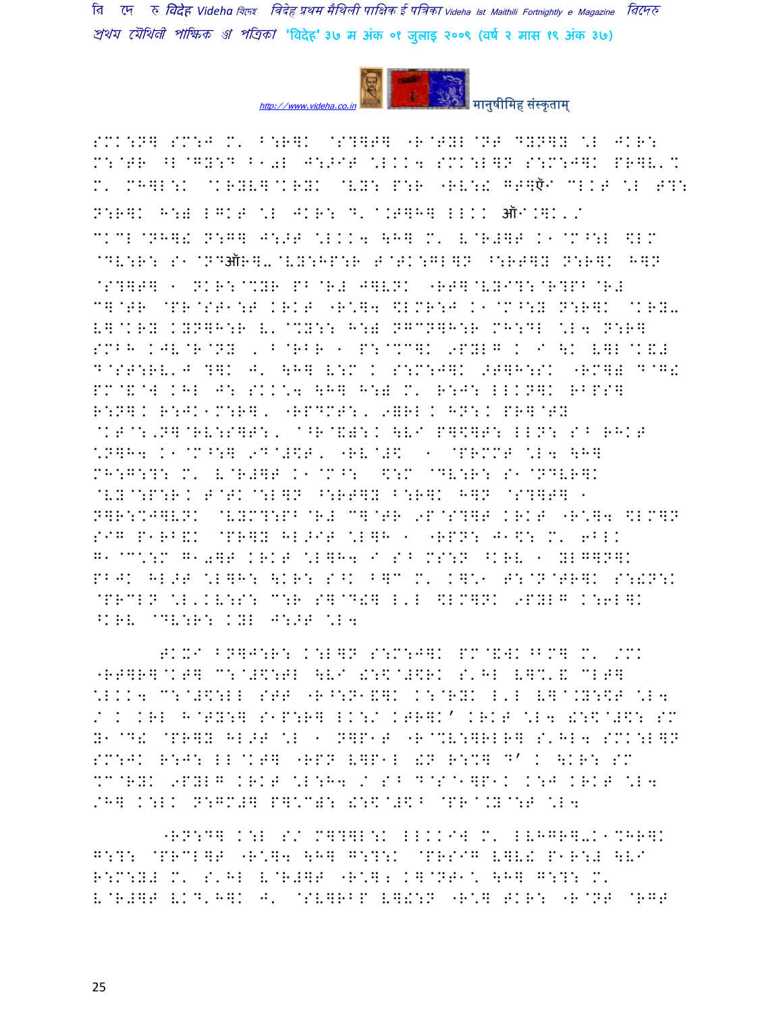

SMAX:NI SMAX: SMAX:NI MORE DRIVER AND DRIVER AND DYNAMIC TO THE DISTANCE OF THE DISTANCE OF THE DISTANCE OF TH M: TRACCHI JAGY: POLITICA SANYA SING SAMA SING PANGARANG SARAH. M M. MHARYK MIRSK MERS MARY PYR "RRYK ARAQÖN" MILE NE VETI N:R]K H:) LGKT \*L JKR: D'@.T]H] LLKK ऑI.]K'/ CONTRACTORY CONTRACTORY AND AN ARRANGEMENT CONTRACTORY OF THE CONTRACTORY OF THE CONTRACTORY OF THE CONTRACTOR @DV:R: S1@NDऑR]-@VY:HP:R T@TK:GL]N ^:RT]Y N:R]K H]N @S?]T] 1 NKR:@%YR PB@R# J]VNK "RT]@VYI?:@R?PB@R# TR GREATER GRADES IN ARTHUR SECRET IN THE STARK AND THEIR BACIFE CEPANIE B. COEIN AND PACRAMENT CANAL CIRCHE SMBH KJV@R@NY , B@RBR 1 P:@%C]K 9PYLG K I \K V]L@K&# D@ST:RV:RV'IR JR:RV'I &ST:D@GO:RFC'I:RRPY:D@GD#CRE@D@G PM MEMBER AN ANING HER HAB M. BARY BELWEL BERRE R:N]. R:JK1M:R], "RPDMT:, 9=RL. HN:. PR]@TY @KT@:,N]@RV:S]T:, @^R@&):. \VI P]\$]T: LLN: S^ RHKT \*N]H4 K1@M^:] 9D@#\$T, "RV@#\$ 1 @PRMMT \*L4 \H] MH: S: M: M' V: M' V: M' V: M' V: M' V: M' V: M' V: M' V: M' V: M' V: M' V: M' V: M' V: M' V: M' V: SI M' V: S  $\overline{X}$  . The probability of the state of the second states  $\overline{X}$ NARA ROMAN DE SAN REGISTER DE SAN DE SAN DE SAN DE SAN DE SAN DE SAN DE SAN DE SAN DE SAN DE SAN DE SAN DE SAN SIG PIRABAK MEREKA DI PIRA SERIKA DI SERIKA DI SERIKA DI SERIKA DI SERIKA DI SERIKA DI SERIKA DI SERIKA DI SE G2: "MORE THE GHE CHAIRS IN HALL IN THE MANAGEMENT IN THE MANAGEMENT IN THE MANAGEMENT IN THE MANAGEMENT IN TH PRAD ABJAK MENGADAN BIK BUK HUMUM DUNUN SENERA SINUNG @PRCLN \*L'KV:S: C:R S]@D!] L'L \$LM]NK 9PYLG K:6L]K KREV WENEN CHE SNIP NEW

 TKXI BN]J:R: K:L]N S:M:J]K PM@&WK^BM] M' /MK "READER "C'EAR STARTER" ALLE SERVIERE SEL READER TE PE \*LKK4 C:@#\$:LL STT "R^:N1&]K K:@RYK L'L V]@.Y:\$T \*L4 / K KRL H@TY:] S1P:R] LK:/ KTR]K' KRKT \*L4 !:\$@#\$: SM Y HL PRINCIP SERVICE "REDUCED "REDUCED "REDUCED "REDUCED "REDUCED "REDUCED "REDUCED "REDUCED "REDUCED "REDUCED SM:JK R:J: LL@KT] "RPN V]P1L !N R:%] D' K \KR: SM %C@RYK 9PYLG KRKT \*L:H4 / S^ D@S@1]P1K K:J KRKT \*L4 /H] K:LK N:GM#] P]\*C): !:\$@#\$^ @PR@.Y@:T \*L4

"REDGER" (1988) S.L. SPRING GO (880) CARL CO. (880-PPRING) (1980-PP) G:: PRCLIPT "RELIGED ARE PRIDE VIEWS ARE LEED PRESENT R:M:Y: Y: H: L'BJH (B:91) (978) (989 999) 7. R T R AND T VAN DIE DIE DIE DIE DIE SOVERE DIE DIE DIE VAN DIE DIE DIE VAN DIE DIE DIE DIE DIE DIE DIE DIE DIE

25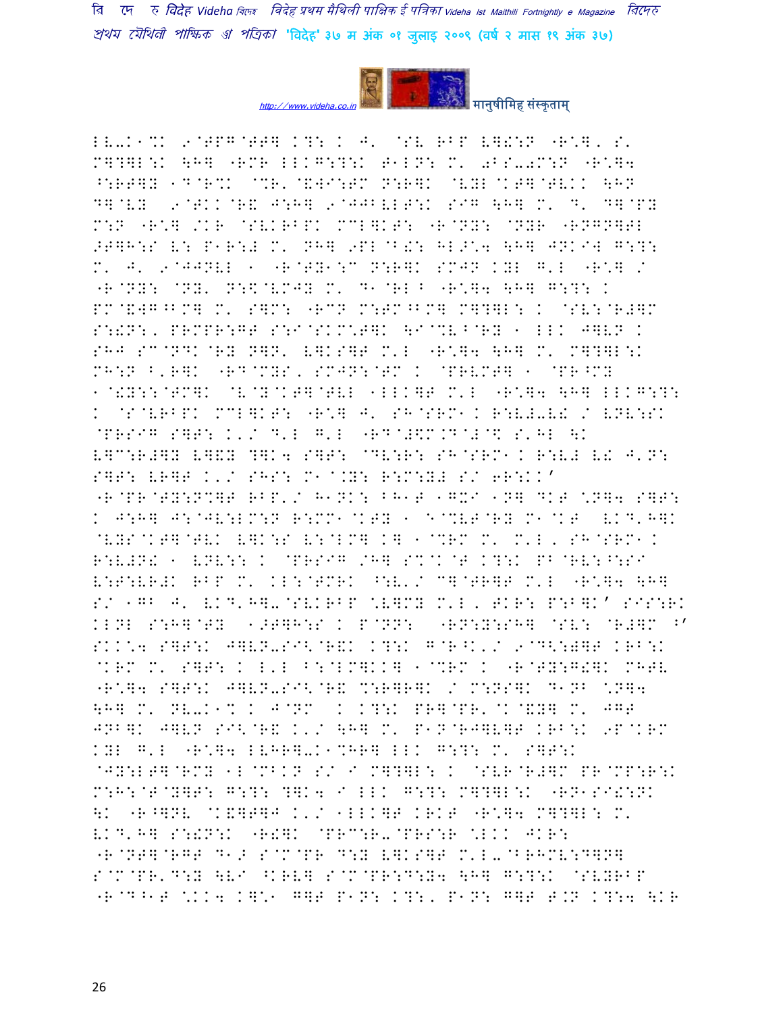

LV-K1%K 9@TPG@TT] K?: K J' @SV RBP V]!:N "R\*], S' MAGARE GO "ARA " (PROFILE DAGGAD) "BY E PG" MO "I BE BILIBOG PA "POAR" ^:RT]Y 1D@R%K @%R'@&WI:TM N:R]K @VYL@KT]@TVKK \HN D]@VY 9@TKK@R& J:H] 9@JJBVLT:K SIG \H] M' D' D]@PY M:N "R\*] /KR @SVKRBPK MCL]KT: "R@NY: @NYR "RNGN]TL >T]H:S V: P1R:# M' NH] 9PL@B!: HL>\*4 \H] JNKIW G:?: M' J' 9 JON 1991 - ROOM IN 1991 - ROOM IN 1992 - ROOM IN 1992 - ROOM IN 1992 - ROOM IN 1992 - ROOM IN 1992 - R "R@NY: @NY' N:\$@VMJY M' D1@RL^ "R\*]4 \H] G:?: K PM@&WG^BM] M' S]M: "RCN M:TM^BM] M]?]L: K @SV:@R#]M STEERS, PROPRIER STRICTIONER ARITES TREAT FILL ANDER I SHA SCORR NA RHI SAN SAN SAN DI SAN ANG DI CANANG MH:N B'RIK "ROMAN", SMARY 187 (1 PREMAR ) 1 PROVE 1@!Y::@TM]K @V@Y@KT]@TVL 1LLK]T M'L "R\*]4 \H] LLKG:?: K @SC@VRBPK MCLARIAN MCLARIAN MCLARIAN SHARARI @PRSIG S]T: K'/ D'L G'L "RD@#\$M.D@#@\$ S'HL \K V]C:R#]Y V]&Y ?]K4 S]T: @DV:R: SH@SRM1. R:V# V! J'N: SATE SHARI KY SHS: MINDER SHIP SATE SING SATE "REPORT FRANCH TO REPORT TO THE REPORT OF THE THE TIME TO THE TO THE STATE THAT IT K J:HI:HI: HI: MENE DI:B (BI:DOM) 1 E@ VT VTOLE MED OVTOR VT EN MICH. HEN @VYS@KT]@TVK V]K:S V:@LM] K] 1@%RM M' M'L, SH@SRM1. RYEARD & ERENY I CHRIST CHR POOL OF IND IN ORIGINAL  $V$  Respectively. The Most Company of the Minimedia of the University of Africa ( S/ 1GB J. L.B. SALINE FROM THE TALL FIRE FROM A SYSTEM KLNL S:H]@TY 1>T]H:S K P@NN: "RN:Y:SH] @SV: @R#]M ^'  $S$  , and the state of the state  $\overline{S}$  , and  $\overline{S}$  is the state of the state of the state of the state  $\overline{S}$ @KRM M' S]T: K L'L B:@LM]KK] 1@%RM K "R@TY:G!]K MHTV  $H^1$ 4 SIMBO (4912.2003) (RECONSIDER (2003.2004) (2004) \H] M' NV-K1% K J@NM K K?:K PR]@PR'@K@&Y] M' JGT JON SING ANG KATIBAL KATI NG KATIBANG KATIBAN NA KATIBAT KOR G'L E G'ARNEBLIGHAN DA G'ARET E SAN ARANG D'L'O STERNO @JY:LT]@RMY 1L@MBKN S/ I M]?]L: K @SVR@R#]M PR@MP:R:K M:H:@T@Y]T: G:?: ?]K4 I LLK G:?: M]?]L:K "RN1SI!:NK  $K$   $\Omega$  . The formulation  $\Omega$  is the contribution of  $\Omega$  and  $\Omega$  are  $\Omega$  and  $\Omega$  are  $\Omega$  . Then  $\Omega$ VKD'H] S:!N:K "R!]K @PRC:R-@PRS:R \*LKK JKR:  $R$  -particles by the same problems of the problems of the problems  $R$ S@M@PR'D:Y \VI ^KRV] S@M@PR:D:Y4 \H] G:?:K @SVYRBP  $R$  . The probability of the control of the control of the control of the control  $R$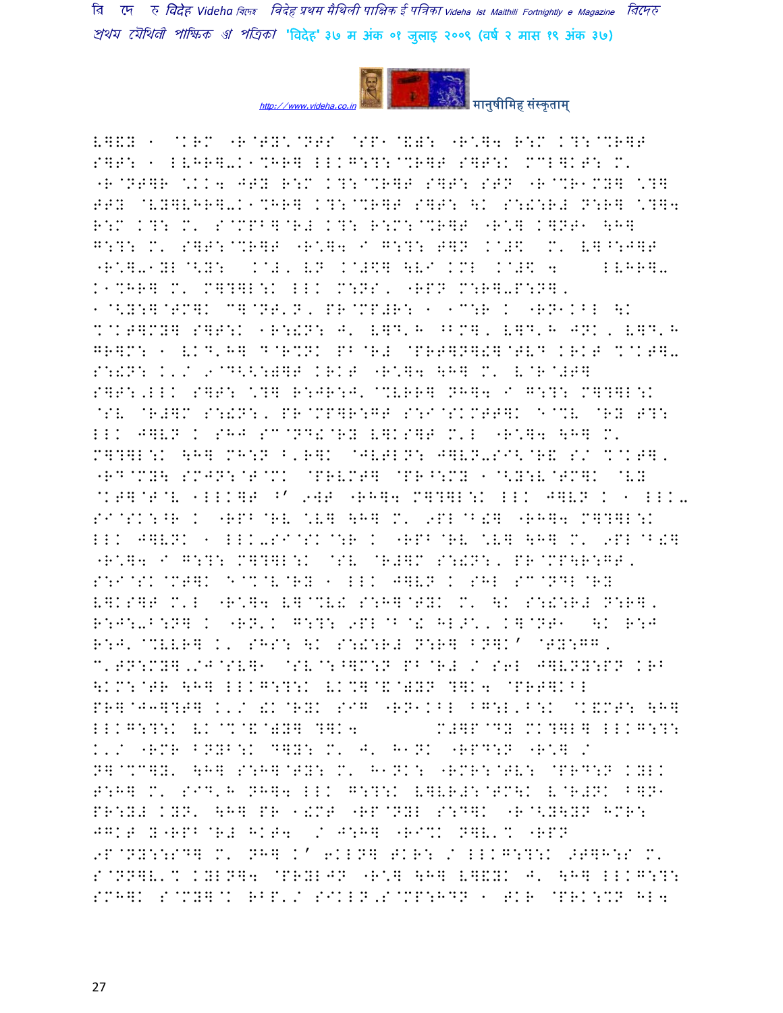http://www.videha.co.in **All in the second of the second of the second of the second of the second of the second of the second of the second of the second of the second of the second of the second of the second of the sec** 

BARA VIET APARLIZEN MIR MARY ANAWANIN NATIONAL S]T: 1 LVHR]-K1%HR] LLKG:?:@%R]T S]T:K MCL]KT: M' "R TRANGE "NICH" ARD GAT CONSTRUCT ROOM ROOM RATE "AN TOGETHE "NOW" TTY @VY] AND AND A SURFACE OF A STRAIGHT AND ASSOCIATED A STRAIGHT AND A STRAIGHT AND A STRAIGHT AND A STRAIGH R:M K?: M' SANTHE THE K?: R:M: MINE "RYS" (800) RHE G:?: M' S]T:@%R]T "R\*]4 I G:?: T]N .@#\$ M' V]^:J]T "R\*]-1YL@<Y: .@#, VN .@#\$] \VI KML .@#\$ 4 LVHR]- K1%HR] M' M]?]L:K LLK M:NS, "RPN M:R]-P:N], 1@<Y:]@TM]K C]@NT'N, PR@MP#R: 1 1C:R K "RN1KBL \K  $\mathcal{P}$  , and the state of the state of the state of the state of the state of the state of the state of the state of GR]M: 1 VKD'H] D@R%NK PB@R# @PRT]N]!]@TVD KRKT %@KT]- S:!N: K'/ 9@D<<:)]T KRKT "R\*]4 \H] M' V@R@#T] SAT:,LL SATH: VAR PIPPIP, VARPA SPAR I GIT: VARALI @SV @R#}M S:: NEW YORK PRODUCED PRODUCED PRODUCED A PRODUCED PRODUCED PRODUCED PRODUCED PRODUCED PRODUCED PROD<br>2000 PRODUCED PRODUCED PRODUCED PRODUCED PRODUCED PRODUCED PRODUCED PRODUCED PRODUCED PRODUCED PRODUCED PRODUC LLC VANDE CONDITIONS ON BUILDING TO BOOK SHIP TO MARRET SERVES OF LEARN MARRIER STRIP AND STRIP SOME SAME SALES SALES SALES SALES SALES SALES SALES SALES SALES SA  $R$  -provides and approximation of the problem  $R$  is the second contribution of  $\mathbb{R}$  and MORTH WAS ARRESTED TO A 2000 A 2000 FOR THE THRIFT OF THE CONTROL AND THE VALUE OF THE CONTROL OF THE CONTROL OF THE CONTROL OF THE CONTROL OF THE CONTROL OF THE CONTROL OF THE CONTROL OF THE CONTROL OF THE CONTROL OF THE SI@SK:^R K "RPB@RV \*V] \H] M' 9PL@B!] "RH]4 M]?]L:K LLK JANELYS JOSEPH SKART SIN START TEL SLEN HAN VON SKILD FRI  $H^1$  - A God of the state of the state of the state of the  $\Gamma$ S:I@SK@MT]K E@%@V@RY 1 LLK J]VN K SHL SC@NDL@RY V]KS]T M'L "R\*]4 V]@%V! S:H]@TYK M' \K S:!:R# N:R], R:J:B: B: RNYK G: B: B: B: RNYK G: 9PL AT LOCAL AND HE RESOURCE R:J: VIRRA K. SHS: BI S:R:R# P:R# PPR/ 1819#. C'T NE DE SOU DE LA SOU DE LA SOU DE LA SOU DE LA SOU DE LA SOU DE LA SOU DE LA SOU DE LA SOU DE LA SOU DE LA<br>Sou de la Sou de la Sou de la Sou de la Sou de la Sou de la Sou de la Sou de la Sou de la Sou de la Sou de la \KM:@TR \H] LLKG:?:K VK%]@&@)YN ?]K4 @PRT]KBL PR]@J3]?T] K'/ !K@RYK SIG "RN1KBL BG:L'B:K @K&MT: \H] LLKG:?:K VK@%@&@)Y] ?]K4 M#]P@DY MK?]L] LLKG:?: KY/ "RMR BNYB: MY MEN WY HYS "PARTIE "RYB" N]@%C]Y' \H] S:H]@TY: M' H1NK: "RMR:@TV: @PRD:N KYLK T:H] M' SID'H NH]4 LLK G:?:K V]VR#:@TM\K V@R#NK B]N1 PR:Y# KYNYL SER PR 1:KMP 1:PR 12:00 YOUR "RP 1.000 AMP "ROP" JGKT Y"RPB@R# HKT4 / J:H] "RI%K N]V'% "RPN 9P@NY::SD] M' NH] K' 6KLN] TKR: / LLKG:?:K >T]H:S M' SMORDHELL WOOD REPRIEVED HIS VEN ART LEARN TE REPRIEVED HIS VEN HIS VEN AND SMH]K S@MY]@K RBP'/ SIKLN,S@MP:HDN 1 TKR @PRK:%N HL4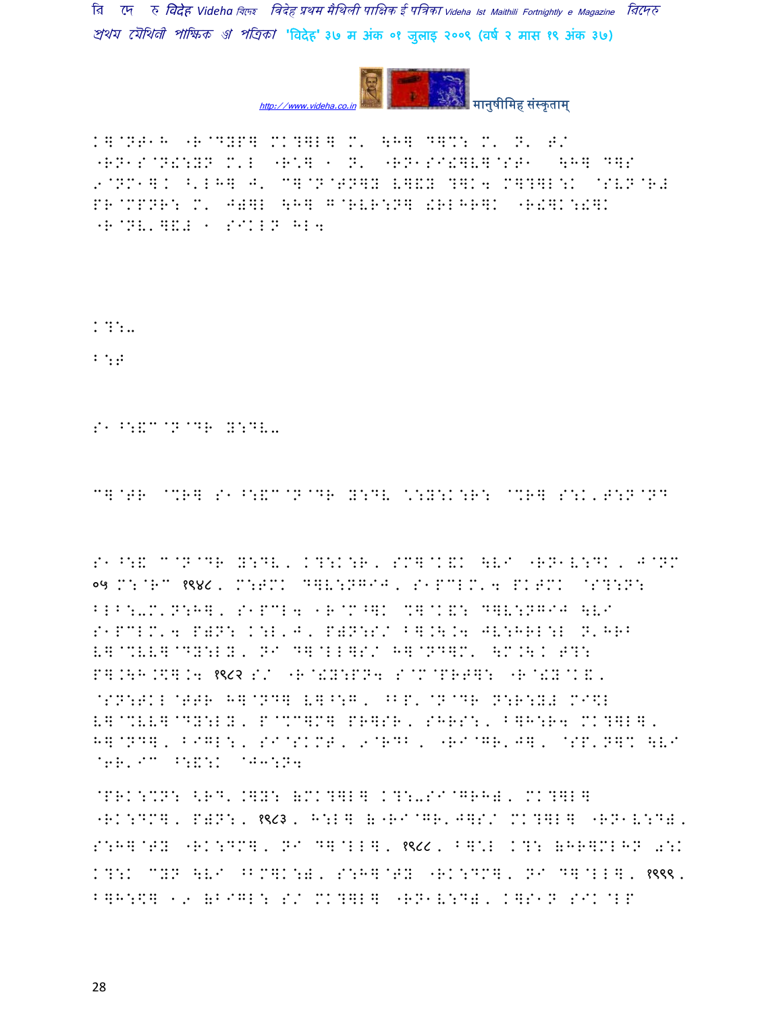

K]@NT1H "R@DYP] MK?]L] M' \H] D]%: M' N' T/ "RNIS" ROMANISMO (M. 1994). ROMANISMO (RNISI) REPORT PRO PROVINCIAL DISTURBANCE PRO PRO 9@NM1]. ^'LH] J' C]@N@TN]Y V]&Y ?]K4 M]?]L:K @SVN@R# PR\_MPPRRS: ML | HARRY RHR] P (PERRSPR) &PE PRRS | (PRERSSER) "RONDON HEADS" (1995)

 $\mathbb{R}^n$  is the  $\mathbb{R}^n$ 

 $\mathbb{R}^n$ :

S1^:&C@N@DR Y:DV-

C]@TR @%R] S1^:&C@N@DR Y:DV \*:Y:K:R: @%R] S:K'T:N@ND

Sixon and an international component of the many and the many and the many states are a stated of the many sta<br>Sixon and the state of the state and the state and the state of the state of the state of the state of the sta ०५ M:@RC १९४८, M:TMK D]V:NGIJ, S1PCLM'4 PKTMK @S?:N: BLB:-M'N:H], S1PCL4 1R@M^]K %]@K&: D]V:NGIJ \VI STACHMY, A:L'OBBANI (1941), AND OBBANI D'AN DAILY NAHA JANA DAN SAN HARA DAN DAN BIRI V]@%VV]@DY:LY, NI D]@LL]S/ H]@ND]M' \M.\. T?: PAIRPINA IS A REAL PROPERTY SOMETHING PROBABING. @SN:TKL@TTR H]@ND] V]^:G, ^BP'@N@DR N:R:Y# MI\$L V]@%VV]@DY:LY, P@%C]M] PR]SR, SHRS:, B]H:R4 MK?]L], HE SPRESS FRAME YOUR STORY OF SIGNED ARE REPORTED A RIGHT AND RELEASED A RIGHT AND RELEASED A RIGHT AND RELEASED  $\mathcal{L}^{\mathcal{L}}$ 

@PRK:%N: <RD'.]Y: (MK?]L] K?:-SI@GRH), MK?]L] "RK:DM], P)N:, १९८३, H:L] ("RI@GR'J]S/ MK?]L] "RN1V:D), STEPH THIS CHOCKTRIN, IN DIRECT HE RICH, 19866, BIFLEY, IS (HR)ME HO CHANGES  $K$ : The contract  $K$  and  $K$  are the contract  $K$  of  $\mathbb{R}^n$  . The contract  $K$  is the contract of  $K$  of  $K$ B]H:\$] 19 (BIGL: S/ MK?]L] "RN1V:D), K]S1N SIK@LP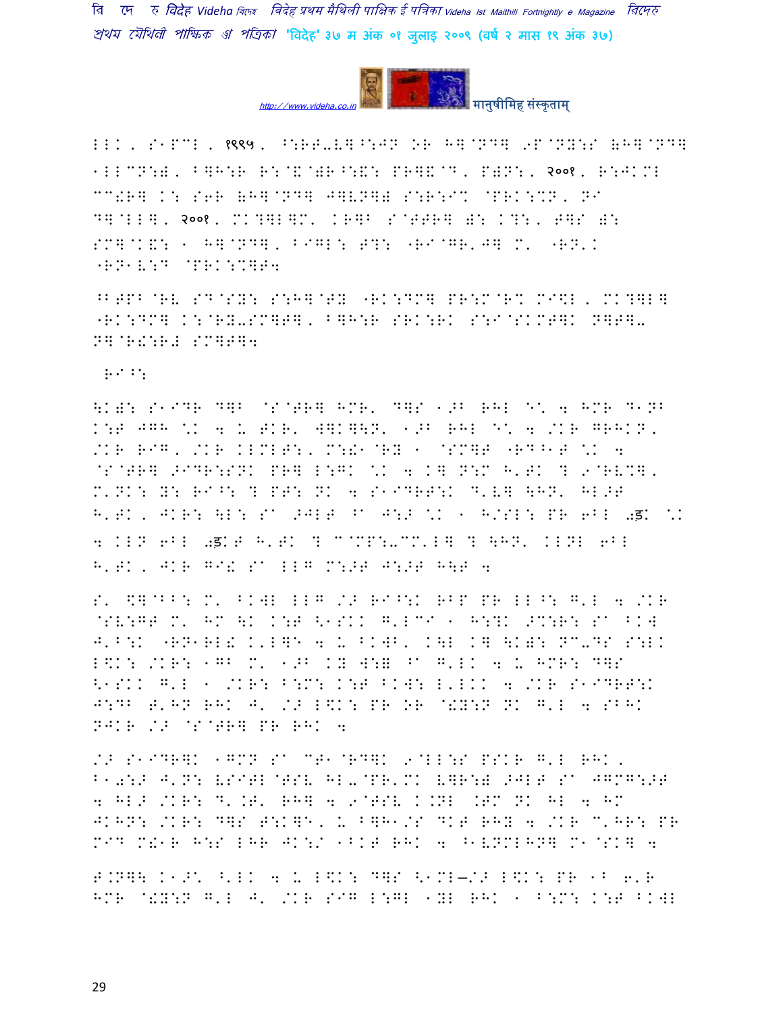

LLI, SHITE, 899, SHEALERSHAR OR HRIPPR OP TRIES ERRIPPR 1LLCN:), B]H:R R:@&@)R^:&: PR]&@D, P)N:, २००१, R:JKML CCREAR (15) Seek (HARI)279 (HRLIPH) Signed (1961) Signed (1970) IP DRIMER SOOR, MIRHER SARRE SARRER BY SARRY SARRY BY SME MODY (PO) HE MERE 2013 ARE NO BEN'T HAN ARE DONE (PER 2013) "RN1V:D @PRK:%]T4

^BTPB@RV SD@SY: S:H]@TY "RK:DM] PR:M@R% MI\$L, MK?]L] "RE:DATCH" COMPERDIATION FRANK: BEDORE CONTROLLING  $H$  : The Small section of  $H$ 

RI^:

\K): S1IDR D]B @S@TR] HMR' D]S 1>B RHL E\* 4 HMR D1NB K:T JGH \*K 10 U TKR' WARD TO THE THE TAIL AND THE TAIL AND TO THE TAIL AND TO THE TAIL AND TO THE TAIL AND TO /KR RIG, /KR KLMLT:, M:!1@RY 1 @SM]T "RD^1T \*K 4 @S@TR] >IDR:SNK PR] L:GK \*K 4 K] N:M H'TK ? 9@RV%], M'NK: Y: RI^: ? PT: NK 4 S1IDRT:K D'V] \HN' HL>T H'TK, JKR: \L: Sa >JLT ^a J:> \*K 1 H/SL: PR 6BL 0ड़K \*K 4 KLN 6BL 0ड़KT H'TK ? C@MP:-CM'L] ? \HN' KLNL 6BL H.B. JAR GAI SA LEG MILE AND AND A

S' \$]@BB: M' BKWL LLG /> RI^:K RBP PR LL^: G'L 4 /KR @SV:GT M' HM \K K:T <1SKK G'LCI 1 H:?K >%:R: Sa BKW J'B: K "RONNERL" KIRK A'L FIAR, INE IN AIR BIN FOUR SINI L\$K: /KR: 1GB M' 1>B KY W:= ^a G'LK 4 U HMR: D]S <1SKK G'L 1 /KR: B:M: K:T BKW: L'LKK 4 /KR S1IDRT:K J:DB T'HN RHK J' /> L\$K: PR OR @!Y:N NK G'L 4 SBHK NJKR /> @S@TR] PR RHK 4

/> S1IDR]K 1GMN Sa CT1@RD]K 9@LL:S PSKR G'L RHK, B10: J'N: VOIC DE SA JORNEY HILL TERLITL DE RENA CARLA CON CARTANIAE 4 HL> /KR: D'.T' RH] 4 9@TSV K.NL .TM NK HL 4 HM JKHN: /KR: D]S T:K]E, U B]H1/S DKT RHY 4 /KR C'HR: PR MID MID MID AND HIS LICENSE RHO MID MID MID MID MID M

T.N]\ K1>\* ^'LK 4 U L\$K: D]S <1ML—/> L\$K: PR 1B 6'R HMR @!Y:N G'L J' /KR SIG L:GL 1YL RHK 1 B:M: K:T BKWL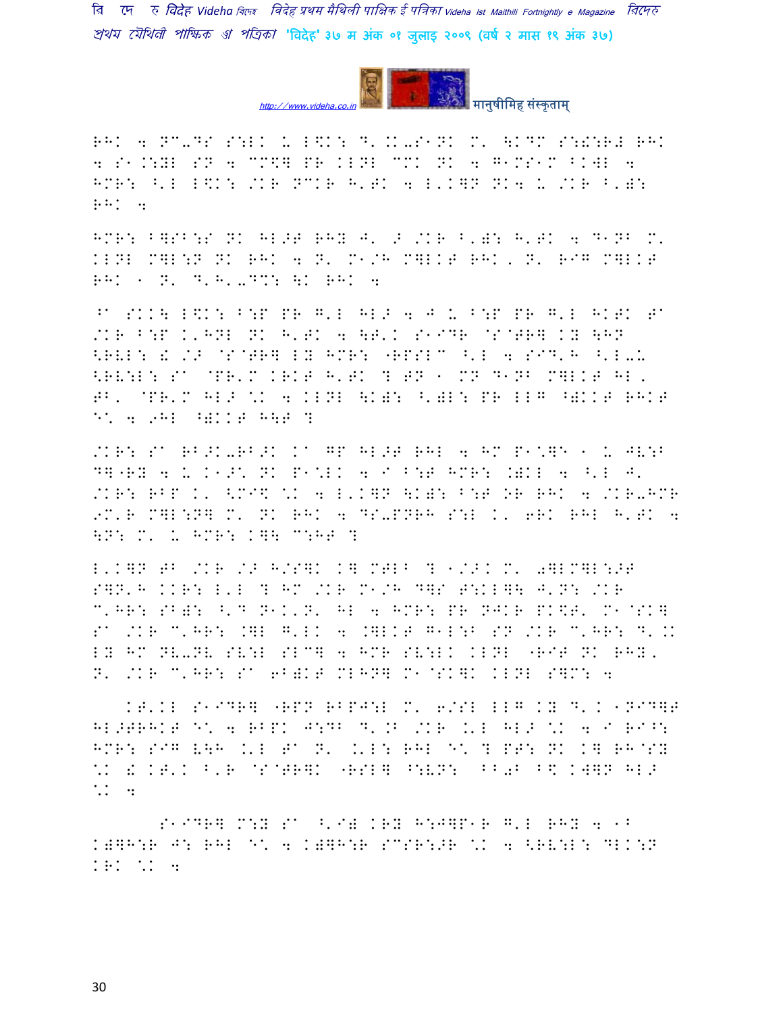

RHK 4 NC-DS S:LK U L\$K: D'.K-S1NK M' \KDM S:!:R# RHK 4 S1.:YL SN 4 CM\$] PR KLNL CMK NK 4 G1MS1M BKWL 4 HMR: ^'L L\$K: /KR NCKR H'TK 4 L'K]N NK4 U /KR B'): RHK 4

HTB: BERIE BIJB: HIJE BHIJB: J. JIB B.E. B.E. A D. B'D' I. KLAND MARK A NG MANGHINA ANG ANG MANGHINA RHK 1 N' D'H'-D%: \K RHK 4

^a SKK\ L\$K: B:P PR G'L HL> 4 J U B:P PR G'L HKTK Ta /KR B:P K'HNL NK H'TK 4 \T'K S1IDR @S@TR] KY \HN REALE NO GO AND THO THERE IS DONE REPORT TO PURSUING IN A SIDE AND RELATION RALGES AN INTERVIERE ARE TO BURN VIR THIR VIRIGE ALL TB' @PR'M HL> \*K 4 KLNL \K): ^')L: PR LLG ^)KKT RHKT E\* 4 9HL ^)KKT H\T ?

/KR: Sa RB>K-RB>K Ka GP HL>T RHL 4 HM P1\*]E 1 U JV:B D]"RY 4 U K1>\* NK P1\*LK 4 I B:T HMR: .)KL 4 ^'L J' /KR: RBP K' <MI\$ \*K 4 L'K]N \K): B:T OR RHK 4 /KR-HMR 9M'R M]L:N] M' NK RHK 4 DS-PNRH S:L K' 6RK RHL H'TK 4 \N: M' U HMR: K]\ C:HT ?

L'K]N TB /KR /> H/S]K K] MTLB ? 1/>. M' 0]LM]L:>T STRIK: ROSSIS EN EL EN IR AD ONDER DY DROTHER EEN ERE GROEP ON HIS DOOR. C'HR: SB): ^'D N1K'N' HL 4 HMR: PR NJKR PK\$T' M1@SK] Sa (Karang Karang Karang Karang Karang Karang Karang Karang Karang Karang Karang Karang Karang Karang Karang K LY HOUSE AND HOUSE AND HOUSE AND HOUSE AND HOUSE AND HOUSE AND HOUSE AND HOUSE AND HOUSE AND HOUSE AND HOUSE A N' /KR C'HR: Sa 6B)KT MLHN] M1@SK]K KLNL S]M: 4

KATI SYMPH (RPN RBPAN T. RICH NO CONTACT KY DI HESPHIM AT A BRITANNI MODELINE DI HES AN A PARTY HTAN SIG VAH . LI SAN DI . LIN AH . NN N PAN DI . LA AH NY \*K ! KT'K BOS IN BELIEVE "REGIONALE "ROLLER" (PARTIES AND DESCRIPTION BELIEVE  $\ddots$  4

 S1IDR] M:Y Sa ^'I) KRY H:J]P1R G'L RHY 4 1B K)HARAH AN HAI SK A KUAAN PUTENJA KI A KHININ MILNY **KRK** \* K + 4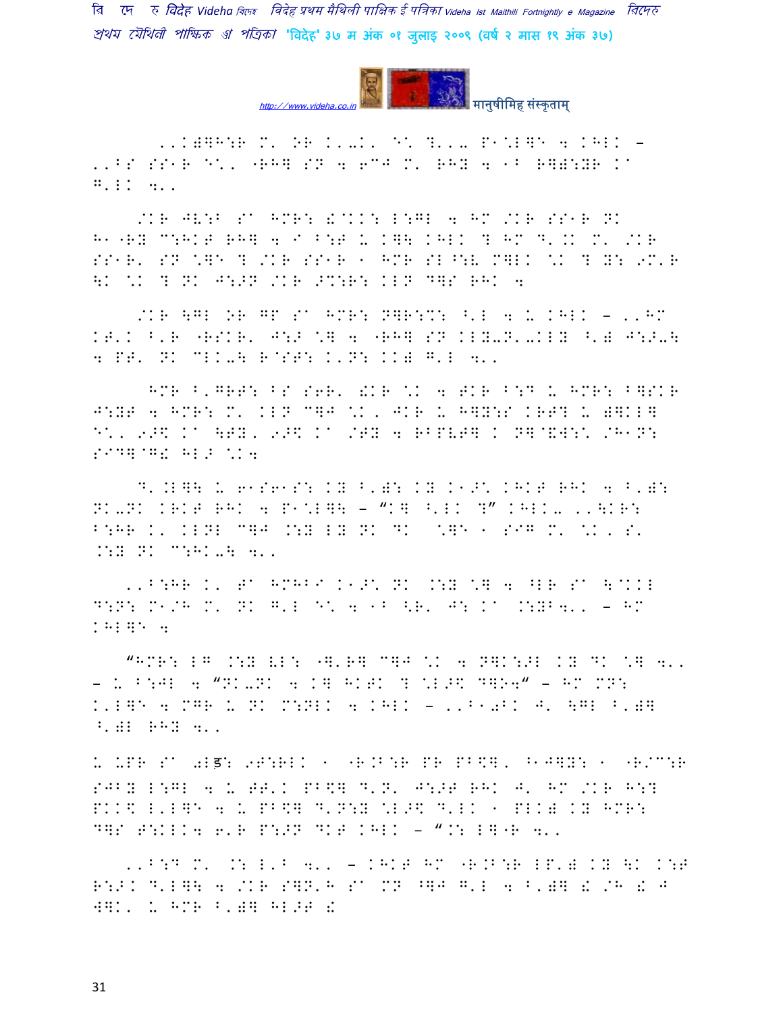

 ''K)]H:R M' OR K'-K' E\* ?''- P1\*L]E 4 KHLK – ''BS SS1R E\*, "RH] SN 4 6CJ M' RHY 4 1B R]):YR Ka  $H_1$   $H_2$   $H_3$   $H_4$   $H_5$ 

 /KR JV:B Sa HMR: !@KK: L:GL 4 HM /KR SS1R NK H1"RY C:HKT RH] 4 I B:T U K]\ KHLK ? HM D'.K M' /KR SSP ROOF AND TO A SSP ROOF STREET IN THE CALCHER FAN ST  $\frac{1}{2}$  , and  $\frac{1}{2}$  , and  $\frac{1}{2}$  , and  $\frac{1}{2}$  , and  $\frac{1}{2}$  , and  $\frac{1}{2}$  , and  $\frac{1}{2}$  , and  $\frac{1}{2}$  , and  $\frac{1}{2}$ 

 /KR \GL OR GP Sa HMR: N]R:%: ^'L 4 U KHLK – ''HM KTER BIR BIR "RESTLIK BY HE REFLIGHTED AT A "LIGHTED" I STATE A STRIKT A STRIKT A STRIKT OF DESCRIPTION OF THE 4 PT: VI NK CLA PT: KTH AND THE R.

 HMR B'GRT: BS S6R' !KR \*K 4 TKR B:D U HMR: B]SKR JANSA HMR: MY KLATER MEH NY V HIN U HESNI CHAT U BELLE E\*, 9>\$ Ka \TY, 9>\$ Ka /TY 4 RBPVT] K N]@&W:\* /H1N: SIDE THE WELF TEST

D'. LI 88 (1) SH B'EK B'Y: KI FI 83 (10) IS (10) IN KHI RHK 4 B'Y: BY  $P(X,H;Y)$  (i.e.  $P(Y,H;Y)$  ) and  $P(Y,H;Y)$  are  $X$  if  $Y$  ,  $Y$  if  $Y$  . If  $Y$  is a summer  $Y$ B:HR K' K' KINL CHA K' KI KI SIG M' "KI K' K' K' K' K' K' K' K' SIG M' " .:Y NK C:HK-\ 4''

''B:HR K' Ta HMHBI K' TA HAT HI KH .:Y \* D:N: M1/H M' NK G'L E\* 4 1B <R' J: Ka .:YB4'' – HM  $k = \frac{1}{2}$ 

"HTR: LA .THE LES .H.PH THA NI A PHISH IS TO NE ALL  $-$  U B:JAE: A (MPILPI) A CHEADAIR ? THO ABSAME PARAMETER K'LE 90 MGR U NGRESI NG MATILIT – 'YANG U NGRESI HILANG BAGI ING BAG ^')L RHY 4''

U UPR Sa 0Lड़: 9T:RLK 1 "R.B:R PR PB\$], ^1J]Y: 1 "R/C:R SJBY L:GL 4 U TT'K PB\$] D'N' J:>T RHK J' HM /KR H:? PKK\$ L'L]E 4 U PB\$] D'N:Y \*L>\$ D'LK 1 PLK) KY HMR: DH: B:Clie e.B P:R DR: CHI (= "): EH+ e.

''B:D M' .: L'B:D M' .: L'B:D AN "R.B:B:R LP' .: L'B:D .: L'B R:>. D'L]\ 4 /KR S]N'H Sa MN ^]J G'L 4 B')] ! /H ! J When the state of the state of the state of the state of the state of the state of the state of the state of t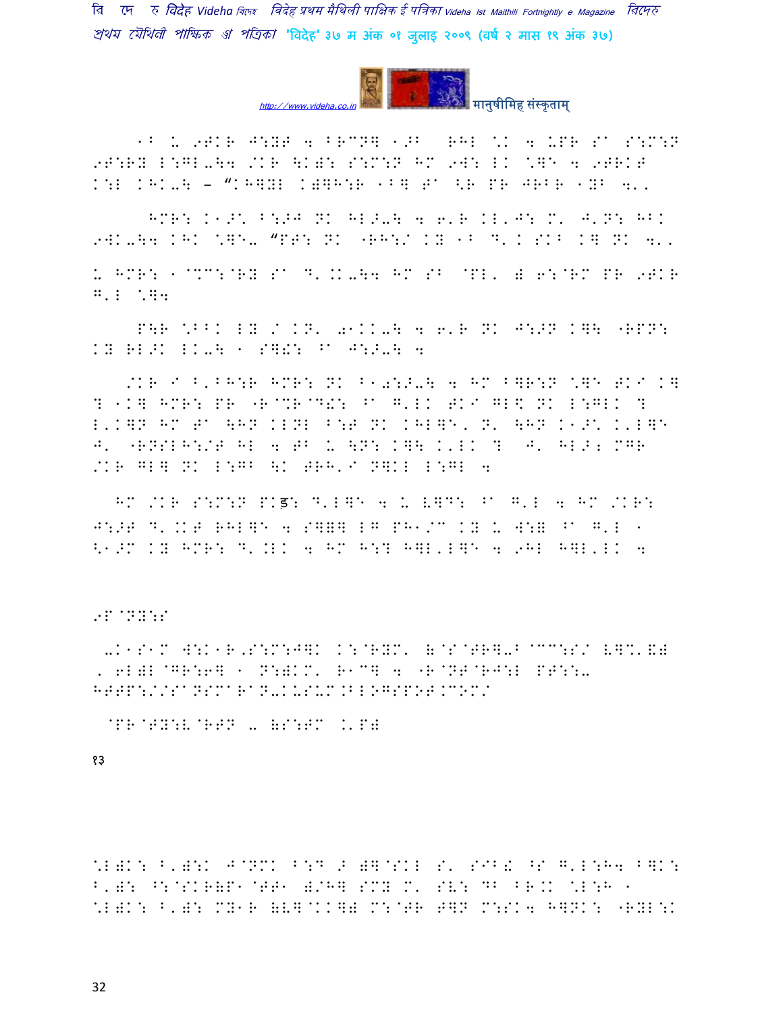

 1B U 9TKR J:YT 4 BRCN] 1>B RHL \*K 4 UPR Sa S:M:N 9T:RY L:GL-\4 /KR \K): S:M:N HM 9W: LK \*]E 4 9TRKT K:L KHKLA – "KHAIL KAARAB (19 B) TA TA JRBR 191 AL

HOBS: CHUS, PSUP, DO HEULBY HIGH CENTRE ON THINGS 9WK-\4 KHK \*]E- "PT: NK "RH:/ KY 1B D'. SKB K] NK 4''

U HMR: 1@%C:@RY Sa D'.K-\4 HM SB @PL' ) 6:@RM PR 9TKR G'L \*]4

PAR (1991) FOR ZOID, ARIILA A AN KIR DI PAGDO IBA (PRODU KY RLAN REPORT OF THE RESIDENCE OF THE REPORT OF THE REPORT OF THE REPORT OF THE REPORT OF THE REPORT OF THE R

/KR I B'BH:R HAM BH: BIBH: DE SHANDI BIBH: HI BIBH: A BIBH: D'AD BH: BE TAILED BE THE TRINI ? 1K] HMR: PR "R@%R@D!: ^a G'LK TKI GL\$ NK L:GLK ? L'EN HM TA NHP ILEN FAR RI IHEN, RI AHP IS KILIER J', "APREAGLE AL 4 FR U APR CHA CLECT "AL ALFER CHA /KR GL] NK L:GB \K TRH'I N]KL L:GL 4

HM /KR S:M:N PKS: PKS: PKS: PHOTO AIR DIRECTION OF HIS UP AN ONE HA J:B D.KT RHID 4 SHID FRING NIN HID 4 D.KT <1>M KY HMR: D'.LK 4 HM H:? H]L'L]E 4 9HL H]L'LK 4

## 9P@NY:S

 -K1S1M W:K1R,S:M:J]K K:@RYM' (@S@TR]-B@CC:S/ V]%'&) , 6L)L@GR:6] 1 N:)KM' R1C] 4 "R@NT@RJ:L PT::- HTTP://SaNSMaRaN-KUSUM.BLOGSPOT.COM/

@PR@TY:V@RTN - (S:TM .'P)

## १३

\*L)K: B'):K J@NMK B:D > )]@SKL S' SIB! ^S G'L:H4 B]K: B'): ^:@SKR(P1@TT1 )/H] SMY M' SV: DB BR.K \*L:H 1 \*L)K: B'): MY1R (V]@KK]) M:@TR T]N M:SK4 H]NK: "RYL:K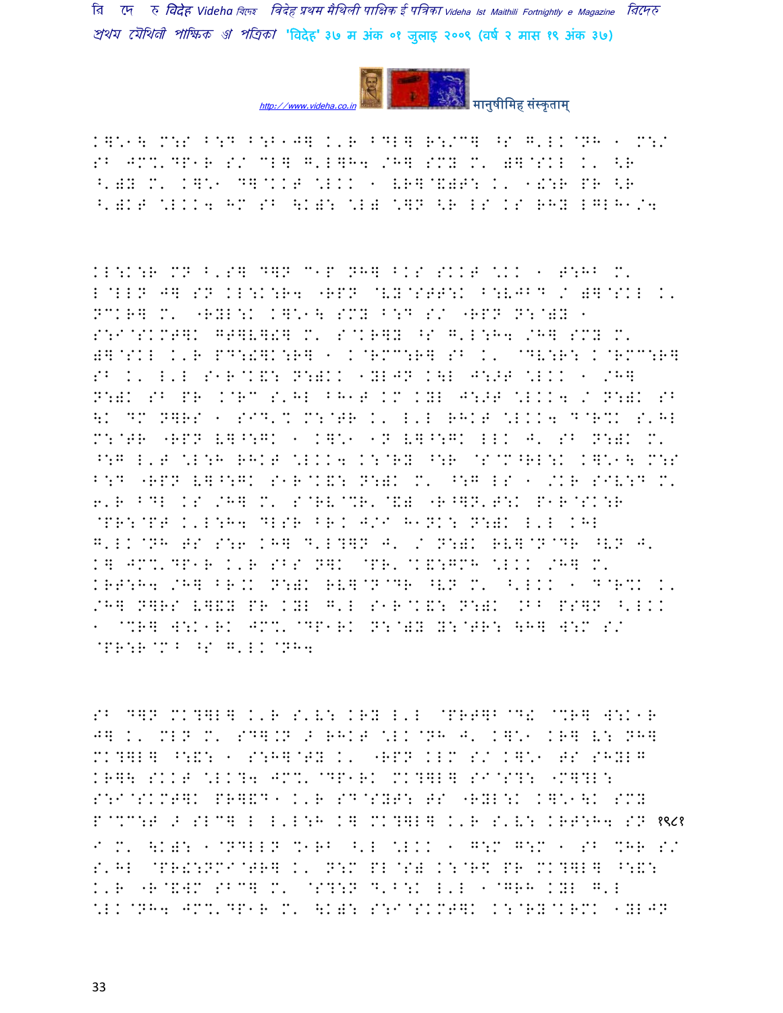

KALAM SI MILI KATA BERADA KERANGAN DI REGIONAL REGIONAL REGIONAL REGIONAL REGIONAL REGIONAL REGIONAL REGIONAL SB JADOL REKA SIZ JOHA (HISAHA JOHA SOCH DIL SAHAY (EL) KAR ^')Y M' K]\*1 D]@KKT \*LKK 1 VR]@&)T: K' 1!:R PR <R ^')KT \*LKK4 HM SB \K): \*L) \*]N <R LS KS RHY LGLH1/4

KESISA DI KURA MENJUKI BKS SKE I TI DI SAKE SK L@LLN J] SN KL:K:R4 "RPN @VY@STT:K B:VJBD / )]@SKL K' NCCRE MY "PRESS" (RYLE: KMY PART OF SPACE NEWSLE SSKMTD CHARLER CONSTRUCT HOUSE OF THE CHENCE )]@SKL K'R PD:!]K:R] 1 K@RMC:R] SB K' @DV:R: K@RMC:R] SB K' L'UL SI EN SERVET AT L'EST A TERRET A L'ANNONC I ANNO 1979. ILLES PART AUTORE DE L'ANNONC I L'ARCHE DE L BYEN SP PR .MRT SLAP FAGE .D .HE ANDER NEIGH . SPEED SP  $K$  DM NPS 1 SIDE (DESPECT ) AND FROM NEUTRAL DESCRIPTION OF  $\mathbb{R}$ M: TR "RPN VERTHE VISITED VISITED IN VISITED TO THE MY  $\,$  Fig. For the light of the control of the control of the second state  $\,$ B:D "RPN LEDER STRING" DIE VAN DIE EERSTE STRING 6'R BDL KS /H] M' S@RV@%R'@&) "R^]N'T:K P1R@SK:R @PR:@PT K'L:H4 DLSR BR. J/I H1NK: N:)K L'L KHL G'L'ES SON PERSONA SON D'AN D'ALLEGADE (PL) (D'ANIEL D'ENN DR OVER 1992). ALDES AN K] JM%'DP1R K'R SBS N]K @PR'@K&:GMH \*LKK /H] M' KRT:H4 /H] BR.K N:)K RV]@N@DR ^VN M' ^'LKK 1 D@R%K K' /HB DABE KARDE PR (DE) AL SVE PORT DIN DIADO DI POPPA (LECC 1 @%R] W:K1RK JM%'@DP1RK N:@)Y Y:@TR: \H] W:M S/ @PR:R@M^ ^S G'LK@NH4

SB D]N MK?]L] K'R S'V: KRY L'L @PRT]B@D! @%R] W:K1R JO KATER AND STRIP A RHIB NI ND MAN I KRANING IN DHE MKREB POSSE K' KSARDSPILL, "PER COOLK KLM SAN SAHYLGED" KR]\ SKKT \*LK?4 JM%'@DP1RK MK?]L] SI@S?: "M]?L: START TO DARK CORRECT KOLL AT THOUGHT CARD ARE TO DO TO HIS ALCOHOL. P@%C:T > SLC] L L'L:H K] MK?]L] K'R S'V: KRT:H4 SN १९८१ I M' \K): 1@NDLLN %1RB ^'L \*LKK 1 G:M G:M 1 SB %HR S/ S'HL @PR!:NMI@TR] K' N:M PL@S) K:@R\$ PR MK?]L] ^:&: K'R "R@&WM SBC" MORE OF THE SACTOR AND A CHARGE AND A CHARGE AND ARRAY AND A CHARGE AND ARRAY AND A CHARGE AND \*LK@NH4 JM%'DP1R M' \K): S:I@SKMT]K K:@RY@KRMK 1YLJN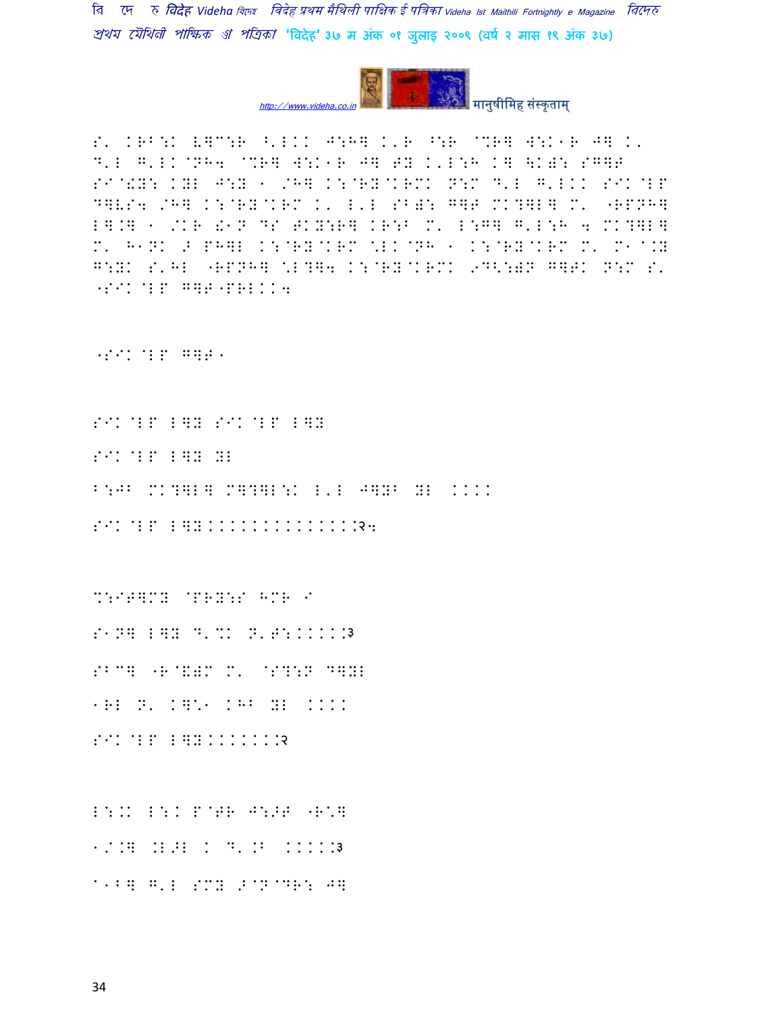

S' CORPOS SETTING RISES AND RESOURCE THE STORE HIS FROM HIS CO. D'L G'LK@NH4 @%R] W:K1R J] TY K'L:H K] \K): SG]T SI@!Y: KYL J:Y 1 /H] K:@RY@KRMK N:M D'L G'LKK SIK@LP D]VS4 /H] K:@RY@KRM K' L'L SB): G]T MK?]L] M' "RPNH] LAN DE LAN DE LAN DE LAN DE LAN DE LAN DE LAN DE LAN DE LAN DE LAN DE LAN DE LAN DE LAN DE LAN DE LAN DE LAN D M' H1NK > PH]L K:@RY@KRM \*LK@NH 1 K:@RY@KRM M' M1@.Y G:YK S'HL "RPNH] \*L?]4 K:@RY@KRMK 9D<:)N G]TK N:M S' "SIK@LP G]T"PRLKK4

 $\mathbb{R}^n$  SIK GREEN

SIK@LP LAY SIK@LP LAY

SIK WALLET LEEPING

B:JB MK?]LI: MARY MARK ME ......

SIK LP LANCELLICION COMPANY

%:IT]MY @PRY:S HMR I S1N] L]Y D'%K N'T:.....३  $S$  "Read of Minimids"  $R$  , and  $R$  are set  $R$ 181 H. 1911 181 H. 111 SIK: THE LAW LOCAL CONTROL

L:.K L:. P@TR J:>T "R\*] 1/.] .L>L K D'.B .....३ album ang pang-pangkalang ang pangkalang ang pangkalang ang pangkalang ang pangkalang ang pangkalang ang pangk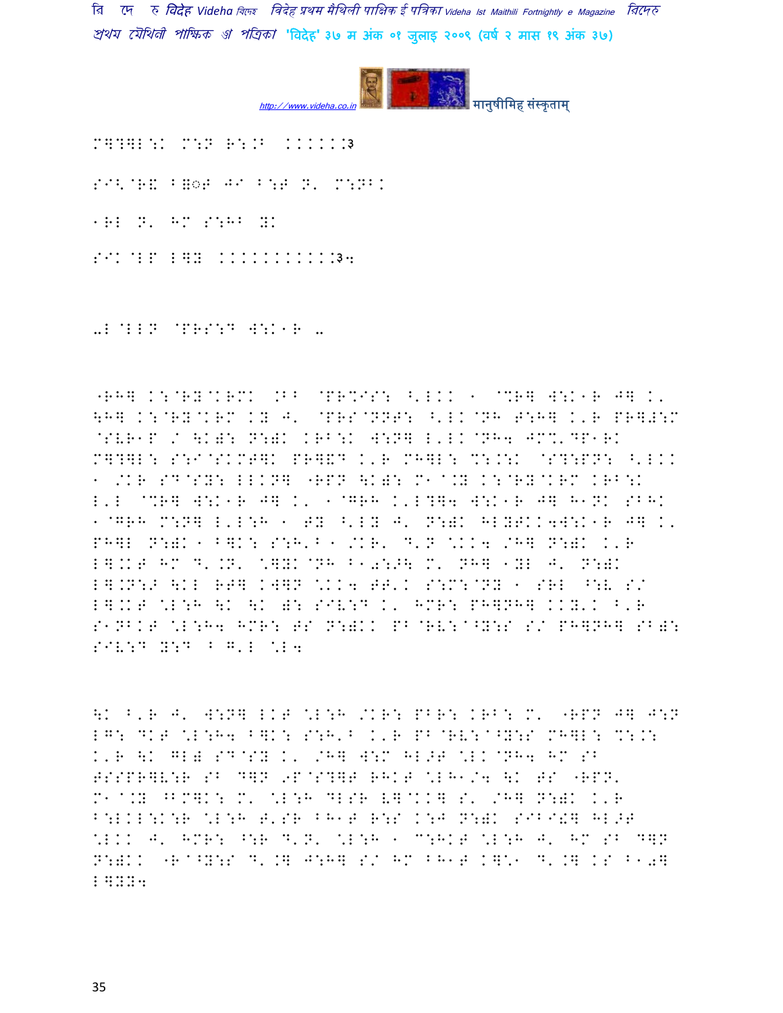

M]?]L:K M:N R:.B ......३ SILINE BE WAS BEEN TO THE 1919 - 1920 - 1920 - 1920 - 1920 - 1920 - 1920 - 1920 - 1920 - 1920 - 1920 - 1920 - 1920 - 1920 - 1920 - 1920<br>1920 - 1920 - 1920 - 1920 - 1920 - 1920 - 1920 - 1920 - 1920 - 1920 - 1920 - 1920 - 1920 - 1920 - 1920 - 1920 SIK@LP L]Y ...........३4

-L@LLN @PRS:D W:K1R -

"RH] K:@RY@KRMK .BB @PR%IS: ^'LKK 1 @%R] W:K1R J] K'  $\#$ H: C:arden Krm Ky (President: Album Pahy C.B. Prygat @SVR1P / \K): N:)K KRB:K W:N] L'LK@NH4 JM%'DP1RK M]?]L: S:I@SKMT]K PR]&D K'R MH]L: %:.:K @S?:PN: ^'LKK 1 /KR SD@SY: LLKN] "RPN \K): M1@.Y K:@RY@KRM KRB:K L'L @%R] W:K1R J] K' 1@GRH K'L?]4 W:K1R J] H1NK SBHK 10 TREA (2018) ESSENY (1980) KIER (4) (2018) AEGAL (1940) KEVAR JI K PH]L N:)K" B]K: S:H'B" /KR' D'N \*KK4 /H] N:)K K'R L].KT HM D'.N' \*]YK@NH B10:>\ M' NH] 1YL J' N:)K L].N:> \KL RT] KW]N \*KK4 TT'K S:M:@NY 1 SRL ^:V S/ L].KT \*L:H \K \K ): SIV:D K' HMR: PH]NH] KKY'K B'R S1NBKT \*L:H4 HMR: TS N:)KK PB@RV:@^Y:S S/ PH]NH] SB): SIV:D Y:D Y:D Y:D Y:

\K B'R J' W:N] LKT \*L:H /KR: PBR: KRB: M' "RPN J] J:N LG: DKT \*L:H4 B]K: S:H'B K'R PB@RV:@^Y:S MH]L: %:.: K'L B'R GLO SOM SY K'A'R GLO SY HAD AG AN SAN SA HAD SA SHI WE SHA HAD SA SH TSSPR]V:R SB D]N 9P@S?]T RHKT \*LH1/4 \K TS "RPN' MANN MANN KOMA KE MANN KU KU SA MARA KA MARA SA MARA KA MARA KA MARA KA MARA KA MARA KA MARA KA MARA KA MARA K B:LICK: THE CONSTRUCTION OF BHIT COMPOSITION CONTROLS AN AGE \*LKK J' HMR: ^:R D'N' \*L:H 1 C:HKT \*L:H J' HM SB D]N N:)KK "R@^Y:S D'.] J:H] S/ HM BH1T K]\*1 D'.] KS B10] RHIMAN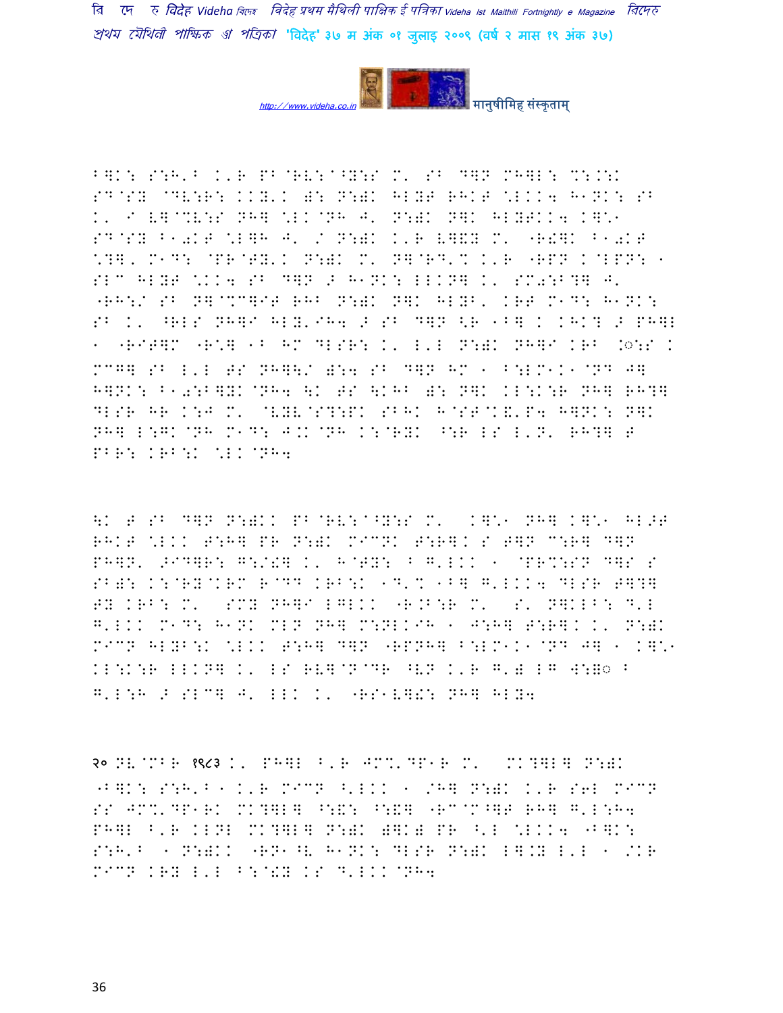

BH: S:H'B K'R PP HE: SHIR K'R PHP PHE: "KIN SOM ON STRING AND AN ANGELE ANG ANG ANG ANG SA K' I VAN SUR TOELSEN (DAR) TOELSEN HULYT DAGEN JOHN JAAR DE LANDSE KLAMENHEIM SOM SY BINDEL SI RALINI, NI ZO ZABEDI NI LIHA KURIBI NI NI HASARI NA BINDEL \*?], M1D: @PR@TY'K N:)K M' N]@RD'% K'R "RPN K@LPN: 1 SLC HLYT FAKAK SLOVEN SA DIN SA DIN SA DIN SA DIN SA DIN SA DIN SA DIN SA DIN SA DIN SA DIN SA DIN SA DIN SA D "RH:A N: SB NIC DE TOTHER HIS HIS NING OF HIS NICH AS DEN MINOR ON THE MINOR OF HIS NIC SB KOL (1998) DARA ALD, KAHK DI SB DRID AD A PHO DO DAIDY DI RARE 1 "RITHE "RIT" IN HE DRIE HE LI NI KRB . MCGB SB LI HI DHUN HA SB DUD HM 1 BID LA DD DU HER: STANDARD (PHATA: AN ANTAL ): NITS PENTION PHB (PHP) DESR HR KYA T. MEDIKINI SAHK HYDRIK HADA HANK DA NH] L:GK@NH M1D: J.K@NH K:@RYK ^:R LS L'N' RH?] T PBR: KRB:K \*LK@NH4

\K T SB D]N N:)KK PB@RV:@^Y:S M' K]\*1 NH] K]\*1 HL>T RHIF MILL FIRM TR PIBL TYTEL FIRMIC F FAR TIRM THE PH]N' >ID]R: G:/!] K' H@TY: ^ G'LKK 1 @PR%:SN D]S S SB): K:@RY@KRM R@DD KRB:K 1D'% 1B] G'LKK4 DLSR T]?] THE STRIP STORE AND I REAL STRIP IN THE STRIP STATE OF A REAL STRIP IN THE STRIP IN THE STRIP IN THE STRIP IN B. B.C. M. M. H. H. MID: H. H. M:NLKIH 1 J:H. H. H. H. H. M. M:H. MICH HEYE ROOMED DIGHT THE SHEEP HEYE FILE DIGIT THE SHEEP OF DIGIT KI:K:R LIVE K' LI HETT MAN KIR KI HETT HIG V G'L:H > SLC (1990) - SLC (1990) - SLC (1991) - SLC (1991)

२० PE NTPE (१९८३ KBC PHEE (F. B. HINK, PP) BYZK, IND MIRE BY MARI "BIN SING K'R S: SOME BIN K'R MICH AND A LA SGE MICH  $\mathcal{S}$  ,  $\mathcal{S}$  ,  $\mathcal{S}$  ,  $\mathcal{S}$  ,  $\mathcal{S}$  ,  $\mathcal{S}$  and  $\mathcal{S}$  and  $\mathcal{S}$  .  $\mathcal{S}$  and  $\mathcal{S}$  and  $\mathcal{S}$  ,  $\mathcal{S}$  ,  $\mathcal{S}$  ,  $\mathcal{S}$  ,  $\mathcal{S}$  ,  $\mathcal{S}$  ,  $\mathcal{S}$  ,  $\mathcal{S}$  ,  $\mathcal{S}$  ,  $\mathcal$ PHIL B.B (1991 MIND BACKLING) AND AN INCLUDED S:H'B " N:)KK "RN1^V H1NK: DLSR N:)K L].Y L'L 1 /KR MANIA KRY L'EST ANNO 1999 DE L'ANNE DE L'ANNE DE L'ANNE DE L'ANNE DE L'ANNE DE L'ANNE DE L'ANNE DE L'ANNE DE L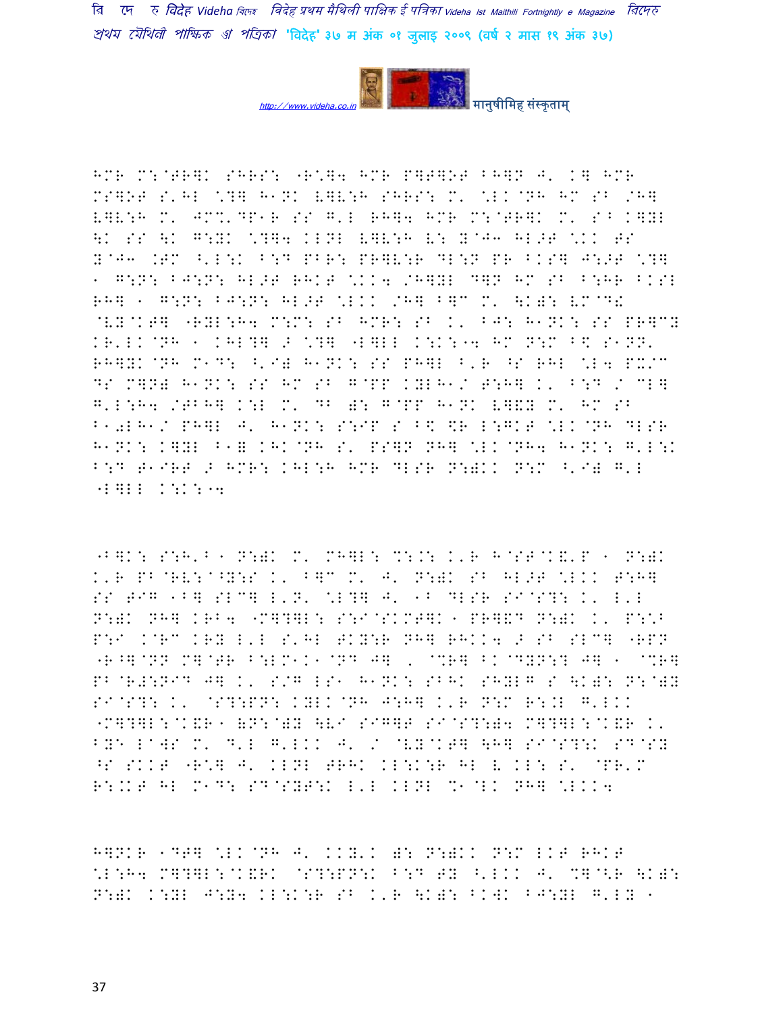

HMR M:@TR]K SHRS: "R\*]4 HMR P]T]OT BH]N J' K] HMR MS]OT S'HL \*?] H1NK V]V:H SHRS: M' \*LK@NH HM SB /H]  $\langle V_{\rm eff} \rangle$ H M' JAC DO JAMENT SS G'L RHIA HA SS G'A S A G'L RHIA M' SA M' SA CHOIREACH AIR SA CHUIREACH AG AN SAOL AIR SA GLAOIREACH AG  $K$  SS  $\{K \mid T \in \mathbb{R} \mid T \leq T \}$  and  $K$  is the solution of  $\{K \mid T \leq T \}$  and  $\{K \mid T \leq T \}$ Y@J3 .TM ^'L:K B:D PBR: PR]V:R DL:N PR BKS] J:>T \*?] 1 G:N: BJ:N: HL>T RHKT \*KK4 /H]YL D]N HM SB B:HR BKSL RH] 1 G:N: BJ:N: HL>T \*LKK /H] B]C M' \K): VM@D! @VY@KT] "RYL:H4 M:M: SB HMR: SB K' BJ: H1NK: SS PR]CY KR'LK MANN I KHLIR KING ALALI I KINNY SHI KI SHI SHI SINI RH]YK@NH M1D: ^'I) H1NK: SS PH]L B'R ^S RHL \*L4 PX/C DS M]N) H1NK: SS HM SB G@PP KYLH1/ T:H] K' B:D / CL] B.BY:H4 /HFHB (SB) M' DB (B) BY:BY H-SB (BBB) M. SAY H B10LH1/ PHQ: 4, 6-02 EXP S B\$ \$P\$ \$P\$ \$P\$ \$P\$ \$P\$ \$P\$ \$P\$ \$P\$ H1NK: K]YL B1= KHK@NH S' PS]N NH] \*LK@NH4 H1NK: G'L:K B:D T1IRT > HMR: KHL:H HMR DLSR N:)KK N:M ^'I) G'L "L]LL K:K:"4

"B]K: S:H'B" N:)K M' MH]L: %:.: K'R H@ST@K&'P 1 N:)K K'R PROBLAGENARISK (\* 1957) M. PARK IN: HEJE MED FARS SS TIGGEN (FRIGHT) DE L'OLS DE BRITAN (PILSE) DE L'ANS SIDE L'ELLES N:)K NH] KRB4 "M]?]L: S:I@SKMT]K" PR]&D N:)K K' P:\*B P:I .@RC KRY L'L S'HL TKY:R NH] RHKK4 > SB SLC] "RPN  $R$  Robert Biography (Robert Barnet Barnet Barnet Barnet Barnet Barnet Barnet Barnet Barnet Barnet Barnet Barnet Barnet Barnet Barnet Barnet Barnet Barnet Barnet Barnet Barnet Barnet Barnet Barnet Barnet Barnet Barnet Barn PROBASE :NID JOURNAL SEE SHYLG SHYLG SHIP SO BOARD SHOW SK' GOOD AND SIDE OF AN AND AND AND AND HIS MULLER "WHIS SOURCE SIGN (NO SIGN SIGNED SIGNED SIGNED SIGNED SIGNED SIGNED SIGNAL AND MELTIC SIGNAL AND MALL AND MALL BYE LAWS MY GREEKE D'AN IN MENGELAHE SAMAN SIMPLE ^S SKKT "R\*] J' KLNL TRHK KL:K:R HL V KL: S' @PR'M R:.KT HL M1D: SD@SYT:K L'L KLNL %1@LK NH] \*LKK4

HARDER 1974 (NEDER 1975): NICH ZEINER DER NEUE IN ANGEL \*L:H4 M]?]L:@K&RK @S?:PN:K B:D TY ^'LKK J' %]@<R \K): N:)K K:YL J:Y4 KL:K:R SB K'R \K): BKWK BJ:YL G'LY 1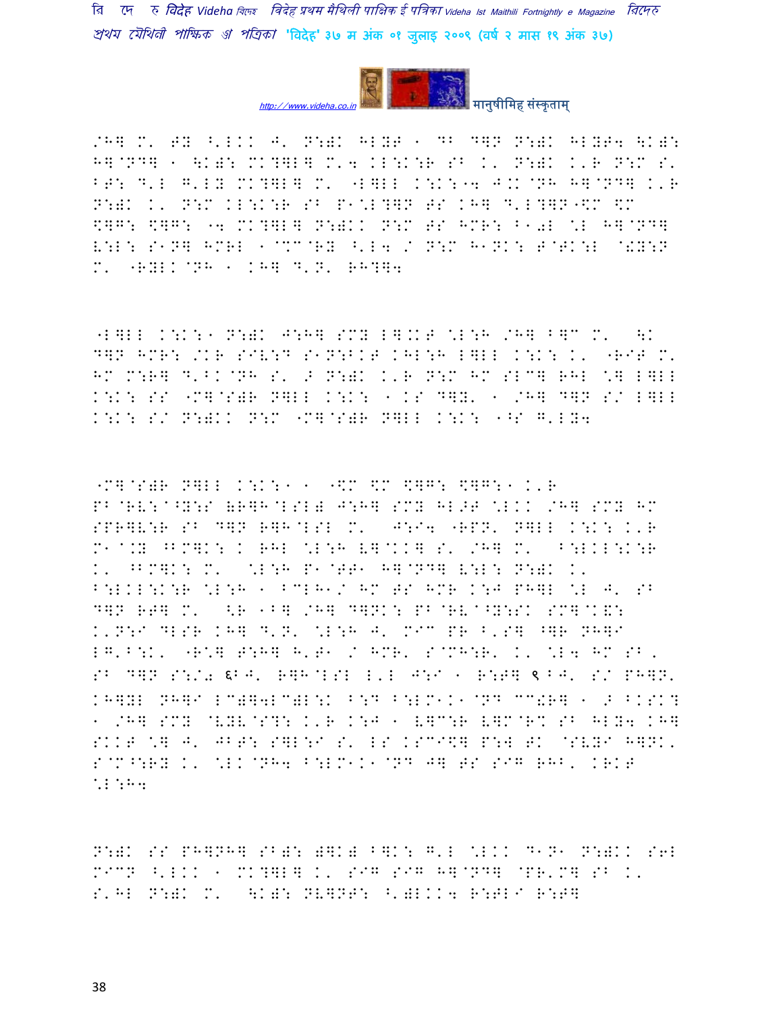

/H] M' TY ^'LKK J' N:)K HLYT 1 DB D]N N:)K HLYT4 \K): HA 1978 (K): AD BAC DI AREACON AC DE ADABC KYLCI MODAL CONSTRUCTION BT: D'L G'LY MK?]L] M' "L]LL K:K:"4 J.K@NH H]@ND] K'R N:)K K' N:M KL:K:R SB P1\*L?]N TS KH] D'L?]N"\$M \$M \$]G: \$]G: "4 MK?]L] N:)KK N:M TS HMR: B10L \*L H]@ND] V:L: S1N] HMRL 1@%C@RY ^'L4 / N:M H1NK: T@TK:L @!Y:N M' "RYLK@NH 1 KH] D'N' RH?]4

"LE HE EN CONSON (P. P. HE HE HE HOURS AND HE HOURS ARE COMPUTED AND HE HE DAR: HOBS: /KR SIVEST KHL:H LA SIV: KATH: H LILL KONSTRUKT. HM M:RE PLAINTRY SI & PABILICE PAM AM SLOW PAR SAL NW EWEL K:K: SS "M]@S)R N]LL K:K: " KS D]Y' 1 /H] D]N S/ L]LL K: S: S/ N: S/ S/ N: S/ N: S/ N: S/ N: S/ N: S/ N: S/ N: S/ N: S/ N: S/ N: S/ S/ N: S/ N: S/ N: S/ S/ N: S/ N:

MINIMUM SON REAL AND AN \$PART \$PART \$PART \$PART \$PART \$PART \$PART \$PART \$PART \$PART \$PART \$PART \$PART \$PART \$P PB@RV:@^Y:S (R]H@LSL) J:H] SMY HL>T \*LKK /H] SMY HM SPR]V:R SB D]N R]H@LSL M' J:I4 "RPN' N]LL K:K: K'R M1@.Y ^BM]K: K RHL \*L:H V]@KK] S' /H] M' B:LKL:K:R K' AMI KE KE KE KI MALA KE KE KE KE HIJI HATI KE KE KE KE KE KOLONIA HIJI HANDI KE KU B:NECESINE NE NE BROK (FOR HOLOGEN HIM KINE) IN BROKE ERE (NE ORI) IN S D]N RT] M' <R 1B] /H] D]NK: PB@RV@^Y:SK SM]@K&: K'N: D'AR' (MESTE) D'ARE (M. D.S.), D'ARI (M. D'ART) (B. D'ACH) D'AR NA B'S D'AREA LG'B:K' "R\*] T:H] H'T1 / HMR' S@MH:R' K' \*L4 HM SB, SB D]N S:/0 ६BJ' R]H@LSL L'L J:I 1 R:T] ९ BJ' S/ PH]N' KH) NHI LOI NI LOI NI LOI NI LOI NI LOI NI LOI NI LOI NI LOI NI LOI NI LOI NI LOI NI LOI NI LOI NI LOI NI LOI 1 /HE STO MANAGER CORSINA KHTGE ANTIFICIT PEDAGORNE SKKT \* JOHN \* JOHN \* JOHN # JOHN # JOHN # JOHN # JOHN # JOHN # JOHN # JOHN # JOHN # JOHN # JOHN # JOHN # JOHN # SOM KALL AT THE RACING STRUCK HE AND AND AND LOCAL  $\mathcal{L}: \mathcal{L}: \mathcal{L}: \mathcal{L}: \mathcal{L}: \mathcal{L}: \mathcal{L}: \mathcal{L}: \mathcal{L}: \mathcal{L}: \mathcal{L}: \mathcal{L}: \mathcal{L}: \mathcal{L}: \mathcal{L}: \mathcal{L}: \mathcal{L}: \mathcal{L}: \mathcal{L}: \mathcal{L}: \mathcal{L}: \mathcal{L}: \mathcal{L}: \mathcal{L}: \mathcal{L}: \mathcal{L}: \mathcal{L}: \mathcal{L}: \mathcal{L}: \mathcal{L}: \mathcal{L}: \mathcal{L}: \mathcal{L}: \mathcal{L}: \mathcal{L}: \mathcal{L}: \mathcal{$ 

N:)K SS PH]NH] SB): )]K) B]K: G'L \*LKK D1N1 N:)KK S6L MICN ^'LKK 1 MK?]L] K' SIG SIG H]@ND] @PR'M] SB K' S'HL N:)K M' \K): NV]NT: ^')LKK4 R:TLI R:T]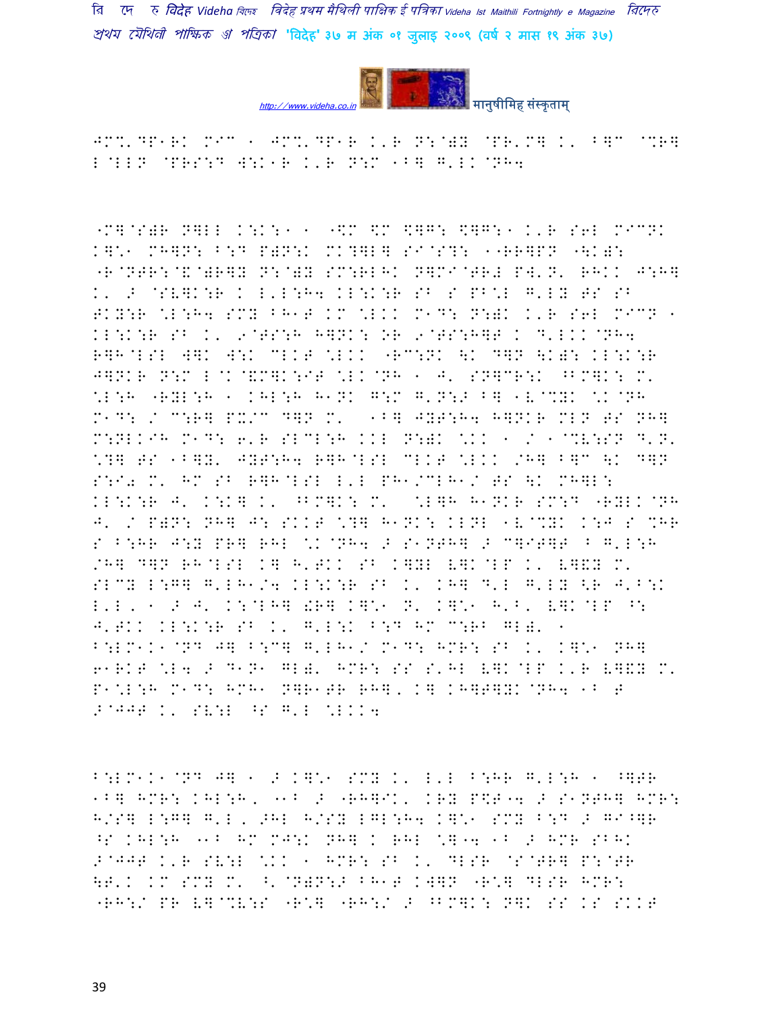

JM%'DP1RK MIC 1 JM%'DP1R K'R N:@)Y @PR'M] K' B]C @%R] L@LLN @PRS:D W:K1R K'R N:M 1B] G'LK@NH4

"M]@S)R N]LL K:K:" 1 "\$M \$M \$]G: \$]G:" K'R S6L MICNK KA) MHIN: B:PH:PH:PH:PH:PH:PH:PH:PN:PH:PH:PH:PH:PN:PH:PN:PN:PN:PN " "RANTREAS TO TEARROL DA TEORIAREAS", DRICK TEARCHIER, D. C. AND C. HARRY K' & SPERINE I ELENAR IENIE PROFORME GLEEN BY TKY:R \*L:H4 SMY BH1T KM \*LKK M1D: N:)K K'R S6L MICN 1 KL: A: Marchart K. San 9atar 1999 - Or 9atar 1999 - Or 9atar 1999 - Or 9atar 1999 - Or 9atar 1999 - Or 1999 -R]H@LSL W]K W:K CLKT \*LKK "RC:NK \K D]N \K): KL:K:R JANSE SKO ET TEONIKA NE TOKA AL SONORE DA ON DE S \*L:H "RYL:H 1 KHL:H H1NK G:M G'N:> B] 1V@%YK \*K@NH M1D: / C:R] PX/C D]N M' 1B] JYT:H4 H]NKR MLN TS NH] MARED AN UNITED BOOK SEPTEMBER OF BISKLEY AND A MONOGROUP.  $\Lambda$  the set of the subsequent to the set of the set of the set of the parameter  $\Lambda$ SS:I0 MY HM SB REPORT OF THE CORPORATION OF THE S K:K:R J' K:R J' K:R J' K:R J' K: M' A:R J' H H H H SM:D "RYLK" (BILL MIN J' / P)N: NH] J: SKKT \*?] H1NK: KLNL 1V@%YK K:J S %HR S B:HR J:Y PRO RHL \*K@NH4 & SPRAGE & COMPANY \$ G.DR /H] D]N RH@LSL K] H'TKK SB K]YL V]K@LP K' V]&Y M' SLCY LIGHT HILLANIN ILGEN STATE (1998) HILL HILL AR HISTI L'L, E. L, P. P. C. L'AITERT (2005) 1912 (2007) 1912 (2007) 1912 (2007) 1914 J'TKK KL:K:R SB K' G'L:K B:D HM C:RB GL)' 1 B:LM1K1@ND J] B:C] G'LH1/ M1D: HMR: SB K' K]\*1 NH] 61RKT \*L4 > D1N1 GL)' HMR: SS S'HL V]K@LP K'R V]&Y M' P1\*L:H M1D: HMH1 N]R1TR RH], K] KH]T]YK@NH4 1B T >@JJT K' SV:L ^S G'L \*LKK4

B:LIMIK 1 DE SAN JERK KILD I. B:HR G'LE:HR G'LE:HR 1B] HMR: KHL:H, "1B > "RH]IK' KRY P\$T"4 > S1NTH] HMR: H/S] L:G] G'L, >HL H/SY LGL:H4 K]\*1 SMY B:D > GI^]R ^S KHL:H "1B HM MJ:K NH] K RHL \*]"4 1B > HMR SBHK >@JJT K'R SV:L \*KK 1 HMR: SB K' DLSR @S@TR] P:@TR \T'K KM SMY M' ^'@N)N:> BH1T KW]N "R\*] DLSR HMR: "RH: S Y PR VIEW YOU SAN ARHEAD OF THIS REPORT OF THE SAN AND THE SAN STATE.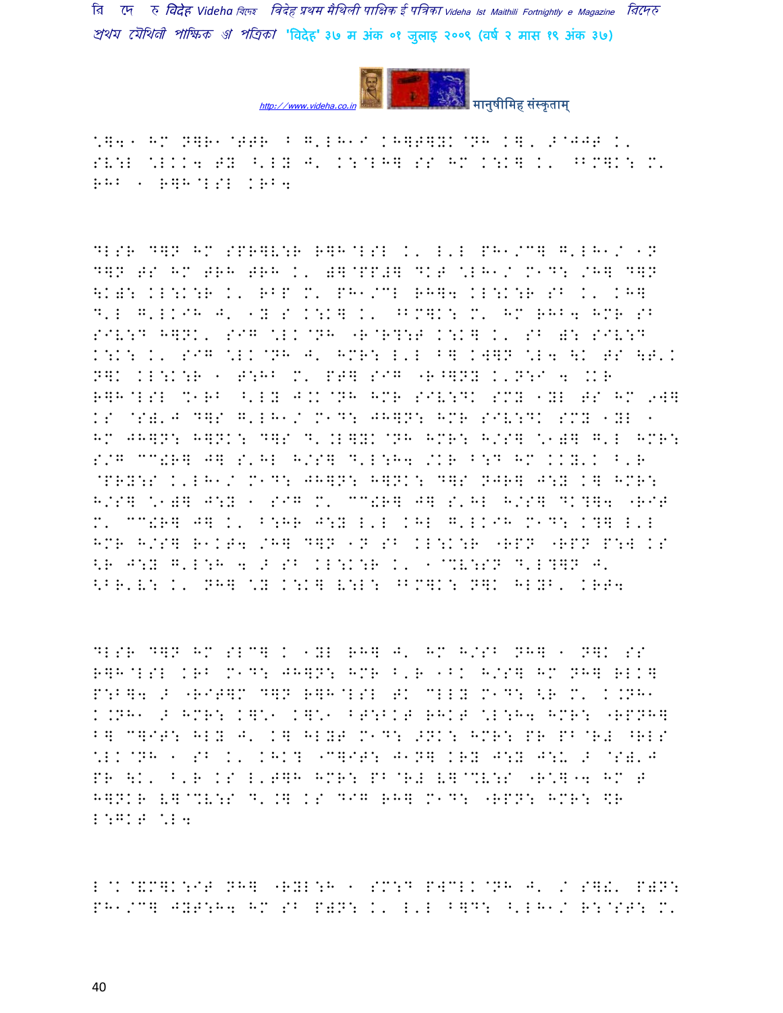ৱি দে হ*বিदेह Videha ৰিভে ৰিবলৈ স্থम मैथिली पाक्षिक ई पत्रिका Videha Ist Maithili Fortnightly e Magazine <i>ৱিদে*হ õथम मैिथली पािक्षक ई पिñका **'**िवदेह**'** ३७ म अंक ०१ जुलाइ २००९ (वष र् २ मास १९ अंक ३७)



\*]4" HM N]R1@TTR ^ G'LH1I KH]T]YK@NH K], >@JJT K' SV:L \*LAKKA TY LY JOHN AN KING HARAHAI SS HAI KI KI KI KOMA KI KI KI MIKI KI MIK RHB 1 RHB 1 RHB

DE SAN DRAM HAM SPARALEAN ARANGEEN (11) (E1) EN PHIL/ODROPH, EAPING IPA D]N TS HM TRH TRH K' )]@PP#] DKT \*LH1/ M1D: /H] D]N \K): KL:K:R K' RBP M' PH1/CL RH]4 KL:K:R SB K' KH] D'L G'LKIH J' 1Y S K:K] K' ^BM]K: M' HM RHB4 HMR SB SPEAR RADIO SPRESHIVE: HERRIK INTE IS SIGNED SPEAR K:K: K: SIG \*LK \*UH J. HTB: LI BH (HU) NIH AN DE AR. NIK KERATIFIKAN PRODUKTI DI REPUBLIKAN DI PORTUGALISMO DI PORTUGALISMO DI PORTUGALISMO DI PORTUGALISMO DI PORTU RAH MIRI "MARB" MIRI MUR SHARB SING SHARB SHARB SHIVISHE KS MILH MAR ALIAS CRUI AAARI ADE SKIIN SOO SOO SOO HM JH]N: H]NK: D]S D'.L]YK@NH HMR: H/S] \*1)] G'L HMR: S/G COCER HE S. HE R/SR R. BARY II BO HAR RO LIGIO I A. B @PRY:S K'LH1/ M1D: JH]N: H]NK: D]S NJR] J:Y K] HMR: H/STO NHOUR SAN SIGNE DATA AN SIGNE DATO TO THE SHIFT. M' COLORED AN I: Y L'ANN ANN BILL CAR ALLICAN MANY MI INN BILL HTR H/ST R1KT4 /HT THR 12 SP KL:K:R "RPN "RPN PYR IS" A:B: G'A:B: H', E'A:R (G) (2) SER (SEA) A: SA K' SON D'EASAIR (F), E' THIR (G). <BR'V: K' NH] \*Y K:K] V:L: ^BM]K: N]K HLYB' KRT4

DE SAN DE BLOG DE SAN SLOCH HAD HAN HOLD FOR DE BLOG BENGING RAB MISL KRB MINDS HARBER AMB ALB A FLORING AM DAR BIRE P:B]4 > "RIT]M D]N R]H@LSL TK CLLY M1D: <R M' K.NH1 K.NH1 > HMR: K]\*1 K]\*1 BT:BKT RHKT \*L:H4 HMR: "RPNH] BE CENER BIC H. IE HIGE CYTR JOIN ACEN DE PROBL'HEID \*LK@NH 1 SB K' KHK? "C]IT: J1N] KRY J:Y J:U > @S)'J PR (AD), P. B. C.E. E. BARK: PDBG, PP. PRE (EA) VEGGY (ARCHIVE) AD (B) HARD: BANCHING RUSS OF THE RHANDS OF SHIPS AND SHIP L:GKT \*L4

L@K@&M]K:IT NH] "RYL:H 1 SM:D PWCLK@NH J' / S]!' P)N: PH1/CA POBRAH HM SB PARA C. B.B PARA R.BH1/ BATEBA M.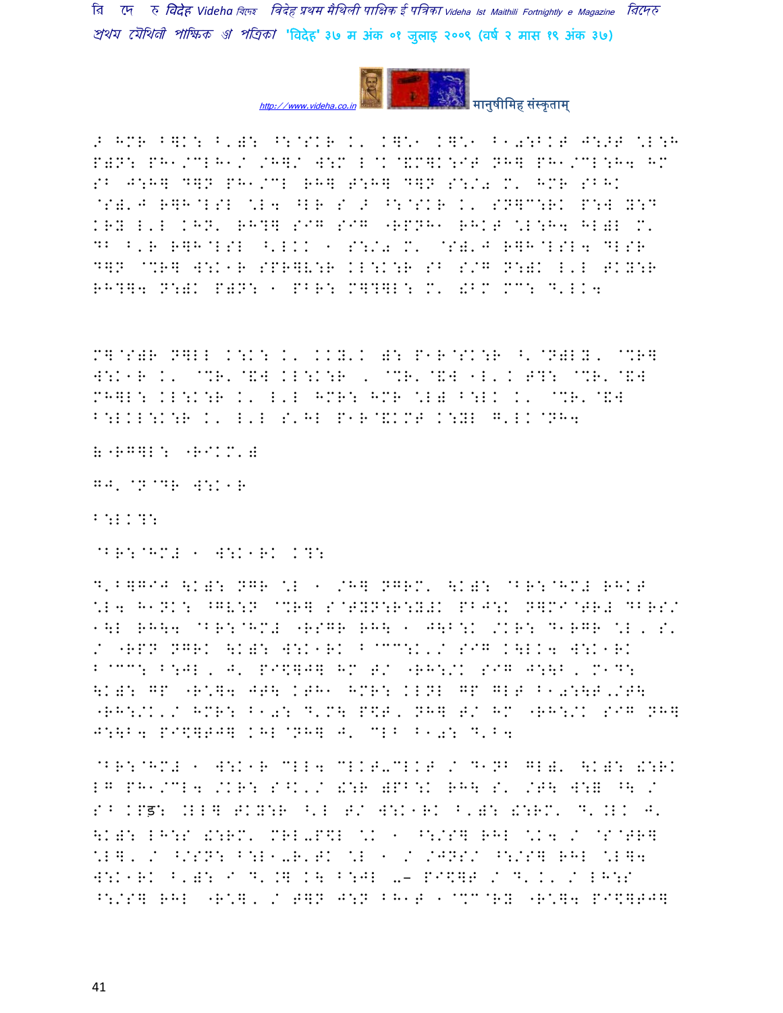

> HMR B]K: B'): ^:@SKR K' K]\*1 K]\*1 B10:BKT J:>T \*L:H P)N: PH1/CLH1/ /H]/ W:M L@K@&M]K:IT NH] PH1/CL:H4 HM SB J:H] D]N PH1/CL RH] T:H] D]N S:/0 M' HMR SBHK @S)'J R]H@LSL \*L4 ^LR S > ^:@SKR K' SN]C:RK P:W Y:D KRY LE KORY L'ERTH RYTH RYTH (PETH) BROAD MEGHE PEGEL TO DB BLACK RIGH BERICH I SING IN STRUCK 1 SERVISING DISP DAR MORA WIN AR SPRAKIN CENCIN SY SOR DIARO ELE SORIA RH?]4 N:)K P)N: 1 PBR: M]?]L: M' !BM MC: D'LK4

MAR) RAND ROOM IS NOT A REAL AND REAL AND REAL AND REAL AND REAL AND REAL AND REAL ADDITIONAL AND REAL ADDITIONAL AND REAL ADDITIONAL AND REAL ADDITIONAL AND REAL ADDITIONAL ADDITIONAL ADDITIONAL ADDITIONAL ADDITIONAL ADDI W:K1R K. MOR. ME CENTRA , MOR. ME AE. D'AMA (MA. ME MHAL: KL:K:R KO L'L HOL: HMR: HMR: NI B: FGE (10) AND AN AIR AT B:LKL:K:R K' L'L S'HL P1R@&KMT K:YL G'LK@NH4

 $\mathbb{R}$  ( $\mathbb{R}$   $\mathbb{R}$   $\mathbb{R}$   $\mathbb{R}$   $\mathbb{R}$   $\mathbb{R}$   $\mathbb{R}$   $\mathbb{R}$   $\mathbb{R}$   $\mathbb{R}$   $\mathbb{R}$   $\mathbb{R}$   $\mathbb{R}$   $\mathbb{R}$   $\mathbb{R}$   $\mathbb{R}$   $\mathbb{R}$   $\mathbb{R}$   $\mathbb{R}$   $\mathbb{R}$   $\mathbb{R}$   $\mathbb{R}$   $\mathbb{R}$   $\mathbb$ 

GJ'@N@DR W:K1R

B:LTP:

@BR:@HM# 1 W:K1RK K?:

D'B]GIJ \K): NGR \*L 1 /H] NGRM' \K): @BR:@HM# RHKT \*L4 H1NK: ^GV:N @%R] S@TYN:R:Y#K PBJ:K N]MI@TR# DBRS/  $1.4\pm 0.01$  . The results of  $\mu$  is the  $\mu$  in  $\mu$  in  $\mu$  is the probability of  $\mu$  is the state of  $\mu$ / "RPN NGRK \K): W:K1RK B@CC:K'/ SIG K\LK4 W:K1RK B@CCC: B:JL, J. PI\$PHE RT BJ (BRIJ: PI# ANB), TV#N \K): GP "R\*]4 JT\ KTH1 HMR: KLNL GP GLT B10:\T,/T\ "RH:/K'/ HMR: B10: D'M\ P\$T, NH] T/ HM "RH:/K SIG NH] J:B4 PIBB48 IN CHI A. THLANA BI

@BR:@HM# 1 W:K1R CLL4 CLKT-CLKT / D1NB GL)' \K): !:RK LA PHI/CL4 /KR: SOKI/ SOKIERS SPRING PHI SI /TH AND CHI SO KORE: .LLE FURNE OLE FLORING BIOGRAPH BY:REL TV:LL TV: \K): LH:S !:RM' MRL-P\$L \*K 1 ^:/S] RHL \*K4 / @S@TR] \*L], / ^/SN: B:L1-R'TK \*L 1 / /JNS/ ^:/S] RHL \*L]4 W:K1RK B', I: I D'.] HI: I D'.H: I D'.H:JL - PI\$T / D'. ^:/S] RHL "R\*], / T]N J:N BH1T 1@%C@RY "R\*]4 PI\$]TJ]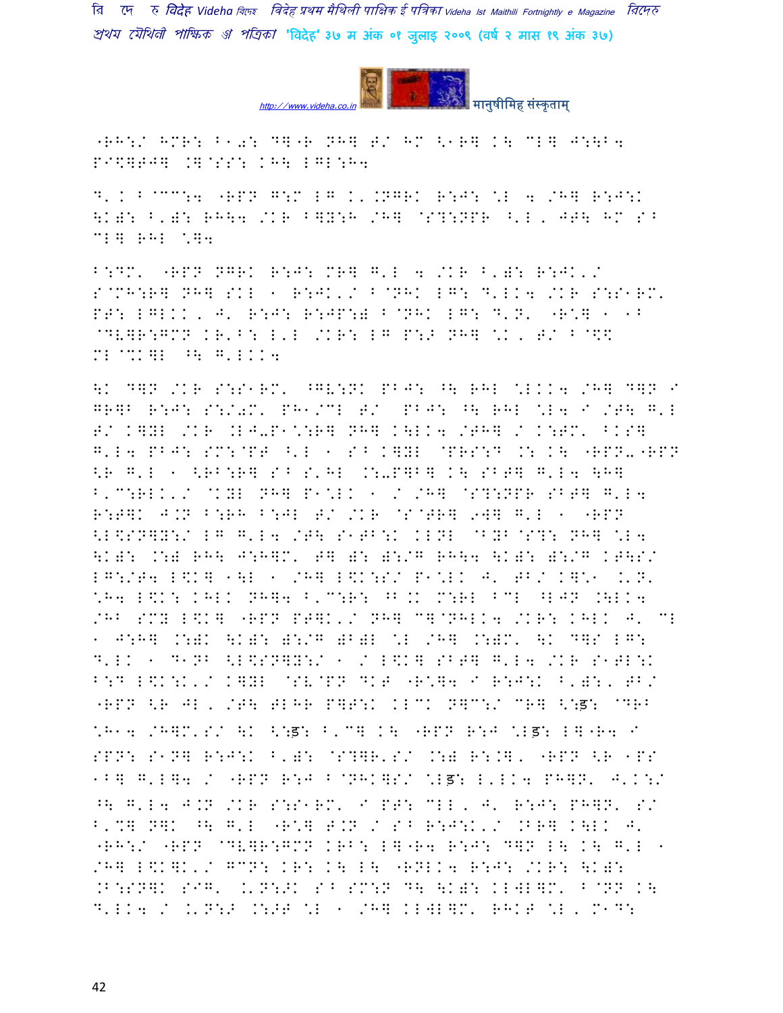

 $R$  . The second second the second second second second second second second second second second second second second second second second second second second second second second second second second second second secon PI\$]TJ] .]@SS: KH\ LGL:H4

D'. B@CC:4 "RPN G:M LG K'.NGRK R:J: \*L 4 /H] R:J:K  $K$ : B'): B'): RH $K$  /KR BENA /HE /HINE  $K$ : A:  $K$  due so  $K$ CLB RHL CHA

B:DM' "RPN NGRK R:J: MR] G'L 4 /KR B'): R:JK'/ S@MH:R] NH] SKL 1 R:JK'/ B@NHK LG: D'LK4 /KR S:S1RM' PT: LGLKK, J' R:J: R:JP:) B@NHK LG: D'N' "R\*] 1 1B @DV]R:GMN KR'B: L'L /KR: LG P:> NH] \*K, T/ B@\$\$  $\mathbb{M}$  ML  $\mathbb{H}$  ,  $\mathbb{H}$  ,  $\mathbb{H}$  ,  $\mathbb{H}$  ,  $\mathbb{H}$  ,  $\mathbb{H}$ 

 $K$  - Department in the state  $\lambda$  -single  $\lambda$  and  $\lambda$  is the particle of  $\lambda$  . The state  $\lambda$  is the particle of  $\lambda$ BRUE RICH: SILON PHILIP BI: PHILIP BH YIN CL TI /THL #L TA 1988 /KR .LJ-AP 1989 1999 1981 - ZAHR / KIBKS] BIZ B. EA PRAN STORTE REACTED CHEEF THE STORTED ARTS RE ALL 1 RESERVE EN ELA CELTAR DE ENFRAGIA END B'C'HE:RLA' MAN SHE PHILA' A A' AH MATHAIR SBAR G'LE R:T]K J.N B:RH B:JL T/ /KR @S@TR] 9W] G'L 1 "RPN <L\$SN]Y:/ LG G'L4 /T\ S1TB:K KLNL @BYB@S?: NH] \*L4  $\Lambda$ : .:) And  $\Lambda$  is the contract of  $\Lambda$  and  $\Lambda$  and  $\Lambda$  is the contract of  $\Lambda$  . In the contract of  $\Lambda$ LG:/T4 L\$K] 1\L 1 /H] L\$K:S/ P1\*LK J' TB/ K]\*1 .'N' \*H4 L\$K: KHLK NH]4 B'C:R: ^B.K M:RL BCL ^LJN .\LK4 /HB SMY L\$K] "RPN PT]K'/ NH] C]@NHLK4 /KR: KHLK J' CL 1 J:HE .:)B: B:B: B:29 B:B: 11 /HE .:BE: |B: |9B: 19: D'LK 1 D1NB <L\$SN]Y:/ 1 / L\$K] SBT] G'L4 /KR S1TL:K BSP ERDSOLA DRIE (SOKORD PDF) HSVAN A BSHSOLADI. BRA "RPN <R JL, /T\ TLHR P]T:K KLCK N]C:/ CR] <:ड़: @DRB \*H14 /H]M'S/ \K <:ड़: B'C] K\ "RPN R:J \*Lड़: L]"R4 I SPIN: S1NPH R1H12 F.EG. (STHR.S.), IGE R13P. 1987 (RP) (PS 1B] G'L]4 / "RPN R:J B@NHK]S/ \*Lड़: L'LK4 PH]N' J'K:/ ^\ G'L4 J.N /KR S:S1RM' I PT: CLL, J' R:J: PH]N' S/  $B$  , NH  $\,$  (Fig. ) H,  $\,$  (Fig. ) S  $\,$  (Fig. ) ,  $\,$  ,  $\,$  ,  $\,$  ,  $\,$  ,  $\,$  ,  $\,$  ,  $\,$  ,  $\,$  ,  $\,$  ,  $\,$  ,  $\,$  ,  $\,$  ,  $\,$  ,  $\,$  ,  $\,$  ,  $\,$  ,  $\,$  ,  $\,$  ,  $\,$  ,  $\,$  ,  $\,$  ,  $\,$  ,  $\,$  ,  $\,$   $R$  -parameter  $R$  . The first parameter  $R$  is defined by the parameter  $R$  and  $R$  and  $R$  is defined by  $R$  $\mathcal{I}$ HB) E KI BIO LY (HTPS). I BS (I A: I: A: ) (HPE) I A: (HS-AS) (III: BS: (AI: BS: .B:SN]K SIG' .'N:>K S^ SM:N D\ \K): KLWL]M' B@NN K\ D'LA LA VI . D'L'OREA (1994) NA L'ANG (1994) NA HOL 1991 A L'OREA E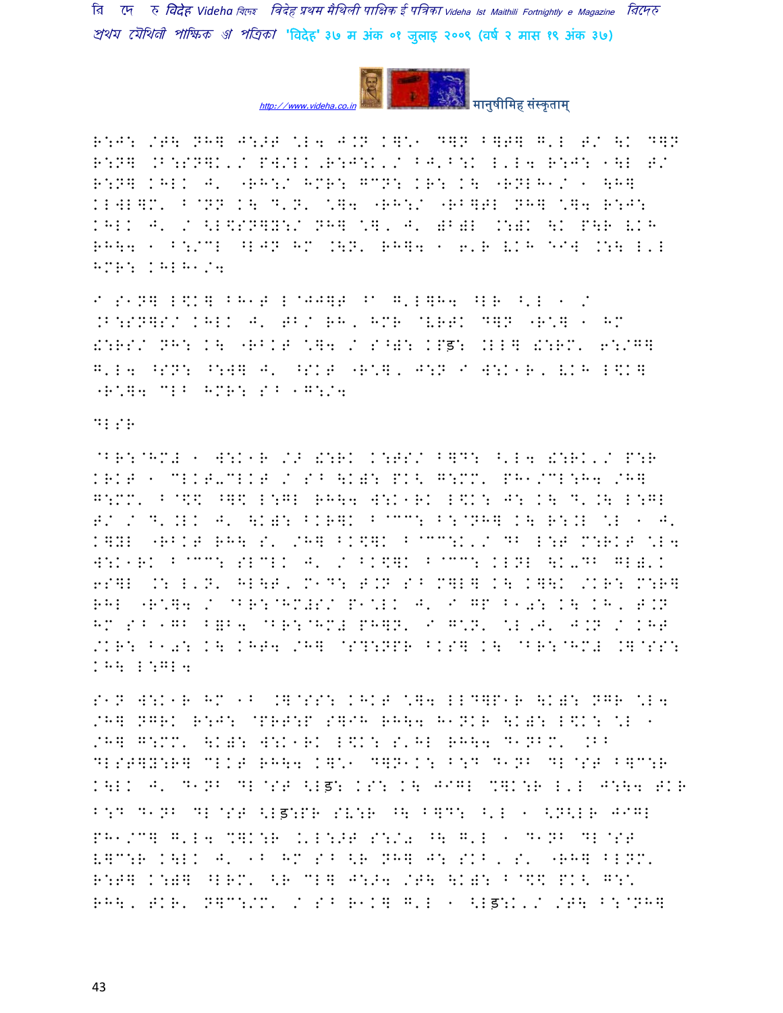ৱি দে *হ विदेह Videha बिल्ह विदेह प्रथम मैथिली पाक्षिक ई पत्रिका Videha Ist Maithili Fortnightly e Magazine <i>बि*फ्टि õथम मैिथली पािक्षक ई पिñका **'**िवदेह**'** ३७ म अंक ०१ जुलाइ २००९ (वष र् २ मास १९ अंक ३७)



R:H: /H: PHE H:J: /I: H: F: /H: | MHP | H:H M.I | J: | H: | MHP R:N] .B:SN]K'/ PW/LK,R:J:K'/ BJ'B:K L'L4 R:J: 1\L T/ R:NE CALL J. (RH:/ RTB: GTE: CB: CA (REDA)/ 1 AMB KLWERT AND CHARL NH. RHINN RHIEL DA NA RAIN KHIK J. / RECOCIN OF NO , J. BIL YE . ON OR PH WA RHA 1 B:CL B:CL B: CHI, RHH 1 6. B:CL N/4 CH EI HMR: KHLH1/4

I SING LAJA BHIT LAGU DA GUN LAGU DA LAGU DA LA .B:SN]S/ KHLK J' TB/ RH, HMR @VRTK D]N "R\*] 1 HM !:RS/ NH: K\ "RBKT \*]4 / S^): KPड़: .LL] !:RM' 6:/G] B. EAST FIRE CONSTRUCTION OF A SKIT I WE ARREST THE RESIDENCE IN THE RESIDENCE IN INC. III WE ALL IN IN THE UN  $R$  +  $R$  (  $R$  )  $R$  and  $R$  is the solution of  $R$  is the solution of  $R$ 

## DRSR ST

@BR:@HM# 1 W:K1R /> !:RK K:TS/ B]D: ^'L4 !:RK'/ P:R CROB + MICBUMICB / STACHER POR MANN. PHI/MIGHA /HE BYZZ, FIRE HBY EYNE RHAN HYSPY EXIX HYSPY IS A CHILE EYN The state of the control of the control of the control of the control of the control of the control of the control of the control of the control of the control of the control of the control of the control of the control of K]YL "RBKT RH\ S' /H] BK\$]K B@CC:K'/ DB L:T M:RKT \*L4 W:K1RK B@CC: SLCLK JERNES DE SERVER DE SERVER DE SERVER DE SERVER DE SERVER DE SERVER DE SERVER DE SERVER DE S 6S]L .: L'N' HL\T, M1D: T.N S^ M]L] K\ K]\K /KR: M:R] RHL "R\*]4 / @BR:@HM#S/ P1\*LK J' I GP B10: K\ KH, T.N HO SO 1GB B=B4 @BR: PHOLOGER PHENO I GENE AND I GEORGE ON THE /KR: B10: K\ KHT4 /H] @S?:NPR BKS] K\ @BR:@HM# .]@SS: THE PRESS

SN DOGEN HOW: KING THE NEW LOADS ONE ALL DISPENSE ON HOW DERIVATE /H] NGRK R:J: @PRT:P S]IH RH\4 H1NKR \K): L\$K: \*L 1 /H] G:MM' \K): W:K1RK L\$K: S'HL RH\4 D1NBM' .BB DLST]Y:R] CLKT RH\4 K]\*1 D]N1K: B:D D1NB DL@ST B]C:R KALK JA, JY DI DI DIE RIST KON DA JYJE JELTE ELE JYTH WIE B:D D D D DE STE SLEDE SLOE (PR PIDES) PLE SV:R BID: PR PID PHILME RIE STRIE LIEGE PEL PE RIE I DAT DI TE V]C:R K\LK J' 1B HM S^ <R NH] J: SKB, S' "RH] BLNM' R:TA: R: The Company of the Company of the Company of the Company of the George Company of the George Company o RH\, TKR' N]C:/M' / S^ R1K] G'L 1 <Lड़:K'/ /T\ B:@NH]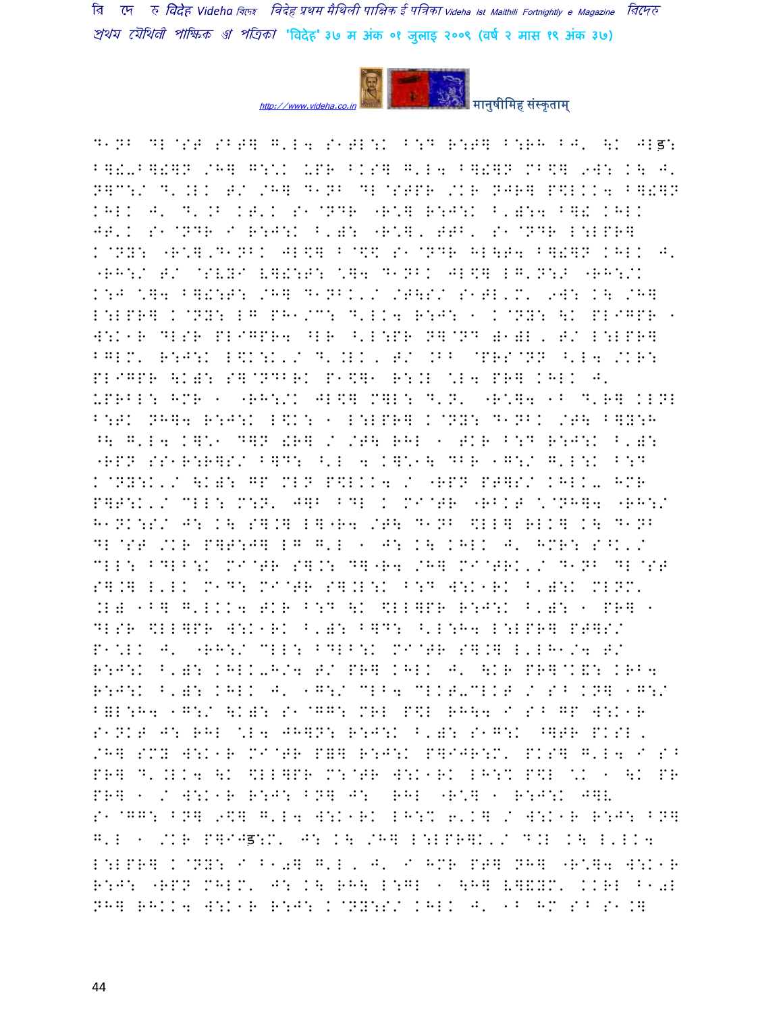

D-DI DI GE SIER PLEA S-BEED FER BEBEFER FAN HI AEST B]!-B]!]N /H] G:\*K UPR BKS] G'L4 B]!]N MB\$] 9W: K\ J' N]C:/ D'.LK T/ /H] D1NB DL@STPR /KR NJR] P\$LKK4 B]!]N KHIL A. M. B KIE. BY MAR "RYE BYAN FIRE FER PER DAI JT'K S1@NDR I R:J:K B'): "R\*], TTB' S1@NDR L:LPR] K@NY: "R\*DR HL\T+ D1NBK JL\$P\$\$ S1@NDR HL\T4 B&\$\$ S1@NDR HL\T4 B "RH:/ T/ @SVYI V]!:T: \*]4 D1NBK JL\$] LG'N:> "RH:/K K:J \*]4 B]!:T: /H] D1NBK'/ /T\S/ S1TL'M' 9W: K\ /H] L:LPR] K@NY: LG PH1/C: D'LK4 R:J: 1 K@NY: \K PLIGPR 1 W:K1R DESPITE PLANE PLIGE DE DE DE LA LAN EN PR BGLM' R:J:K L\$K:K'/ D'.LK, T/ .BB @PRS@NN ^'L4 /KR: PLIGPR \K): S]@NDBRK P1\$]1 R:.L \*L4 PR] KHLK J' UPRBL: HMR 1 "RH:/K JL\$] M]L: D'N' "R\*]4 1B D'R] KLNL B:TA B:TK DIRA R:J:K R:THE AR: THE R:TH BY: THE DIRACT IN THE DIRACT IN BEING ARE IN A BEING ARE IN A BY: ^\ G'L4 K]\*1 D]N !R] / /T\ RHL 1 TKR B:D R:J:K B'): "RPN SSTRIRGEN BID" RETERS AN INDUSTRIAL AND THE RESIDENCE OF STRIP. K@NY:K'/ \K): GP MLN P\$LKK4 / "RPN PT]S/ KHLK- HMR PAPELL: MILE TER, AND PAPELL TO ME ARISE TO THAN ARALY HH DI GENTAG I DA SER IR DE BAHI NER TALDA DA DI BI DI DE SALLA TALDA. DE STE VIE TEENSPELE FOR JE SOOP IN DIE LOFE SOKKER IN SOK CLL: BOLG: BDLB: DIRECHE (ERLIG), PROFESSION, DIRECTION DES DES STRATES DES TRAINS DES TRAINS DES DES DES DES S].] L'LK M1D: MI@TR S].L:K B:D W:K1RK B'):K MLNM' .L) 1B] G'LKK4 TKR B:D \K \$LL]PR R:J:K B'): 1 PR] 1 DLSR \$LL]PR W:K1RK B'): B]D: ^'L:H4 L:LPR] PT]S/ P1\*LK J' "RH:/ CLL: BDLB:K MI@TR S].] L'LH1/4 T/ R:J:K B'): KHLK-H/4 T/ PR] KHLK J' \KR PR]@K&: KRB4 R:J:K B'): KHLK J' 1G:/ CLB4 CLKT-CLKT / S^ KN] 1G:/ FBFSH4 1GS2 ACBS P1000 PHP PHP PHP AND MAGING WINDOW STOR AN BAL MEA APARN BNANC FLAN STAND THER BOSH. /H] SMY W:K1R MI@TR P=] R:J:K P]IJR:M' PKS] G'L4 I S^ PR] D'.LK4 \K \$LL]PR M:@TR W:K1RK LH:% P\$L \*K 1 \K PR PR] 1 / W:K1R R:J: BN] J: RHL "R\*] 1 R:J:K J]V S1@GG: BN] 9\$] G'L4 W:K1RK LH:% 6'K] / W:K1R R:J: BN] GROBER GOLD I: MERCHENT, COMPANY DE LIGERE ENERGY LOCALITY OF LEGISLATING L:LPR] K@NY: I B10] G'L, J' I HMR PT] NH] "R\*]4 W:K1R R:J: "REPORT ME DI LE PHE BIH A SHE BEEN DIRECT AN NH] RHKK4 W:K1R R:J: K@NY:S/ KHLK J' 1B HM S^ S1.]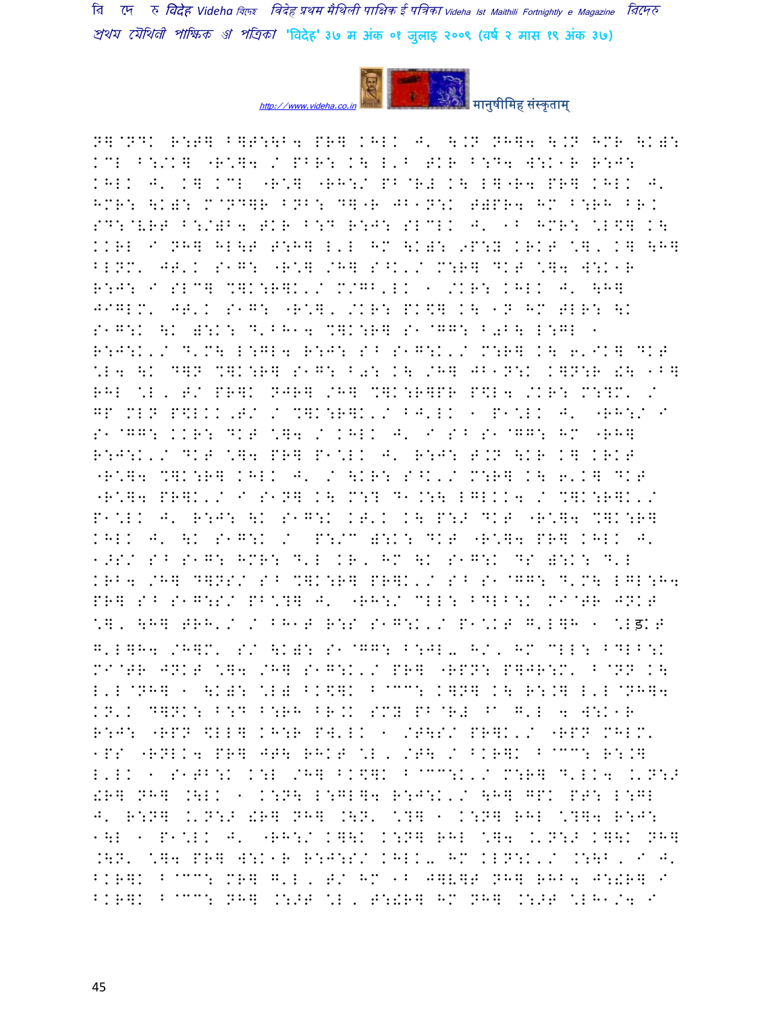

NA CHI BI: BARA REAL BEAT AN AN AIR DAAH AN HOR AN BI KCL B:: FACCOR (1985) "RECORDS AND RELEASED AT THE RECORD PARTY. HE RECORDS A RECORD PARTY BETWEEN DISCUSSION KHI A KI KI KALAMI AHI AHI PA KHI KA PA KHI KHI KA HMR: \K): M@ND]R BNB: D]"R JB1N:K T)PR4 HM B:RH BR. SOM: WRT B:SLC B:D R:D R:J: SLC B: SLC B: SLC B: SLC B: SLC B: SLC B: SLC B: SLC KKRL I NIH HLA FAM LI HT SKEL HAD LEIF TO NO. 19 AM BLAND, HEND SPARE MARKET RING THE AND AN HENDER R:J: I SLC (1999) WE SHE I SLC (1999) WE SHE I REFERENCE IT IS A LIGHT OF THE INTERFERENCE IN THE INTERFERENCE JAGHET, JARIT RYANG (ANGL. ITEN ITAG TA 1970-AT RIEN AT  $\frac{1}{2}$  ,  $\frac{1}{2}$  ,  $\frac{1}{2}$  ,  $\frac{1}{2}$  ,  $\frac{1}{2}$  ,  $\frac{1}{2}$  ,  $\frac{1}{2}$  ,  $\frac{1}{2}$  ,  $\frac{1}{2}$  ,  $\frac{1}{2}$  ,  $\frac{1}{2}$  ,  $\frac{1}{2}$  ,  $\frac{1}{2}$  ,  $\frac{1}{2}$  ,  $\frac{1}{2}$  ,  $\frac{1}{2}$  ,  $\frac{1}{2}$  ,  $\frac{1}{2}$  ,  $\frac{1$ R:J:K'/ D'M\ L:GL4 R:J: S^ S1G:K'/ M:R] K\ 6'IK] DKT  $\lambda$  Decreases the problem of the state  $\lambda$  , the state  $\lambda$  and  $\lambda$  and  $\lambda$  and  $\lambda$  and  $\lambda$ RHL \*L, T/ PR]K NJR] /H] %]K:R]PR P\$L4 /KR: M:?M' / GP MLN P\$LKK,T/ / %]K:R]K'/ BJ'LK 1 P1\*LK J' "RH:/ I STACHER: DO BIS ORDER IN DIE BEDOCHT IN STACHER IN DER HAT GEFER. R:H'A'L J' DELA DIA PER PHOLIC AL BIARY ACT AIR KRACHIAI "AFNAA" NADARA (PAD) (A. S. ADARA SALI, S. SARA (A. S. B. S. A. M. B  $H^1$  PRESS IN STRING CONTROL CONTROL CONSTRUCTION P:1: J: A. BYAY A. P. MAY LE. DA PYS TIB "RINA "POSTA" KHI A SK PHILK PRI BIN SIG THAT PRESH IF (HILA) 1>S/ S^ S1G: HMR: D'L KR, HM \K S1G:K DS ):K: D'L KRB4 /HI DARK/ ST MALSRA PRIKZ/ ST SK/MAS D.MA EAESA PROVINCE PRODUCED AND STRING STRING SOME AND R  $\Lambda$ H),  $\Lambda$ HH),  $\Lambda$   $\Gamma$   $\Lambda$  is the place of the H1T  $\Lambda$  . In the H1T state  $\Lambda$  and  $\Lambda$  is the G'L]H4 /H]M' S/ \K): S1@GG: B:JL- H/, HM CLL: BDLB:K MATHE AND BONNE (198 SPALL) THAT SHINK TAPPAN, BONNE CA L'L@NH] 1 \K): \*L) BK\$]K B@CC: K]N] K\ R:.] L'L@NH]4 KNYK DINK: B:D B:RH BR.K SMY PROFILE BY PROFILE A GOLFE R: "RPN \$LLIGHT" RESEARCH \$PAIL AN ALLIER AND A FROM MESSEN MARCH MANUEL 1PS "RNLK4 PR] JT\ RHKT \*L, /T\ / BKR]K B@CC: R:.] LILK 6 SHEN 18 JAN BIRN BOOK KISH RILA DINA !R] NH] .\LK 1 K:N\ L:GL]4 R:J:K'/ \H] GPK PT: L:GL J' R:N] . N:N: .RH THE .HI. (19 K . 1979 BH \*.T99 BH)  $\cdot$  4:  $\cdot$  P $\cdot$  1:  $\cdot$  4.  $\cdot$  +041 . The: (14: PH:/ 14:  $\cdot$  KH:/ THI/  $\cdot$  KH: .\N' \*]4 PR] W:K1R R:J:S/ KHLK- HM KLN:K'/ .:\B, I J' BKR]K B@CC: MR] G'L, T/ HM 1B J]V]T NH] RHB4 J:!R] I R DARD IR TOOR (PAR OCEAN OLE), ASSAM AD (PAR OCEAN OLEAN OH) KI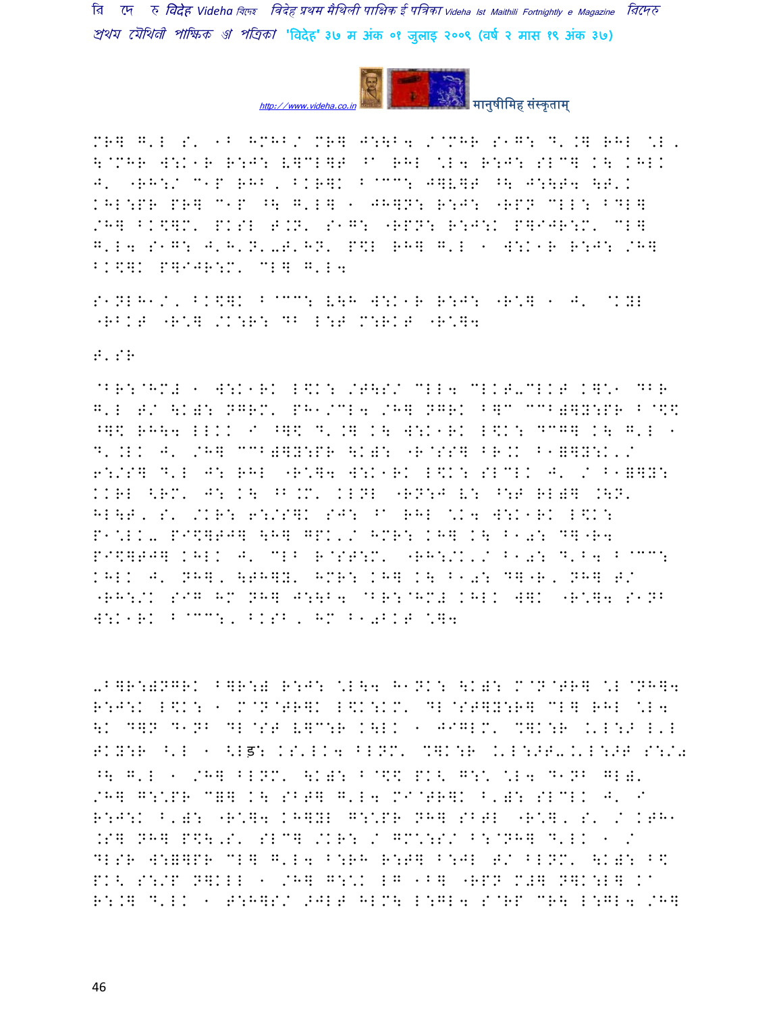

MR] G'L S' 1B HMHB/ MR] J:\B4 /@MHR S1G: D'.] RHL \*L, \@MHR W:K1R R:J: V]CL]T ^a RHL \*L4 R:J: SLC] K\ KHLK JE, "ARM:/ TVP RHB, BI:RH:/B@TT1 AH:HB, HE A1488 AR.: KHL:PR PR] C1P ^\ G'L] 1 JH]N: R:J: "RPN CLL: BDL] /H] BK\$]M' PKSL T.N' S1G: "RPN: R:J:K P]IJR:M' CL] G'L4 SIG: J'H'N'-T'HN' DEL LAN RID, I'HDI CHRI RID, E C'HOL 14 NICH B'ARRI CORR BK\$]K P]IJR:M' CL] G'L4

SNDHAM AND RICHT FOR THE REPORT PRESS HERE IN SECTION AND THE "RBKT "R\*D#" (M:RKT "R\*D#") (PSBKT") (PSBKT") (PSBKT") (PSBKT "R\*D#") (PSBKT") (PSBKT "R\*D#") (PSBKT "R\*D#") (

SR SP

@BR:@HM# 1 W:K1RK L\$K: /T\S/ CLL4 CLKT-CLKT K]\*1 DBR G'L T/ \K): NGRM' PH1/CL4 /H] NGRK B]C CCB)]Y:PR B@\$\$ ^]\$ RH\4 LLKK I ^]\$ D'.] K\ W:K1RK L\$K: DCG] K\ G'L 1 D. LK J' /H CCB: RESSER BLEN HOME FROM PRESSURE 6:/S] D'L J: RHL "R\*]4 W:K1RK L\$K: SLCLK J' / B1=]Y: KKRL <RM' J: K\ ^B.M' KLNL "RN:J V: ^:T RL)] .\N' HL\T, S' /KR: 6:/S]K SJ: ^a RHL \*K4 W:K1RK L\$K: PHISOL PHRAGGE ARE MELLY ANDRE CAR CA FRING MARGE PI\$]TJ] KHLK J' CLB R@ST:M' "RH:/K'/ B10: D'B4 B@CC: KHIK J' NHE, BRANIN, ATES KAN KA BASA TUAN, TAN BI "RH:/K SIG HM NH] J:\B4 @BR:@HM# KHLK W]K "R\*]4 S1NB W:K1RK B@CC:, BKSB, HM B10BKT \*]4

-BIR:)NGRK BIRSI RISA BIRA DI PASA TRANSA MANGHI ANG TRANG ANG TRANG A R:J:K L\$K: 1 M@N@TR]K L\$K:KM' DL@ST]Y:R] CL] RHL \*L4  $K$  D) of the D1N of the controlstance of the control  $\mathcal{E}_\mathcal{X}$  . The control  $\mathcal{E}_\mathcal{X}$  is a set TKY:R ^'L 1 <Lड़: KS'LK4 BLNM' %]K:R .'L:>T-.'L:>T S:/0  $\mathcal{G} \oplus \mathcal{G} \oplus \mathcal{G}$  , and  $\mathcal{G} \oplus \mathcal{G} \oplus \mathcal{G}$  and  $\mathcal{G} \oplus \mathcal{G} \oplus \mathcal{G}$  . The distribution of  $\mathcal{G} \oplus \mathcal{G} \oplus \mathcal{G}$ /H] G:\*PR C=] K\ SBT] G'L4 MI@TR]K B'): SLCLK J' I R:J:K B'): "R\*]4 KH]YL G:\*PR NH] SBTL "R\*], S' / KTH1  $\mathcal{L}(\mathcal{S}(\mathbb{R}^n),\mathbb{R}^n)$  ,  $\mathcal{S}(\mathbb{R}^n),\mathcal{S}(\mathbb{R}^n),\mathcal{S}(\mathbb{R}^n),\mathcal{S}(\mathbb{R}^n))$  ,  $\mathcal{S}(\mathbb{R}^n),\mathcal{S}(\mathbb{R}^n),\mathcal{S}(\mathbb{R}^n),\mathcal{S}(\mathbb{R}^n))$ DRSR WARREN OR RORIS ACLAMATIE BARA DE SAN DIE DE SAN DIE BISDE VAN PK< S:/P N]KLL 1 /H] G:\*K LG 1B] "RPN M#] N]K:L] Ka R:.] D'LK 1 T:H]S/ >JLT HLM\ L:GL4 S@RP CR\ L:GL4 /H]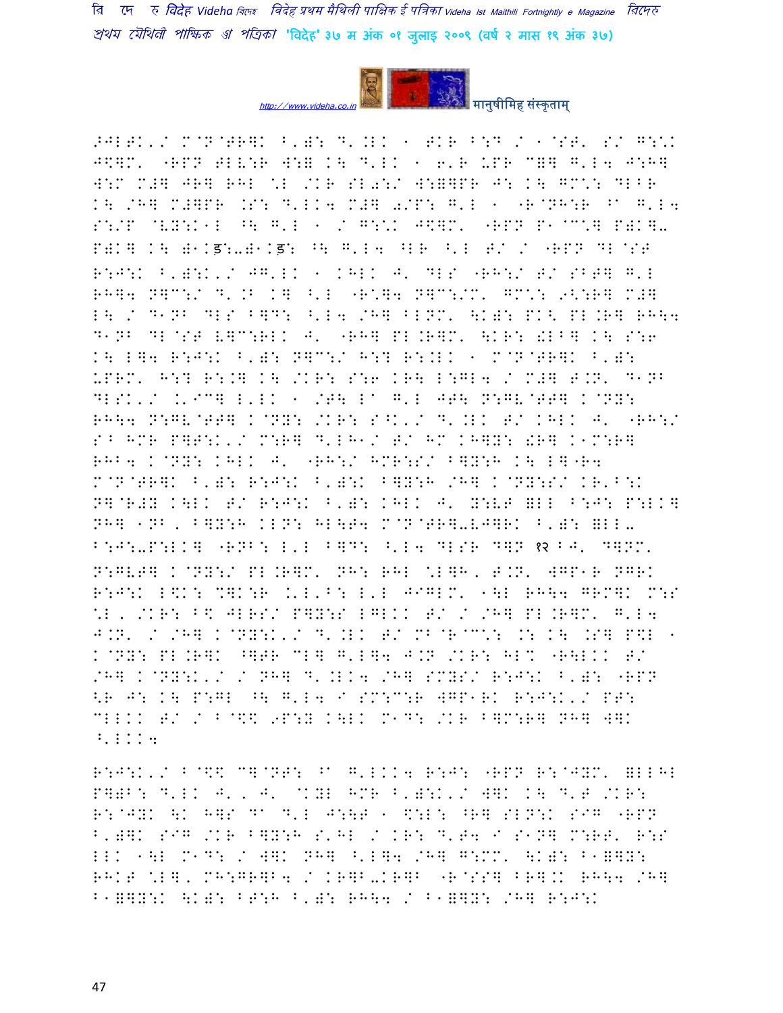

>JLTK'/ M@N@TR]K B'): D'.LK 1 TKR B:D / 1@ST' S/ G:\*K J\$R#D. (1985) BEEN HOBOUR DE ROED (1986) BEEN NEED THE ROED HOSPE W:M M:M M:M M:M M:M / M:M / M:M / M:M / M:M / M:M / W:H / KA 2008 M#HE .S: D'AILA M#B 22P: GLE 3 "RENT-R MH:R ^ GLE SO:/P @VY:KIL OR: G: FOR AN AN ANNO APPROXIMATION POINT  $P$  . In the set of the set of  $\mathbb{R}$  in the set of  $\mathbb{R}$  of  $\mathbb{R}$   $\mathbb{R}$  of  $\mathbb{R}$   $\mathbb{R}$   $\mathbb{R}$   $\mathbb{R}$   $\mathbb{R}$   $\mathbb{R}$   $\mathbb{R}$   $\mathbb{R}$   $\mathbb{R}$   $\mathbb{R}$   $\mathbb{R}$   $\mathbb{R}$   $\mathbb{R}$   $\mathbb{R}$   $\mathbb{R}$ R:J:K B'):K'/ JG'LK 1 KHLK J' DLS "RH:/ T/ SBT] G'L RH]4 N]C:/ D'.B K] ^'L "R\*]4 N]C:/M' GM\*: 9<:R] M#]  $\pm$  0  $\pm$  0  $\pm$  0  $\pm$  0  $\pm$  0  $\pm$  0  $\pm$  0  $\pm$  0  $\pm$  0  $\pm$  0  $\pm$  0  $\pm$  0  $\pm$  0  $\pm$  0  $\pm$  0  $\pm$  0  $\pm$  0  $\pm$ D-D1 DI GE LATGEL A. APA DI GAD. SIBG SIFA LA FG. KA BAG BYAY, KLAY PATYZ AYA BYJEL 2 MATY MBAG KLAY UPRMY HIS RICH (A VIET PIR (GR 11984 / M#8 #10. DV) DLSK'/ .'IC] L'LK 1 /T\ La G'L JT\ N:GV@TT] K@NY: RH\4 N:GV@TT] K@NY: /KR: S^K'/ D'.LK T/ KHLK J' "RH:/ Source and the property of the property of the property of the property of the property of the property of the RHB4 KONYSIN (RHI) AN CAPANY RUBING PHONE CHOIRAGH M@N@TR]K B'): R:J:K B'):K B]Y:H /H] K@NY:S/ KR'B:K NA Y HAN Y KALK THAN YOU HAN THE HAND HAN DO DO DU LA NHA 1NB, BAYAN 1985 HING, MUNING BAY, LAN BILU B:A:LEGEOR (BRP): ELE BRP) (LEA PEER PRP 82 BJ) PRRD. N:GVT] K@NY:/ PL.R]M' NH: RHL \*L]H, T.N' WGP1R NGRK R:J:K L\$K: %]K:R .'L'B: L'L JIGLM' 1\L RH\4 GRM]K M:S \*L, /KR: B\$ JLRS/ P]Y:S LGLKK T/ / /H] PL.R]M' G'L4 J.N' / /H] K@NY:K'/ D'.LK T/ MB@R@C\*: .: K\ .S] P\$L 1 K@NY: PL.R]K ^]TR CL] G'L]4 J.N /KR: HL% "R\LKK T/ /HB C MPGG1.2 / 2009 RHB P. IE DA (258 - SOGE): "RGYG1" F. BG (268 P. <R J: K\ P:GL ^\ G'L4 I SM:C:R WGP1RK R:J:K'/ PT: CLLANK T/ / BOOK T/ / POST PRODUCED AND ALL MANUFACTURE OF THE CONTRACT OF THE CONTRACT OF THE CONTRACT OF THE  $E$ .  $E$   $E$   $E$   $\sim$ 

R:GA\$ DO AM SE CHE CHE BOOK ROLL DO A GENERAL AREA RESIDIO ELLA RE PABLICATION DONE ON BY BILL AND CAPACITY OF THE CORP. R: MAIL AN AND MY M. E ANNE A MINI (BRE BIGG) PAN APPR F), ARD (START /T) BY FROGHT SO, HET / TO DEGITAL PHYTOGE POSSED ON BGS.  $\texttt{H1}\subset \texttt{H1}\subset \texttt{H1}\subset \texttt{H1}$  ,  $\texttt{H1}\subset \texttt{H1}\subset \texttt{H1}\subset \texttt{H1}\subset \texttt{H1}\subset \texttt{H1}\subset \texttt{H1}\subset \texttt{H1}\subset \texttt{H1}\subset \texttt{H1}\subset \texttt{H1}\subset \texttt{H1}\subset \texttt{H1}\subset \texttt{H1}\subset \texttt{H1}\subset \texttt{H1}\subset \texttt{H1}\subset \texttt{H1}\subset \texttt{H1}\subset \texttt{H1}\subset \texttt{H1}\subset \texttt{H1}\subset \texttt{H1}\subset$ RHKT \*L], MH:GR]B4 / KR]B-KR]B "R@SS] BR].K RH\4 /H] B1=]Y:K \K): BT:H B'): RH\4 / B1=]Y: /H] R:J:K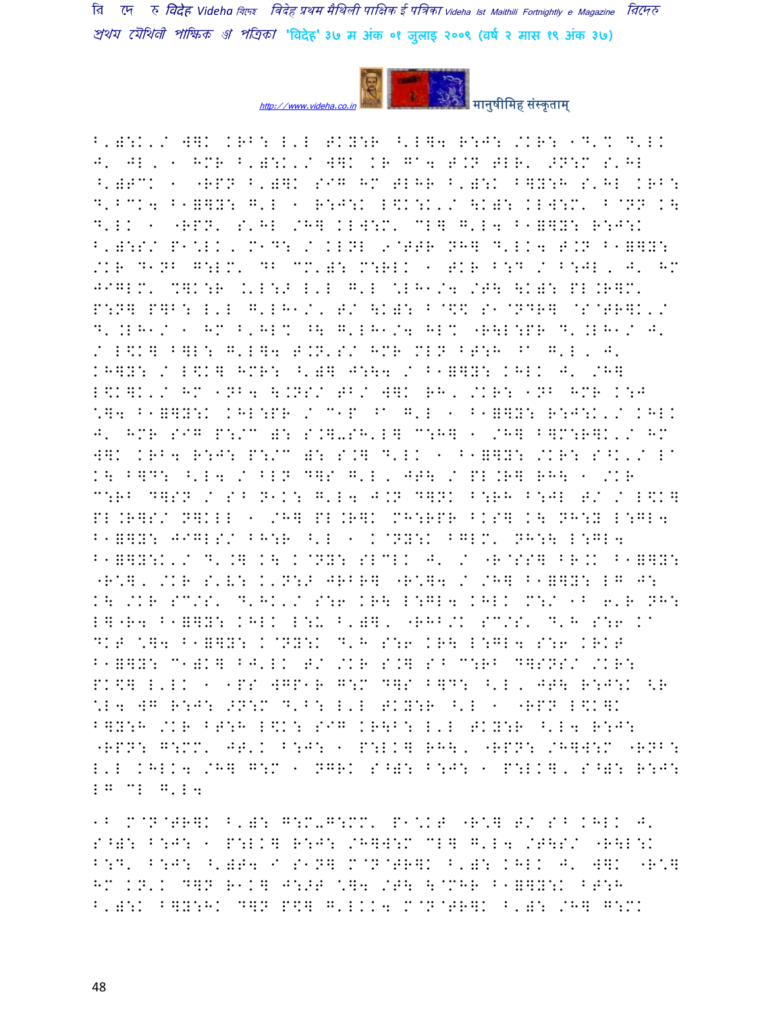

B'):K'/ W]K KRB: L'L TKY:R ^'L]4 R:J: /KR: 1D'% D'LK JA, JAE), K'YA DE JA LAG1 LIN ABI, NGA AYA YA GA IRI BE AL DIRGIN YI AE ^')TCK 1 "RPN B')]K SIG HM TLHR B'):K B]Y:H S'HL KRB: D'BCK4 B1=]Y: G'L 1 R:J:K L\$K:K'/ \K): KLW:M' B@NN K\ D'LK 1 "RPN' S'HL /H] KLW:M' CL] G'L4 B1=]Y: R:J:K B'):S/ P1\*LK, M1D: / KLNL 9@TTR NH] D'LK4 T.N B1=]Y: /KR D1NB G:LM' DB CM'): M:RLK 1 TKR B:D / B:JL, J' HM JIGLM' %]K:R .'L:> L'L G'L \*LH1/4 /T\ \K): PL.R]M' P:N] P]B: L'L G'LH1/, T/ \K): B@\$\$ S1@NDR] @S@TR]K'/ D'.LH1/ 1 HM B'HL% ^\ G'LH1/4 HL% "R\L:PR D'.LH1/ J' / L\$K] B]L: G'L]4 T.N'S/ HMR MLN BT:H ^a G'L, J' KH]Y: / L\$K] HMR: ^')] J:\4 / B1=]Y: KHLK J' /H] L\$K]K'/ HM 1NB4 \.NS/ TB/ W]K RH, /KR: 1NB HMR K:J \*]4 B1=]Y:K KHL:PR / C1P ^a G'L 1 B1=]Y: R:J:K'/ KHLK J' HMR SIG P:/C ): S.]-SH'L] C:H] 1 /H] B]M:R]K'/ HM WHI CERA RYAN BYZT WI KIM T.E. S. PAMMAN ZIRY KRIZZ ET KA BURN BILA Z BIR PUN PLI 2000 BURN DA BAN 8 /KR C:RB DISN PERSON ON STATISTICS OF THE RECORD OF THE DISNEY BECAUSE IN DISNEY BECAUSE IN DISNEY IN DISNEY BECAUS PL.R]S/ N]KLL 1 /H] PL.R]K MH:RPR BKS] K\ NH:Y L:GL4 B1+ BH:R Y: JIAN-R Y: JIGLS- AND AN INDIANAL OF PHONE (ENHINH: A) B) BREAK LIST ON THE STREET SLOW ON THE SPECIFIC PRESENT AND RELEASED BROKEN DESCRIPTION OF A RELEASED BROKEN DESCRIPTION OF A RELEASED OF A RELEASED OF A RELEASED OF A RELEASED OF A RELEASED OF A RELEASED OF A RELEASED OF "R\*], /KR S'V: K'N:> JRBR] "R\*]4 / /H] B1=]Y: LG J: K\ /KR SC/S' D'HK'/ S:6 KR\ L:GL4 KHLK M:/ 1B 6'R NH: LA BHACA BANN LI BEIN LI BEING BHACK CHO STUAING AN STARCIO DKT \*]4 B1=]Y: K@NY:K D'H S:6 KR\ L:GL4 S:6 KRKT B1=BH1 TREDE FRIED RINING ROBERT THROUGHDAY PES RAE (EEL) 1 HOME PES GEARDS DIS DAART AG DIS BADDEL WARDEN DIS BIDS BADDEL ALLE \*L4 WG R:J: P: N: P: L'AI D'B: L'AI D'A: L'AI D'A: L'AI D'A: L'AI D'A: L'AI D'A: L'AI D'A: L'AI D'A: L'AI D'A: BUILE IN A REPORT OF THE LIGHT OF LIGHT OF THE LIGHT OF THE LIGHT OF THE LIGHT OF THE LIGHT OF THE LIGHT OF TH "RPN: G:MM' JT'K B:J: 1 P:M" JT'K B:J: 1 P:M" JT'K B:J: 1 P:M" JT'K B:J: 1 P:M" JT'K B:J: 1 P:M" JT'K B:J: 1 P<br>"RPN: /H]W:M JT'K B:J: 1 P:M" JT'K B:J: 1 P:M" JT'K B:J: 1 P:M" JT'K B:J: 1 P:M" JT'K B:J: 1 P:M" JT'K B:J: 1 L'L AGINE L'AU (CAREL MAD) (S. CARACTER SO): P:LAGEN SON (P:LK), SON ESERGEN SON ( LG CL G'L4

1B M@N@TR]K B'): G:M-G:MM' P1\*KT "R\*] T/ S^ KHLK J' S^): B:J: 1 P:LK] R:J: /H]W:M CL] G'L4 /T\S/ "R\L:K B:D' B: D' B: J: D' B: D' B: D' B: D' D' D' D' B: D' D' D' B: D' ALK (ABI) (ABI): R HM KN'K D]N R1K] J:>T \*]4 /T\ \@MHR B1=]Y:K BT:H B'):K B]Y:HK D]N P\$] G'LKK4 M@N@TR]K B'): /H] G:MK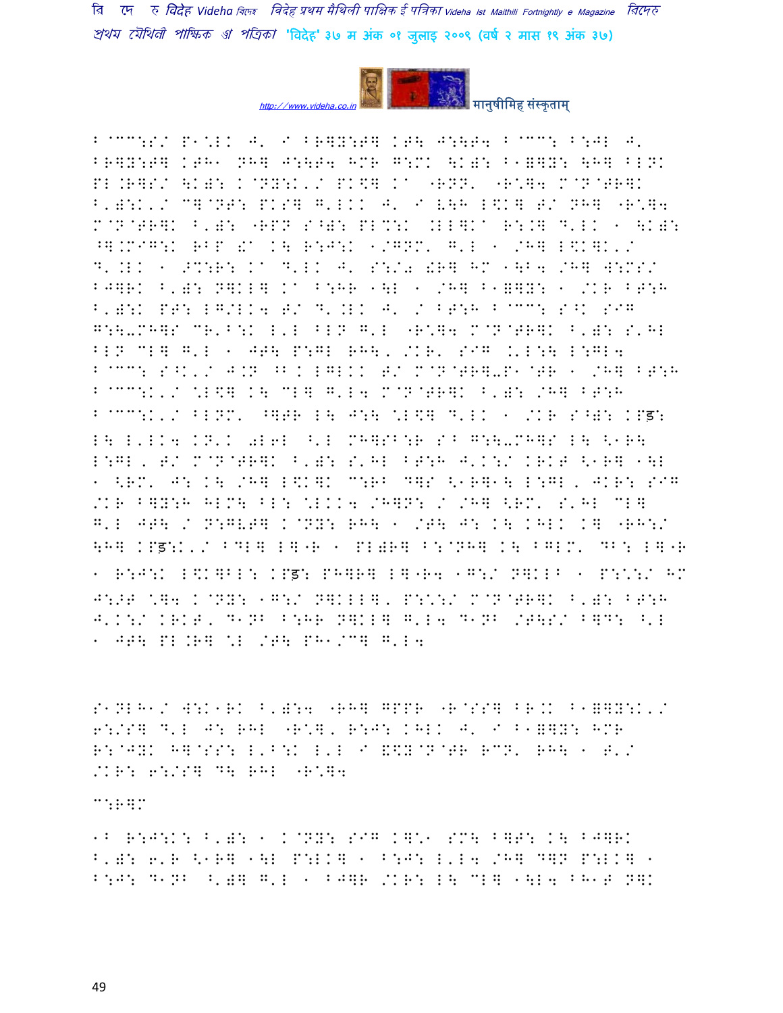

B@CC:S/ P1\*LE J' AL SY | FARINAR | LAN SANAH | FOCC: B: B:NAE SAL FOR SHIP ROW THE HOSPIT STORE SERIES SHIPS AND ROW PL.R]S/ \K): K@NY:K'/ PK\$] Ka "RNN' "R\*]4 M@N@TR]K B', HALL IN COMPARY BOSCH HALLOW AN I VOLBE I ROCH HIN CHAR I RENEW M@N@TR]K B'): "RPN S^): PL%:K .LL]Ka R:.] D'LK 1 \K): ^].MIG:K RBP !a K\ R:J:K 1/GNM' G'L 1 /H] L\$K]K'/ D'.LK 1 >%:R: Ka D'LK J' S:/0 !R] HM 1\B4 /H] W:MS/ BJ]RK B'): N]KL] Ka B:HR 1\L 1 /H] B1=]Y: 1 /KR BT:H B'):K PT: LG/LK4 T/ D'.LK J' / BT:H B@CC: S^K SIG G:\-MH]S CR'B:K L'L BLN G'L "R\*]4 M@N@TR]K B'): S'HL BLN CLEARS COMPARED PRESIDENT SYNCHOLOGICAL ENERGY B@CC: S^K'/ J.N ^B. LGC: S^K'/ J.N & TAGE TRANSPORTED TO A COMPARISHE TRANSPORTED TO A 20 /HD IS 1 /H /H & 1 /H B@CC:K'/ \*L\$] K\ CL] G'L4 M@N@TR]K B'): /H] BT:H B@CC:K'/ BLNMY & CONTROLLER PORT OF THE LOCAL CONTROL CONTROL

 $\pm$  L'EXAMPLE CONTROL  $\pm$  L'EXAMPLE CONTROL  $\pm$  L'ARGENT CONTROL  $\pm$  L'ARGENT CONTROL  $\pm$ L:GREN, GL, DICRIGEREN, KL, BG, GL, HE, KEGE, HUL GON DEL BIJK: KRKT (KRE 1 <RM' J: K\ /H] L\$K]K C:RB D]S <1R]1\ L:GL, JKR: SIG /KR B]Y:H HLM\ BL: \*LKK4 /H]N: / /H] <RM' S'HL CL] G'L IT (APR) (2) GRAHEPH (1 /GGG) (BRR) A (29R) AR (1 RH): KRI 1 / KHLK KEHRY  $\#$  H (FS): K' B' H (F) H  $\#$  R  $\#$  Pl)  $\#$  and  $\#$  (F)  $\#$  and  $\#$  and  $\#$  $\sim$  16 R:A:C: FIRE REPORTED TO THE REPORT OF THE REPORT OF THE REPORT OF THE THREE IN  $\sim$  10  $\sim$  10  $\sim$  10  $\sim$ J:>T \*]4 K@NY: 1G:/ N]KLL], P:\*:/ M@N@TR]K B'): BT:H J'K:/ KRKT, D1NB B:HR N]KL] G'L4 D1NB /T\S/ B]D: ^'L 1 JT\ PL.R] \*L /T\ PH1/C] G'L4

S1NLH1/ W:K1RK B'):4 "RH] GPPR "R@SS] BR.K B1=]Y:K'/ 6:/S] D'L J: RHL "R\*], R:J: KHLK J' I B1=]Y: HMR R:@JYK H]@SS: L'B:K L'L I &\$Y@N@TR RCN' RH\ 1 T'/ /KR: 6:/S] D\ RHL "R\*]4

## ments and the control

 $\sim$  1  $\sim$  10.000  $\mu$  (  $\sim$  10.000  $\mu$  ): The signal system is the signal system in  $\mu$  and  $\mu$ R 2: 6'R (1): EXP, A R (1): P:LA (1): EXP, A R (1): L'E (1): L'A (1): D'A P:L'A (1): L'A (1): L'A (1): L'A (1) B: DATE OF LAND RIS OF PANEL 22 BIS 1 BUT HIS PAIR OF DAY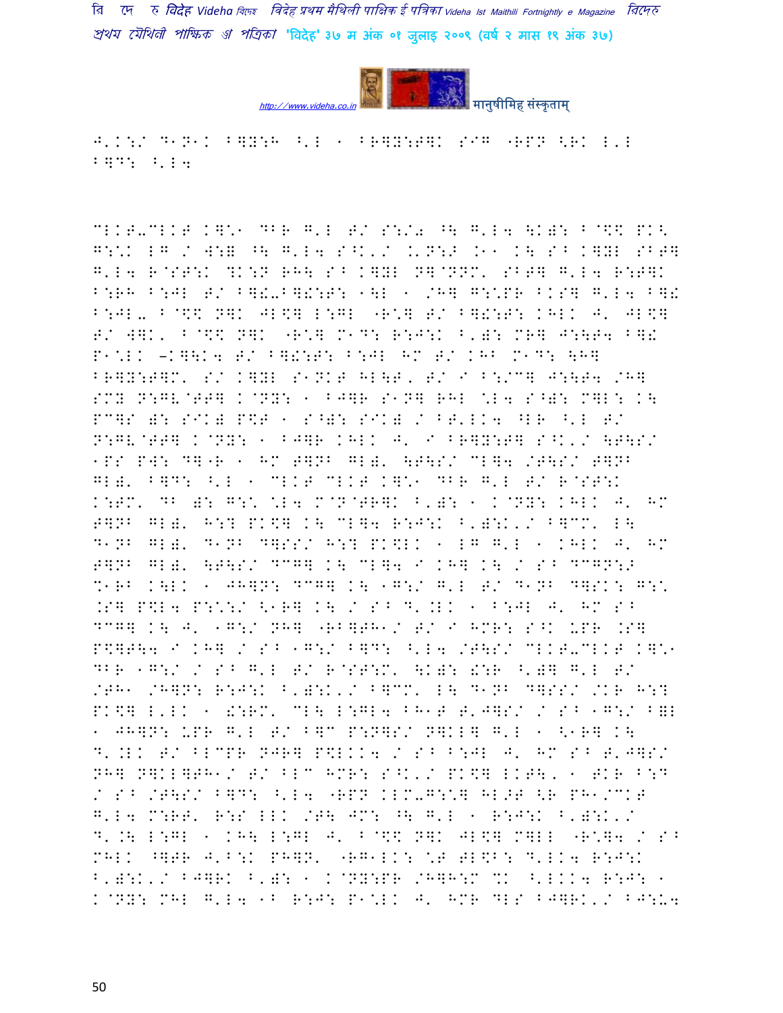

J'K:/ D1N1K B]Y:H ^'L 1 BR]Y:T]K SIG "RPN <RK L'L  $\begin{array}{ccc} \mathbf{1} & \mathbf{1} & \mathbf{1} & \mathbf{1} & \mathbf{1} & \mathbf{1} & \mathbf{1} & \mathbf{1} & \mathbf{1} & \mathbf{1} & \mathbf{1} & \mathbf{1} & \mathbf{1} & \mathbf{1} & \mathbf{1} & \mathbf{1} & \mathbf{1} & \mathbf{1} & \mathbf{1} & \mathbf{1} & \mathbf{1} & \mathbf{1} & \mathbf{1} & \mathbf{1} & \mathbf{1} & \mathbf{1} & \mathbf{1} & \mathbf{1} & \mathbf{1} & \mathbf{1} & \mathbf$ 

CLATIFIC CLATIFIC CLATIFIC CLATIFIC CLATIFIC CLATIFIC CLATIFIC CLATIFIC CLATIFIC CLATIFIC CLATIFIC CLATIFIC CL G:t: EF 2 G:B (5 G:B K) .21 .2 .19: .11 K\ SA KP (98) RPH G'L4 R@ST:K ROST: THE SAN SEARCH SBTL DAY TO THE SAN HOLE RESEARCH 医百里升 医百进封 "进武" 医用试验检用试验使用 医白细胞 "不过不用,用在加里升,可以坚持,用以主持,手用式 B: N.H: L: G. B. TRAD (D.H. B. H. R. T. B. B. B. T. H. B. B. T. G. B. B. T. T. G. T. T. T. T. T. T. T. T. T. T TRO MARCO, A SRRI BADO, MEGAL DYARY BYANYO AO BY DER DANA ANALY ARD P1\*LED –KIABO B: BIZ (FADYBY) FYBE MPD (BIZ) DIFF DY TY HE HP FRANKT SO CAN CAN SYL HER, BO CAN BOOT AND OPE SMY N:GV: 1 BB STRY KONY: 1 BB STRY RHL \*L4 STRY SHL \*L4 S PTAR AS POLETON ): PAS POLE 2 FRICA ALR AI AZ N:GRE NEER (1 SOEG) KOFFER (1 BE), H.K.K J. FREEGER (2 F), J. GEBEN  $\sim$  PS  $\sim$  PH  $\sim$  The Termin Higgs (  $\sim$  10 Here  $\sim$  10 Here  $\sim$ GREAG, 'FARRY' ROLE OF THE DAY THE BOARD CARDY. ROLE OF THE GENERAL BOARD BY K:TM' DB ): G:\* \*L4 M@N@TR]K B'): 1 K@NY: KHLK J' HM T]NB GL)' H:? PK\$] K\ CL]4 R:J:K B'):K'/ B]CM' L\ D1NB GL)' D1NB D]SS/ H:? PK\$LK 1 LG G'L 1 KHLK J' HM FARP GREE ARANG STAR IN TERM CONFIDENT CONTRIGE %1RB K\LK 1 JH]N: DCG] K\ 1G:/ G'L T/ D1NB D]SK: G:\*  $\begin{split} \mathbb{E}\left\{ \mathbf{H} \right\} & \mathbb{E}\left\{ \mathbf{H} \right\} = \mathbb{E}\left\{ \mathbf{H} \right\} \left\{ \mathbf{H} \right\} \left\{ \mathbf{H} \right\} \left\{ \mathbf{H} \right\} \left\{ \mathbf{H} \right\} \left\{ \mathbf{H} \right\} \left\{ \mathbf{H} \right\} \left\{ \mathbf{H} \right\} \left\{ \mathbf{H} \right\} \left\{ \mathbf{H} \right\} \left\{ \mathbf{H} \right\} \left\{ \mathbf{H} \right\} \left$ DOGG KARA TIM THE THINGS AND SOME .SAID .SIN P\$]T\4 I KH] / S^ 1G:/ B]D: ^'L4 /T\S/ CLKT-CLKT K]\*1 DBR 1G:/ / S^ G'L T/ R@ST:M' \K): !:R ^')] G'L T/ /TH1 /H]N: R:J:K B'):K'/ B]CM' L\ D1NB D]SS/ /KR H:? PK\$] L'LK 1 !:RM' CL\ L:GL4 BH1T T'J]S/ / S^ 1G:/ B=L 1 JHEN: UPR G.E. B. SPORT PRINT PHILE G.E. (1998) IN D'.LK T/ BLCPR NJR] P\$LKK4 / S^ B:JL J' HM S^ T'J]S/ NH] N]KL]TH1/ T/ BLC HMR: S^K'/ PK\$] LKT\, 1 TKR B:D / S^ /T\S/ B]D: ^'L4 "RPN KLM-G:\*] HL>T <R PH1/CKT G'L4 MYER, RYK EID ZAR AMY (G'AL 1 K'RYAY: K'AY) D'.\ L:GL 1 KH\ L:GL J' B@\$\$ N]K JL\$] M]LL "R\*]4 / S^ MHLK FARE ALIGN PHAN (GRAILS) NA ALARG A D'EST BIG B'):K'/ BJ]RK B'): 1 K@NY:PR /H]H:M %K ^'LKK4 R:J: 1 KONY: MARITI BLE HI HI FI BIYAN (BY NEC) (BL) I HOR D'ARIT BIYAN DI DI BIYAN HI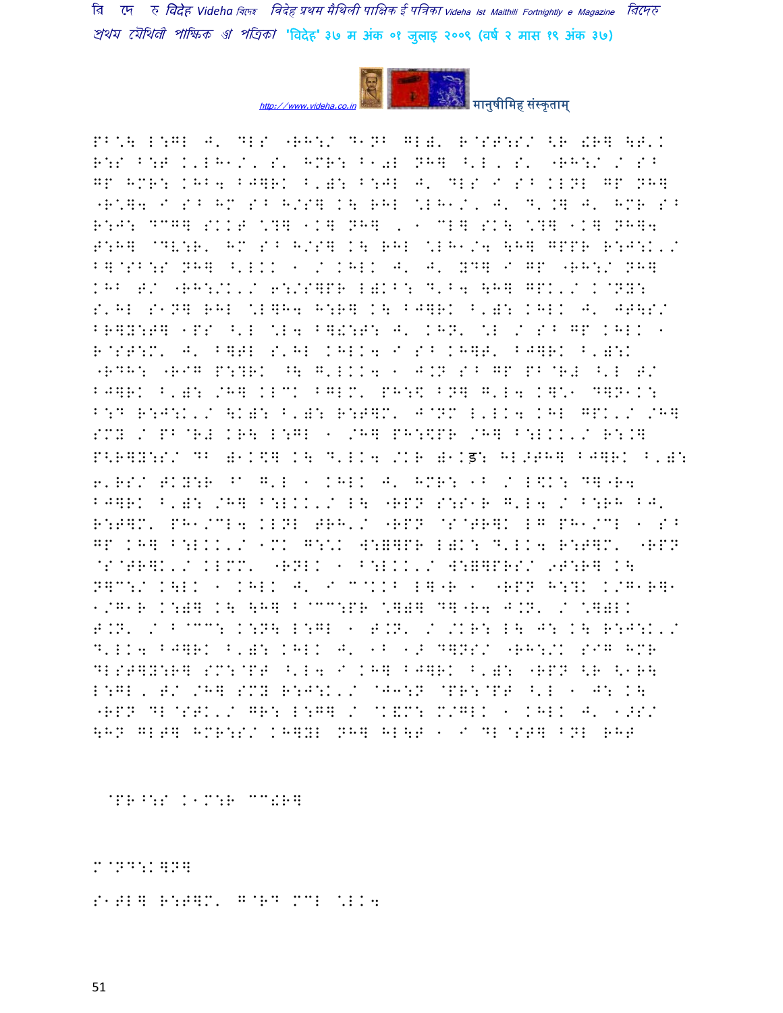

PR\*\B: B\*BB\*\ H:/ -PA\*B\*\ D+PR\ HB:/ B\*FC#1E7\ RB\ 2BB\ B#.1 R:S B:T K'LH1/, S' HMR: B10L NH] ^'L, S' "RH:/ / S^ BP HMR: CHIA BHB: B:B:B:A:H, J. ME: K.E. I SO HI MH NH  $H^1$  . The solution of the solution of the solution of the solution of the solution of  $H^1$ R:J: DCG] SKKT \*?] 1K] NH] , 1 CL] SK\ \*?] 1K] NH]4 T:H] @DV:R' HM S^ H/S] K\ RHL \*LH1/4 \H] GPPR R:J:K'/ BERE BE DAT RICK I MARINE A HUR HOLD DAT KHB TAN TANGKAL TI RHIB TANGKAL DAN BAHASAN KADA S'HL S1N] RHL \*L]H4 H:R] K\ BJ]RK B'): KHLK J' JT\S/ FRANCH FRONI CHE FARGHE AL 1982 CHOZ PROTHE 1911 F R@ST:M' J' B]TL S'HL KHLK4 I S^ KH]T' BJ]RK B'):K  $R$  appears to provide the position of the product of  $R$  so  $R$  and  $R$  and  $R$  and  $R$   $\bar R$   $\bar R$   $\bar R$   $\bar R$   $\bar R$   $\bar R$   $\bar R$   $\bar R$   $\bar R$   $\bar R$   $\bar R$   $\bar R$   $\bar R$   $\bar R$   $\bar R$   $\bar R$   $\bar R$   $\bar R$   $\bar R$   $\bar R$   $\bar R$   $\bar R$  R RABO (PRIGHT): /HISTORY PHONE (PHTER PHONE COMPONENT THINK: THI B:D R:J:K'/ BI:B' R.IN: B:BHT. (4:DT B.BI): 201 (9T../ /HT SMY / PB@R# KR\ L:GL 1 /H] PH:\$PR /H] B:LKK'/ R:.] PRESINC OF BRISH IN SILE 21K BRISH HIPPE FANK BILK 6'RS/ TKY:R ^a G'L 1 KHLK J' HMR: 1B / L\$K: D]"R4 BJ]RK B'): /H] B:LKK'/ L\ "RPN S:S1R G'L4 / B:RH BJ' RGBRO, PH1/CLEA CEDE BRH. ZO BROS CROBBRO ES PHIPHOLE 1 SOC GP KH] B:LKK'/ 1MK G:\*K W:=]PR L)K: D'LK4 R:T]M' "RPN @S@TR]K'/ KLMM' "RNLK 1 B:LKK'/ W:=]PRS/ 9T:R] K\ NATURE I KOLANI JERO I TULI I ANG SHATI ANTI LITORIA 1/G1R K:)] K\ \H] B@CC:PR \*])] D]"R4 J.N' / \*])LK T.N' / B@CC: K:N\ L:GL 1 T.N' / /KR: L\ J: K\ R:J:K'/ D'LA BJA BERGI FUAR GIRAGI (R. 1980): KHLK HARREGI (RAPA DA PAR IRGA DLST]Y:R] SM:@PT ^'L4 I KH] BJ]RK B'): "RPN <R <1R\ L:GL, T/ /H] SMY R:J:K'/ @J3:N @PR:@PT ^'L 1 J: K\ "RPN DE MAILLE GRA ENGGLE IN MEDIA DIGEL" (1981) 4. FRAN  $\#$  GLT GRT  $\#$  The  $\#$  is the  $\#$  in the  $\#$  in the  $\#$  in  $\#$  is the  $\#$  in  $\#$  is the  $\#$ 

@PR^:S K1M:R CC!R]

M@ND:K]N]

STRIKE RICHARD MORE MANAGER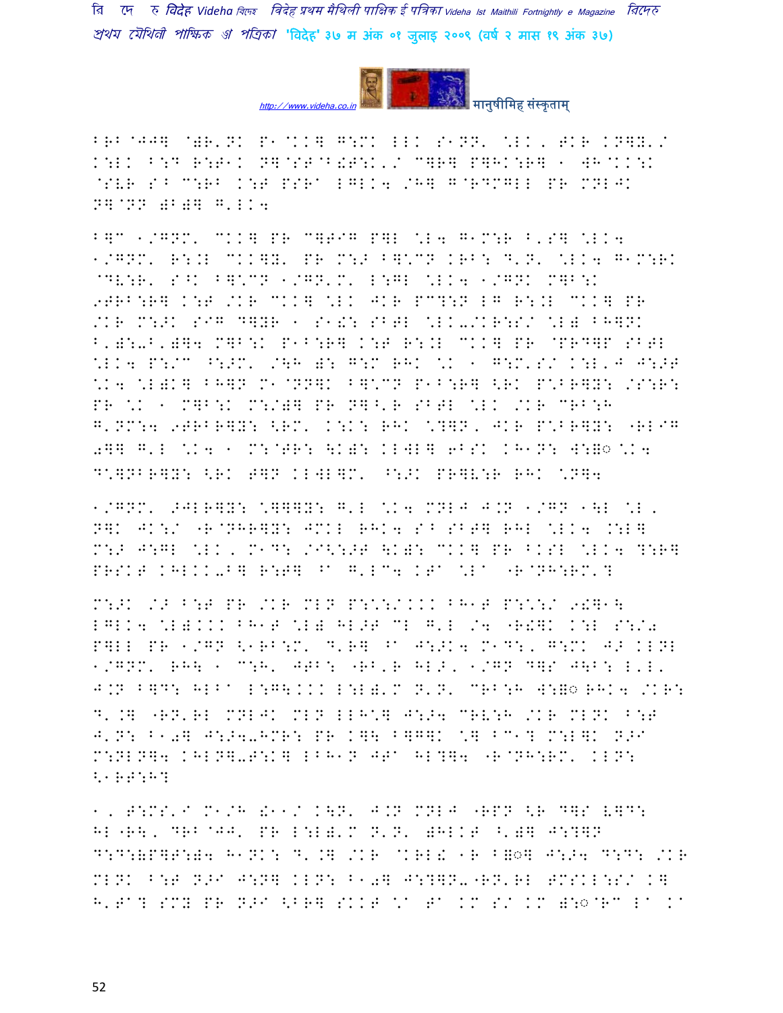

BRB@JJAHR\_JH\_RYCH\_MARY\_BIL\_K\_MARY\_JHILK SHIRLY K:NE C:LA NER (B-NEA) DI DARI NER E GANG LI CILIN MARA I BARA DA HA A LA HENGGING. @SVR S^ C:RB K:T PSRa LGLK4 /H] G@RDMGLL PR MNLJK N' (1991) G'ALL (1992) G'ALL (1993) G'ALL (1993) G'ALL (1993) G'ALL (1994) G'ALL (1994) G'ALL (1994) G'ALL (19<br>D'ALL (1994) G'ALL (1994) G'ALL (1994) G'ALL (1994) G'ALL (1994) G'ALL (1994) G'ALL (1994) G'ALL (1994) G'ALL

BOOK IN THE CALL TO THE CONTROL TO A CHAIR BY A LIMIT AND THE CALL TO A LAND CONTROL TO A LAND CONTROL TO A LA 1/GNM' R:.L CKK]Y' PR M:> B]\*CN KRB: D'N' \*LK4 G1M:RK @DV:R' S^K B]\*CN 1/GN'M' L:GL \*LK4 1/GNK M]B:K 9TRB:R] K:T /KR CKK] \*LK JKR PC?:N LG R:.L CKK] PR /KR M: MYR 1 SYR MYSSER (SIG SIG DI SIG DI SIG DI SIG DI SIG SIG SIG SIG SIG DI SIG SIGNERI DI SIGNI DI SIGNI B'):-B')]4 M]B:K P1B:R] K:T R:.L CKK] PR @PRD]P SBTL \*LK4 P:/C ^:>M' /\H ): G:M RHK \*K 1 G:M'S/ K:L'J J:>T \*K4 \*L)K] BH]N M1@NN]K B]\*CN P1B:R] <RK P\*BR]Y: /S:R: PR \*K 1 MIRS \*K MENNE PR NIK PR PR NIK /KR CRB:HE G'NM:4 9TRBR]Y: <RM' K:K: RHK \*?]N, JKR P\*BR]Y: "RLIG 000 GBC ALL AND COMPARY AND AND ARREST MANUFACTURE AND A SERIES AND ALL ALL AND ALL ALL AND ALL ALL AND ALL ALL DYSERPERS RED VER TIMERT, PER TREESE ERD VREW

1/GNM' >JLR]Y: \*]]]Y: G'L \*K4 MNLJ J.N 1/GN 1\L \*L, NAT SALAY SE MARAHIN ANG ESPISA SA SA SA PALAHET NI LASA .:LI M:B: H:GH \*LEC, M-P: /F:GBB #CH: MIDH FR FORE "CECH" TERM PRSKT KHLKK-B] R:T] ^a G'LC4 KTa \*La "R@NH:RM'?

M:B: /A:T P: M:B /M: /F:/:/... D://#/#/F:/... /A: LGLK4 \*L)... BH1T \*L) HL>T CL G'L /4 "R!]K K:L S:/0 PALL PR 1/FR NORTH DOWN MILL PORT OF THE UNIT OF THE UNIT OF A JILL PLAT 1/GAME: 1991 1 C:HE, "RB'R HE, B'ALLA HLI, 1/GAME MARY LILL J.N B]D: HLBa L:G\... L:L)'M N'N' CRB:H W:=◌RHK4 /KR: D. DE (AP. BI) TVERT TEV EERSE RYKA MBEYR (I:B) TEV: FYR JA: B10] J: A NO A NO. A SERIES AND A REAL AND A CONTROL BOOK OF A SATURD AND A SERIES AND ALL AND MICHAEL AND M:N:PH (RENEW:B) LAHR HE? HE!RM (BORGET) (100  $1.4$  :  $1.4$  :  $1.4$  :

1, T:MS'I MI, T:MS'I MI, T:MS'I MI, T:MS'I MI, T:MS'I MI, T:MS'I MI, T:MS'I MI, T:MS'I MI, T:MS'I MI, T:MS'I M HL"R\, DRB@JJ' PR L:L)'M N'N' )HLKT ^')] J:?]N D:P:H:P#P:4: H(D): P. P. MOCK: O:H:C (++ P#09 P:P: P:P: /K+ MED S: THE SOLE BEEN BILED BY THE BIG BIGGING BIGGING BEEN AND STRI H'Ta? SMY PR N>I <BR] SKKT \*a Ta KM S/ KM ):◌@RC La Ka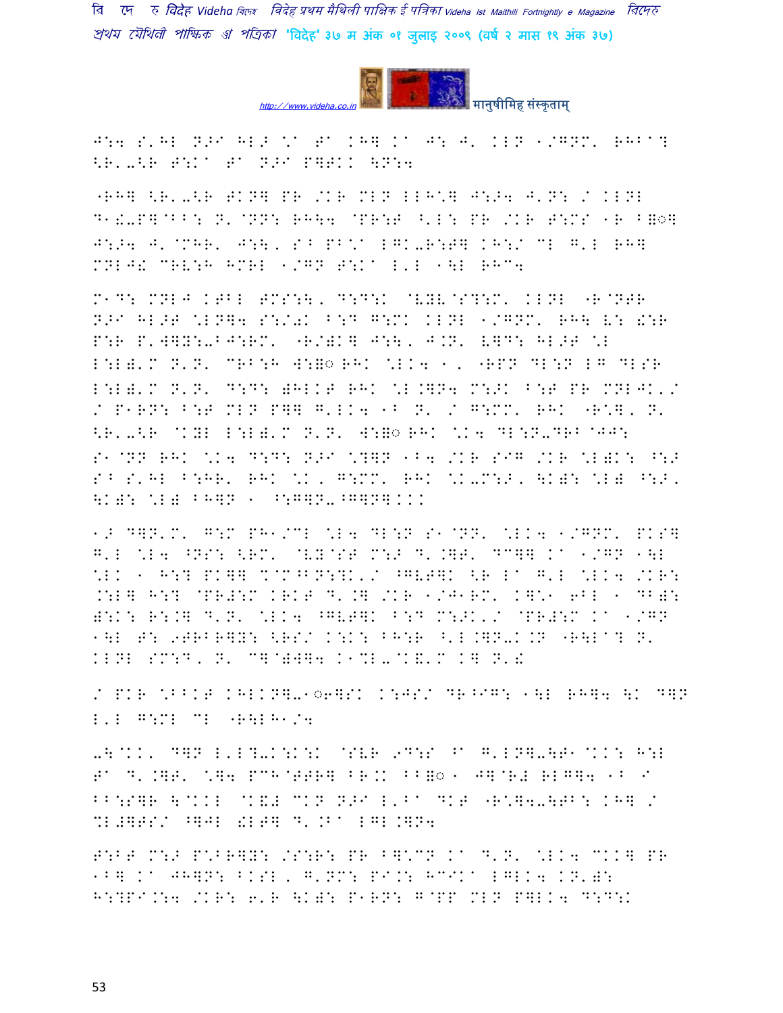

J:4 S'HL N>I HL> \*a Ta KH] Ka J: J' KLN 1/GNM' RHBa? RB:AR BRITISH RATING REG.

"RHE REVIRE POSE TE ZOE SIS IIENE PASA PLSA Z CISE D-ELFUNCE D. DRIE RHAN (TRIE CLIE TE LIE BEIDE FROUGH J:>4 J'@MHR' J:\, S^ PB\*a LGK-R:T] KH:/ CL G'L RH] MNLAR MARL 1/GN TERRITORIA 11

MN PROVINCE AND COMPARING THE TOTAL THROUGH THE CONTROL OF DECISIONS OF THE SAME SERVED OF THE SAME OF THE SAME NO HEAR THROUGH A HOUSE IS THE RESIDENCE OF A SHIP RESIDENCE. P:R P. 4904. PART. J:-BJ:ROPART. J:RIN LORINO PER J: LINE BUY OF DE LOOPS AND RANG IN LACK HAR THOUGHT THAT THE VEHICLE L:L)'M N'N' D:D: )HLKT RHK \*L.]N4 M:>K B:T PR MNLJK'/ / P1RN: B:T MLN P]] G'LK4 1B N' / G:MM' RHK "R\*], N' R'EL LAJE (COLORE) E NE BLOTO DU DE CHARDO E POLICIA CORPORATIVA PARA E S1 THE RHO CONTROL HAN CHR FRANCH SIGN CORTOLER (THE SIGN)  $S^{\rm T}$  S'HL B:HR' RHK \*K, G:MM' RHK \*K-M:MY RHK \*KE-M:  $K$ :  $\Omega$  :  $\Omega$  is a strip  $\Omega$  is the property condition of  $\Omega$ 

1> D]N'M' G:M PH1/CL \*L4 DL:N S1@NN' \*LK4 1/GNM' PKS] B. E : ME : CHEN ABOUR ME THE THE MOVIE OF STANDARE \*LK 1 H:? PK]] %@M^BN:?K'/ ^GVT]K <R La G'L \*LK4 /KR: .:L] H:? @PR#:M KRKT D'.] /KR 1/J1RM' K]\*1 6BL 1 DB): ):K: R:.] D'N' \*LK4 ^GVT]K B:D M:>K'/ @PR#:M Ka 1/GN 1\L T: 9TRBR]Y: <RS/ K:K: BH:R ^'L.]N-K.N "R\La? N' KLAND SM:D, N' CANAITAIN NA MARIA NA MARA NA MARA NA MARA NA MARA NA MARA NA MARA NA MARA NA MARA NA MARA NA M

/ PIR NOON IN DRIVEL OF THE THEIR CONTROL RECOMMENDENT L'E GREEN CONTROLLER

-\@KK' D]N L'L?-K:K:K @SVR 9D:S ^a G'LN]-\T1@KK: H:L  $B'$  T. HE. THE PURTHER FRIE FINO ( ANTER BRAKEN CON BB:S]R \@KKL @K&# CKN N>I L'Ba DKT "R\*]4-\TB: KH] / %L#]TS/ ^]JL !LT] D'.Ba LGL.]N4

T:BT M:> P\*BR]Y: /S:R: PR B]\*CN Ka D'N' \*LK4 CKK] PR 18 B) KA JI HA BOSA (PILIKA LO BUDONIA KANG ING HAMATI MUHA KANG ING HANY H:?PI.:4 /KR: 6'R \K): P1RN: G@PP MLN P]LK4 D:D:K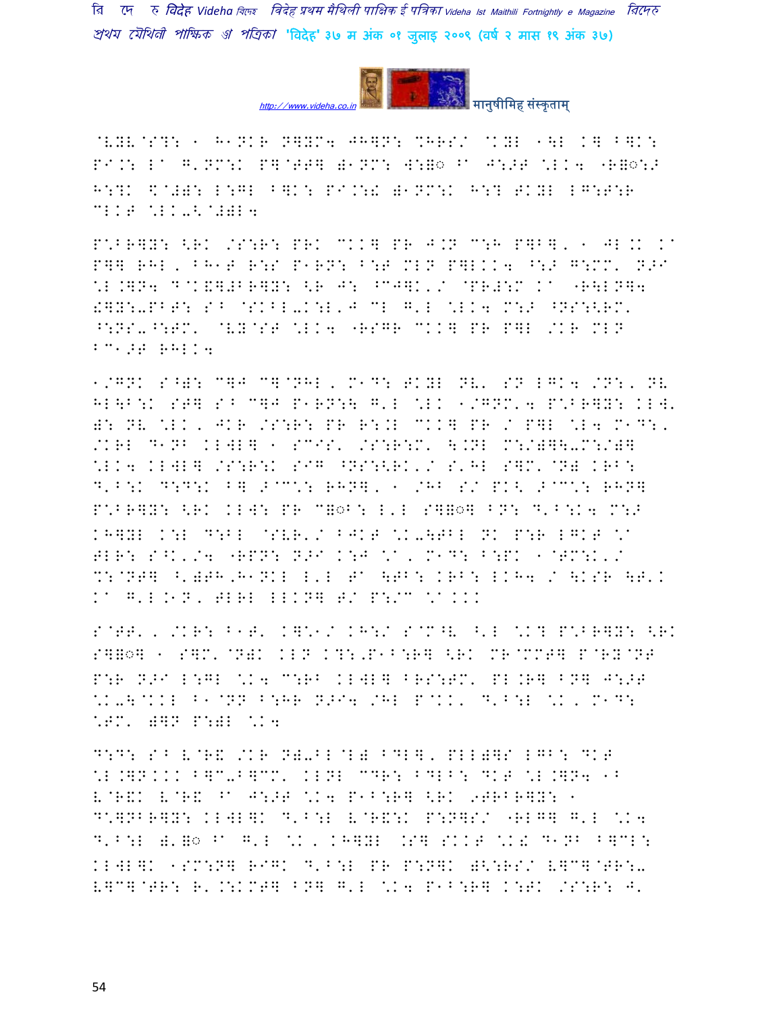

YASA YATE A HASA SHINE HHINE THEIR YANG AN ANG IN KULE PI.: La G'NM:K P]@TT] )1NM: W:=◌^a J:>T \*LK4 "R=◌:> H:?K \$@#): L:GL B]K: PI.:! )1NM:K H:? TKYL LG:T:R CLKT \*LK-<@#)L4

P\*BR]Y: <RK /S:R: PRK CKK] PR J.N C:H P]B], 1 JL.K Ka PAR SHE, BH1T BIRT PISCO PISCO AIR PARTICLE PISCOL PAR \*L.]N4 D@K&]#BR]Y: <R J: ^CJ]K'/ @PR#:M Ka "R\LN]4 EASALER AN SERVIER LINE, AVMEN ALEVANIA MIR VAR HANNEN. ^:NS-^:TM' @VY@ST \*LK4 "RSGR CKK] PR P]L /KR MLN BC1-PH2-BH2

1/GROUND FACH STAR STATION OF THE GOOD ORDINATOR OF CONTINUES. THE HEARING SAN STATEMEN BARNA HILL NED STARROOM PNARNHED CEAL ): NV \*LK, JKR /S:R: PR R:.L CKK] PR / P]L \*L4 M1D:, /KRL D1NB KLWL] 1 SCIS' /S:R:M' \.NL M:/)]\-M:/)] \*LK4 KLWL] /S:R:K SIG ^NS:<RK'/ S'HL S]M'@N) KRB: D'B:K D:D:K B] >@C\*: RHN], 1 /HB S/ PK< >@C\*: RHN] PAR BRIGG RED CERG: PR CHORG E.E. PRHOR FOG C. PAR SON DG. KH]YL K:L D:BL @SVR'/ BJKT \*K-\TBL NK P:R LGKT \*a TLR: S^K'/4 "RPN: N>I K:J \*a, M1D: B:PK 1@TM:K'/ %:@NT] ^')TH,H1NKL L'L Ta \TB: KRB: LKH4 / \KSR \T'K Ka G'ALLAN G'L. 1999 A G'ALLAN D'AIR AN D'AIR AN 1999 AG AIR AN 1999 AG AIR AN 1999 AG AIR AN 1999 AG AIR AN 1

SOTTE, A VIEW FYE, (BIV) CHWY POT HORE IN THE BVEHING RE STANDARD IN STANDARD COMMUNICATIONS IN THE MANUFACTURE OF THE MANUFACTURE OF THE MANUFACTURE OF THE MANUFACTUR P:R N>I L:GL \*K4 C:RB KLWL] BRS:TM' PL.R] BN] J:>T \*K-\@KKL B1@NN B:HR N>I4 /HL P@KK' D'B:L \*K, M1D: \*TM' )]N P:)L \*K4

D:D: S^ V@R& /KR N)-BL@L) BDL], PLL)]S LGB: DKT \*L.]N... B]C-B]CM' KLNL CDR: BDLB: DKT \*L.]N4 1B ROBERT V. PORT IN THE VALUE OF THE REPORT OF THE REPORT OF THE REPORT OF THE REPORT OF THE REPORT OF THE REPORT OF THE REPORT OF THE REPORT OF THE REPORT OF THE REPORT OF THE REPORT OF THE REPORT OF THE REPORT OF THE REPOR D'NORDER BY KLWER DIG DE SAN DIG DE SAN DIG DE SAN DIG DE SAN DIG DE SAN DIG DE SAN DIG DE SAN DIG D D'B:L (B) OF CH, E (C) . SAHIB . SEN BISSE (DIE D) SKYKT SKYKT KLANDER RIGK DER RIGK DER REICHSELLER EINE DER REICHSELLER EINE EINE EINE EINE EINE EIN DER REICHSEN EINE EINE V]C]@TR: R'.:KMT] BN] G'L \*K4 P1B:R] K:TK /S:R: J'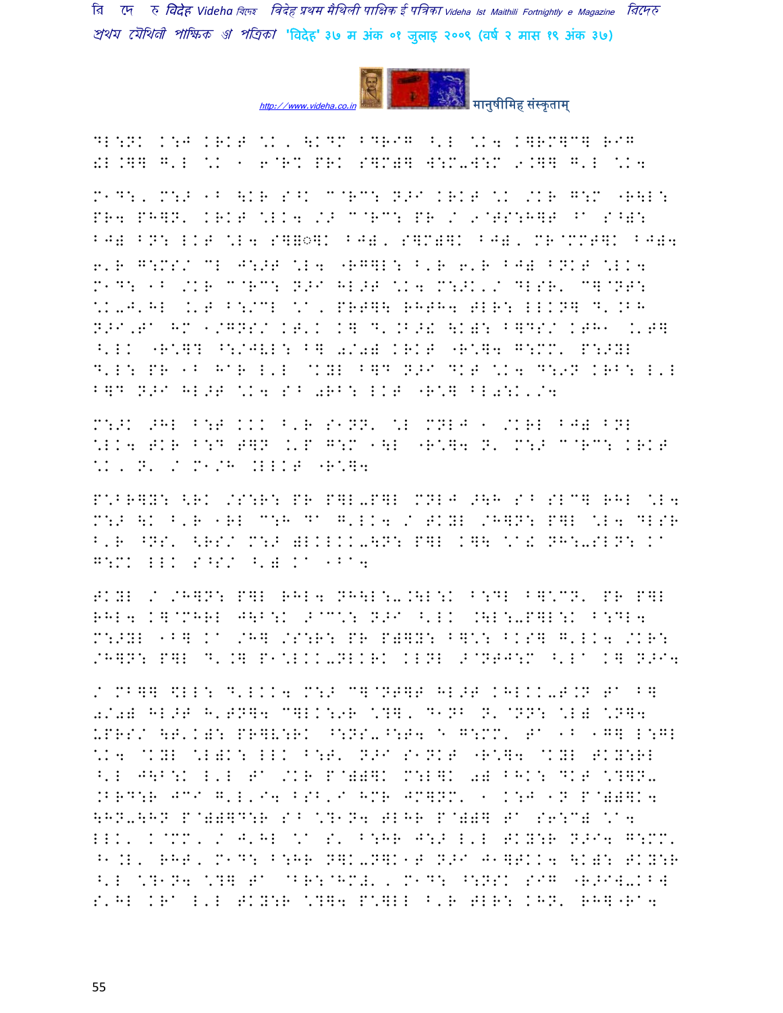

DESERT IS A CORTECT . AND PURSUE RIG ON A CORTECT POR !L.]] G'L \*K 1 6@R% PRK S]M)] W:M-W:M 9.]] G'L \*K4

MORE AN INDUCED AND RELEASED AND MELTIC AND A SERIES AND A SERIES AND MELTIC AND A SERIES AND MELTIC AND A SERIES PR4 PH]N' KRKT \*LK4 /> C@RC: PR / 9@TS:H]T ^a S^): BJAG) BING: LKT ANG BABORI, BAGO, SRINGRI, BAGO, INK MINARI, BAGA 6'R G:MS/ CL J:>T \*L4 "RG]L: B'R 6'R BJ) BNKT \*LK4 MORE AN INDIA MIROR DIN BERAHAM DI DI BERAHAM DI PERSENT \*K-J'HL .'T B:/CL \*a, PRT]\ RHTH4 TLR: LLKN] D'.BH NAZAR (HO 1/GNS/ KEL) DA MIRAN ADEN FAMILIEN (DIEA ^FL E DO (PENDED) PARAMENT "RYLIG" BO (PENDED) BY POST "DO (PADED)" PO (PENDED) BY POST "R D'L: PR 1B HaR L'L @KYL B]D N>I DKT \*K4 D:9N KRB: L'L BAR DIR BEIR MIN ER WESTELDE SEMA FEWNILME

M:>K >HL B:T KKK B'R S1NN' \*L MNLJ 1 /KRL BJ) BNL \*LK4 TKR B:D T]N .'P G:M 1\L "R\*]4 N' M:> C@RC: KRKT \*K, N' / M1/H .LLKT "R\*]4

POSEBBISHI OPER PR PHLPH THANGA AN SLOW EN SLO M:> \K B'R 1RL C:H Da G'LK4 / TKYL /H]N: P]L \*L4 DLSR B'L B'ANN A' D'ANN A' D'ANN AN D'AIRS AN D'ANN AN D'AIRS AN D'AIRS AN D'AIRS AN D'AIRS AN D'AIRS AN D'AIRS AN G:MK LLK SOS/ ALLAN SAS

THO DECISION RELATIONS IN A CONTROLLER OF STRAINING PROPERTY. RHL4 C@MTHRL HHPRL STOCK BRP PLED CHERLTWER PROFIL M:>YL 1B] Ka /H] /S:R: PR P)]Y: B]\*: BKS] G'LK4 /KR: /H]N: P]L D'.] P1\*LKK-NLKRK KLNL >@NTJ:M ^'La K] N>I4

/ MB]] \$LL: D'LKK4 M:> C]@NT]T HL>T KHLKK-T.N Ta B] 020ab (PESA) PLADRA (MREINGA) NIRE, MYDA NI DINAMA NEB NDARY UPRS/ ARIIAN: PRALNED (SYPELSMA) S ANTICO ROCK (ARE 1GA) \*K4 @KYL \*L)K: LLK B:T' N>I S1NKT "R\*]4 @KYL TKY:RL ^'L J\B:K L'L Ta /KR P@))]K M:L]K 0) BHK: DKT \*?]N- .BRD:R JCI G'L'I4 BSB'I HMR JM]NM' 1 K:J 1N P@))]K4 \HN-\HN P@))]D:R S^ \*?1N4 TLHR P@))] Ta S6:C) \*a4 LLAN, ISTORY, / J'HL \*a SY SING BIHA HAR JENA JE LANGARA DAPA (PARRY) ^1.L' RHT, M1D: B:HR N]K-N]K1T N>I J1]TKK4 \K): TKY:R  $^{\prime\prime}$  . This are the model of  $^{\prime\prime}$  takes  $^{\prime\prime}$  . The  $^{\prime\prime}$  superconduction  $^{\prime\prime}$ STA RECIDENT LE LIL BERGERIK TRANSPERSIONEN HANGER ALL BY BERGERIK RHANGER REPORT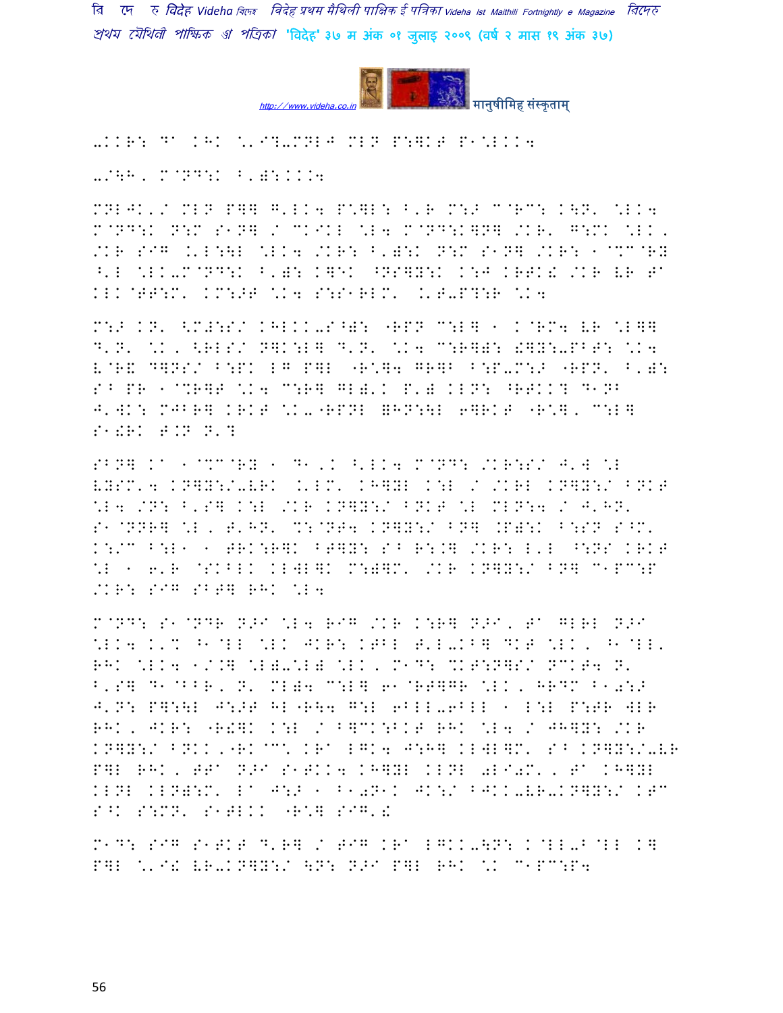

-KKR: Da KHK \*'I?-MNLJ MLN P:]KT P1\*LKK4

-/\H, M@ND:K B'):...4

MNLADK MANLING PILLE PARTIES OF A STANDARD AND CALLE M@ND:K N:M S1N] / CKIKL \*L4 M@ND:K]N] /KR' G:MK \*LK, /KR SIG .'L:\L \*LK4 /KR: B'):K N:M S1N] /KR: 1@%C@RY ^'L \*LK-M@ND:K B'): K]EK ^NS]Y:K K:J KRTK! /KR VR Ta KLK MATHIN (KUNA SI) KATA SI KATA SI KATA SI KA

M:> KN' <M#:S/ KHLKK-S^): "RPN C:L] 1 K@RM4 VR \*L]] D'N' \*K, <RLS/ N]K:L] D'N' \*K4 C:R]): !]Y:-PBT: \*K4 B: DEC PRINCIP RED B: PHONOR BERRY B: PHONOR B: PHONOR B: B: B: SO PORT 1 CONTRART CONTRART PRINCIPLE IN A CHORN (PRINCIPLOM) OF DR J'WK: MJBR] KRKT \*K-"RPNL =HN:\L 6]RKT "R\*], C:L] ST. REAL PROPERTY

SBN] Ka 1@%C@RY 1 D1,. ^'LK4 M@ND: /KR:S/ J'W \*L VYSM'4 KN]Y:/-VRK .'LM' KH]YL K:L / /KRL KN]Y:/ BNKT \*L4 /N: B'S] K:L /KR KN]Y:/ BNKT \*L MLN:4 / J'HN' S1@NNR] \*L, T'HN' %:@NT4 KN]Y:/ BN] .P):K B:SN S^M' K::/C B:L1 1 TRK:RESO: SO RESOURCE AT LEAST COMPANY AND LEAST COMPANY OF LARGE STATE OF LARGE STATE OF LARGE S \*L 1 6'R @SKBLK KLWL]K M:)]M' /KR KN]Y:/ BN] C1PC:P /KR: SIG SBT] RHK \*L4

MONDA SI MARA NAI KI KE BIATUNG KI SARA NAI KARA I, SA KARE ARI NAI KA \*LK4 K'% ^1@LL \*LK JKR: KTBL T'L-KB] DKT \*LK, ^1@LL' RHK \*LK4 1/.] \*L)-\*L) \*LK, M1D: %KT:N]S/ NCKT4 N' B'S] D1@BBR, N' ML)4 C:L] 61@RT]GR \*LK, HRDM B10:> J'N: PI: PI: J: J: J: J: J: P: J: J: J: J: J: J: J: J: P: P: J: B: J: P: J: D: J: D: J: D: J: D: J: D: J: D: J RHK, JKR: "R!]K K:L / B]CK:BKT RHK \*L4 / JH]Y: /KR KNABK, BNKK, HKMKK, KAR LAGHA SA LGHE KRA LGKA SA KANG LAGKA PAL PHIL RHK, TAK YLRICH CHAN (1911) WEIGHT, TAN CHANE KLNL KLN):M' La J:> 1 B10N1K JK:/ BJKK-VR-KN]Y:/ KTC S` S` S` STILKK "R\* BILKK "R\*] SIG'E SIG'E SIG

M1D: SIG S1TKT D'R] / TIG KRa LGKK-\N: K@LL-B@LL K] PHI (N. KENIEREN PHINA) ADN DOOR PHI (PAL NI ON PONPA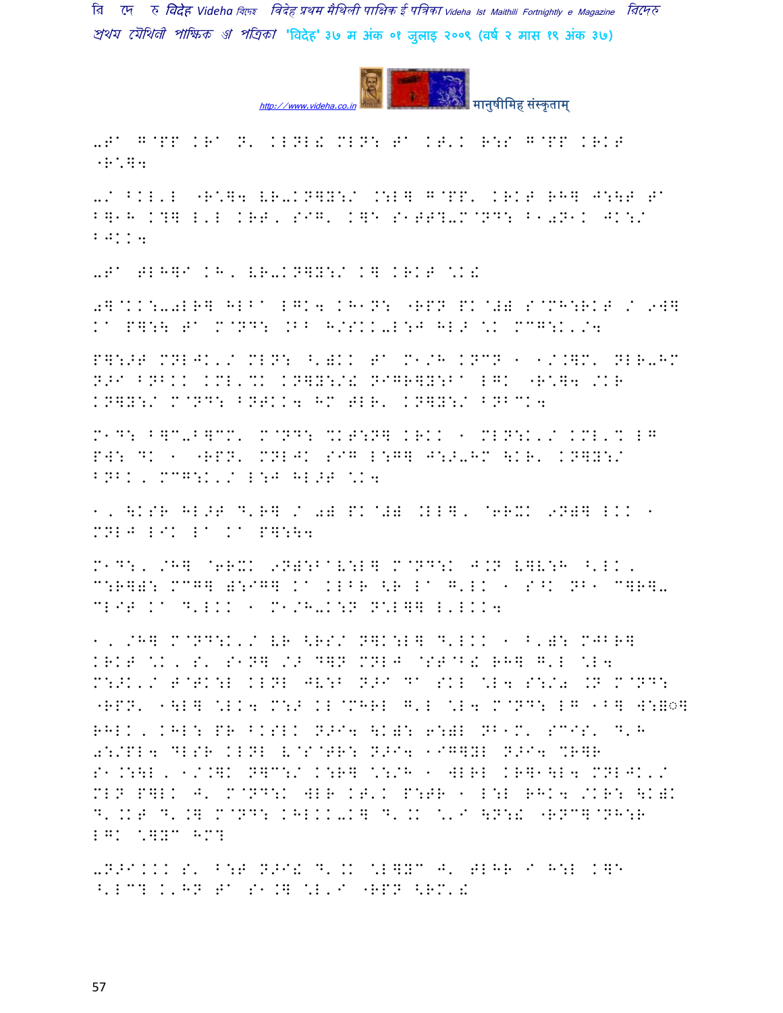

-Ta G@PP KRa N' KLNL! MLN: Ta KT'K R:S G@PP KRKT  $\cdot$  P  $\cdot$  H  $\cdot$ 

-/ BKL'L "R\*]4 VR-KN]Y:/ .:L] G@PP' KRKT RH] J:\T Ta BIH KRONING BILI KIGE I BARI, SIGHA BAGHININ DAGA BAGAI KANG AN  $3.4114$ 

-Ta Turkiya (1989) - Ta Turkiya (1989) - Ta Turkiya (1989) - Ta Turkiya (1989) - Ta Turkiya (1989) - Ta Turkiy<br>- Ta Turkiya (1989) - Ta Turkiya (1989) - Ta Turkiya (1989) - Ta Turkiya (1989) - Ta Turkiya (1989) - Ta Turki

0]@KK:-0LR] HLBa LGK4 KH1N: "RPN PK@#) S@MH:RKT / 9W] Ka PI: Ta Mandari Mandari Historical Mandari Mandari Mandari Mandari Mandari Mandari Mandari Mandari Mandari M

P]:>T MNLJK'/ MLN: ^')KK Ta M1/H KNCN 1 1/.]M' NLR-HM N>I BNBKK KML'%K KN]Y:/! NIGR]Y:Ba LGK "R\*]4 /KR KN]Y:/ M@ND: BNTKK4 HM TLR' KN]Y:/ BNBCK4

M1D: B]C-B]CM' M@ND: %KT:N] KRKK 1 MLN:K'/ KML'% LG PW: DK 1 "RPN' MNLJK SIG L:G] J:>-HM \KR' KN]Y:/ BNBC, MCG:K'/ Lia HLAB (14)

1, \KSR HL>T D'R] / 0) PK@#) .LL], @6RXK 9N)] LKK 1 MNLJ LIK La Ka P]:\4

MOTH, /HI MARXK 9NED: LEB MANUTIC FOR LULES I.E. CGBHAN CORR ANCHR CO CERR AR ES RELEVATOR CRA CHRAN CLIT KA D'ALLES ANNE DE L'ANNE DE L'ESSERT

1, /H] M@ND:K'/ VR <RS/ N]K:L] D'LKK 1 B'): MJBR] KRKT \*K, S' S1N] /> D]N MNLJ @ST@B! RH] G'L \*L4 M:>K'/ T@TK:L KLNL JV:B N>I Da SKL \*L4 S:/0 .N M@ND:  $R$  . The state of the state of the state  $R$  and  $R$  and  $R$  and  $R$  and  $R$  and  $R$   $\geq$   $R$  . The state of the state of the state of the state of the state of the state of the state of the state of the state of the sta RHIC, CHIS PR BCEEC DIAGN ACHE SANH DRACC, ETABLICH, R 0:/PL4 DLSR KLNL V@S@TR: N>I4 1IG]YL N>I4 %R]R STA INARE (2001) IN THE THILL ON HARD CINITAL AT A LARGE HARD HARD FOR A DISTURBANCY MLR PALK AL COMPAINABLE ISLIN PAPE A BIAL BAIA /KRAMAISHI D'.KT D'.] M@ND: KHLKK-K] D'.K \*'I \N:! "RNC]@NH:R  $\mathbb{R}^n$  . The mass of  $\mathbb{R}^n$ 

-N>I... S' B:T N>I! D'.K \*L]YC J' TLHR I H:L K]E  $^{\circ}$  K  $^{\prime}$  (  $^{\prime}$  )  $^{\prime}$  (  $^{\prime}$  )  $^{\prime}$  (  $^{\prime}$  )  $^{\prime}$  (  $^{\prime}$  )  $^{\prime}$  (  $^{\prime}$  )  $^{\prime}$  (  $^{\prime}$  )  $^{\prime}$  (  $^{\prime}$  )  $^{\prime}$  (  $^{\prime}$  )  $^{\prime}$  (  $^{\prime}$  )  $^{\prime}$  (  $^{\prime}$  )  $^{\prime}$  (  $^{\prime}$  )  $^{\prime}$  (  $^{\prime}$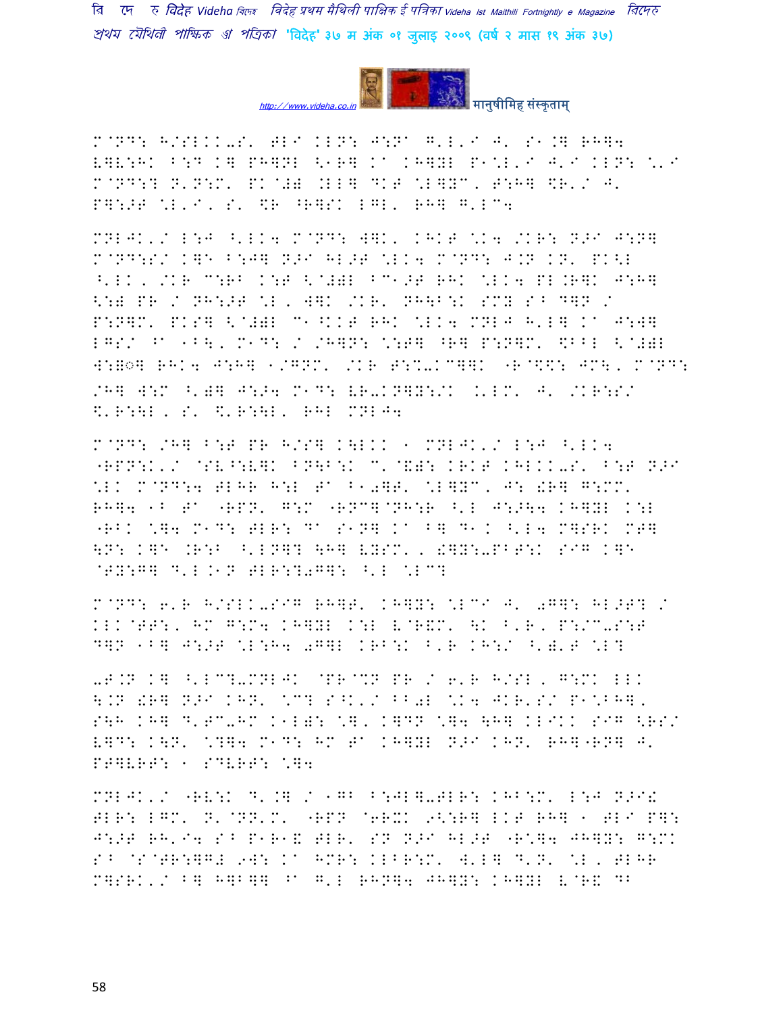

MOND: H/SLKKA-SER (1994-448) P.E.R.A. RHIGH-BHE4 V]V:HK B:D K] PH]NL <1R] Ka KH]YL P1\*L'I J'I KLN: \*'I M@ND:? N'N:M' PK@#) .LL] DKT \*L]YC, T:H] \$R'/ J' POSSE PARTIES AND RELEASED AND RELEASED AND RELEASED AND RELEASED AND RELEASED AT A RELEASED AND RELEASED AT A

MDE ADULO (ESA) (K.E.D.A) MODES (ARD), (D.A.D.A) (KD.A) JODAS (D.A.K. ASDR MOND: SAN SERIES AND STRAIN AND STRAIN AND STRAIN AND STRAIN AND STRAIN AND STRAIN AND STRAIN AND STRAIN AND S ^'LK, /KR C:RB K:T <@#)L BC1>T RHK \*LK4 PL.R]K J:H] RNA PR / PRNJE NEV HAN /NHU PRAFNI SMY STA PRO V P:N]M' PKS] <@#)L C1^KKT RHK \*LK4 MNLJ H'L] Ka J:W] LAGS/ POSSES / /HID: /PHID: //HID: /PHID: /PIE W:=◌] RHK4 J:H] 1/GNM' /KR T:%-KC]]K "R@\$\$: JM\, M@ND: /H] W:M ^')] J:>4 M1D: VR-KN]Y:/K .'LM' J' /KR:S/  $R: B\to B$ : S'  $R: B\to B$ : S'  $B\to B$ : M $B\to B$ 

M@ND: /H] B:T PR H/S] K\LKK 1 MNLJK'/ L:J ^'LK4 "RPN:K'/ @SV^:V]K BN\B:K C'@&): KRKT KHLKK-S' B:T N>I NE DO MONDE HE HE LA BILO FLORE HE LOCE RING OF HIS BERG REMOVA RH]4 1B Ta "RPN' G:M "RNC]@NH:R ^'L J:>\4 KH]YL K:L "RBK \*]4 M1D: TLR: Da S1N] Ka B] D1. ^'L4 M]SRK MT] \N: K]E .R:B ^'LN]? \H] VYSM', !]Y:-PBT:K SIG K]E @TY:G] D'L.1N TLR:?0G]: ^'L \*LC?

MONDER: 6', B. (P. 1918). WE CAR THE RHIT AND IN THE MANY CASH THAT IN THE INSTALL IN THE UNION KLK@TH:, HM G:M4 KHQH K:H: B:PEM, HK P:P. P:/M:M4 DRID 18 FROHENDA NI NEBELI KORA BILI KUROLI KANCO TA BILI KUTORI N

-T.N K] ^'LC?-MNLJK @PR@%N PR / 6'R H/SL, G:MK LLK  $\Lambda$  is the second state of  $\Lambda$  is the second state  $\Lambda$  . The second state  $\Lambda$ SAH (AH) D'EMIRM (SIB) NEL (ADD NAH APA (ESC) SSA ABSV  $\pm$  RIPS of ABL (10) Ta KHIYA AD (20) Ta RIBI (20) AC (20) RARD (40) RND (40) PT: 1 SDC 1 SDC 1 SDC 1 SDC 1 SDC 1 SDC 1 SDC 1 SDC 1 SDC 1 SDC 1 SDC 1 SDC 1 SDC 1 SDC 1 SDC 1 SDC 1 SDC 1 SD

MORE ADOUT " "ABELIES", "ORLOGE BY " "A PARTIE NA HELIBE BIN "D'AR NEDUCTE NA "ORDANIE TLR: LGM' N'@NN'M' "RPN @6RXK 9<:R] LKT RH] 1 TLI P]: J:>T RH'I4 S^ P1R1& TLR' SN N>I HL>T "R\*]4 JH]Y: G:MK SO MONETARE GHE IN ATER IFFEIL ALER TURL IF LARGE MARKY/ BOOK HARRY BOOK HIJ ECHNOLA JAHARI VIA HIJE CELOHE DA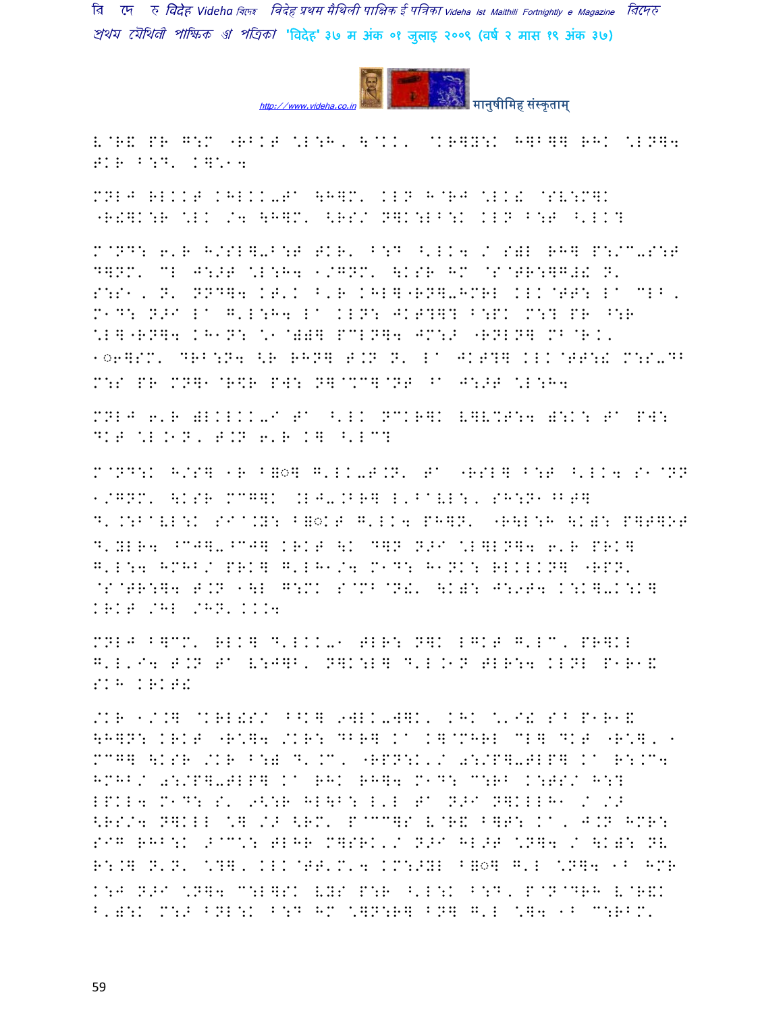

ROBE PR GY (BOIL NING) ROLL (NBHEN GHOUR BH) NIPH. THE BIG BOOK CONTROL IS A 1990 FOR THE BIG BOOK CONTROL IS A 1990 FOR THE BIG BOOK CONTROL IS AN INCIDENT OF T

MNLA BEILE CHILLAM ARADI (ER RJRA NELE SKENDA "READ THAN IS AN ARABY. A READ AND THAN IS A RAIN BILT.

MONDER GELA (ASSERVATAR) B: B:L (FAR), F: ECA (S) SAE (BAR) PASSOLISAE DARRIC, TE ANGRA NENANG KIARKIT, ANGRA HITO NG NAKARAGE IKO STEPHON DU NORDHER (1982), POLIFICA BYRGHI BORDHER (1992), LA CLB, CLB, LA CLB, L MAND: NO RELEASE REPORT OF THE REPORT OF THE REPORT OF THE MINUTES OF THE MINUTES OF THE MINUTES OF THE MINUTE  $\Lambda$ E HINDER (1989). DRIMA SEERIC ETE DER ORT NICH (1980). PCLNICH (1980). 1◌6]SM' DRB:N4 <R RHN] T.N N' La JKT?] KLK@TT:! M:S-DB M:S PR MNH MAR PHR MAN THE MORE OF ALL MINE

MNLA 6. B (BOOK) CHAIRS ON TA PURS ON TA PURS ON TA PURS ON TA PWINS ON TAXABLE VISITS ON TA PWINS ON TA PWINS DKT \*L.1N, T.N 6'R K.

MOND: K HI - F HOT B: MAND: W | PHI B | MAN SI H | MI B  $\sim$  2002)  $\sim$  51/6 BeV (11000) (1100) 1300 FBB (3100) 1300 BT  $\sim$  1200 BT  $\sim$ D. DEATHIN: BANDIN: FHOIF B.IIA PHER. (PHINE RING PHPERS D.BEA (MAR.POAR LEIB AI "AR DIR NED NEDA ALA PALA G'L:4 HMHB/ PRK] G'LH1/4 M1D: H1NK: RLKLKN] "RPN' @S@TR:]4 T.N 1\L G:MK S@MB@N!' \K): J:9T4 K:K]-K:K] KRKT / HL / HNY...4

MNLA PAMM. BILA MILL, ABRICAN DA LANG ALIMI PRAN G'L'IA L'IA (G'L'IA) EL NAPER L'IL DEEL D'ALLE D'L'IA D'AILE D'AN TLANC PIR EN ENCOLONIA EL D'ANNE SKH KRKT!

/KR 1/.] @KRL!S/ ^^K] 9WLK-W]K' KHK \*'I! S^ P1R1& \H]N: KRKT "R\*]4 /KR: DBR] Ka K]@MHRL CL] DKT "R\*], 1 MCG] \KSR /KR B:) D'.C, "RPN:K'/ 0:/P]-TLP] Ka R:.C4 HMHB/ 0:/P]-TLP] Ka RHK RH]4 M1D: C:RB K:TS/ H:? LPKL4 M1972 KKL SKREVHLANDER IS NORTH PRODUCTION  $R$  , and the state of the state of the state of the state of the state of the state of the state of the state of the state of the state of the state of the state of the state of the state of the state of the state of the SIG RHB: K / TLA BRE MRIEL / TLI HLIB AT A MI S RE T RS:18 B.B. N'ABB, III MAR.D. B'ID'NABE (FBOR "P.E. NIPRA (FF) FDF K:J N: N:LISK VIS P:R P:R OR: H: N: Y: N: P:P: N: H: N: B'):K M:> BNL:K B:D HM \*]N:R] BN] G'L \*]4 1B C:RBM'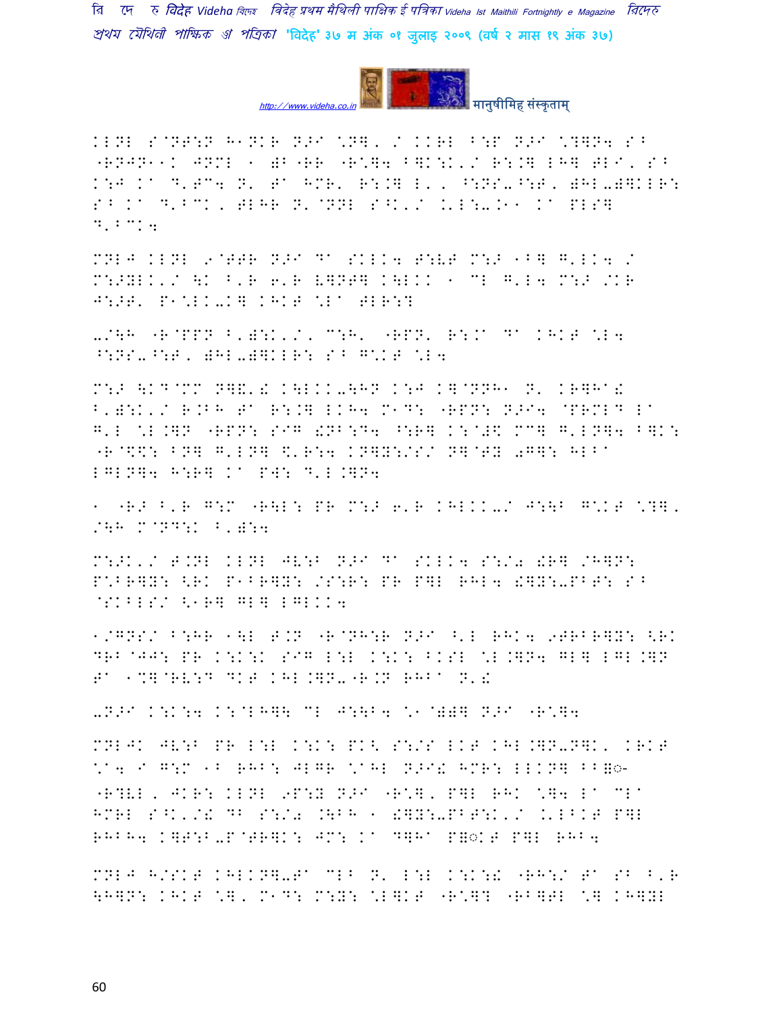

KLNL SONTH BILL SANTING IN THE SANTING ST "RNDADER EIN AD PORTE 1 IN 1919 HET REICHTE IN DIE STIJL IN DE STIJL IN DE REICHTE IN DER EINER DIE REICHTUNG K:J KA D'TC4 N' TA D'TC4 N' TA HA D'AIRE ANN AN D'AIRE ANN AN D'AIRE ANN AN D'AIRE ANN AN D'AIRE ANN AN D'AIR SO KA D'ALLER NE DI DER SON LI LINE NA DI TEST  $\mathcal{B}_1$  and  $\mathcal{B}_2$ 

MNLA (191 VIAN SUR NI DILA ANLA MIKING MILIA D M:>YLK'/ \K B'R 6'R V]NT] K\LKK 1 CL G'L4 M:> /KR J:>T' P1\*LK-K] KHKT \*La TLR:?

LOAR (RESPONSER DO NORTH FROM RICH AND CROB SEA ^:NS-^:T, )HL-)]KLR: S^ G\*KT \*L4

M:> \KD@MM N]&'! K\LKK-\HN K:J K]@NNH1 N' KR]Ha! B'):K'/ R.BH Ta R:.] LKH4 M1D: "RPN: N>I4 @PRMLD La G'L \*L.]N "RPN: SIG !NB:D4 ^:R] K:@#\$ MC] G'LN]4 B]K:  $R$  -B ( COLORS )  $R$  ( FOR 0.1 AND 1.1  $R$  (  $R$  )  $R$  (  $R$  )  $R$  (  $R$  )  $R$  )  $R$  (  $R$  )  $R$  (  $R$  )  $R$  (  $R$  )  $R$  (  $R$  )  $R$  (  $R$  )  $R$  (  $R$  )  $R$  (  $R$  )  $R$  (  $R$  )  $R$  (  $R$  )  $R$  (  $R$  )  $R$  (  $R$  )  $R$  (  $R$ 19199 H:R Ka Pw: D'A

 $1 - \frac{1}{2}$  ,  $2 + \frac{1}{2}$  ,  $\frac{1}{2}$  ,  $\frac{1}{2}$  ,  $\frac{1}{2}$  ,  $\frac{1}{2}$  ,  $\frac{1}{2}$  ,  $\frac{1}{2}$  ,  $\frac{1}{2}$  ,  $\frac{1}{2}$  ,  $\frac{1}{2}$  ,  $\frac{1}{2}$  ,  $\frac{1}{2}$  ,  $\frac{1}{2}$  ,  $\frac{1}{2}$  ,  $\frac{1}{2}$  ,  $\frac{1}{2}$  ,  $\frac{1}{2}$  , /\H M@ND:K B'):4

M:>K'/ T.NL KLNL JV:B N>I Da SKLK4 S:/0 !R] /H]N: PTO BRIGG OURLAIN PRINS IN PERSONAL IMPOUNDED IN PARTICULAR IN POST MSKBLSV SKBH #1#18 1#1004

1/GNS/ B:HR 1\L T.N "R@NH:R N>I ^'L RHK4 9TRBR]Y: <RK DRA JAAN SER (1919) SLATA SING LINA GUNA LISA (1918) ASA BERGIA DA Ta 1%] December 1983, December 1983, December 1983, December 1983, December 1983, December 1983, December 1983

-N>I K:K:4 K:@LH]\ CL J:\B4 \*1@))] N>I "R\*]4

MNLJK JV:B PR L:L K:K: PK< S:/S LKT KHL.]N-N]K' KRKT  $\mathbb{R}^n$  is the positive of the state of the state  $\mathbb{R}^n$  is the state  $\mathbb{R}^n$ "R?VL, JKR: KLNL 9P:Y N>I "R\*], P]L RHK \*]4 La CLa HORE SOKI/ DB STEVEN DAE FOOT BAARDELATE PEL LOT OL EF DET AT BIJ RHBH4 KARRHAHAN HA RHBH4 KA PHE PHE PHE P

MNLA ANGLA LABINALI TA CLIB NI LIGING APIN AT STORIA \H]N: KHKT \*], M1D: M:Y: \*L]KT "R\*]? "RB]TL \*] KH]YL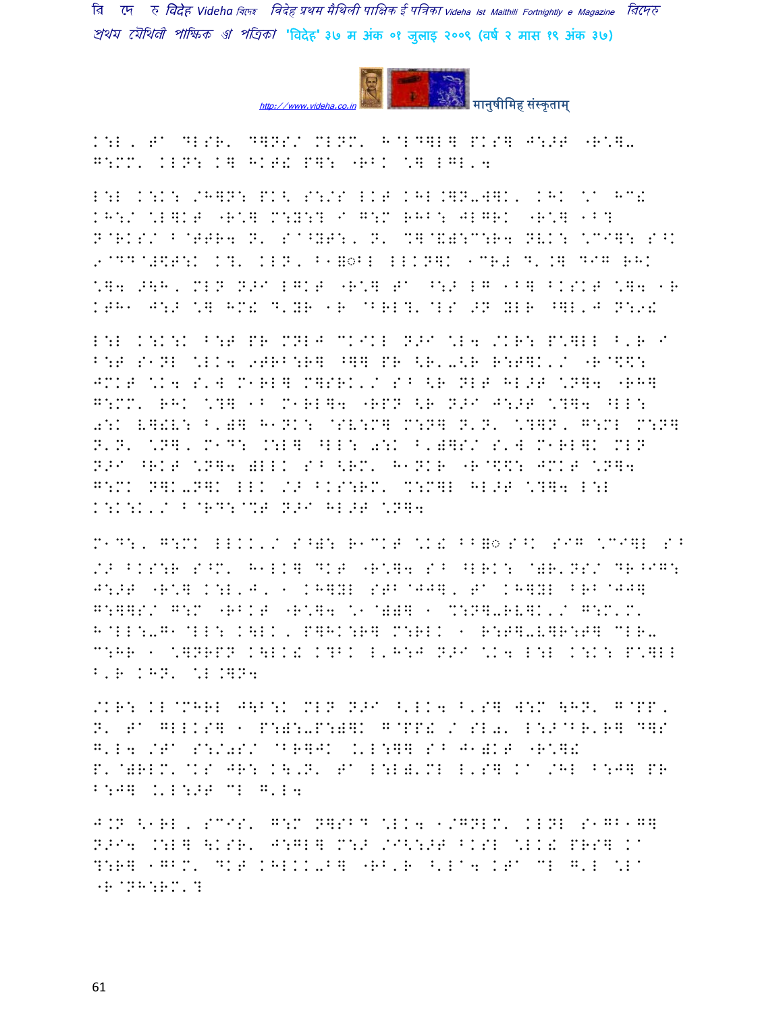

K:L, Ta Dunia (1993), Ta Dunia (1993), Ta Dunia (1993), Ta Dunia (1993), Ta Dunia (1993), Ta Dunia (1993), Ta G:M' KLN: KLN: KLN: KLN: HET HKT \* HKT \* HET \*

L:L K:K: /H]N: PK< S:/S LKT KHL.]N-W]K' KHK \*a HC! KH:/ tigla (btg sydig / gys bh:) alger (btg (btg N@RKS/ B@TTR4 N' S@^YT:, N' %]@&):C:R4 NVK: \*CI]: S^K 9@DD@#\$T:K K?' KLN, B1=◌BL LLKN]K 1CR# D'.] DIG RHK  $\Lambda$  Herois ( ) and the state of the state  $\Lambda$  tags of the state  $\Lambda$  is a state  $\Lambda$  in  $\Lambda$  is a state  $\Lambda$ KTHI JI: HI: ATE (POE) D'ATE (POE) NE D'ATE (POE) DE POEIE L'ILL POEIE

L:L K:K:K B:T PR MNLJ CKIKL N>I \*L4 /KR: P\*]LL B'R I B:T SECIES (PRESS) PROTO THE STRAIN SECIES (PRESS) PROTO THE STRAIN SECIES (PRESS) IN RELATIONS THE STRAIN SEC JMKT FAN STAAT IN DIE REITSTE DIE STAATSTE DIE REITSTE IN DIE REITSTE SAN NET HEID HET HEID HET HET HET HET HE G:MY RHK \*\* REFORM THE RECOVERY OF THE REPORT OF THE NORTH  $\alpha$  is the second term of the  $\alpha$ 0:K V]!V: B')] H1NK: @SV:M] M:N] N'N' \*?]N, G:ML M:N] N'N' MARIE N'ALLE A BOULLE AN CALENDARY AND A CHERO CON NO I REFERENT SOMETIGE STRUKT FOR STRUKT SOM G:MA NO SERVICE EN LONG (AN ANGEL ) NA NATION (AN ANGEL ) ANG ANG ANG ESTADO ANG ANG ANG ANG ANG ANG ANG ANG A K:K:K'/ B@RD:@%T N>I HL>T \*N]4

MANIA MID: BIILAY: SAHI BANIB MID: RAHO EAN SIG MANH EA /> BKS:R S^M' H1LK] DKT "R\*]4 S^ ^LRK: @)R'NS/ DR^IG: J:>T "R\*] K:L'J, 1 KH]YL STB@JJ], Ta KH]YL BRB@JJ] G:BBKT BYN (BFIB (BNBH N) MARB ( TYPRABERIAN BYN.T. HOL: ALIEN (1981) IS A B: CONCRETE CONTROLLING IN A RESERVATION IN RELATIONSHIP OF THE RELATIONSHIP OF THE REL C:HR 1 \* NRPN KRAINER KONGER KOMMUNISTIERT IN DER KOMMUNISTER EIN DER KOMMUNISTER EIN DER KOMMUNISTER EIN DER B'R KHN' \*L.

/KR: KL@MHRL J\B:K MLN N>I ^'LK4 B'S] W:M \HN' G@PP, N' Tany of Persons and Persons and Persons and Persons and Persons and Persons and Persons and Persons and Per B.14 /Ta' Silary Tempo 1.1598 PP Predig (Prim P'@)RLM'@KS JR: K\,N' Ta L:L)'ML L'S] Ka /HL B:J] PR B:J:J:J:J: T: U: H

J.N <1RL, SCIS' G:M N]SBD \*LK4 1/GNLM' KLNL S1GB1G] N>I4 .:L] \KSR' J:GL] M:> /I<:>T BKSL \*LK! PRS] Ka ?:R] 1GBM' DKT KHLKK-B] "RB'R ^'La4 KTa CL G'L \*La "R@NH:RM'?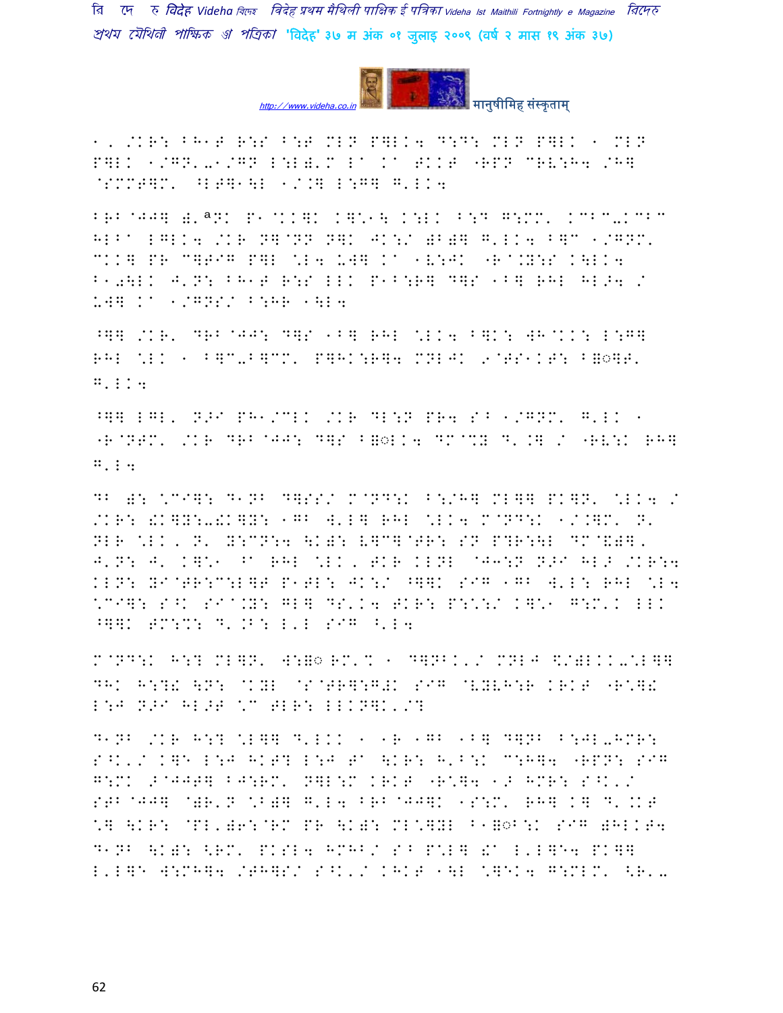

1, /KR: BH1T R:S B:T MLN P]LK4 D:D: MLN P]LK 1 MLN PHILK 1991 LA CHROIGE THE THING IN A THE THE CARD MONTH, CHARLEY CONTROLL

BRB@JJ] )'ªNK P1@KK]K K]\*1\ K:LK B:D G:MM' KCBC-KCBC HLBa LGLK4 /KR N]@NN N]K JK:/ )B)] G'LK4 B]C 1/GNM' COLOR PR CHAPP PHI NEW 1980 RELEASE PROVINCE CHICK B10UH1T R:S LANG BH2T BIT RITH THE STORE BH1T RESUL UH KA 1992 SHR 194

 $\left\{ \frac{1}{2},\frac{1}{2},\frac{1}{2},\frac{1}{2},\ldots,\frac{1}{2},\frac{1}{2},\frac{1}{2},\frac{1}{2},\frac{1}{2},\frac{1}{2},\frac{1}{2},\frac{1}{2},\frac{1}{2},\frac{1}{2},\frac{1}{2},\frac{1}{2},\frac{1}{2},\frac{1}{2},\frac{1}{2},\frac{1}{2},\frac{1}{2},\frac{1}{2},\frac{1}{2},\frac{1}{2},\frac{1}{2},\frac{1}{2},\frac{1}{2},\frac{1}{2},\frac{1}{2},\frac{1}{2},\frac{1$ RHL \*LK \* PHTL HTTL FHA:RHHL THAN LIGHT IN PHONE.  $H_1 \oplus H_2$ 

^]] LGL' N>I PH1/CLK /KR DL:N PR4 S^ 1/GNM' G'LK 1  $R$  (P. 1980) / (R)  $R$  ,  $R$  ,  $R$  and  $R$  and  $R$  is defined by  $R$  . Then  $R$  defined by  $R$  and  $R$  $\mathbb{G}$ ,  $\mathbb{G}$   $\mathbb{G}$ 

DB ): \*CI]: D1NB D]SS/ M@ND:K B:/H] ML]] PK]N' \*LK4 / /KR: !K]Y:-!K]Y: 1GB W'L] RHL \*LK4 M@ND:K 1/.]M' N' NLR \*LK, N' Y:CN:4 \K): V]C]@TR: SN P?R:\L DM@&)], JR: J'A: J' A RHL \*LY (1984) - NA RHL \*LA RHL \*LA KARA AND TAR KLANL \*LA \*LY NO BAG KLAIDE SE TRECHTEL HALLEY HE GO OF HHE SIG PORT HIM HE SIGNED TO LAT \*CI]: S^K SI@.Y: GL] DS'K4 TKR: P:\*:/ K]\*1 G:M'K LLK ^]]K TM:%: D'.B: L'L SIG ^'L4

MOND: MAND : MOND : MOND \$/) MOND : MOND : MOND \$/) DHK H:?! \N: @KYL @S@TR]:G#K SIG @VYVH:R KRKT "R\*]! LYA TAK REJA NY ALEY ELITRILIT

DRIE ZIE RIE NIE DRIE DIE LANG HE KREINE DER SPIELENIE SOME LIGHT REPORT OF TANKING AND THE LIGHT SIGNED G:MA DO L'ANGERO A PAREZO DI PERSONO EL SERVA EL SOCIA I PORTE EL ROCO DI STB@JJ] @)R'N \*B)] G'L4 BRB@JJ]K 1S:M' RH] K] D'.KT  $\Lambda$ History (The Saby (B2): Provider (Te  $\Lambda$ Hies )Hospital (Provider ) Bar DO HIS REAL TIME AND PICKING IN SALES IN THE L'E ADY (ADYDAN) (THANGEL I CONTROL AN INDIANA GENERAL SERVE IN MEDIAN MENGE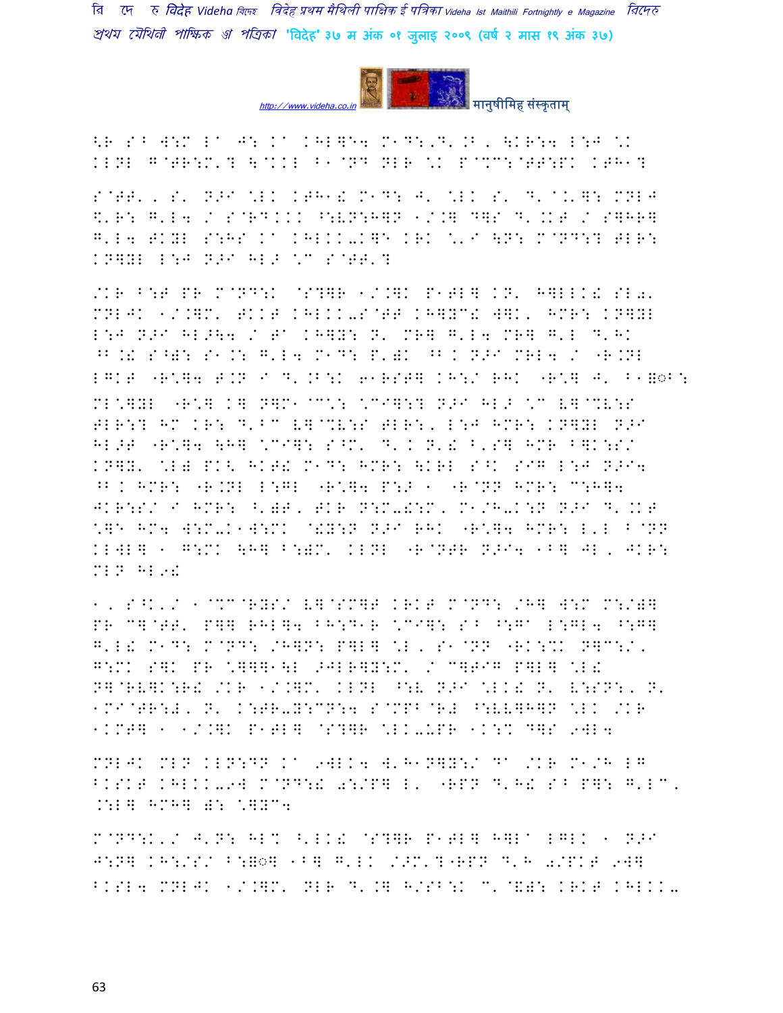

RE SO WEST IN AN IN LAIRES THRICK ON DECISING INAUG KLAND G@TR:MAND AT ALL AND THE MANDED NAMES OF A PARTIES.

SOTTE, S' S' NORTH D'EST SOTTE EN MANIFER AN DIE MIDSTER DE MANIFE \$'R: G'L4 / S@RD... ^:VN:H]N 1/.] D]S D'.KT / S]HR] G'L4 TKYL S:HS Ka KHLKK-K]E KRK \*'I \N: M@ND:? TLR: KN]YL L:J N>I HL> \*C S@TT'?

/KR B:T PR M@ND:K @S?]R 1/.]K P1TL] KN' H]LLK! SL0' MNLJK 1/.]M' TKKT KHLKK-S@TT KH]YC! W]K' HMR: KN]YL L:J N>I HL>\4 / Ta KH]Y: N' MR] G'L4 MR] G'L D'HK ^B.! S^): S1.: G'L4 M1D: P')K ^B. N>I MRL4 / "R.NL LAGE "PRIN EIR KORD "RYEN "REEL IN DON'T BELONG ML\*]YL "R\*] K] N]M1@C\*: \*CI]:? N>I HL> \*C V]@%V:S TLR:? HM KR: D'BC V]@%V:S TLR:, L:J HMR: KN]YL N>I HIJA "ANTA APR NTVRI FIT. T. N' D. N. N' D'R BTA BRING. KNAIL (WE TIL ANDER THAT AND AND SON SHOW BAR NURS ^B. HMR: "R.NL L:GL "R\*]4 P:> 1 "R@NN HMR: C:H]4 JKR:S/ I HMP: A HAM: M H (MI)T, THR: MINITE I D'.KTR N: M NO D'.KTR N: M NO D'. \*]E HM4 W:M-K1W:MK @!Y:N N>I RHK "R\*]4 HMR: L'L B@NN KLWL] 1 G:MK \H] B:)M' KLNL "R@NTR N>I4 1B] JL, JKR: MLN HL9!

1, S^K'/ 1@%C@RYS/ V]@SM]T KRKT M@ND: /H] W:M M:/)] PR CTH THE LICENSE BH:DIRECT PACTE BOOSTERS OF CONTROL OF SHEAR OF SHEA G'L! M1D: M@ND: /H]N: P]L] \*L, S1@NN "RK:%K N]C:/, BY: PH B GUNG JHENG NO PEAR PUBLIC N]@RV]K:R! /KR 1/.]M' KLNL ^:V N>I \*LK! N' V:SN:, N' 1MI@TR:#, N' K:TR-Y:CN:4 S@MPB@R# ^:VV]H]N \*LK /KR 1KMT] 1 1/.]K P1TL] @S?]R \*LK-UPR 1K:% D]S 9WL4

MNLJK MLN KLN:DN Ka 9WLK4 W'H1N]Y:/ Da /KR M1/H LG BKSKT KONSKTRED SKRIFTER (FRANCH) SOM STRED BLEV .:L] HMH] ): \*]YC4

MONDS:K'/ J'A: DIE JAE NOOR EE EN GEBEUR 1 HET HABE NOOR HEE DOOR DIE H J:N] KH:/S/ B:=◌] 1B] G'LK />M'?"RPN D'H 0/PKT 9W] BKSL4 MALLIN SPORT AND LINN SPORT AND DESCRIPTION OF THE REPORT OF THE REPORT OF THE REPORT OF THE REPORT OF T<br>In the report of the report of the report of the report of the report of the report of the report of the report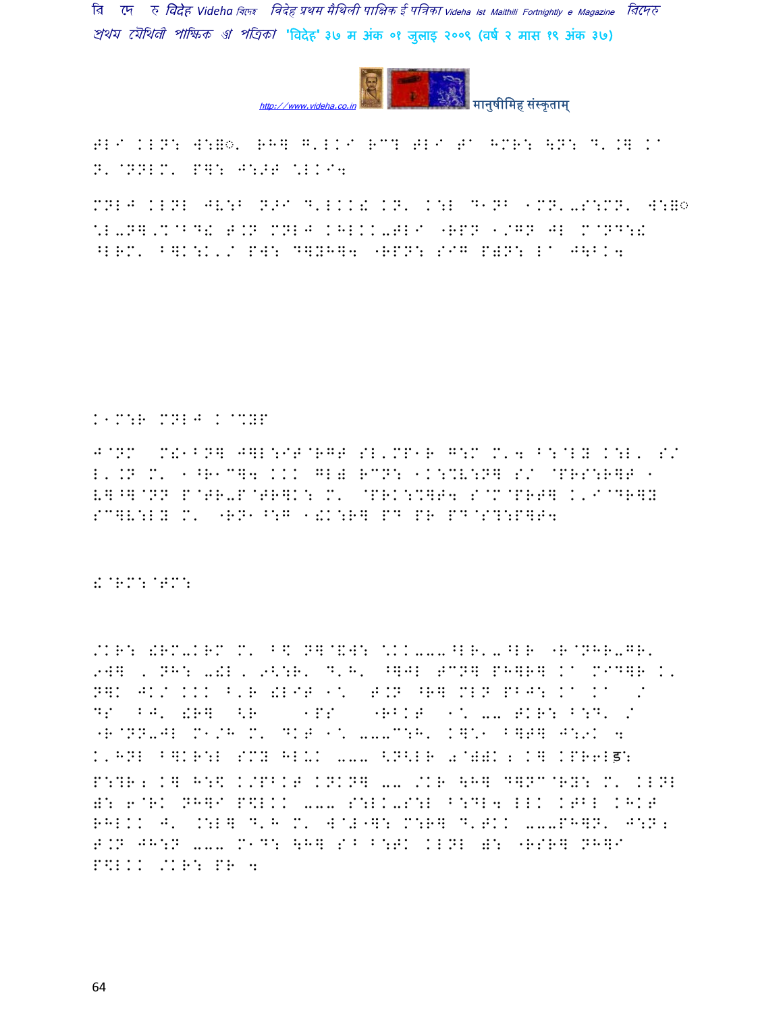

THI KILDS AND A THE RILL KINN HIR AN ANDNA HON ON DE LI N' Printer (1988) - Paris (1988) - Paris (1988) - Paris (1988) - Paris (1988) - Paris (1988) - Paris (1988) -

MNLA CICH ALGE CAN SILLE CAN CHI SHE STRINGTHIO \*L-N],%@BD! T.N MNLJ KHLKK-TLI "RPN 1/GN JL M@ND:!  $H$  By  $\mathbb{R}$  and  $\mathbb{R}$  is defined by  $\mathbb{R}$  . The point  $\mathbb{R}$  is the point  $\mathbb{R}$ 

 $\ddotsc$  , and  $\ddotsc$  is the mass of  $\ddotsc$  , and  $\ddotsc$ 

J@NM M!1BN] J]L:IT@RGT SL'MP1R G:M M'4 B:@LY K:L' S/ L'.N M' 1^R1C]4 KKK GL) RCN: 1K:%V:N] S/ @PRS:R]T 1 V]^]@NN P@TR-P@TR]K: M' @PRK:%]T4 S@M@PRT] K'I@DR]Y SCHEEMS AND MANUAL PROPERTY PROPERTY

!@RM:@TM:

/KR: !RM-KRM M' B\$ N]@&W: \*KK---^LR'-^LR "R@NHR-GR' 9W] , NH: -!L, 9<:R' D'H' ^]JL TCN] PH]R] Ka MID]R K' N]K JK/ KKK B'R !LIT 1\* T.N ^R] MLN PBJ: Ka Ka / DS BJ' REFUSE (REFUSED 1999) IN THE REFUSED OF THE REFUSED OF THE REFUSED OF THE REFUSED OF THE REFUSED OF THE  $R$  -PSPL-91 (IV) CH (IV) (STEP 3  $N$  -LL MAPS (1912) (3919)  $R$  41 B)  $R$ K.HNL BHLDAL ATH HLUK LUK ROBER GYMAN A CHRIFENS P:?R; K] H:\$ K/PBKT KNKN] -- /KR \H] D]NC@RY: M' KLNL ): 6@RK NH]I P\$LKK --- S:LK-S:L B:DL4 LLK KTBL KHKT RHLKK J' .:L] D'H M' W@#"]: M:R] D'TKK ---PH]N' J:N; F.N ARIS AAN TYTK BREAT FIRE I: NI BE ARIER TREA P\$LKK /KR: PR 4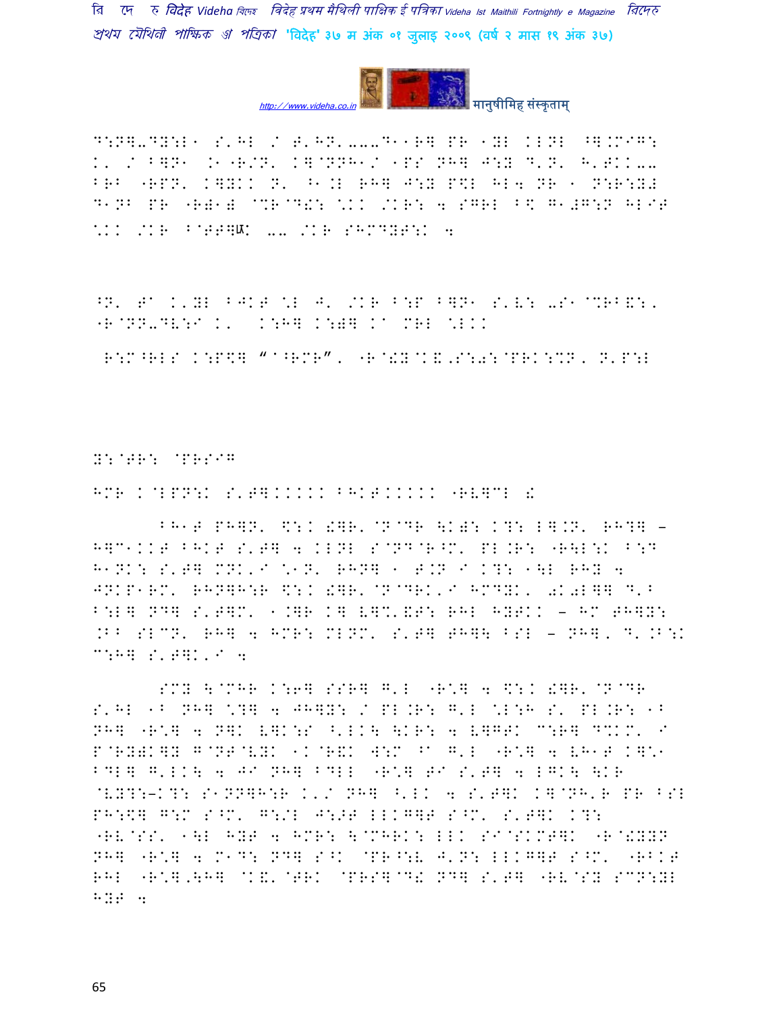

D:N]-DY:L1 S'HL / T'HN'---D11R] PR 1YL KLNL ^].MIG: K' / BIN' / BOOK / BIN' I BIN' AN AN AN AN AN AN A BRB "RPN' KARAMI KAN KANA KATA TANG PADA NA PARA KATA PERDIANAN PERDIANAN PERDIAN PERDIAN PERDIAN PERDIAN PERDIAN D1NB PR "R)1) @%R@D!: \*KK /KR: 4 SGRL B\$ G1#G:N HLIT \*KK /KR ^@TT]ᆬK -- /KR SHMDYT:K 4

^N' Ta K'YL BJKT \*L J' /KR B:P B]N1 S'V: -S1@%RB&:, "R@NN-DV:I K' K:H] K:)] Ka MRL \*LKK

R:MORRIS K: MORRIS WICKERS K:PHORRES K:PHORRES K: 0:0:0:

Y:@TR: @PRSIG

HMR KORNEL HAMR KONG KORNEL HAR KORNEL HA

BH1T PHINT RY CAREL OR OR ALAY CONTRACTOR (PHOR – HET STORE RESERVED AND ROMAN BHOME RESERVED AND ROMAN HANK: SINN YNK: SYN RHNA'A RHY 1 T.N I HE RHY 4 JNKP1RM' RHN]H:R \$:. !]R'@N@DRK'I HMDYK' 0K0L]] D'B B:L] ND] S'T]M' 1.]R K] V]%'&T: RHL HYTKK – HM TH]Y:  $\mathcal{B}$  . Best the result of the subset of  $\mathcal{B}$  the subset of  $\mathcal{B}$  ,  $\mathcal{B}$  ,  $\mathcal{B}$  ,  $\mathcal{B}$  ,  $\mathcal{B}$  ,  $\mathcal{B}$  ,  $\mathcal{B}$  ,  $\mathcal{B}$  ,  $\mathcal{B}$  ,  $\mathcal{B}$  ,  $\mathcal{B}$  ,  $\mathcal{B}$  ,  $\mathcal{B}$  ,  $\mathcal{B}$  , THE SYNCH ST

 SMY \@MHR K:6] SSR] G'L "R\*] 4 \$:. !]R'@N@DR S'HL 1B NH] \*?] 4 JH]Y: / PL.R: G'L \*L:H S' PL.R: 1B DHA "PENA" A DAI "LAI YE" PENGERA DI PENGERA LAI DANG CONTERNATION CO PORXIK HOW CHARY AND HIS CONTROL TO HIS CHARGE AT A GOOD AND A CHARGE AND A VEHIC  $B$  (Fig. 8 ),  $B$  ,  $C$  and  $C$  of  $B$  is the state  $\mathcal{L}$  times  $\mathcal{L}$  and  $\mathcal{L}$  and  $\mathcal{L}$  and  $\mathcal{L}$  and  $\mathcal{L}$  and  $\mathcal{L}$  and  $\mathcal{L}$  and  $\mathcal{L}$  and  $\mathcal{L}$  and  $\mathcal{L}$  and  $\mathcal{L}$  and  $\mathcal{L}$  a @VY?:–K?: S1NN]H:R K'/ NH] ^'LK 4 S'T]K K]@NH'R PR BSL PH:\$] G:M S^M' G:/L J:>T LLKG]T S^M' S'T]K K?: "RPAL TEEL" 10 HAT 4 HAMRY AND THE STATE OF THE TEACHERS IN A THOUGHT IN NH] "R\*] 4 M1D: ND] S^K @PR^:V J'N: LLKG]T S^M' "RBKT RHL "RHNHLARH, "ND, "BRI" "TERTH "YL DYA "SLAH" (PRS) "PID SY "PAD  $H\ddot{H}$  4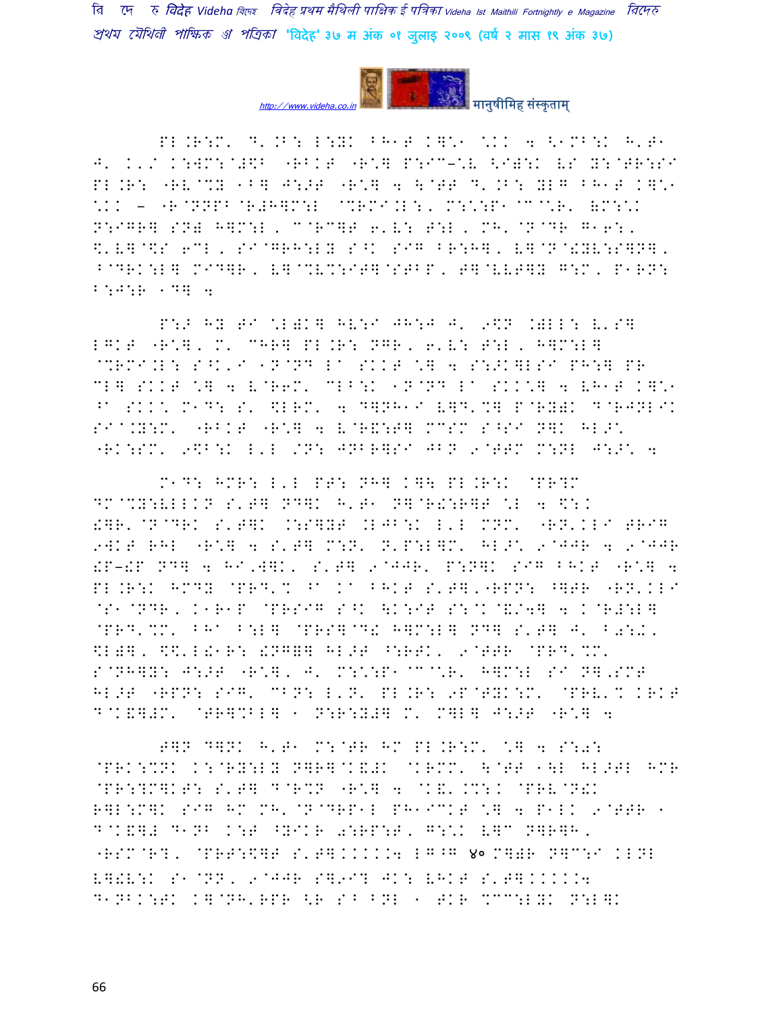http://www.videha.co.in स्ट्रीया स्ट्रेलिया मानुषीमिह संस्कृताम्

 PL.R:M' D'.B: L:YK BH1T K]\*1 \*KK 4 <1MB:K H'T1 J' K'/ K:WM:@#\$B "RBKT "R\*] P:IC–\*V <I):K VS Y:@TR:SI PL.R: "RV@%Y 1B] J:>T "R\*] 4 \@TT D'.B: YLG BH1T K]\*1 \*KK – "R@NNPB@R#H]M:L @%RMI.L:, M:\*:P1@C@\*R' (M:\*K N:IGR] SN) H]M:L, C@RC]T 6'V: T:L, MH'@N@DR G16:,  $v$ , and the social contraction is started by the signal signal signal  $\overline{v}$ ^@DRK:L] MID]R, V]@%V%:IT]@STBP, T]@VVT]Y G:M, P1RN: B: 100 100 100 100 100 100

P: HY TI #L) NEW HEY FANGE AN INDICATE THE RESID LGKT "R\*], M' CHR] PL.R: NGR, 6'V: T:L, H]M:L] @%RMI.L: S^K'I 1N@ND La SKKT \*] 4 S:>K]LSI PH:] PR CLA SKAT A VAN SKATT FRAME OVER 1999 VAN DIE VERSTELIGE VAN DIE VERSTELIGE VAN DIE VERSTELIGE VAN DIE VERSTELI  $\left\{ \frac{1}{2}, \frac{1}{2}, \frac{1}{2}, \frac{1}{2}, \frac{1}{2}, \frac{1}{2}, \frac{1}{2}, \frac{1}{2}, \frac{1}{2}, \frac{1}{2}, \frac{1}{2}, \frac{1}{2}, \frac{1}{2}, \frac{1}{2}, \frac{1}{2}, \frac{1}{2}, \frac{1}{2}, \frac{1}{2}, \frac{1}{2}, \frac{1}{2}, \frac{1}{2}, \frac{1}{2}, \frac{1}{2}, \frac{1}{2}, \frac{1}{2}, \frac{1}{2}, \frac{1}{2}, \frac{1}{2}, \frac{1}{2}, \frac{1}{2}, \frac{1}{2},$ SI@.Y:M' "RBKT "R\*] 4 V@R&:T] MCSM S^SI N]K HL>\* "RK:SM' 9\$B:K L'L /N: JNBR]SI JBN 9@TTM M:NL J:>\* 4

M100: HMR: LL PH: PHP (96 PR) MINI (99 PR) DM STORE EN STREET STAND SOMETIME SERVICE SERVICE !]R'@N@DRK S'T]K .:S]YT .LJB:K L'L MNM' "RN'KLI TRIG 9WKT RHL "R\*] 4 S'T] M:N' N'P:L]M' HL>\* 9@JJR 4 9@JJR !P–!P ND] 4 HI,W]K' S'T] 9@JJR' P:N]K SIG BHKT "R\*] 4 PE.R:K HOTE MERDY POINT REFERENCES PER SERIES @S1@NDR, K1R1P @PRSIG S^K \K:IT S:@K@&/4] 4 K@R#:L] @PRD'%M' BHa B:L] @PRS]@D! H]M:L] ND] S'T] J' B0:+, \$L)], \$\$'L!1R: !NG=] HL>T ^:RTK' 9@TTR @PRD'%M' SOMHING HIS SEND, A CONSIN MORE ADVISENTS ON SURF HL>T "RPN: SIG' CBN: L'N' PL.R: 9P@TYK:M' @PRV'% KRKT DOCKBER, CARACTER ( PIRTHER M, MADR 4100 (PNP) 4

 T]N D]NK H'T1 M:@TR HM PL.R:M' \*] 4 S:0: @PRK:%NK K:@RY:LY N]R]@K&#K @KRMM' \@TT 1\L HL>TL HMR @PR:?M]KT: S'T] D@R%N "R\*] 4 @K&'.%:. @PRV@N!K RALICAT SIG HOME OF THIS PHILICAL CALL AND LOCATED A DOCERT DATA CHE PROTH GREEN CHAN KEY PRESS.  $R$  (Product the Property of Section Control of the Section Control of the New York  $\overline{C}$ LAND VIRTUS STAAR PART AND LAND PROPERTIES DNABK:TK KALENDAR SA SA SA SA SA BAGILIK SA SA SA BAGILIK SA SA BAGILIK NILIK NE SA BAGILIK NE MASA BAGILIK NE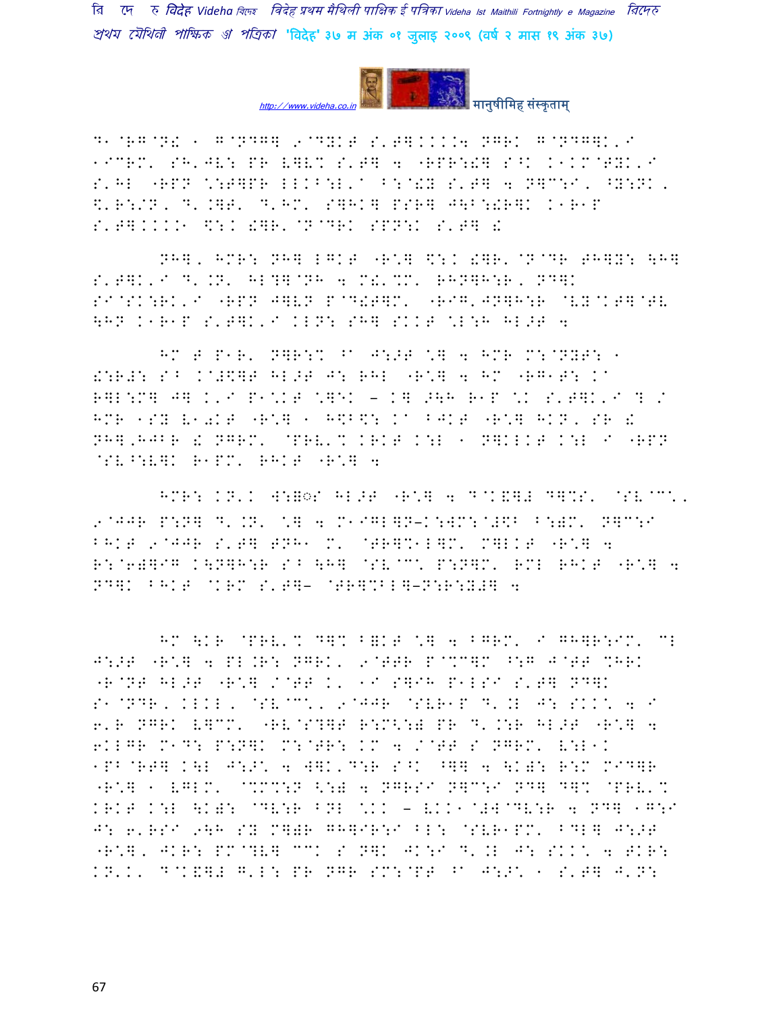

D1@RG@N! 1 G@NDG] 9@DYKT S'T]....4 NGRK G@NDG]K'I 1 POTECT V SHOURES SEE (EVELT) SOURCH (A) PERTESSE SOK (C) CONTRECT (P) S'HL "RPN \*:THER LLING" ( ) NIN E. PH"N . THIN . \$'R:/N, D'.]T' D'HM' S]HK] PSR] J\B:!R]K K1R1P SO AND CONTROLLER SPICE SPICE SPICE SPICE SPICE SPICE SERVICE SPICE SERVICE SPICE SERVICE

 NH], HMR: NH] LGKT "R\*] \$:. !]R'@N@DR TH]Y: \H] S'T]K'I D'.N' HL?]@NH 4 M!'%M' RHN]H:R, ND]K SIMIRAS SIMIRA TERRAH PERANGGAN PADA PERANGGAN PERANGGAN PERANGGAN PERANGGAN PERANGGAN PERANGGAN PERANGGAN PER \HN K1R1P S'T]K'I KLN: SH] SKKT \*L:H HL>T 4

 HM T P1R' N]R:% ^a J:>T \*] 4 HMR M:@NYT: 1 !:R#: S^ .@#\$]T HL>T J: RHL "R\*] 4 HM "RG1T: Ka R]L:M] J] K'I P1\*KT \*]EK – K] >\H R1P \*K S'T]K'I ? / HTR 1ST ENGLAG 1RTH 1 HBB 10 HAD 1 HKR HIR, SR E NH],HJBR ! NGRM' @PRV'% KRKT K:L 1 N]KLKT K:L I "RPN @SV^:V]K R1PM' RHKT "R\*] 4

HMR: KN. W:HOP HISE (BNS) A DOCESS DENIN (SECOND 9@JJR P:N] D'.N' \*] 4 M1IGL]N–K:WM:@#\$B B:)M' N]C:I BHC 8 JANARY SONN BRAYN MONTHLIN MAN DIN MINISTER R:@6)]IG K\N]H:R S^ \H] @SV@C\* P:N]M' RML RHKT "R\*] 4 ND]K BHKT @KRM S'T]– @TR]%BL]–N:R:Y#] 4

HO HIM THR BHO FHIM A BHFO Y BHHEING T J:>T "R\*] 4 PL.R: NGRK' 9@TTR P@%C]M ^:G J@TT %HRK  $R$  . The state  $R$  is the state of the state  $R$  is the state  $R$ S1@NDR, KLKL, @SV@C\*, 9@JJR @SVR1P D'.L J: SKK\* 4 I 6'R NGRK V]CM' "RV@S?]T R:M<:) PR D'.:R HL>T "R\*] 4 6KLGR M1D: P:N]K M:@TR: KM 4 /@TT S NGRM' V:L1K  $+$  PR (1998) (1991)  $+$  4  $\mathrm{N}$  (491), P(1996) (2  $+$  R)  $+$  R)  $+$  R1  $\mathrm{N}$  MiD  $\mathrm{N}$  MPIDE "R\*] 1 VGLM' @%M%:N <:) 4 NGRSI N]C:I ND] D]% @PRV'% KRKT K:L \K): @DV:R BNL \*KK – VKK1@#W@DV:R 4 ND] 1G:I J: 6'RSI 9\H SY M])R GH]IR:I BL: @SVR1PM' BDL] J:>T "R\*], JKR: PM@?V] CCK S N]K JK:I D'.L J: SKK\* 4 TKR: KN'K' DOMAN A G'A' DA DA SHE' DA SHE' DA SHE' A SHE' A SHE' A SHE' A SHE' DA SHE' DA SHE' A SHE' A SHE' A SHE'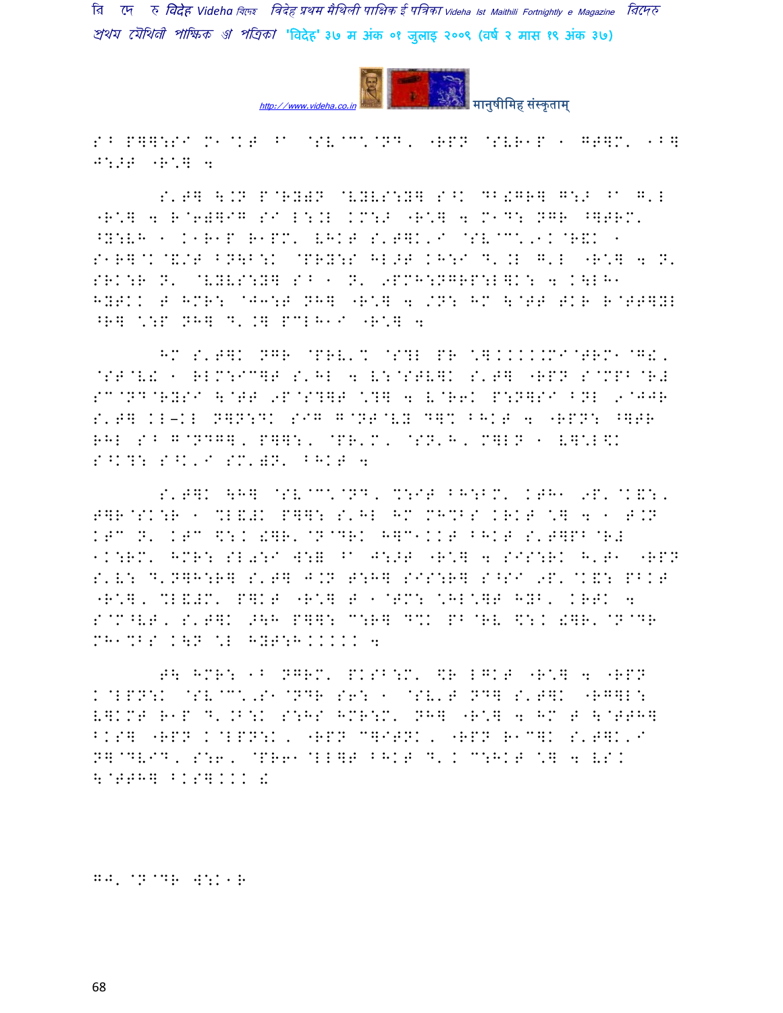

SO PARAGO TO ME POSSER TO MARK SHEP SEEMED IS ARAT. SO P J:>T "R\*] 4

ST. AN POST OF THE RYSON OF STRAIN CONTROL CONTROL GENERAL CONTROL GENERAL GENERAL GENERAL GENERAL GENERAL GEN "RENN A ROGHENA RO EN DOUGLOREN A DO PA DAN PHEORED. ^Y:VH 1 K1R1P R1PM' VHKT S'T]K'I @SV@C\*,1K@R&K 1 STRIAR OLOGICAL A DARAS SOMERIGAN AR DALO ARGEO AL GROPEL E CRANDI HOD.L SRE: NR HOVE : MEDIAN SON A HOVE ON DE L'ASCONDIANT HENGRE HENGER (A LEGISLATION) HYTKK T HYTKK TAAN TAAL AND ALINE HYTKK ROD IN HYTKA ^R] \*:P NH] D'.] PCLH1I "R\*] 4

 HM S'T]K NGR @PRV'% @S?L PR \*].....MI@TRM1@G!, @ST@V! 1 RLM:IC]T S'HL 4 V:@STV]K S'T] "RPN S@MPB@R# SCORE SCORE SERVICE SERVICE SERVICE SERVICE SERVICE SERVICE SERVICE SERVICE SERVICE SERVICE SERVICE S'T] KL–KL N]N:DK SIG G@NT@VY D]% BHKT 4 "RPN: ^]TR RHL S^ G@NDG], P]]:, @PR'M, @SN'H, M]LN 1 V]\*L\$K S`S`: S`S`S` SH`, SH`)N' SM')

 S'T]K \H] @SV@C\*@ND, %:IT BH:BM' KTH1 9P'@K&:, THE NO SE A CONDITION PHESTICAL ADVISACE OF DECEMBER AT A 19 OF KATC RECORDS AND AN INCORPORATION BEFORE AN INCORPORATION AND INCORPORATION IN AN 1K: SAPIDE THE STATE OF THE STATE OF SPECIES SECTIONS TO A JOINT THE STATE OF THE STATE  $\mathcal{R}$ S'V: D'A' (PERNAHE) S'V: B'EL (HI (P) (B'A'HE) S'YSNAHE, S' PSKT (PDC) O'C D'A' (PPKT BK "R\*), "R\*), "R\*), "R\*), "R\*), "R\*), "R\*), "R\*), "R\*), "R\*), "R\*), "R\*), "R\*), "R\*), "R\*), "R\*), "R\*), "R\*), "R  $S$  of the state of the part of the past of the part of the part of the part of the part of the part of the part of the part of the part of the part of the part of the part of the part of the part of the part of the part o MHITS KAN THE REAL HOLD AND HOLD AND HOLD AND HOLD AND HOLD AND HOLD AND HOLD AND HOLD AND HOLD AND HOLD AND H

THE PASSES OF PASSES IN THE REPORT OF THE REPORT OF THE REPORT OF THE PASSES OF THE RPN K@LPN:K @SV@C\*,S1@NDR S6: 1 @SV@C\*,S1@NDR S6: 1 @SV V]KMT R1P D'.B:K S:HS HMR:M' NH] "R\*] 4 HM T \@TTH] BKS) "RPN KAMERIK STORE "REPORT STORE REPORT FOR STREET AND REPORT FOR STREET AND INVOLVED AT  $\mathcal{R}$ N]@DVID, S:6, @PR61@LL]T BHKT D'. C:HKT \*] 4 VS.  $\ddot{\phantom{0}}$  because  $\ddot{\phantom{0}}$  because  $\ddot{\phantom{0}}$ .

GJ'@N@DR W:K1R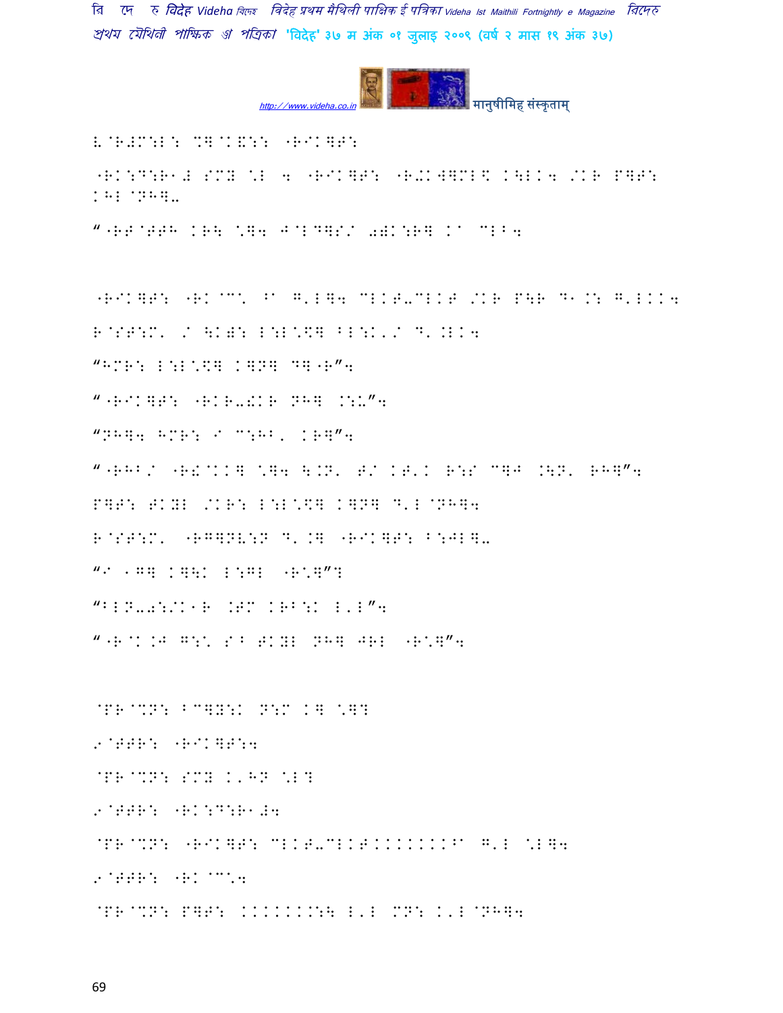िव दिन हैं *विदेह Videha विलर विदेह प्रथम मैथिली पाक्षिक ई पत्रिका Videha Ist Maithili Fortnightly e Magazine <i>विC*FE õथम मैिथली पािक्षक ई पिñका **'**िवदेह**'** ३७ म अंक ०१ जुलाइ २००९ (वष र् २ मास १९ अंक ३७)



 $\ddot{u}$  ,  $\ddot{u}$  ,  $\ddot{u}$  ,  $\ddot{u}$  ,  $\ddot{u}$  ,  $\ddot{u}$  ,  $\ddot{u}$  ,  $\ddot{u}$  ,  $\ddot{u}$  ,  $\ddot{u}$  ,  $\ddot{u}$  ,  $\ddot{u}$  ,  $\ddot{u}$  ,  $\ddot{u}$  ,  $\ddot{u}$ 

"RK:D:R1# SMY \*L 4 "RIK]T: "R+KW]ML\$ K\LK4 /KR P]T: KHL@NH]-

"HARRIE KRANDER "THE KARD SPECIES"

"RIK" RIK | RIK | RIK | RIK | RIK | RIK | RIK | RIK | RIK | RIK | RIK | RIK | RIK | RIK | RIK | RIK | RIK | RI R@ST:M' / \K): L:L\*\$] BL:K'/ D'.LK4 "HMR: L:L\*\$] K]N] D]"R"4 ""RIKT: "RIKE- ELECTRIC STERNE  $"$ HH $4$  HMR:  $7$  C:HB:  $1$  PHF"4 " RHB/ "REMOVE NEE ROS" ROOF DE PROTEE OES, PRE"E P]T: TKYL /KR: L:L\*\$] K]N] D'L@NH]4 R@ST:M' "RG]NV:N D'.] "RIK]T: B:JL]-  $"I$   $\cdot$   $"I$   $\vdots$   $"I$   $\vdots$   $"I$   $\vdots$   $"I$   $\vdots$   $"I$   $\vdots$   $"I$   $"I$   $"I$ "BLN-0:00" NEW SHORE REAL REAL  $"$  . And the solution of  $R$  of  $T$  and  $T$  is solved to  $\mathbb{R}^n$  and  $\mathbb{R}^n$  and  $\mathbb{R}^n$  and  $\mathbb{R}^n$  and  $\mathbb{R}^n$  and  $\mathbb{R}^n$  and  $T$  is a solved to  $\mathbb{R}^n$  and  $\mathbb{R}^n$  and  $\mathbb{R}^n$  and  $\mathbb{R}^n$ 

@PR@%N: BC]Y:K N:M K] \*]? 9@TTR: "RIK]T:4 @PR@%N: SMY K'HN \*L? 9@TTR: "RK:D:R1#4 @PR@%N: "RIK]T: CLKT-CLKT.......^a G'L \*L]4 9@TTR: "RK@C\*4 @PR@%N: PORT # 2000 PRODUCED # 2000 PRODUCED # 2000 PRODUCED # 2000 PRODUCED # 2000 PRODUCED # 2000 PRODUCED #<br>^ 2000 PRODUCED # 2000 PRODUCED # 2000 PRODUCED # 2000 PRODUCED # 2000 PRODUCED # 2000 PRODUCED # 2000 PRODUCE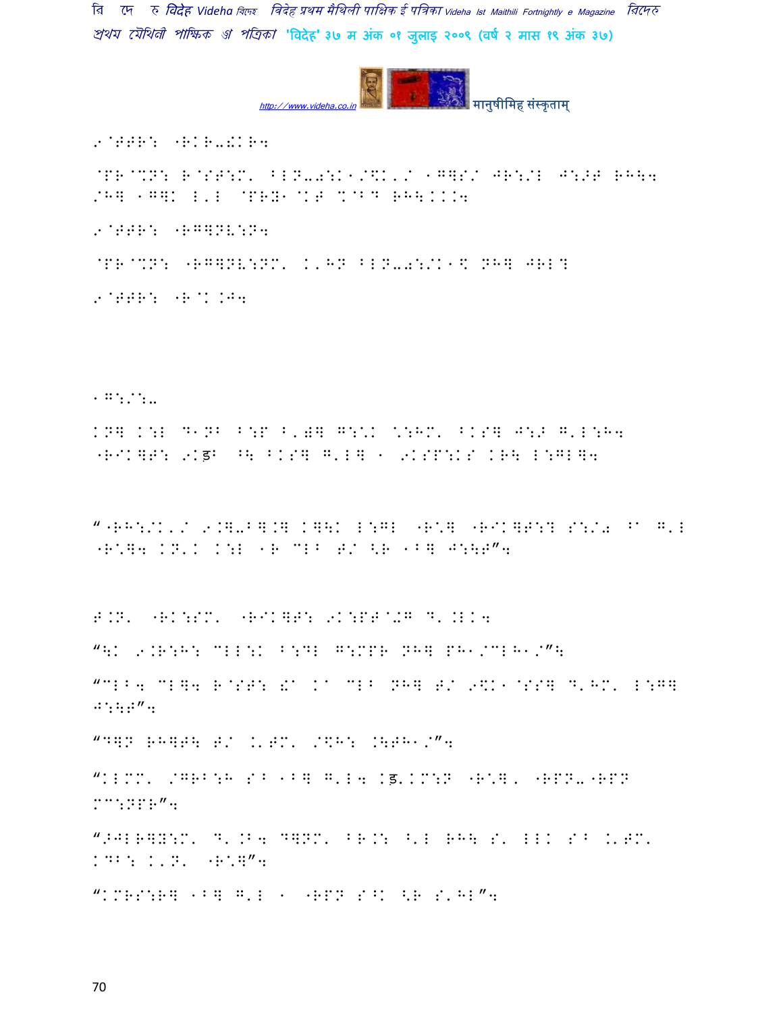

9@TTR: "RKR-!KR4

@PR@%N: R@ST:M' BLN-0:K1/\$K'/ 1G]S/ JR:/L J:>T RH\4 /H] 1G]K L'L @PRY1@KT %@BD RH\...4

9@TTR: "RG]NV:N4

@PR@%N: "RG]NV:NM' K'HN BLN-0:/K1\$ NH] JRL?

9. THR: "ROOM PRODUCED AT A 200 PRODUCED AT A 200 PRODUCED AT A 200 PRODUCED AT A 200 PRODUCED AT A 200 PRODUCE

 $16:7:11$ 

KN] K:L D1NB B:P B')] G:\*K \*:HM' BKS] J:> G'L:H4  $\mathcal{A}\oplus\mathcal{C}$  (  $\mathcal{B}\oplus\mathcal{C}$  ) and the contribution of  $\mathcal{B}$  , and  $\mathcal{C}$  are contributions of  $\mathcal{C}$ 

 $\begin{split} \mathbf{W}=\begin{bmatrix} \mathbf{1} & \mathbf{1} & \mathbf{1} & \mathbf{1} & \mathbf{1} & \mathbf{1} & \mathbf{1} & \mathbf{1} & \mathbf{1} & \mathbf{1} & \mathbf{1} & \mathbf{1} & \mathbf{1} & \mathbf{1} & \mathbf{1} & \mathbf{1} & \mathbf{1} & \mathbf{1} & \mathbf{1} & \mathbf{1} & \mathbf{1} & \mathbf{1} & \mathbf{1} & \mathbf{1} & \mathbf{1} & \mathbf{1} & \mathbf{1} & \mathbf{1} & \mathbf{1} &$  $R$  . The contribution of the contribution of the contribution of the contribution of the contribution of the contribution of the contribution of the contribution of the contribution of the contribution of the contribution

T.N. "RESERVED DE LA PORTUGALE DE LA PORTUGALE DE LA PORTUGALE DE LA PORTUGALE DE LA PORTUGALE DE LA PORTUGALE

"\K 9.R:H: CLL:K B:DL G:MPR NH] PH1/CLH1/"\

"THA TEACHINE STORE IN THE PART AN ANY STORE RUNN, ESPA  $\ldots$   $\ldots$   $\ldots$ 

 $"$ "HI"  $P$ HH $H$ H:  $H$ . ... $H$ I". ...

"KLMM' /GRB:H S^ 1B] G'L4 Kड़'KM:N "R\*], "RPN-"RPN  $\mathbb{C}^m$ : $\mathbb{C}$ : $\mathbb{C}$ : $\mathbb{C}^m$ :

"VON BRIDGE " D'ANNE D'ARITE D'ARIT D'AN BRAINE D'ANN SA .' BRAIN SA .' BRAIN KDB: K'N' "R\*]"4

"KOMBER 1999 H.E. 1 SHER SOK AB S.HE"4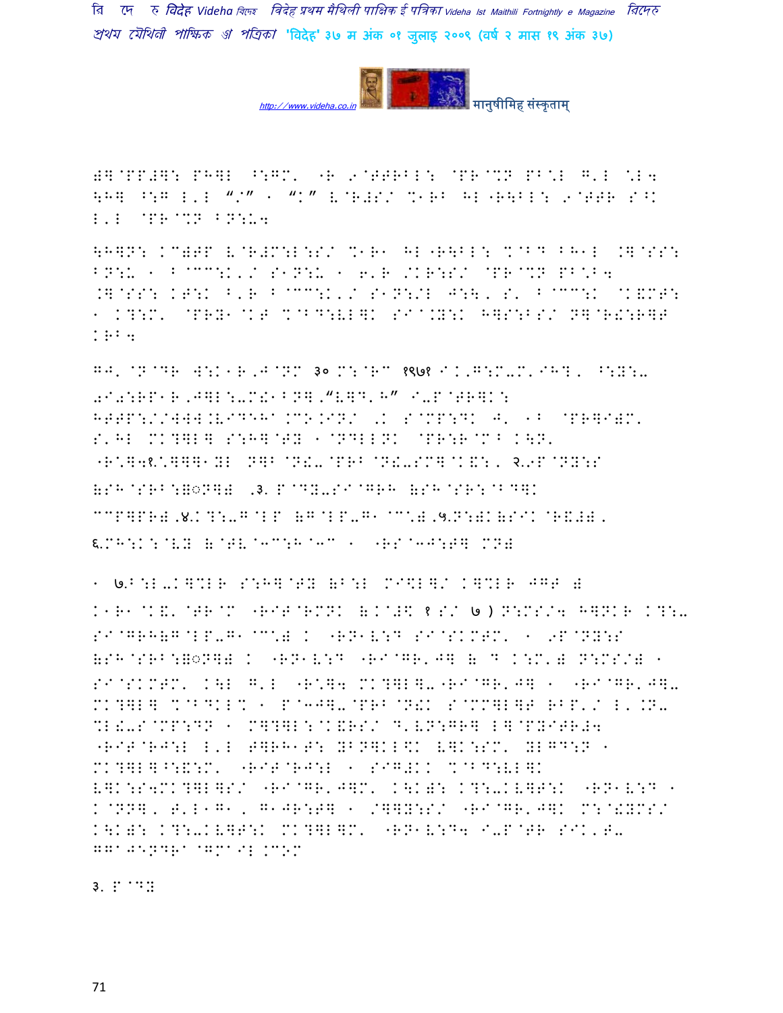

)]@PP#]: PH]L ^:GM' "R 9@TTRBL: @PR@%N PB\*L G'L \*L4  $\#H$  (Find ( )  $\mathbb{R}^n$  (  $\mathbb{R}^n$  )  $\mathbb{R}^n$  is the space of  $\mathbb{R}^n$  in  $\mathbb{R}^n$  in  $\mathbb{R}^n$ L'L @PR@%N BN:U4

 $\,$  APPPS of the PPC but the BD SEC (  $\,$  M)  $\,$  ,  $\,$  (  $\,$  )  $\,$  ,  $\,$  (  $\,$  )  $\,$  ,  $\,$  (  $\,$  )  $\,$  ,  $\,$  (  $\,$  )  $\,$  (  $\,$  )  $\,$  (  $\,$  )  $\,$  (  $\,$  )  $\,$  (  $\,$  )  $\,$  (  $\,$  )  $\,$  (  $\,$  )  $\,$  ( BOR:U 1 B@CC:K'/ SHOW: SHIP /KR:S/ MPR@ PR@ .]@SS: KT:K B'R B@CC:K'/ S1N:/L J:\, S' B@CC:K @K&MT: 1 K?:M' @PRY1@KT %@BD:VL]K SI@.Y:K H]S:BS/ N]@R!:R]T  $\mathbb{R}^n$  is the set

GA, YE MER GENER WAS TED 30 MER WAS ARRESTED IN THE RESERVE 0I0:RP1R,J]L:-M!1BN],"V]D'H" I-P@TR]K: HTTP://WWW.VIDEHa.CO.IN/ ,K S@MP:DK J' 1B @PR]I)M' S'HL MK?]L] S:H]@TY 1@NDLLNK @PR:R@M^ K\N' "R\*]4१.\*]]]1YL N]B@N!-@PRB@N!-SM]@K&:, २.9P@NY:S (SH@SRB:=◌N]) ,३. P@DY-SI@GRH (SH@SR:@BD]K CCPRP), 4.K.COP, GPORE CREDIT (GALP-GOOD (SICR), GALPERT (SIKE SIKE ), ६.MH:K:@VY (@TV@3C:H@3C 1 "RS@3J:T] MN)

1 ७.B:L-K]%LR S:H]@TY (B:L MI\$L]/ K]%LR JGT ) KIRN TEL TARTO "PRIA TROPIC BILTAR (...) O ) PEOLIA HARI RITITIL. SIMGREFIC: SIMGREFIC: SIMGREFIC: SIMGREFIC: SIMGREFIC (SH@SRB:=◌N]) K "RN1V:D "RI@GR'J] ( D K:M') N:MS/) 1 SIMTMO KAL GRI GI GRIME TITHIN ARTHELAN GRI GRIMME, AND MK?]L] %@BDKL% 1 P@3J]-@PRB@N!K S@MM]L]T RBP'/ L'.N- %L!-S@MP:DN 1 M]?]L:@K&RS/ D'VN:GR] L]@PYITR#4 "RITM" RITH: YAN'S L'AN HITMLE RITHS IN THE RITH OF RITHS IN THE RITHS IN THE RITHS IN THE RITHS IN THE RITHS MARSHIR: MARSHIR: MARSHIR: MARSHIR: MARSHIR: MARSHIR: MARSHIR: MARSHIR: MARSHIR: MARSHIR: MARSHIR: MARSHIR: MA  $\langle \mathrm{E}(\mathrm{H})\mathrm{E}(\mathrm{H})\mathrm{E}(\mathrm{H})\mathrm{E}(\mathrm{H})\mathrm{E}(\mathrm{H})\mathrm{E}(\mathrm{H})\mathrm{E}(\mathrm{H})\mathrm{E}(\mathrm{H})\mathrm{E}(\mathrm{H})\mathrm{E}(\mathrm{H})\mathrm{E}(\mathrm{H})\mathrm{E}(\mathrm{H})\mathrm{E}(\mathrm{H})\mathrm{E}(\mathrm{H})\mathrm{E}(\mathrm{H})\mathrm{E}(\mathrm{H})\mathrm{E}(\mathrm{H})\mathrm{E}(\mathrm{H})\mathrm{E}(\mathrm{H})\mathrm{E}(\mathrm{H})\mathrm{E}(\mathrm{H})\mathrm{E}(\mathrm{H$ K@NN], T'L1G1, G1JR:T] 1 /]]Y:S/ "RI@GR'J]K M:@!YMS/ K\K): K?:-KV]T:K MK?]L]M' "RN1V:D4 I-P@TR SIK'T-GGaJENDRa@GMaIL.COM

 $3.$   $?$   $"$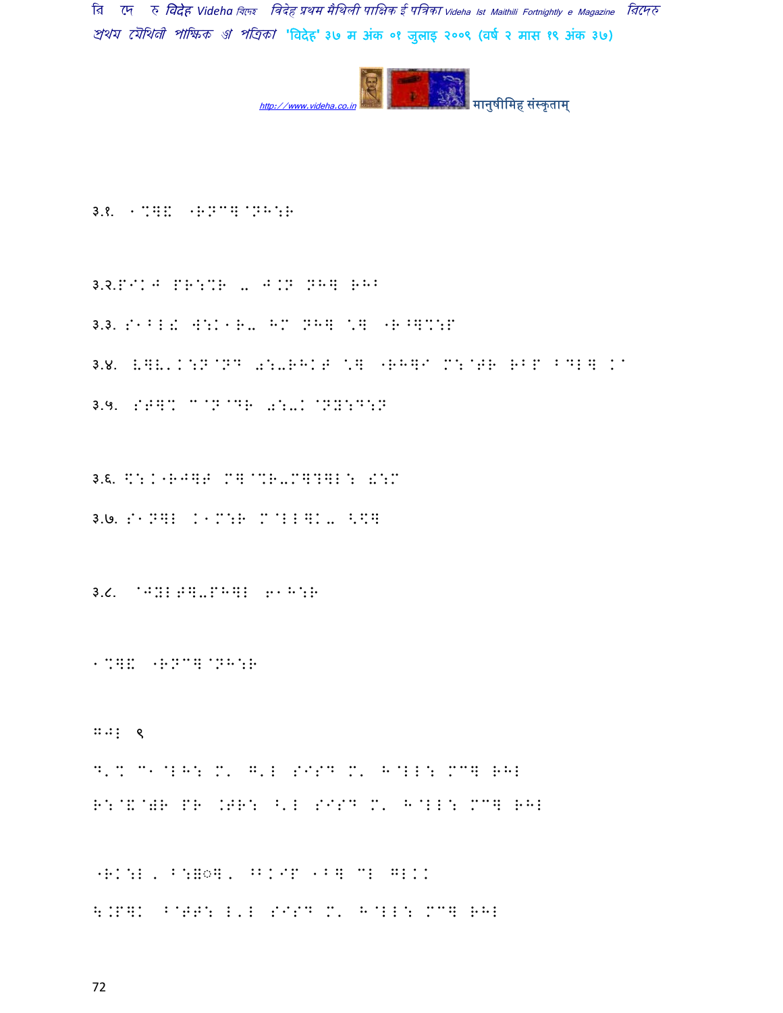

 $3.8. + 7.900 + 9.9009 + 1.9009 + 1.000$ 

३.२.PIKJ PR:%R - J.N NH] RHB

 $3.3.$  SNA BLE WELL-BUL WELL-PRESS WHICH WE RETAIN

३.४. EARLING NOW STEERING NATIONAL REPORT OF THE RIVER OF THE RIVER

३.५. START CONDINATE STEEL CONDINATE

3.6. \$::::RJP### 2#218.29##### 2#2

३.७. : 999 : 1999 : 1999 : 1999 : 1999 : 1999 : 1999 : 1999 : 1999 : 1999 : 1999 : 1999 : 1999 : 199

3.6. <sup>2</sup> (1991) #PH(LP)-PHE (1991) #PH(LP)

1%]& "RNC]@NH:R

 $\cdots$   $\qquad$ 

D'% C1@LH: M' G'L SISD M' H@LL: MC] RHL RYSCHE RE .TREN RIE RYKSCH D. MYBEN DYSCHER

HE:L, B:B0H, BEIPF 1BH TE HEID \.P]K ^@TT: L'L SISD M' H@LL: MC] RHL

72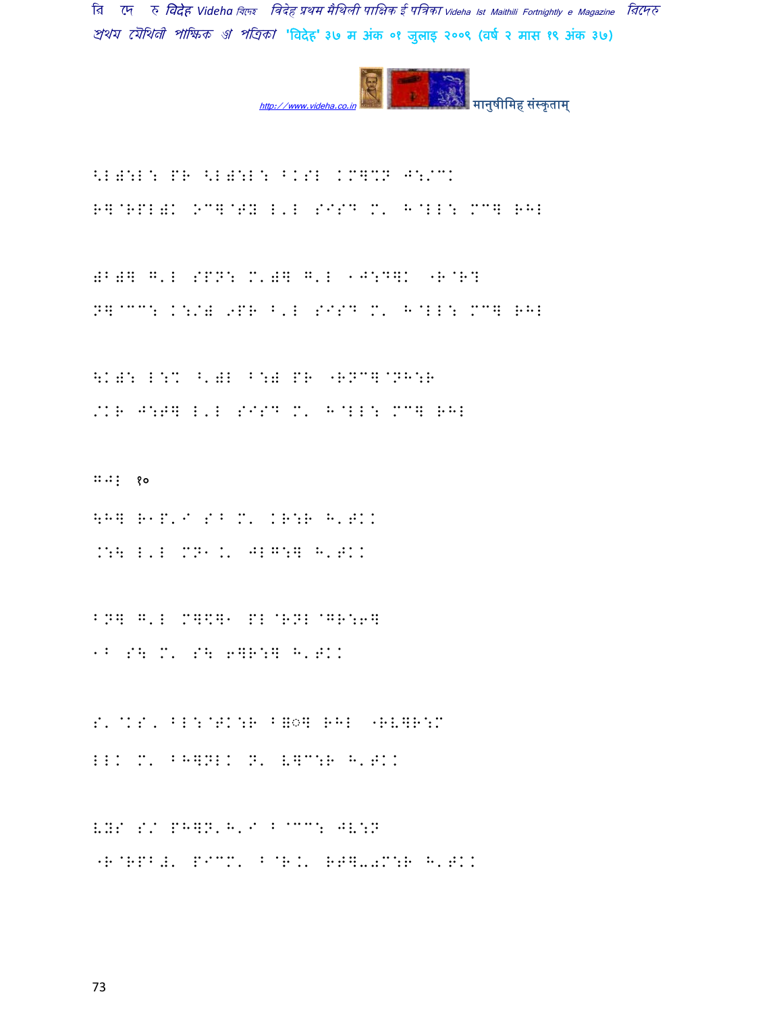

<L):L: PR <L):L: BKSL KM]%N J:/CK R]@RPL)K OC]@TY L'L SISD M' H@LL: MC] RHL

)B)] G'L SPN: M')] G'L 1J:D]K "R@R? N]@CC: K:/) 9PR B'L SISD M' H@LL: MC] RHL

\K): L:% ^')L B:) PR "RNC]@NH:R /KR J:T] L'L SISD M' H@LL: MC] RHL

 $::::$   $\circ$ \H] R1P'I S^ M' KR:R H'TKK .:\ L'L MN1.' JLG:] H'TKK

BND GRIEGER BROWN CONTROL  $15$  ST  $\overline{R}$  ,  $\overline{R}$  ,  $\overline{R}$  H  $\overline{R}$  HENR  $\overline{R}$  ,  $\overline{R}$  (

ST, MIST, BLE: MENTHE RHD "READERED" LLK MY BHINLK NORTH HOMES

KHP PA PHEROM POTTH WEND "ROPER' ROUTE ' PIC. REALIZE A.R.

73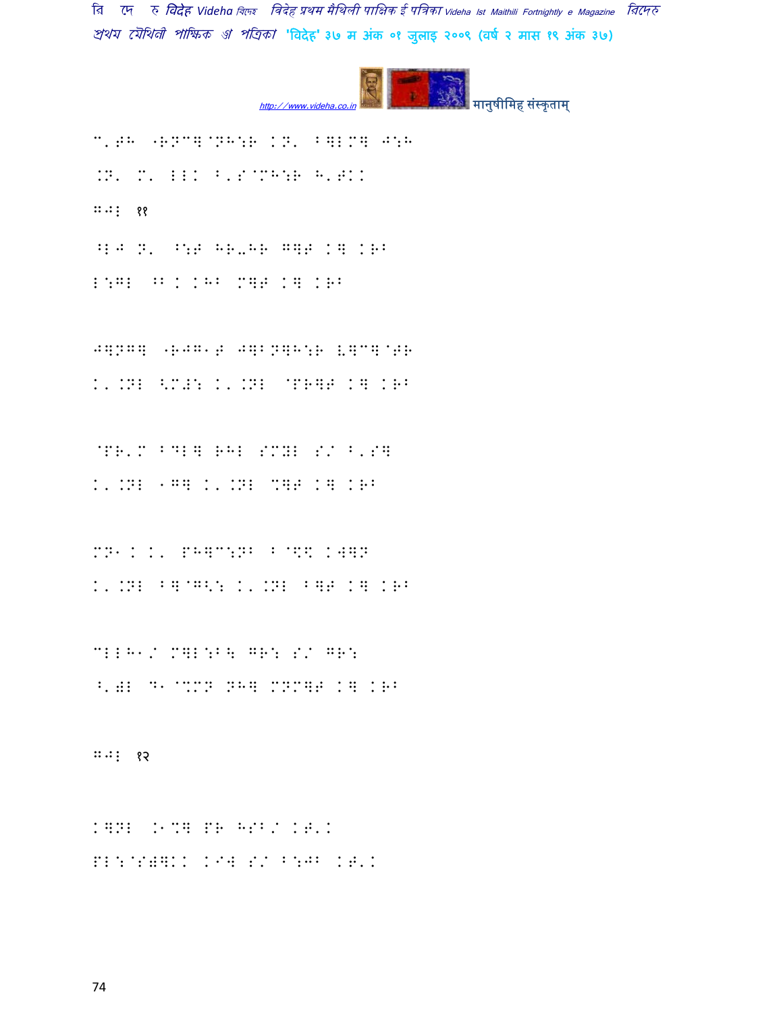

T. BR "RETENDED IS. FUNCH AND .N' M' LLK B'S@MH:R H'TKK  $\cdots$  ?? THAN THE GRAPH WHAN IN THE L:GL ^B. KHB M]T K] KRB

JAGHE (BAR) BORDHIGH LETENH K'.NL KONSK KONSK MERGE KAR

@PR'M BDL] RHL SMYL S/ B'S] K'.NL 1G] K'.NL %]T K] KRB

MNN1. PHETHE BORN ISS K. DH FROMA K. DH FRB 18 197

THE COUNTS OF SALES AND START  $L$  Al DNAME NHI MANAGEMENT NHAMA NH MANAGEMENT MANAGEMENT MANAGEMENT OF A LIGHT MANAGEMENT MANAGEMENT MANAGEM

## $\cdots$   $\cdots$

K]NL .1%] PR HSB/ KT'K PERSONAL PROPERTY SAN SALE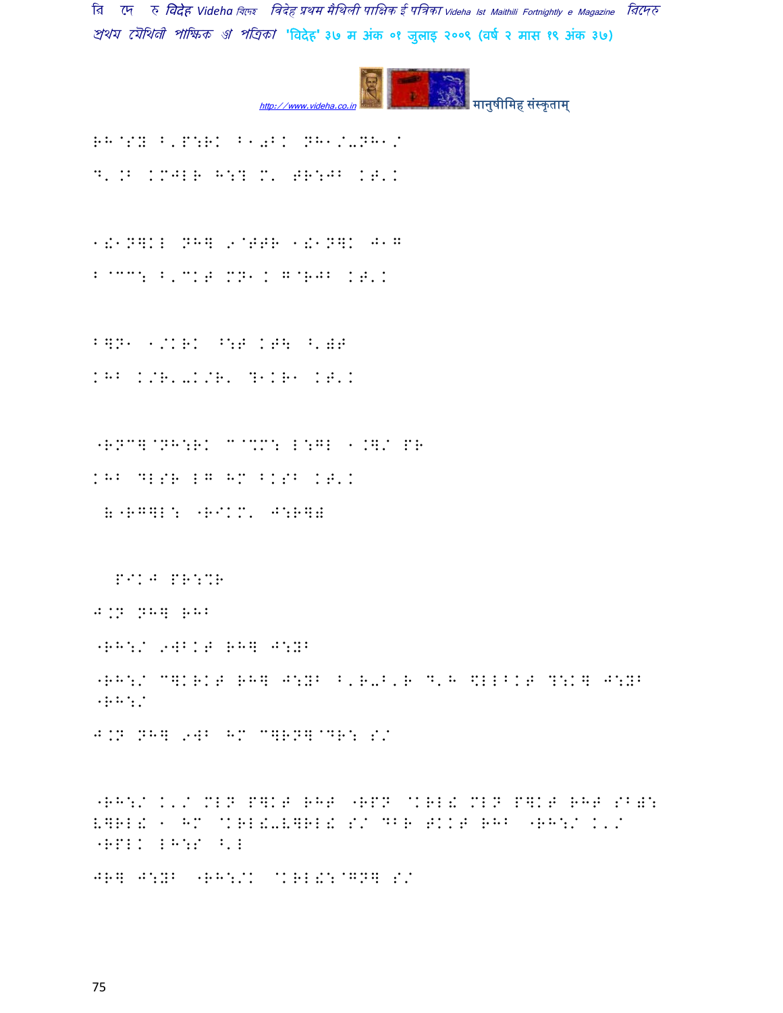

RH@SY B'P:RK B10BK NH1/-NH1/ D'.B KMJLR H:? M' TR:JB KT'K

1!1N]KL NH] 9@TTR 1!1N]K J1G BOOTS BOOTS AND A GARDEN MANIFEST

BANK THE SAME REAL PROPERTY KHB KRISTING KALENDARY

"RNC]@NH:RK C@%M: L:GL 1.]/ PR KHB DLSR LG HM BKSB KT'K ("RG]L: "RIKM' J:R])

PIKJ PR:%R

J.N NH] RHB

"RH:/ 9WBKT RH] J:YB

"RH:/ C]KRKT RH] J:YB B'R-B'R D'H \$LLBKT ?:K] J:YB  $R$ 

J.N NH] 9WB HM C]RN]@DR: S/

"RH:/ K'/ MLN P]KT RHT "RPN @KRL! MLN P]KT RHT SB): V]RL! 1 HM @KRL!-V]RL! S/ DBR TKKT RHB "RH:/ K'/ HEL: PRESS RE JEB JNB "RHNI" MBERNTUR K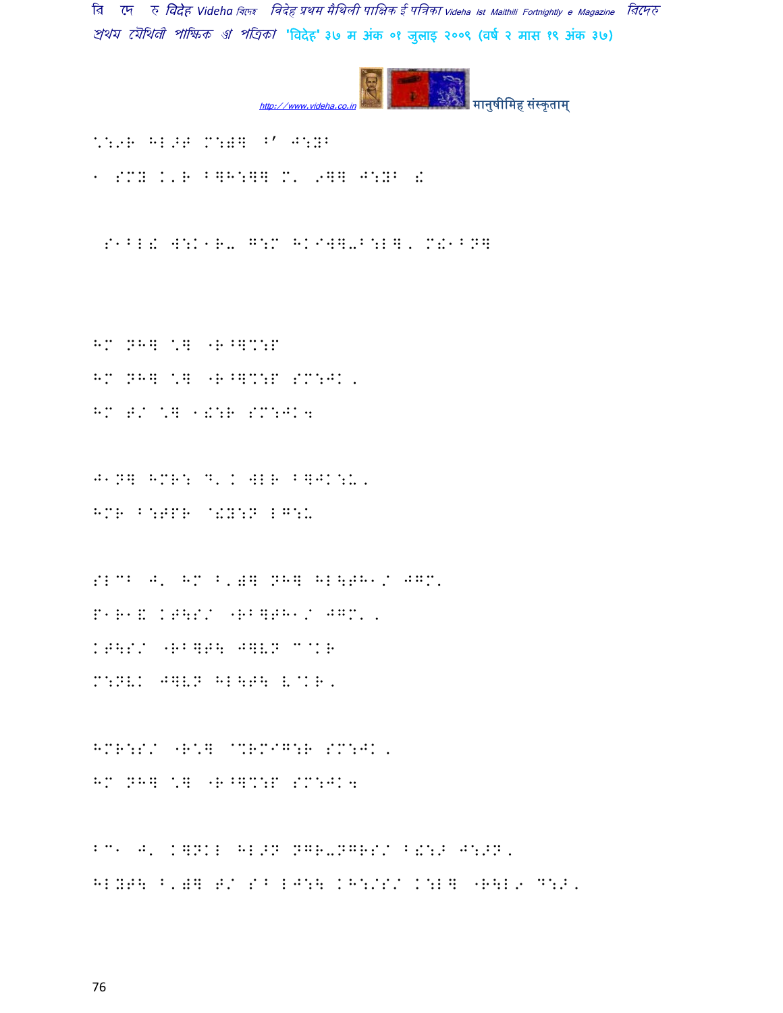

\*:9R HL>T M:)] ^' J:YB

1 SMY K'R B]H:]] M' 9]] J:YB !

STORE WHEN HE STORE CONTROL OF A STATE OF THE GIT ALL STATES OF THE UNION OF THE UNION OF THE UNION OF THE UNIO

 $H_1^*$   $H_2^*$   $H_3^*$   $H_4^*$   $H_5^*$   $H_6^*$   $H_7^*$   $H_8^*$ HM NH] \*] "R^]%:P SM:JK, HM THO THE SMITH

J1N] HMR: D'. WLR B]JK:U, HMR B:TPR @!Y:N LG:U

SLCB J' HO B') NH BHL HLANH Z (HAO) P1R1D (PHIL) (RPBRH) JGMT, . TART GRIBB ABLE TIL THUR HEAR END.

HMR:S/ "R\*] @%RMIG:R SM:JK, HM NH NH SHINH SM:HIK

BC1 J' KALL HEST NGRANGER SERI AND L HISH F.SH BY PF EPH (PHIN) CHE (PHER THE,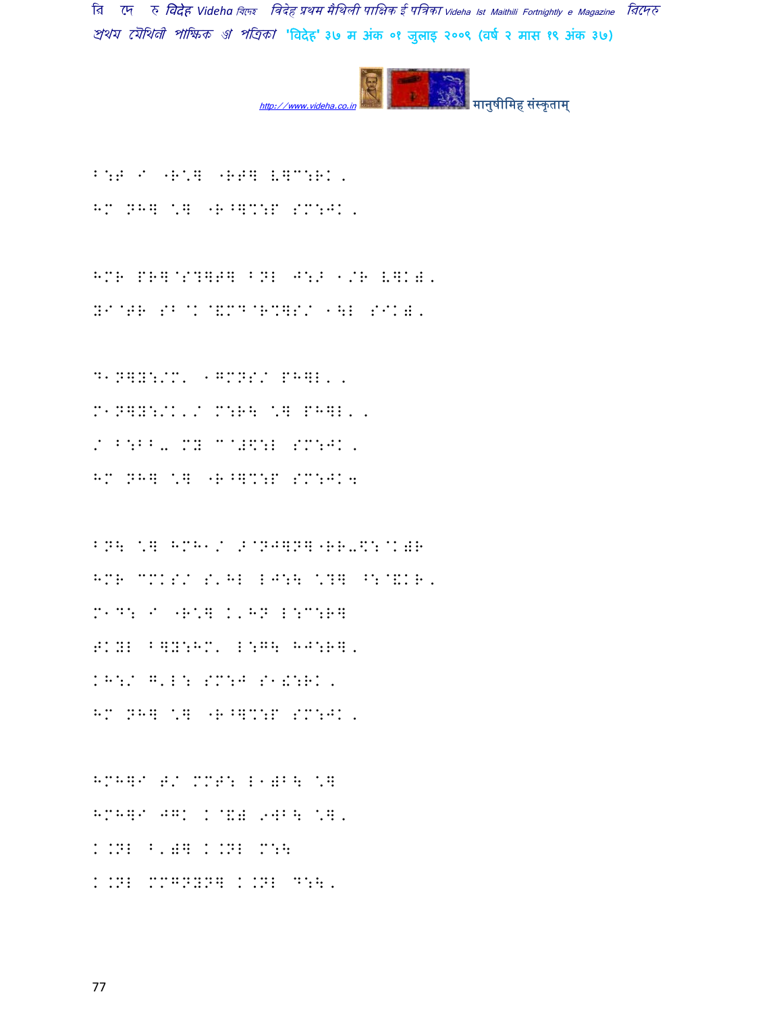

PSE RT PENS PERSONAL SETTING HM NH NH SHUNE FUNC.

HMR PRAINTARA FOR HIZ FOR LADA. YI@TR SB@K@&MD@R\$\$@K@&MD@R%}

D1N]Y:/M' 1GMNS/ PH]L', M1N]Y:/K'/ M:R\ \*] PH]L', / B:BB- MY C@#\$:L SM:JK, HM NH NH SHINHI SMIRIN

BND NAMHANI SI HARRES (BBLING NAM HMR CMKS/ STREET LJEN CHR CHINES D: FE (F) (BNH 1198 137384 TKYL B]Y:HM' L:G\ HJ:R], KH:/ G'L: SM:J SN:J SN:J HM NH] \*] "R^]%:P SM:JK,

HTHH BI TIME LINE ON HMH]I JGK K@&) 9WB\ \*],  $K$  , and  $K$  , and  $K$  , and  $K$  , and  $K$  , and  $K$  , and  $K$ K.N. MAGNYNGHYNGHYNGHY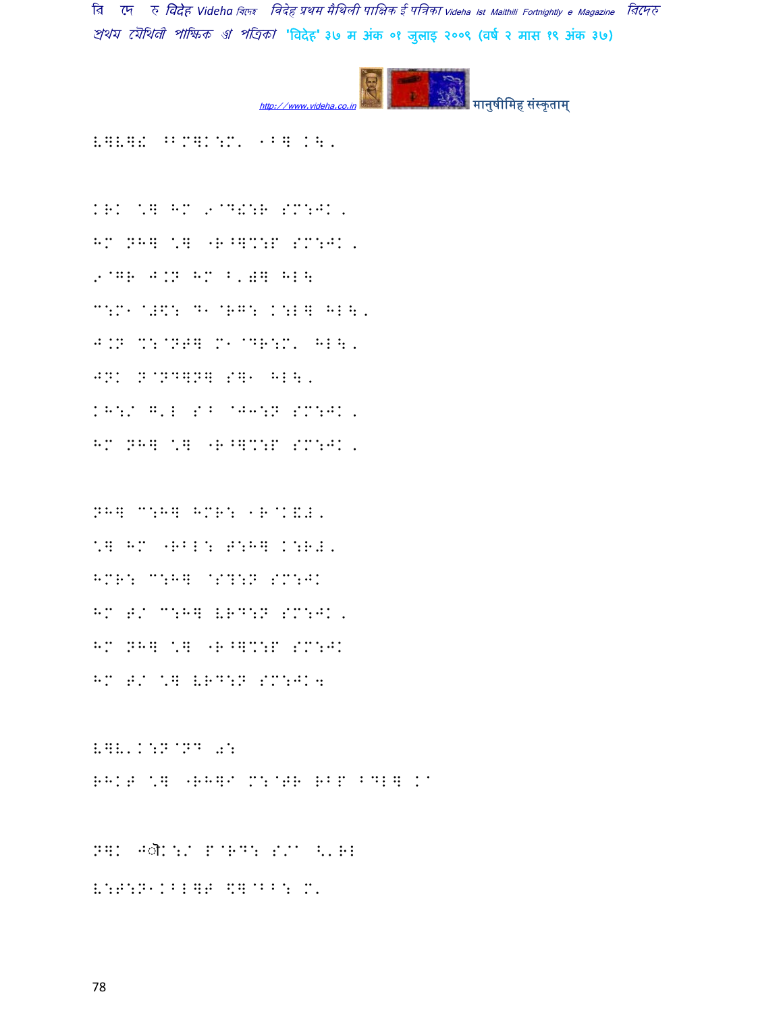N]K J◌ॊK:/ P@RD: S/a <'RL V:T:N1KBL]T \$]@BB: M'

EHE. IND 197-25 RHIB TH SPANN TIME BOR RDIN K

\*] HM "RBL: T:H] K:R#, HTB: C:HE C:HIN STEED HM BY TARE ERTHY SMYSH.  $H$   $\mathcal{H}$   $\mathcal{H}$   $\mathcal{H}$   $\mathcal{H}$   $\mathcal{H}$   $\mathcal{H}$   $\mathcal{H}$   $\mathcal{H}$   $\mathcal{H}$   $\mathcal{H}$   $\mathcal{H}$   $\mathcal{H}$   $\mathcal{H}$   $\mathcal{H}$ HM BANDER STARR

KH:/ G'L SAMIR STEAT. HT THE TH SESHING STIPL.

**NHE C:HE:HIMR: 1ROK** 

KRK THE SMOKE SMOKE THAT HM NH NH SHINH SMISH, 9@GR J.N HM B')] HL\ THIS CARD TO CHRY COLLECHER,  $H$  (F) M1 (FHH) M1 (FH) M1 (FH)  $\sim$ JNK NORTH NORTH STREET

V]V]! ^BM]K:M' 1B] K\,



िव दिन दि<mark>विदेह Videha</mark> <sub>विफर</sub> विदेह प्रथम मैथिली पाक्षिक ई पत्रिका Videha Ist Maithili Fortnightly e Magazine *वि*दिन्द

õथम मैिथली पािक्षक ई पिñका **'**िवदेह**'** ३७ म अंक ०१ जुलाइ २००९ (वष र् २ मास १९ अंक ३७)

78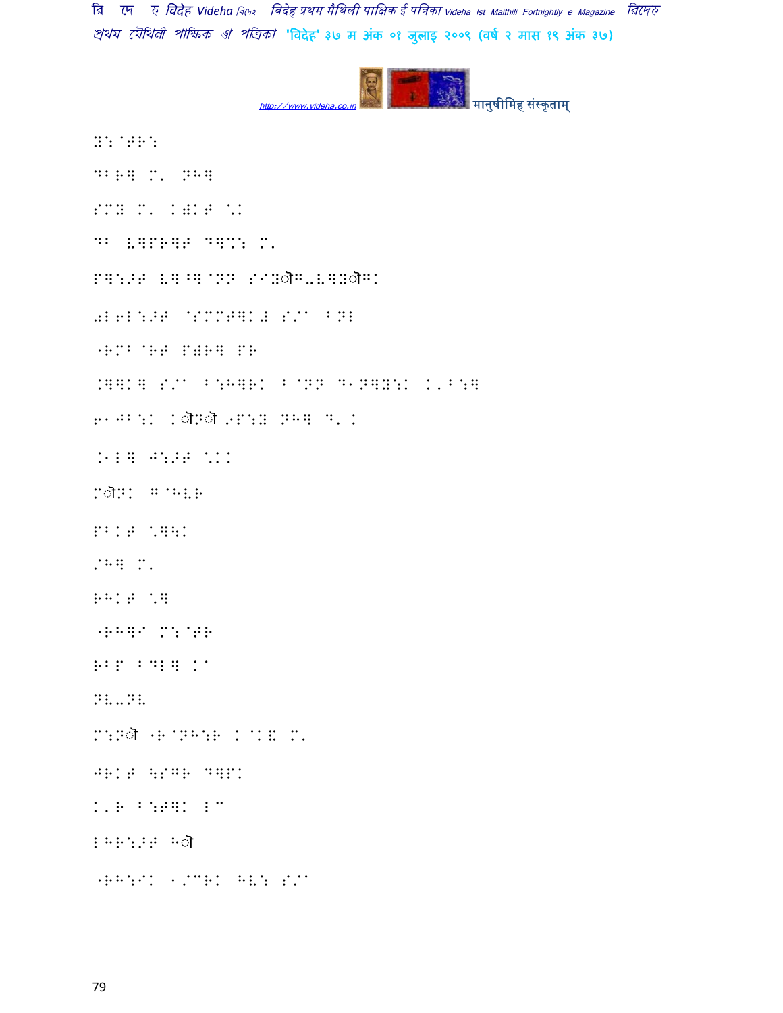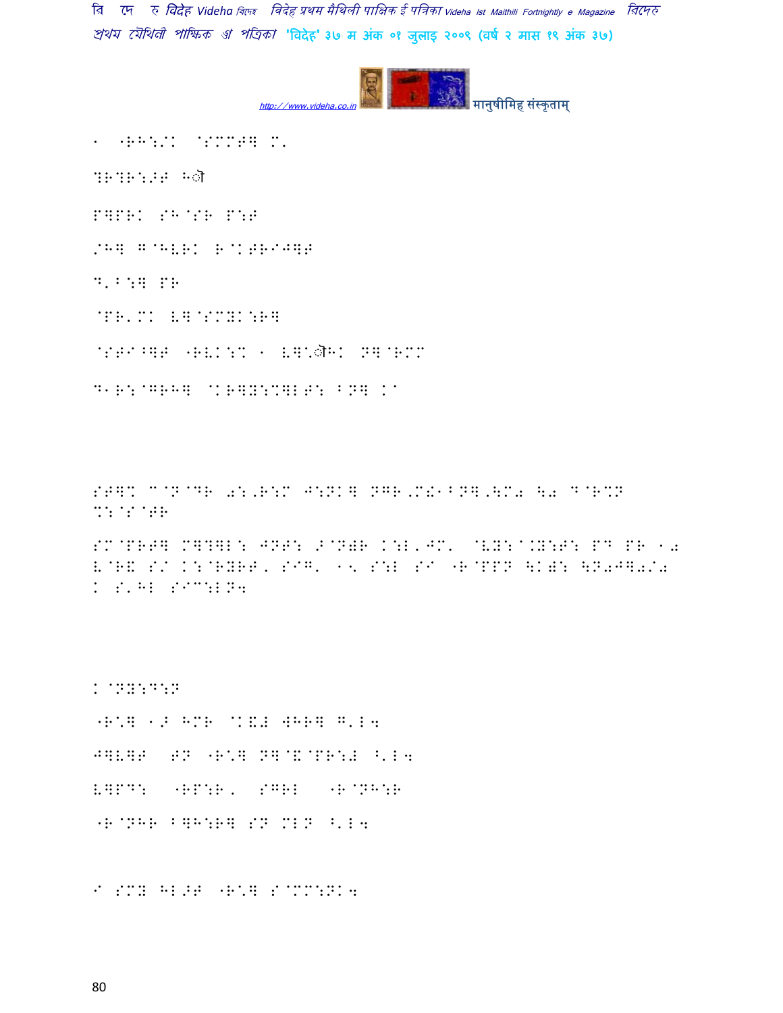

1 "RH:/K @SMMT] M'

?R?R:>T H◌ॊ

PAPEL SHOWE PER

/H] G@HVRK R@KTRIJ]T

D'B:] PR

WE WANTED TO STAND THE STATE OF THE STATE OF THE STATE OF THE STATE OF THE STATE OF THE STATE OF THE STATE OF THE STATE OF THE STATE OF THE STATE OF THE STATE OF THE STATE OF THE STATE OF THE STATE OF THE STATE OF THE STAT

MSTIF "RECTIF" (BROWN: PRIBIC

D. B. CORRECT MONEY AND CONSIDERED AT A REPORT OF A REPORT OF A REPORT OF A REPORT OF A REPORT OF A REPORT OF A

STARD ON DR DR 2: AND CONSTRAINING DR DR DR DR OF DECK, MODEL IS NOT DECK, MODEL IS NOT DECK, MODEL IS NOT DECK

%:@S@TR SM PREPROMERED AND ROUGH (DELAM) CERENCHIER PROPROVE ROBE VOOD GREEF, VARD, SIG VAN HET DE POET ADEL AVAREADA

K ST.H. SICHER

KONSERVE

 $R$  10 HMR  $R$  10 HMR  $R$  (10 HMR  $R$  ) 11 HMR  $\alpha$  WHR  $R$  (10 HMR  $\alpha$  WHR  $R$  ) 11 HMR  $\alpha$  where  $R$  is the set of the set of the set of the set of the set of the set of the set of the set of the set of the set of the JULIE THAT HE REAL THAT IS A LA V]PD: "RP:R, SGRL "R@NH:R "R@NHR B]H:R] SN MLN ^'L4

I SMY HL>T "R\*] S@MM:NK4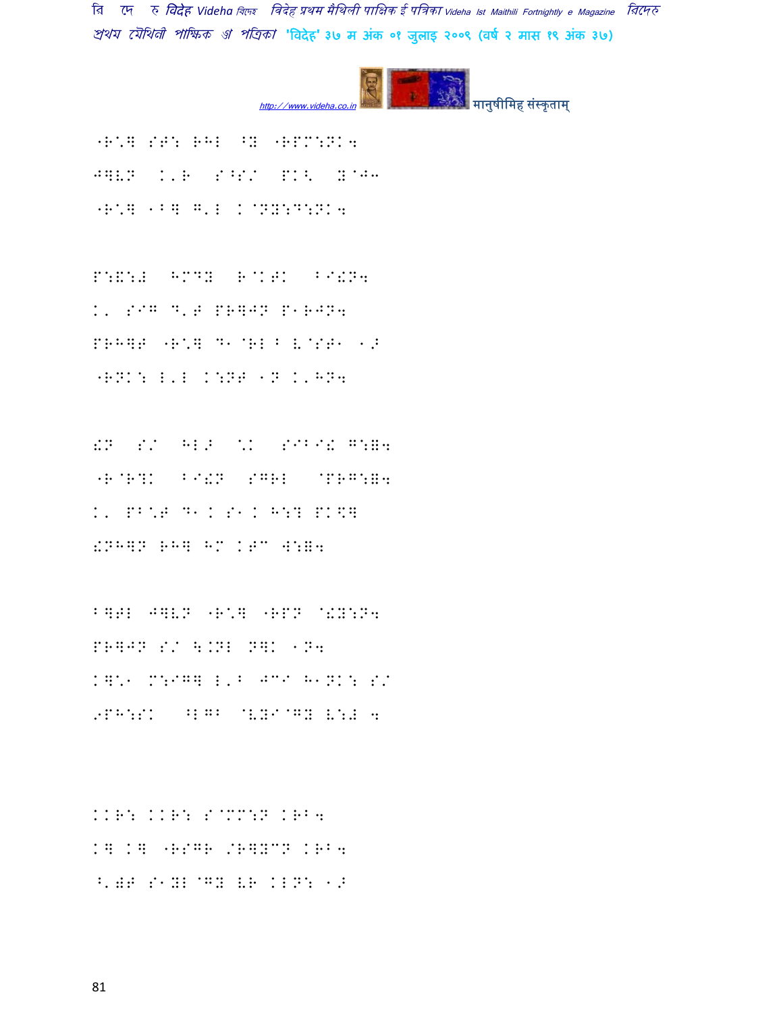

"R\*] ST: RHL ^Y "RPM:NK4 JAN KYA SANG PILI SE "R\*] 1B] G'L K@NY:D:NK4

P:B:# HMDY ROKE ROKE K. POR J.A PERAG P(PAGA PRHATH "BIT" DI RADIO VO "RNK: L'L K:NT 1N K'HN4

13 S/ HLP NI S/ HINE "RORSH" RORSH" RORSH @PRG: K. PRAFT CAN BY BIRS !NH]N RH] HM KTC W:=4

FARE "RED" (RTA "RED") PR]JN S/ \.NL N]K 1N4 KAL MINISTRA DI SERVICI DI STANOVICI DI STANOVICI DI STANOVICI DI STANOVICI DI STANOVICI DI STANOVICI DI STANO 9PH:SK ^LGB @VYI@GY V:# 4

KKR: KKR: SMM:N KRB4 KALLAR SERGE (RAGRAM KRB4) T SHE SHE WAS SINGLED AND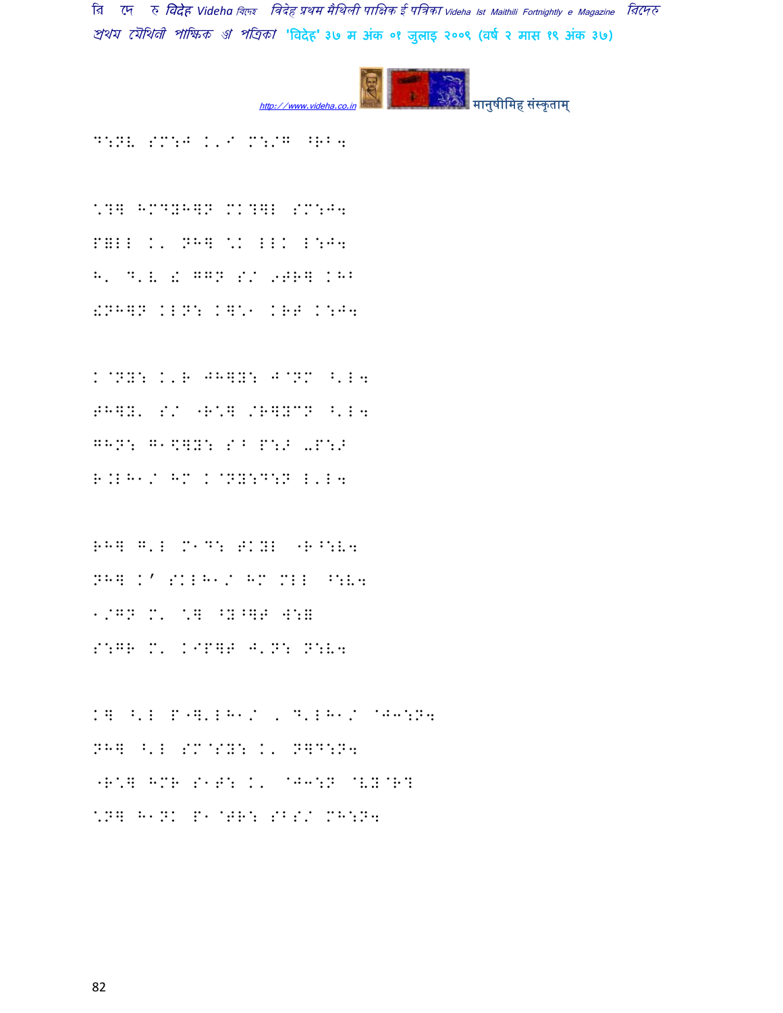

B:NV SM:NV SM:NV SM:NV

 $7.99$  HMD HP MK  $30$  MK  $\mu$ PHIL I. PHE W HIL PAH H' D'AL E SHRI KHABH ISP !NH]N KLN: K]\*1 KRT K:J4

K@NY: K'R JH]Y: J@NM ^'L4 THE YOU SAND ARE THE SALE GHT: GRIES PROVINCE R.LH1/ HM K@NY:D:N L'L4

RH W. M. TKYL BILL SERIE THE K' SKLHIV HM MILL CHA 1/GN MY MODEL OF MAIL S:GR M' KIP]T J'N: N:V4

KA) ORIGINAL ANG PANGANG PANGANG PANGANG PANGANG PANGANG PANGANG PANGANG PANGANG PANGANG PANGANG PANG  $11.11$   $1.11$   $1.11$   $1.11$   $1.11$   $1.11$   $1.11$   $1.11$   $1.11$   $1.11$ "R\*] HMR S1T: K' @J3:N @VY@R? \*N] H1NK P1@TR: SBS/ MH:N4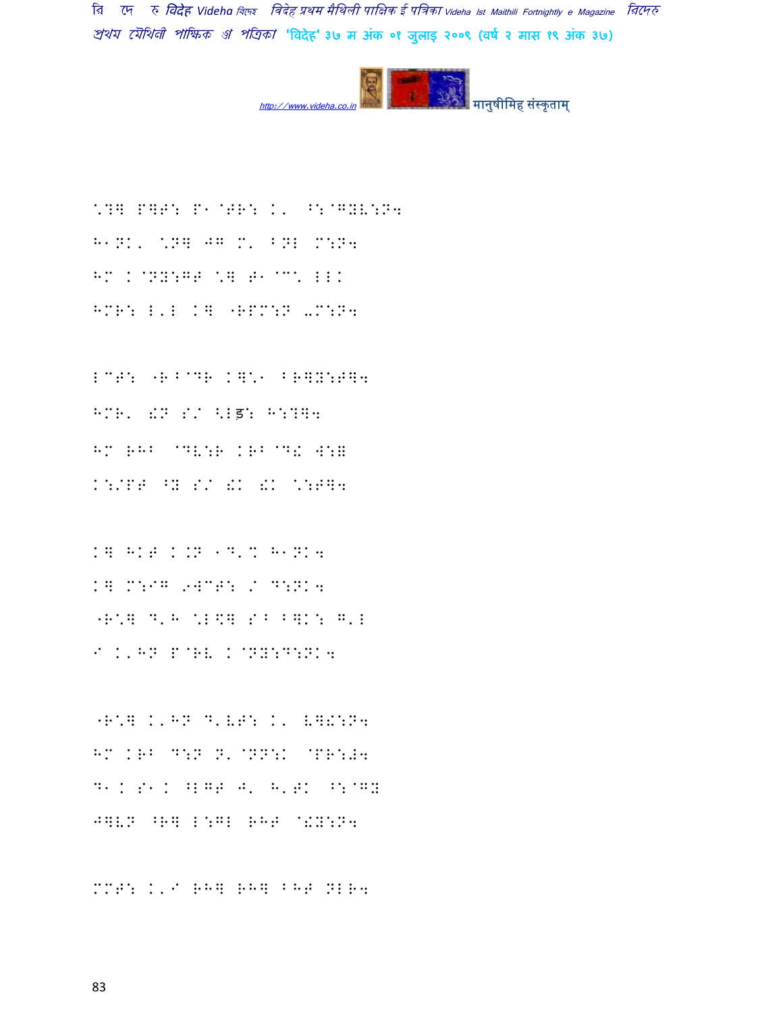

\*?] P]T: P1@TR: K' ^:@GYV:N4 HANK, YNN MA DA DA BHAINN HM KONYEGT \* TA TIL HMR: LILE KA "RPM:N LWYPH"

LCT: SACTOR CHILL BRIDGER  $H(T;Y) = H(T;Y;Y) = H(T;Y) + H(T;Y)$ HM RHB DR MAD RH K:/PT ^Y S/ !K !K \*:T]4

K] HKT K.N 1D'% H1NK4 K] M:IG 9WCT: / D:NK4  $R$  . Denote the state of  $R$  becomes the state of  $R$  and  $R$ I K'HN P@RV K@NY:D:NK4

"RTH T. RF D. KRY I. (1921) HM KRB D:N N'@NN:K @PR:#4 D1. S1. S1. H'TK A. GY. BY S1. HTM JUNE OF REAL REAL PROPERTY

MMT: K'I RH] RH] BHT NLR4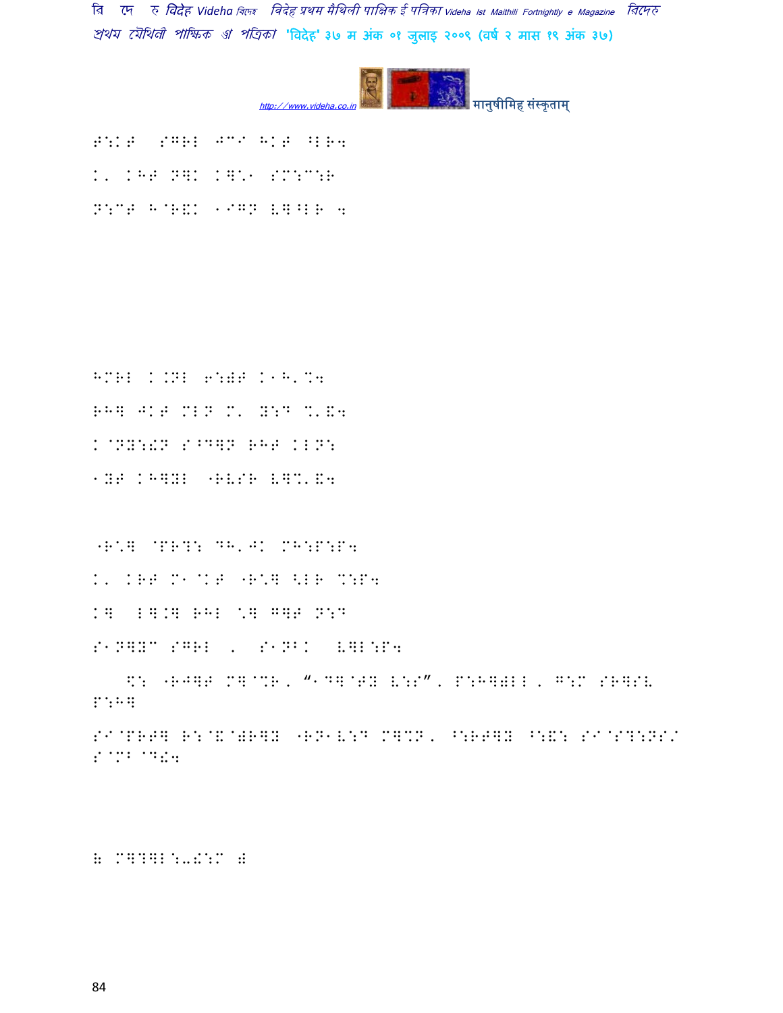

F:CF SWAR AND ALB HER K' KHT N]K K]\*1 SM:C:R THE HORD VAND LEBER

HTBL C.OH 6588 1996.TH RHE WIR MI WIN WIES K@NY:!N S^D]N RHT KLN: 1YT KHIY KHIYA NA KUWA NA KUWA NA KUWA NA KUWA NA KUWA NA KUWA NA KUWA NA KUWA NA KUWA NA KUWA NA KUWA NA KUWA

"R\*] @PR?: DH'JK MH:P:P4 K' KREAT MIR "REAR AFR" WER K. RHL \* RHL \* RHL \* RHL \* RHL \* RHL \* RHL \* RHL \* RHL \* RHL \* RHL \* RHL \* RHL \* RHL \* RHL \* RHL \* RHL \* RHL \* SNRH SHE , SNRH VILLENDE \$: "ROWS" MOVIES WARRENT MOVIES AND SPACE P:H]

 $S \cdot$  . The result is the result of  $R$  is the result in  $R$  is the result in  $R$  is the result in  $R$ S@MB@D!4

( M]?]L:-!:M )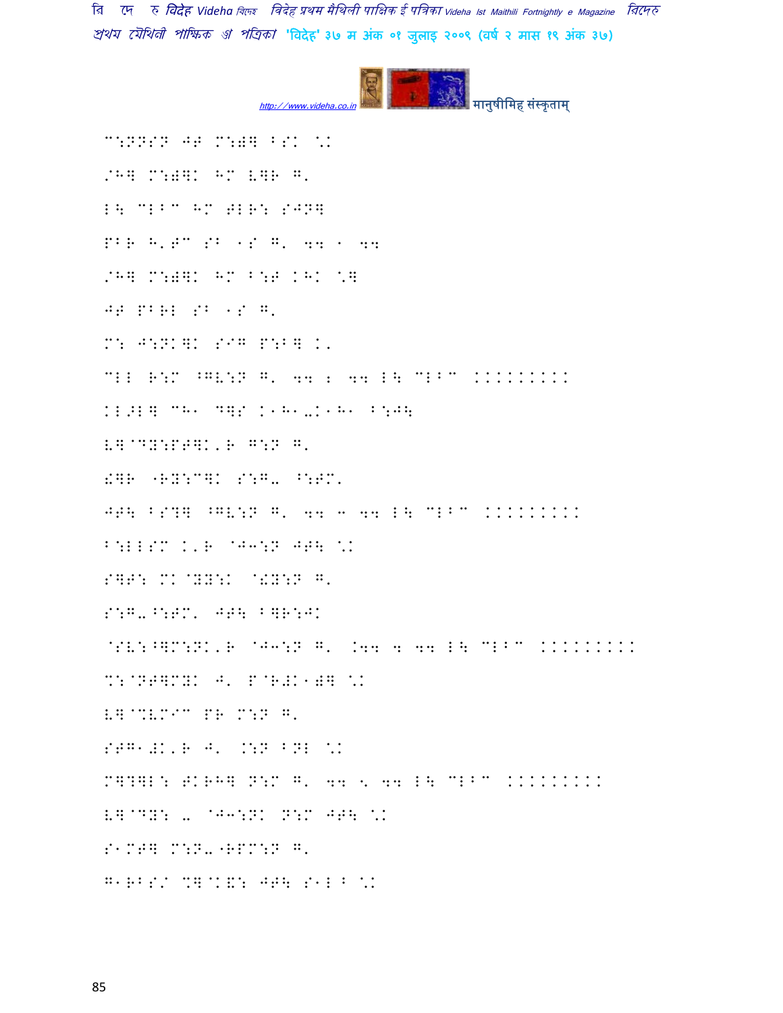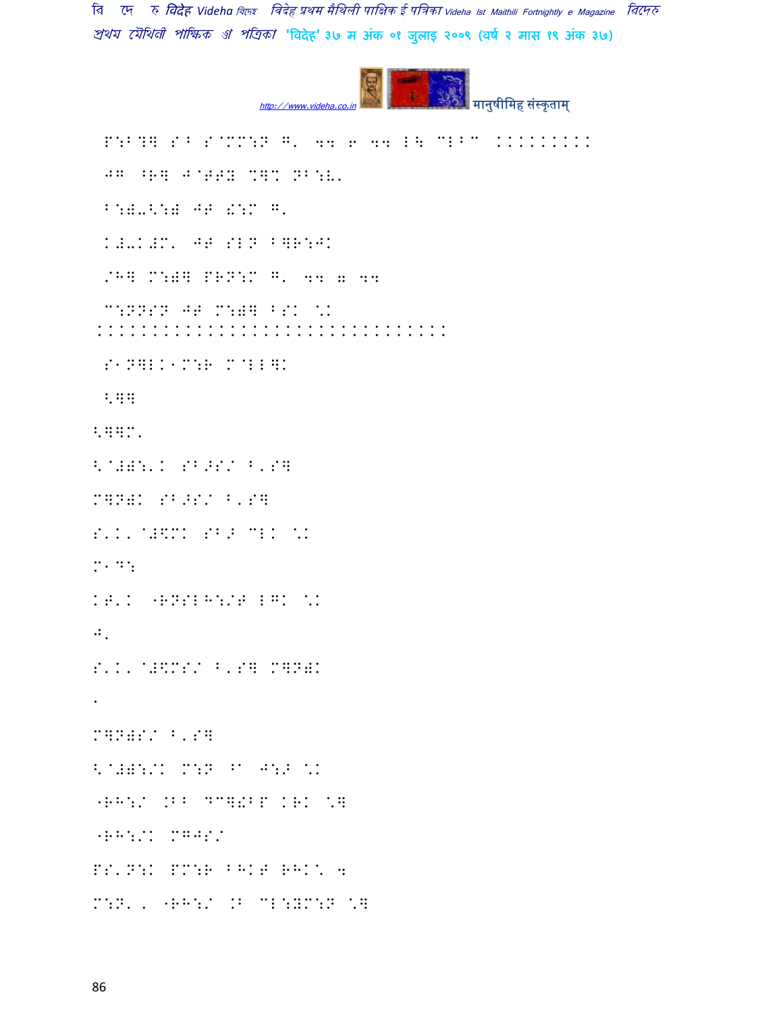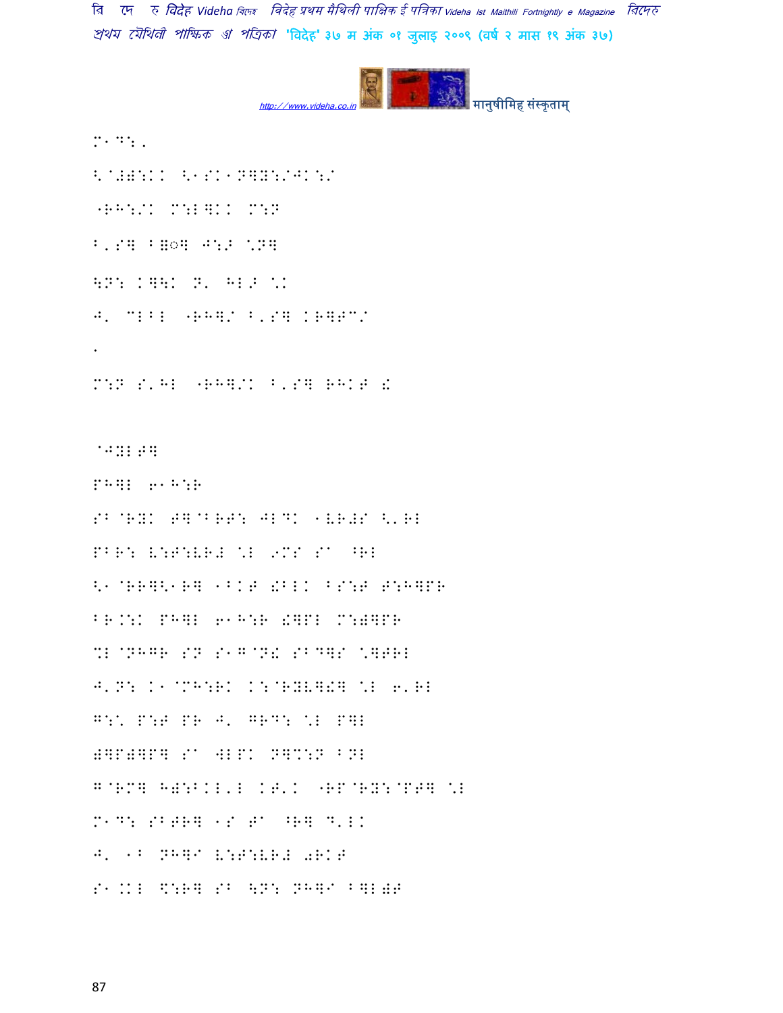

 $\mathbb{C} \cdot \mathbb{R}$ :

K MARIO KARDA PERSONIS

"RH: N: M: M: M: M:

B, PH + H0H + H1P (19H)

\N: K]\K N' HL> \*K

J' CLBL "RH]/ B'S] KR]TC/

 $\ddot{\phantom{0}}$ 

M:N S'HL "RH]/K B'S] RHKT !

1400111

PHE POSSE SB@RYK TREES TO SEE TO A SEE STATES PBR: V:T:VR# \*L 9MS Sa ^RL **1. THER. HE : IS HE SIS IS THE PRODUCT** BR.:K PHIL 61H:R INITE CONTROL **WE SHOW SHOW SHOW SHOWS** J'N: KI: KI: KI: KI: KI: KI: KI: KI: KI: H G:t P: PR J. BRS M PH )]P)]P] Sa WLPK N]%:N BNL G@RM] H):BKL'L KT'K "RP@RY:@PT] \*L D: SBTREET (SBTR) 1981 (SBTR J' 19 NHE SANDARI SA ST.KI SHI SI ANG NAHA FHIRE

87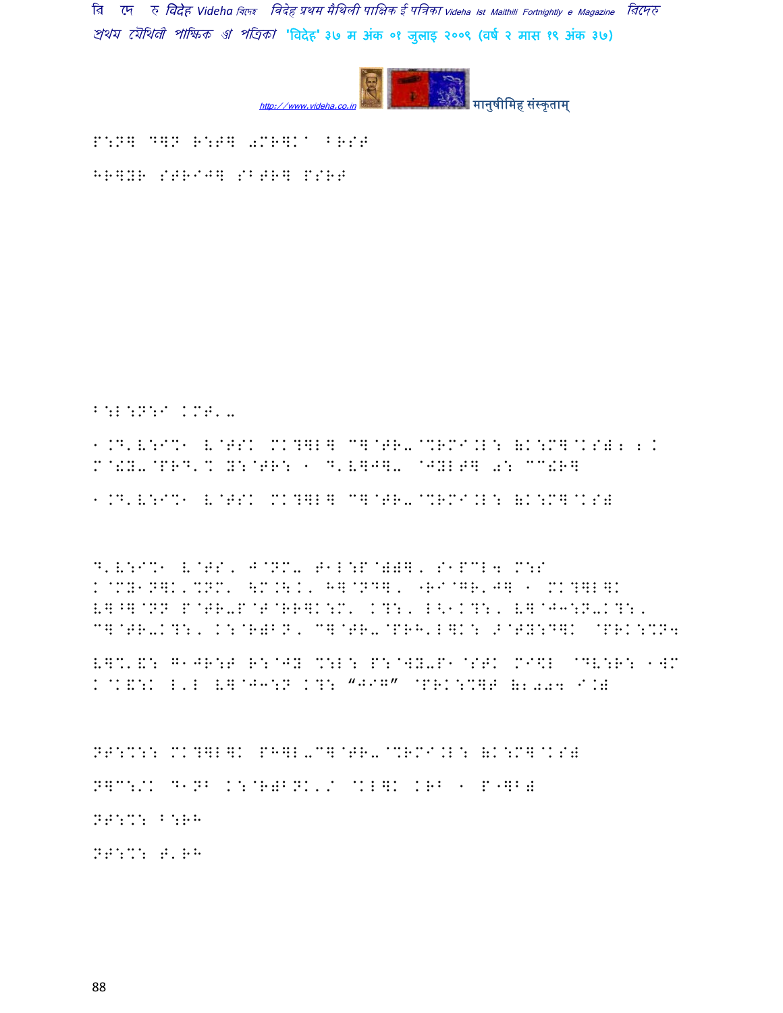88

NT:%:: MK?]L]K PH]L-C]@TR-@%RMI.L: (K:M]@KS) N]C:/K D1NB K:@R)BNK'/ @KL]K KRB 1 P"]B) NT:%: B:RH NT:%: T'RH

V]%'&: G1JR:T R:@JY %:L: P:@WY-P1@STK MI\$L @DV:R: 1WM K@K&:K LOOK LEART WARD & LOOK AND A COMPARY AND A CHILD AND A CHILD AND ARRAY AND ALL ON  $\mathbb{R}^2$ 

D'ISTOR EN THE SANDER THE THEFT STATE OF THE K@MYNING\_AWARTHY, HIMPHI, HEMPHI, HIMPHI, MARY 2007 V]^]@NN P@TR-P@T@RR]K:M' K?:, L<1K?:, V]@J3:N-K?:, C]@TR-K?:, K:@R)BN, C]@TR-@PRH'L]K: >@TY:D]K @PRK:%N4

1.D'V:I%1 V@TSK MK?]L] C]@TR-@%RMI.L: (K:M]@KS)

1.D'V:I%1 V@TSK MK?]L] C]@TR-@%RMI.L: (K:M]@KS); 2. M@!Y-@PRD'% Y:@TR: 1 D'V]J]- @JYLT] 0: CC!R]

B:L:N:I KMT'-

HR]YR STRIJ] SBTR] PSRT

P:N] D]N R:T] 0MR]Ka BRST



िव दिन दि<mark>विदेह Videha</mark> <sub>विफर</sub> विदेह प्रथम मैथिली पाक्षिक ई पत्रिका Videha Ist Maithili Fortnightly e Magazine *वि*दिन्द õथम मैिथली पािक्षक ई पिñका **'**िवदेह**'** ३७ म अंक ०१ जुलाइ २००९ (वष र् २ मास १९ अंक ३७)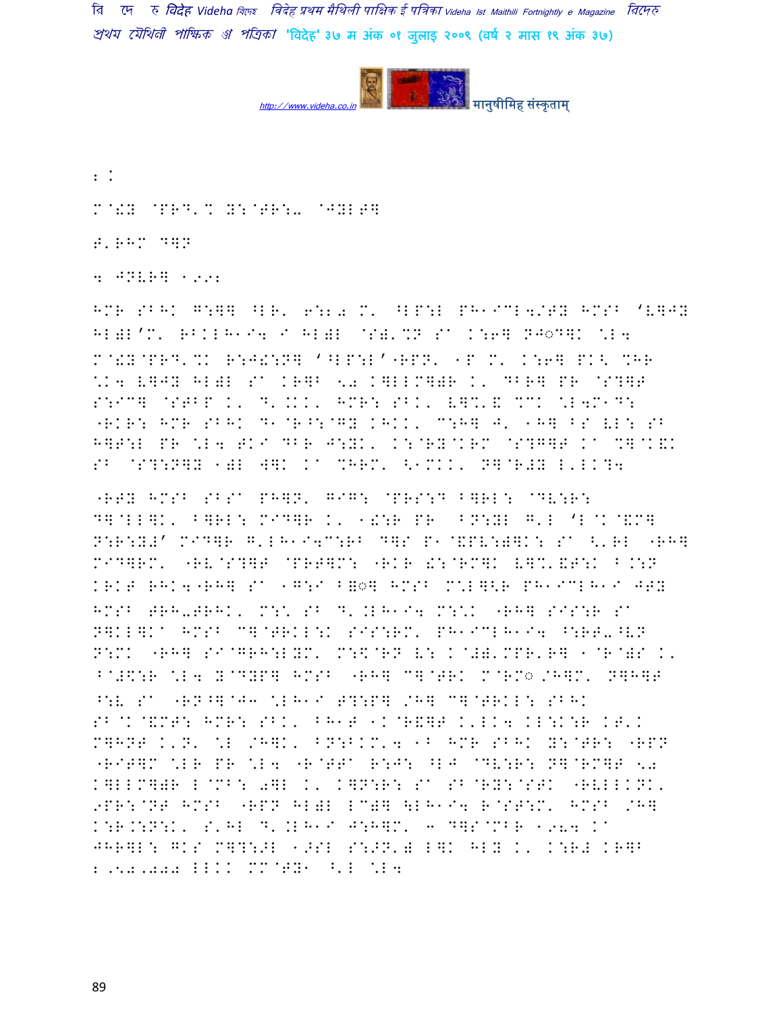89

2,50,000 LLKK MM@TY1 ^'L \*L4

DRIEDRIK BREIN CATRE KI 1900 PR BNORDER BN 1910 CECR N:R:Y#' MID]R G'LH1I4C:RB D]S P1@&PV:)]K: Sa <'RL "RH] MINDER MORE THAN IN THE REPORT OF REAL BIG THAT HE REAL DEPATH OF THAT KRKT RHK4 GHF ST 1952 FROM HISB MILL MAR MAN MAR HMSB TRH-TRHK' M:\* SB D'.LH1I4 M:\*K "RH] SIS:R Sa NADE AD TO A DER OTALIERE EINDOERE ER DIE ERKLIK ALS ALLE ALLE ALLE EINDO N:MK "RH] SI@GRH:LYM' M:\$@RN V: K@#)'MPR'R] 1@R@)S K' ^@#\$:R \*L4 Y@DYP] HMSB "RH] C]@TRK M@RM◌/H]M' N]H]T  $:V$  Sa  $:V$  and  $:V$  is the contribution of  $\mathbb{R}$  . The case of  $\mathbb{R}$  is the case of  $\mathbb{R}$  is the contribution of  $\mathbb{R}$  is the contribution of  $\mathbb{R}$  is the contribution of  $\mathbb{R}$  is the contribution of  $\$ SB@K@&MT: HMR: SBK' BH1T 1K@R&]T K'LK4 KL:K:R KT'K MAHRA KYRI (ME /HANY BRAKKIN 4 1B HMR SBHK Y:@TR: "RPN" 1 "RITH THAT THE TRANSPORT OF THE RELATIONS TO RELATION TO THE TRANSPORT  $\mathcal{L}_{\mathcal{A}}$ KALEDARE E MARS GAL (L. CAPARS SM) SA MRIS SAN SPEECHDEN 9PR:@NT HMSB "RPN HL)L LC)] \LH1I4 R@ST:M' HMSB /H] K:R.:N:K' S'HL D'.LH1I J:H]M' 3 D]S@MBR 1984 Ka JHR]L: GKS M]?:>L 1>SL S:>N') L]K HLY K' K:R# KR]B

HTR SBHK GREECHE, FROUGHT, HITRE INFOURNATIONITY VEHAI HEGE KOL (GROSER-KA: KO) REGE (CYG), OD (GOSER SIGNAPHO (CE) S MO IN THE RED OF A REAL PROPERTY OF THE RED IN THE RED IN THE RED IN THE RED IN A METAL PART OF A MINOR METAL O \*K4 V]JY HL)L Sa KR]B 50 K]LLM])R K' DBR] PR @S?]T SSECTBO SEBURI D'ON DI. HMRS SBIL AUTOR CON SEGUENTS "RECORS HONE SPACE DIRECTORS CONSIST TO THE PROCESS OF SBHK SBHK SBHK SB VL: SBHK SB VL: SB VL: SB VL: SB VL: SB HAT: TH:L A & THE FILL I:YEC' KIN' YTHE I: THILD SB @S?:N]Y 1)L W]K Ka %HRM' <1MKK' N]@R#Y L'LK?4

"REBOR BOSS" SBSA PHILOS BARBIN' (PERSIB) A BEEN ON REGEN

4 JUNE 1992 - 1992 - 1992 - 1992 - 1992 - 1992 - 1992 - 1992 - 1992 - 1992 - 1992 - 1992 - 1992 - 1992 - 1992

F.HM DHP

M@!Y @PRD'% Y:@TR:- @JYLT]

 $\mathbf{1}$ .



िव दिन है विदेह Videha <sub>विलर</sub> विदेह प्रथम मैथिली पाक्षिक ई पत्रिका Videha Ist Maithili Fortnightly e Magazine विदि õथम मैिथली पािक्षक ई पिñका **'**िवदेह**'** ३७ म अंक ०१ जुलाइ २००९ (वष र् २ मास १९ अंक ३७)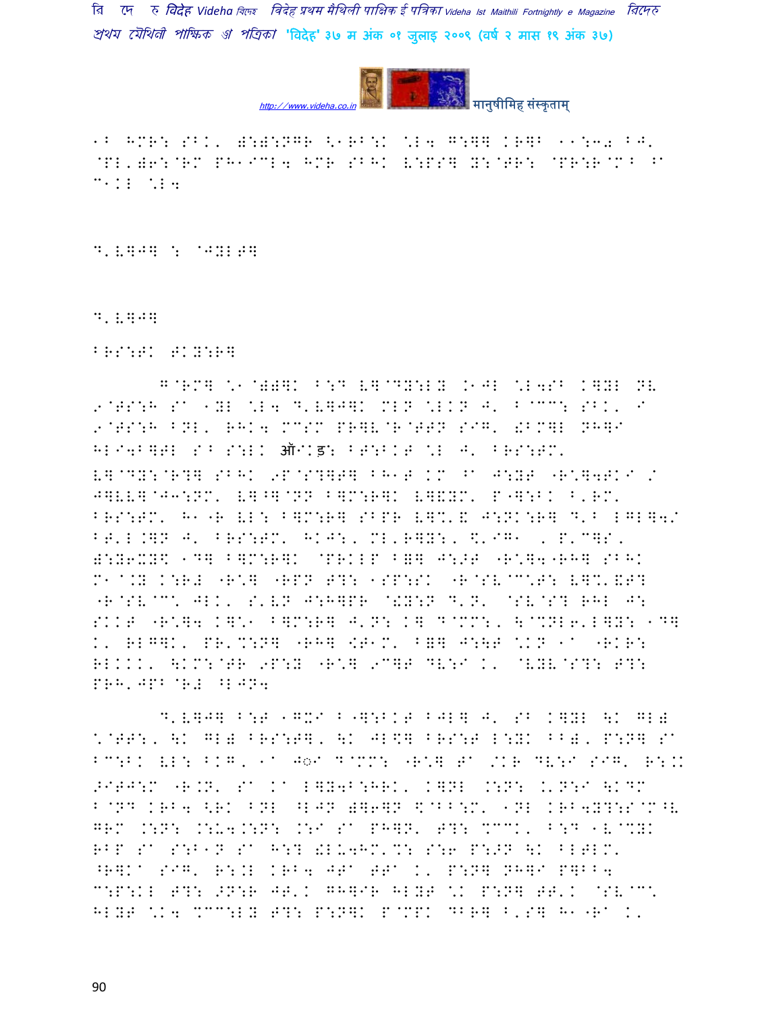

1B HMR: SBK' ):):NGR <1RB:K \*L4 G:]] KR]B 11:30 BJ' @PL')6:@RM PH1ICL4 HMR SBHK V:PS] Y:@TR: @PR:R@M^ ^a THE SERVICE

D'V]J] : @JYLT]

 $9.1949$ 

BRS: TKY:RIS TREAT PRESS

GO RECORDS THE BILL OF NEW LEAST RELEASE. IN HIS COUNTERFIELD HIS 9@TS:H Sa 1YL \*L4 D'V]J]K MLN \*LKN J' B@CC: SBK' I 9@TS:H BNL' RHK4 MCSM PR]V@R@TTN SIG' !BM]L NH]I HEIGHTLE SO STEED MOTER FROM HEIGHT THE SERVER. V]@DY:@R?] SBHK 9P@S?]T] BH1T KM ^a J:YT "R\*]4TKI / JABELBETA HISPOTI JA BIR VERTI PEOPERO JA BERGOTI JA VIRES OJ POSTED BRS:THIS: THIS RESOURCE IN THE BRS: BOARD VIRE ALL PREMIX BTB'L. BTO BELIEVE BRITANISME D'ANNIBILE DE L'ANNIBILE D'ANNIBILE D'ANNIBILE D'ANNIBILE D'ANNIBILE D'ANNIBILE ):Y6XY\$ 1D] B]M:R]K @PRKLP B=] J:>T "R\*]4"RH] SBHK M10.Y K:R# "R#N#" R#PN T#PN TYPN T?: 1SP:SK "R#N B#N.B#9 "RESVENS TO A REAL STATE OF THE DISTURBANCE OF THE UPS. SKKT "R\*D#" IT", F#NL6# 4.01 K# TYN:, & NUB.IT#: 190 K# K' RIGH) TR'SH' RHE YAN'. FAR ANAF NJA 'A' RHIG' RECOCOL ACON 18P:Y PING 9-NATH DYNAR (PENY) CO. TEGENING 97N: PRH'JPB@R# ^LJN4

D. LEAR PORT REST PRESS PAPER AT THIS CHILD BILL \*@TT:, \K GL) BRS:T], \K JL\$] BRS:T L:YK BB), P:N] Sa BC:BK VL: BKG, 10 JON DOM: "RYSTANDER" TA 2008 PERSON ROLL AND STRIKE >ITJ:M "R.N' Sa Ka L]Y4B:HRK' K]NL .:N: .'N:I \KDM B@ND KRB4 <RK BNL ^LJN )]6]N \$@BB:M' 1NL KRB4Y?:S@M^V GRM .:N: .:U4.:N: .:I Sa PH]N' T?: %CCK' B:D 1V@%YK RBP SA S:B1N SA S:B1N SA S:B1N SA S:B1N SA H:B1N S ^R]Ka SIG' R:.L KRB4 JTa TTa K' P:N] NH]I P]BB4 C:P:KL T?: >N:R JT'K GH]IR HLYT \*K P:N] TT'K @SV@C\* HLYT \*K4 %CC:LY T?: P:N]K P@MPK DBR] B'S] H1"Ra K'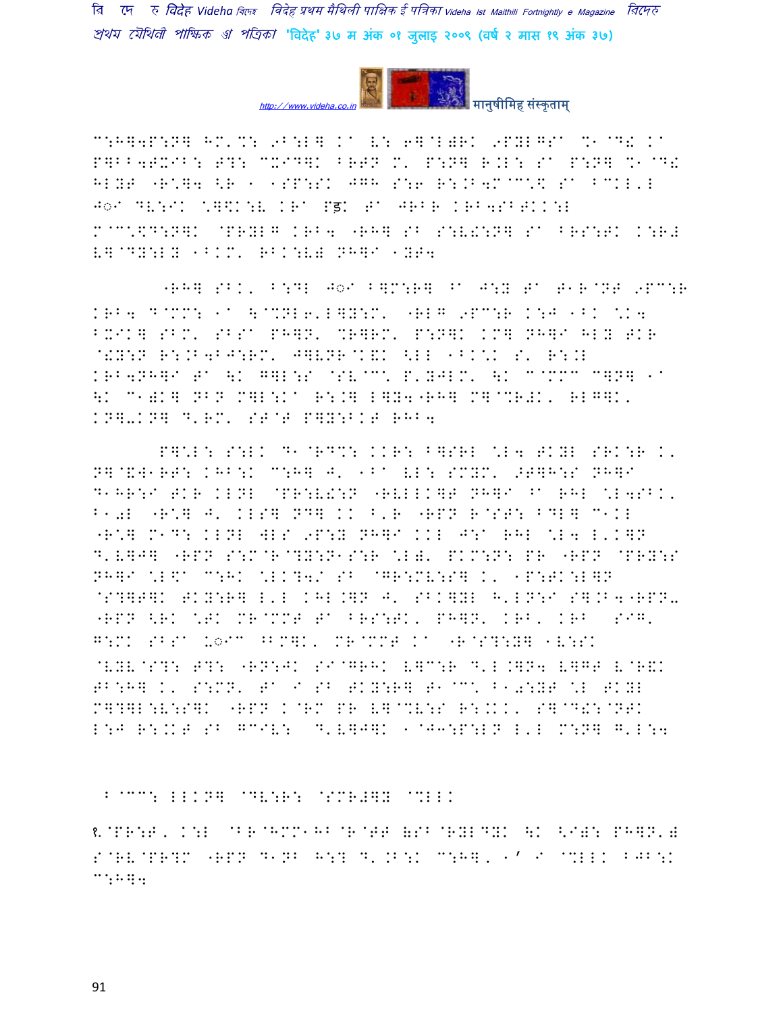

C:H]4P:N] HM'%: 9B:L] Ka V: 6]@L)RK 9PYLGSa %1@D! Ka PARTHERS RESONANCE PROVINCING PERSONS IN PERSONS HINA "R\*DHA" RB:S "STING" AHR YNA BNORGHING SYS BY SYNILL Joi TEST TATIME IN TE WIND THAN THE SERIE M@C\*\$D:N]K @PRYLG KRB4 "RH] SB S:V!:N] Sa BRS:TK K:R# V]@DY:LY 1BKM' RBK:V) NH]I 1YT4

 $R$ HHE SBK: B:DHE JOY PENING B' AND 9PC:RENT 2PTNE KRB4 DAMMIN: 1a NLG 9PC: REGION 1991 POZZONE (1991-1991) NA BXIK] SBM' SBS PHEN, MAHAM, PYRHI (198 PHEN ALB SIA) @!Y:N R:.B4BJ:RM' J]VNR@K&K <LL 1BK\*K S' R:.L KRB4NHL) TA SV GA GALI TA DILA MARAKA NA MARAKA NA MARAKA NA MARAKA NA MARAKA NA MARAKA NA MARAKA NA MARAKA NA  $\kappa$   $K$   $\kappa$   $\kappa$   $\kappa$   $\kappa$   $\kappa$   $\kappa$   $\kappa$   $\kappa$   $\kappa$   $\kappa$   $\kappa$   $\kappa$   $\kappa$   $\kappa$   $\kappa$   $\kappa$   $\kappa$   $\kappa$   $\kappa$   $\kappa$   $\kappa$   $\kappa$   $\kappa$   $\kappa$   $\kappa$   $\kappa$   $\kappa$   $\kappa$   $\kappa$   $\kappa$   $\kappa$   $\kappa$   $\kappa$   $\kappa$   $\kappa$  KNEDIG BERGELAH DENGAN PROPINSI DI PROPINSI DI PROPINSI DI PROPINSI DI PROPINSI DI PROPINSI DI PROPINSI DI PRO

 P]\*L: S:LK D1@RD%: KKR: B]SRL \*L4 TKYL SRK:R K' N]@&W1RT: KHB:K C:H] J' 1Ba VL: SMYM' >T]H:S NH]I D:APS/ BIP IEM (TRSEN) (PEERING PAG/ FV PAE SEGIL) B10L R#10L "R#DIR" R#B II KLD "RPD" B'R RPN B'MIN M "R\*] M1D: KLNL WLS 9P:Y NH]I KKL J:a RHL \*L4 L'K]N D'V]J] "RPN S:M@R@?Y:N1S:R \*L)' PKM:N: PR "RPN @PRY:S NH]I #L\$a C:HK \*L\$a C:HK \*L\$a C:HK \*L\$a C:HK \*L\$a C:HK \*L\$a C:HK \*L\$a C:HK \*L\$a C:HK \*L\$a C:HK \*L\$a C:HK \*L\$a<br>NH \*L\$a C:HK \*L\$a C:HK \*L\$a C:HK \*L\$a C:HK \*L\$a C:HK \*L\$a C:HK \*L\$a C:HK \*L\$a C:HK \*L\$a C:HK \*L\$a C:HK \*L\$a C @S?]T]K TKY:R] L'L KHL.]N J' SBK]YL H'LN:I S].B4"RPN- "RPN ART NRT TROTTE EN PRESEIL PHRISTER, TROTTE SEMPL BENI SBSA LOGA BENEIL NEGNIS IA SEGERERALEN @VYV@S?: T?: "RN:JK SI@GRHK V]C:R D'L.]N4 V]GT V@R&K TB:H] K' S:MN' Ta I SB TKY:R] T1@C\* B10:YT \*L TKYL MARRIS CONSTRUCTION CONTROL PROVIDED AND CONTROL CONTROL CONTROL CONTROL CONTROL CONTROL CONTROL CONTROL CONTR List Bille St Annil (Alban: Prasinific Li Minh Alise

B@CC: LLKN] @DV:R: @SMR#]Y @%LLK

१. 'PR:T, K:L @BR@TT (SBC) (SB@R) (SB@RYLDYK \K \K \K \K \ROWRLDY S@RV@PR?M "RPN D1NB H:? D'.B:K C:H], 1' I @%LLK BJB:K  $\cdots$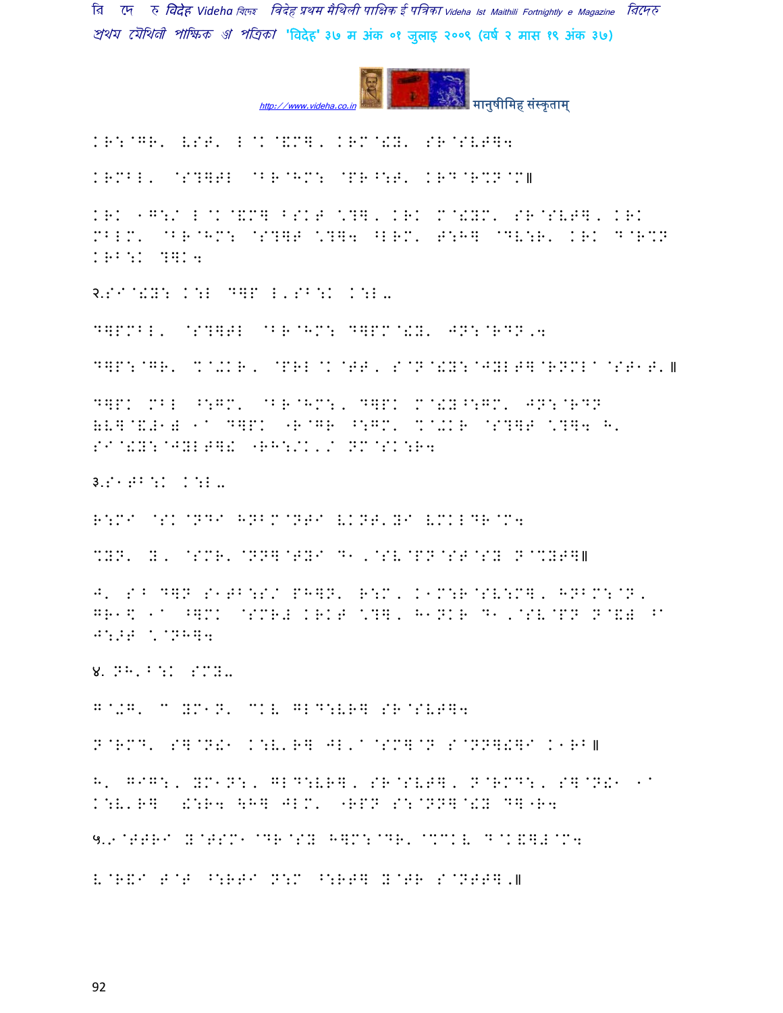

KR: THE VALUE OF THING IN THING ON THE VEHICLE AND INTERFERENCE

KRMBL: @S?PRO: PROPOSITE PREVIOUS ARRANGEMENT

KRK 1G:/ LOVIET FRANCH ARK MAN SRAW SPIRED, AN MBLM' @BR@HM: @S?]T \*?]4 ^LRM' T:H] @DV:R' KRK D@R%N KRB:K ?

२.FX:MEN DORE PRESENTATIONS

DRIVEL MORRIS OF MOS PRIVAGE AND BRACK

DRIPS (REV) & CALL BYL (OPRES) & GROUND (PRESPIRED TO STRIKE, III)

DHIS MBL AND MELTIC MELTIC MANUSCRIP (V]@&#1) 1a D]PK "R@GR ^:GM' %@+KR @S?]T \*?]4 H' SI@!Y:@JYLT]! "RH:/K'/ NM@SK:R4

 $3.51 \div 51.51 \div 1.51.51$ 

RSTA MI MI MI ADA TUREA RI PELIK RAMANI HANDA

%YN' Y, @SMR'@NN]@TYI D1,@SV@PN@ST@SY N@%YT]॥

J' S^ D]N S1TB:S/ PH]N' R:M, K1M:R@SV:M], HNBM:@N, GR1\$ 1a ^ MH2 & SMR# KRKE & DIR WAS MADE TO A ME PARA OF J:>T \*@NH]4

४. NH'B:K SMY-

GOODS CONSIDERED AND CHANNEL SERVICE CONSIDERATION

N@RMD' S]@N!1 K:V'R] JL'a@SM]@N S@NN]!]I K1RB॥

H' GIG:, YM1N:, GLD:VR], SR@SVT], N@RMD:, S]@N!1 1a K:V'R] !:R4 \H] JLM' "RPN S:@NN]@!Y D]"R4

५.9@TTRI Y@TSM1@DR@SY H]M:@DR'@%CKV D@K&]#@M4

V@R&I T@T ^:RTI N:M ^:RT] Y@TR S@NTT],॥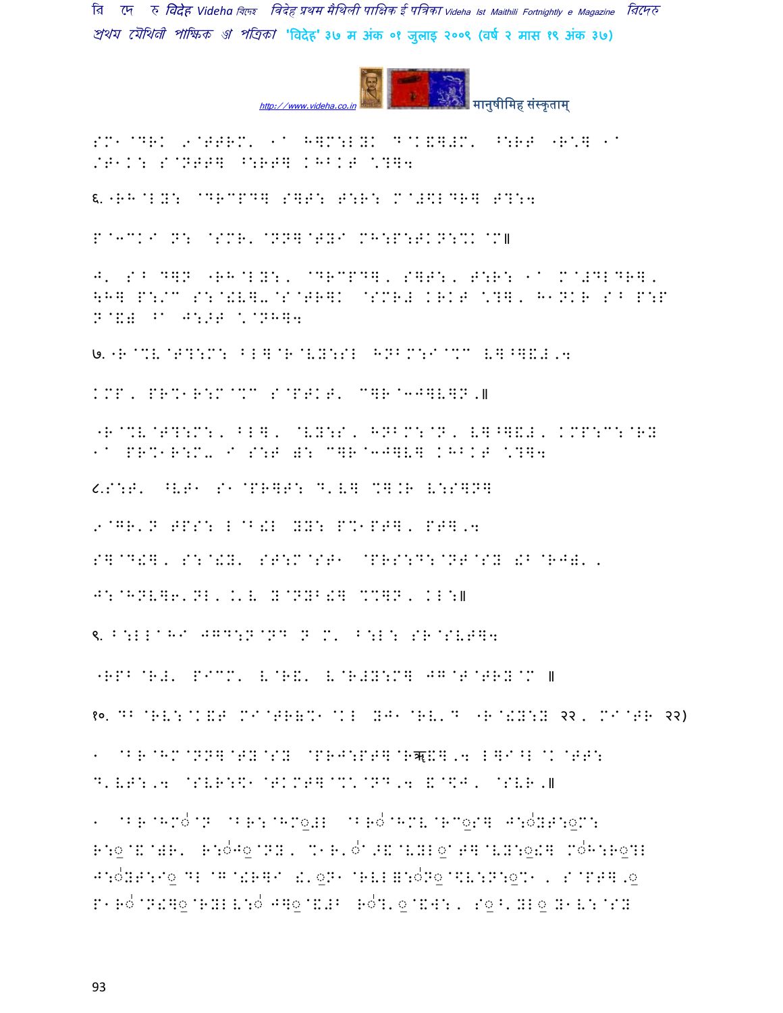

SM1@DRK 9@TTRM: 14 HIM:LY PORTH. 1910 1910 1910 /T1K: S@NTT] ^:RT] KHBKT \*?]4

६."RH@LY: @DRCPD] S]T: T:R: M@#\$LDR] T?:4

P@3CKI N: @SMR'@NN]@TYI MH:P:TKN:%K@M॥

J', SO DAR HE SERVER, ONE THAN SARRY, SHE SO ONE HEAR. \H] P:/C S:@!V]-@S@TR]K @SMR# KRKT \*?], H1NKR S^ P:P N@&) ^a J:>T \*@NH]4

७."R@%V@T?:M: BL]@R@VY:SL HNBM:I@%C V]^]&#,4

KMP, PR%1RSMOW CORPORATIONS OF CHARGE ON

"R@%V@T?:M:, Button Professor Research Professor Research Professor Research Professor Research Professor Research  $1$ a Provinci Sistem Branch (1988): Carlo Compa

८.S:T' ^VT1 S1@PR]T: D'V] %].R V:S]N]

9@GR'N TPS: L@B!L YY: P%1PT], PT],4

S]@D!], S:@!Y' ST:M@ST1 @PRS:D:@NT@SY !B@RJ)',

J:@HNV]6'NL'.'V Y@NYB!] %%]N, KL:॥

९. B:LLaHI JGD:N@ND N M' B:L: SR@SVT]4

 $R$ PIC TELL TECHNOLOGICAL BERTH AND PICHTECT I

१०. DB CHARV: DER YOU CHARVE: DER CHARVES TO HAD CHIAGE 22 , YOU THAN 22)

1 @BR@HM@NN]@TY@SY @PRJ:PT]@Rॠ&],4 L]I^L@K@TT: D'VT:,4 @SVR:\$1@TKMT; DAMES TO SVR, @SVR, @SVR, @SVR, @SVR, @SVR, @SVR, @SVR, @SVR, @SVR, @SVR, @SVR, @SVR, @SVR, @

+ @MRC®HMCORO + PROBOT DE BROSTE DE BROSTE DE BROSTE DE BROSTE DE DE H:Solimate, H:SoHolizat, THE, on Azimus on ARTLatsolat MoH:SEoff ()  $+$ SØHASKO FRUTENIAREN EL ORKURAFESØRO FRANSKOMKUNDER LO F+ Boʻlinding tede dato onno the table of Botanic or Chile (Stevensor Chile of S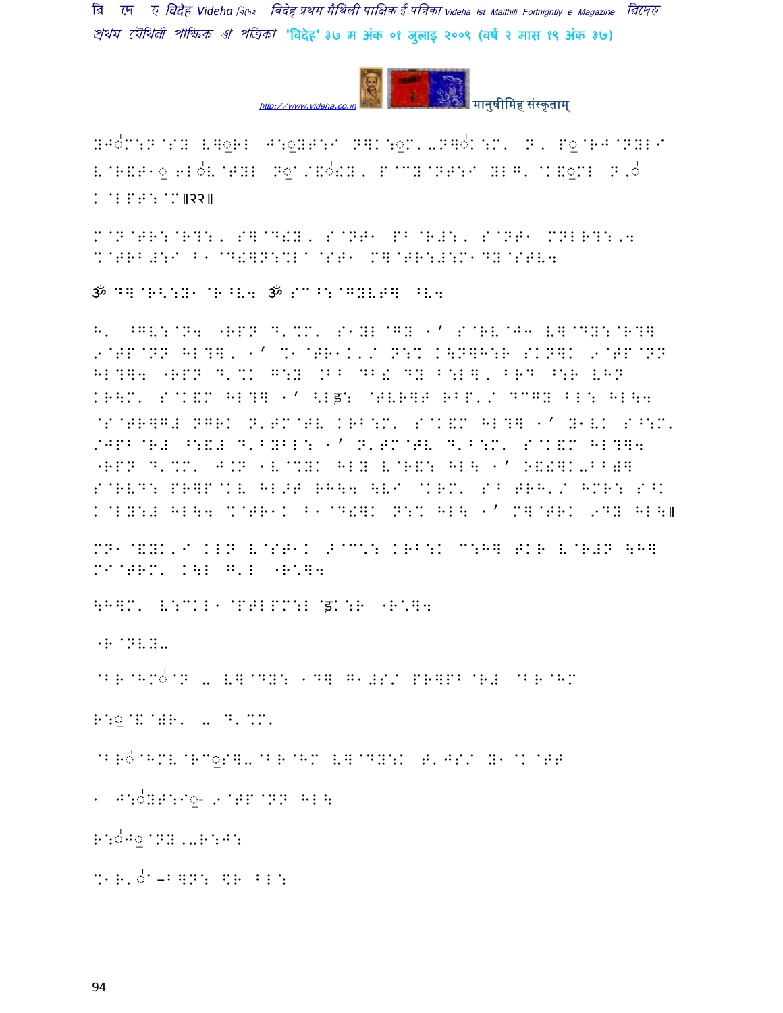

BHÓNGE GOB (RHQH) HGQBHGH (PHIGQN, LPHÓNGIN, (P), PolGHH (PBEH) BOPERHO HIGEORE OP@COEGERO FOUROPRIHO HIP, OCE@NICPOG  $\mathbb{R}^n$   $\mathbb{R}^n$  :  $\mathbb{R}^n$  :  $\mathbb{R}^n$  :  $\mathbb{R}^n$  :  $\mathbb{R}^n$  is a set of  $\mathbb{R}^n$ 

M@N@TR:@R?:, S]@D!Y, S@NT1 PB@R#:, S@NT1 MNLR?:,4 %@TRB#:I B1@D!]N:%La@ST1 M]@TR:#:M1DY@STV4

 $3^{\circ}$  PH THE THE THORROOM  $3^{\circ}$  for PH TH THIN FILE  $\{1, 2, 3, 6\}$ 

H' ^GV:@N4 "RPN D'%M' S1YL@GY 1' S@RV@J3 V]@DY:@R?] 9@TP@NN HL?], 1' %1@TR1K'/ N:% K\N]H:R SKN]K 9@TP@NN HITHE GETS SUIT WHI DIS SUIT SINCE AN AGE OF BILLING THAM SOME HIT ROOMS RESOURDED HIS AND HIS REAR @S@TR]G# NGRK N'TM@TV KRB:M' S@K&M HL?] 1' Y1VK S^:M' /JPB@R# ^:&# D'BYBL: 1' N'TM@TV D'B:M' S@K&M HL?]4 HARP D'YSS HARPY HARRY HALL IN 1981 HARRY OR NEWS ARREST SORECTS: PREPOSE HEVER HER SORECTS HARVES AND SOME K@LY:# HL\4 %@TR1K B1@D!]K N:% HL\ 1' M]@TRK 9DY HL\॥

MN MONITOR STORE AND A COMPACT OF THE RESERVED OF A SERVE AND RESERVED ON  $\mathbb{R}^n$ MICHAEL CHE GEL "BIABA

 $\texttt{H}\texttt{H}\texttt{H}\texttt{W}$ : External states and  $\texttt{H}\texttt{H}\texttt{W}$ 

"RENT ROOM

@BR@HM◌ ॑@N - V]@DY: 1D] G1#S/ PR]PB@R# @BR@HM

ROBINE A T.T.

MOBRO POSTO DE DE DE SERVEDO DE SERVEDO DE SOLOBE

+ H:0dB#N+1@HV-1#PTPP HEAU

hidde 128 Lubich.

%1R'◌ ॑a–B]N: \$R BL: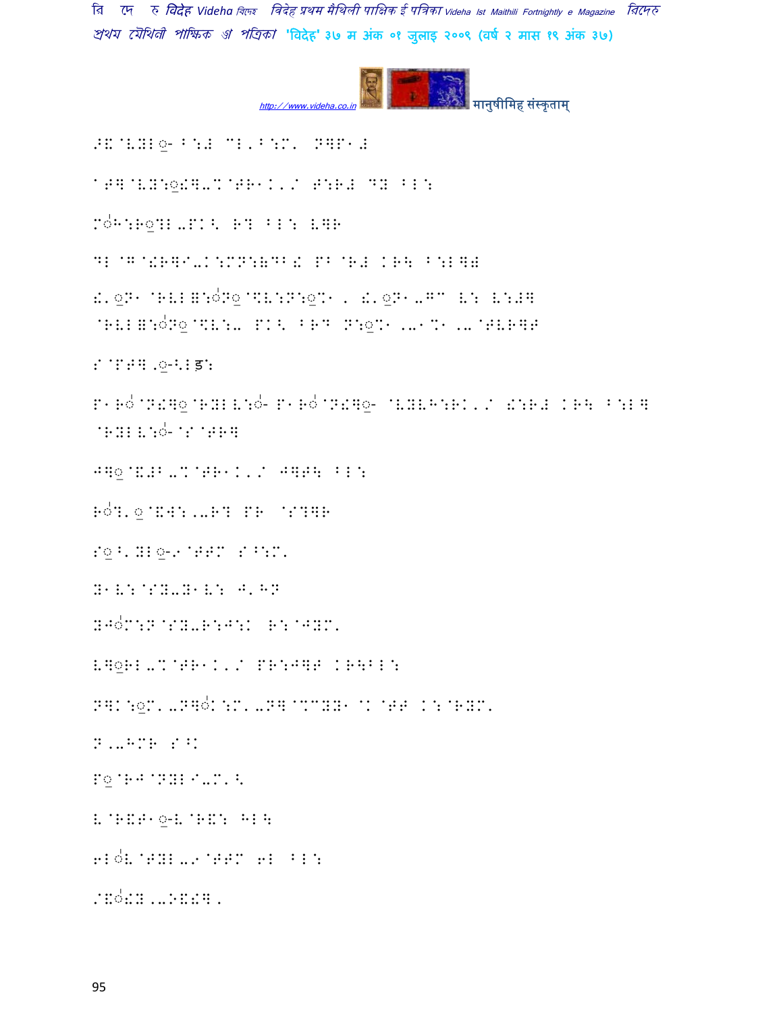

>&@VYL◌॒- B:# CL'B:M' N]P1# **THE MUSICARLY THE DISTURBATION** MÖHDER IKK RAR BERT RED RED RAR D DE DROGEROLDSTRAADE ER OPA CER FOAREA  $\mathbb{R}, \mathbb{Q}^n$ ) (bestime) which we consider  $\mathbb{R}$  and  $\mathbb{Q}^n$  are  $\mathbb{R}^n$  . In the set of  $\mathbb{R}^n$ OREE BA0P@ VELAWY FIRST PROTO DATE ON CATALERE SOPER SOFIES: PHPÓ NPLARO NEAL LOGÍ PHRÓ NACAROÍ NLALPOBLICIO LOGIE LOGIE (FOGLA). MRYLV: CHILL JPD TELES AND THE ROOM OF PERSON FOR B○P.Q'EAR WET PR @PRP @ SSO SUBJECT STATES **WI: WI: WI: J'HN: WI: J'HN: J'HN: J** BA¢TGR(MBGAGG) BG(ABT.) LAQHILTIBRILI PRIHAME IRAFIY PA: N@M. LPA@: NM. LPA (NMBB) (1 (PA) (1 NCABM. ) N,-HMR S^K Po THA TEH PLIT. L EMBRED OR THE HURT el@LJeHurjeeDoel Blir /H01H,...PH1H,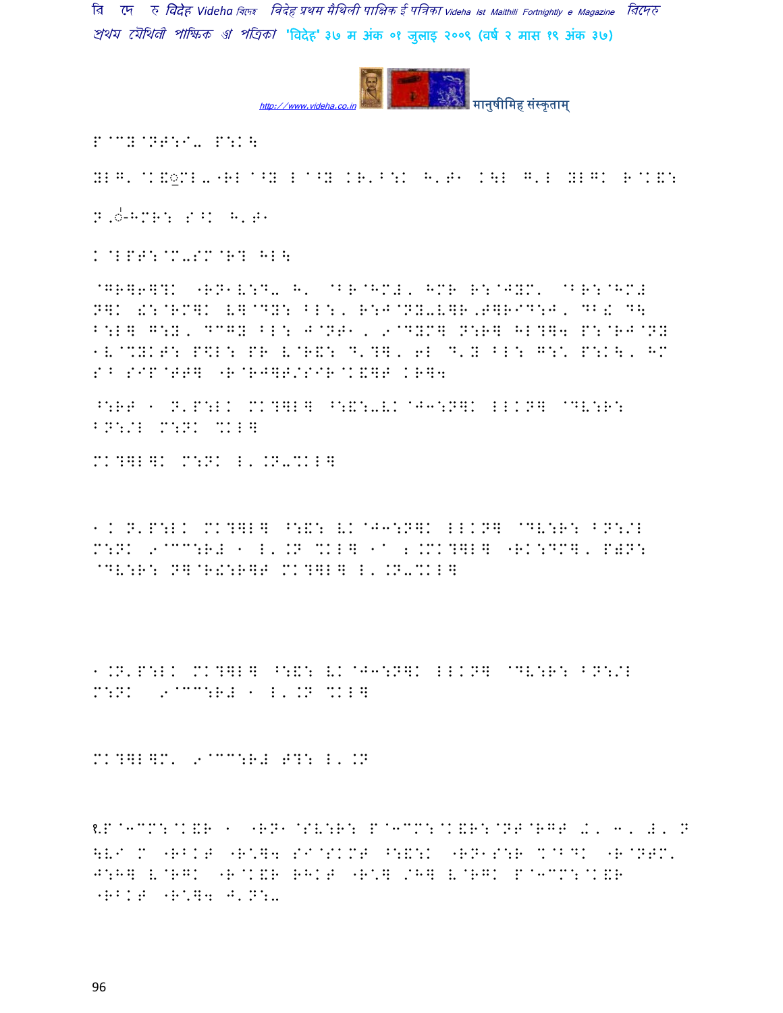

P@CY@NT:I- P:K\

WHAT IN EQUIPLA HE THE EST HE DEVELOP WHAT THE PART WHAT IN MOUNT N,◌ ॑-HMR: S^K H'T1

 $\ddot{\phantom{a}}$  , and the matrix  $\ddot{\phantom{a}}$  , and  $\ddot{\phantom{a}}$  , and  $\ddot{\phantom{a}}$  , and  $\ddot{\phantom{a}}$  , and  $\ddot{\phantom{a}}$  , and  $\ddot{\phantom{a}}$  , and  $\ddot{\phantom{a}}$  , and  $\ddot{\phantom{a}}$  , and  $\ddot{\phantom{a}}$  , and  $\ddot{\phantom{a}}$  , and  $\ddot{\phantom{a}}$ 

@GR]6]?K "RN1V:D- H' @BR@HM#, HMR R:@JYM' @BR:@HM# N]K !:@RM]K V]@DY: BL:, R:J@NY-V]R,T]RID:J, DB! D\ B:L] G:Y, DCGY BL: J@NT1, 9@DYM] N:R] HL?]4 P:@RJ@NY 1V@%YKT: P\$L: PR V@R&: D'?], 6L D'Y BL: G:\* P:K\, HM  $S^{\prime}$  Sipapan (SIP  $\overline{S}$  )  $\overline{S}$  (SIP  $\overline{S}$  )  $\overline{S}$  (SIP  $\overline{S}$  )  $\overline{S}$  (SIP  $\overline{S}$  )  $\overline{S}$ 

^:RT 1 N'P:LK MK?]L] ^:&:-VK@J3:N]K LLKN] @DV:R: BN://L M:NK %KL

MK?]L]K M:NK L'.N-%KL]

1. N'P:LK MK?]L] ^:&: VK@J3:N]K LLKN] @DV:R: BN:/L M:NK 9@CC:R# 1 L'.N %KLE 9 L'.N # 1 L'.N # 1 PH 2. MK **MUSH: NEMARK MARIE AL DRINER** 

1.N'P:LK MK?]L] ^:&: VK@J3:N]K LLKN] @DV:R: BN:/L M:NK 9@CC:R# 1 L'.N %KL]

MK?)

१.P@3CM:@K&R 1 "RN1@SV:R: P@3CM:@K&R:@NT@RGT +, 3, #, N  $\Lambda$  Beautiful Simple and the state of  $\Lambda$  and  $\Lambda$  is the state  $\Lambda$  . The state  $\Lambda$ J:H] V@RGK "R@K&R RHKT "R\*] /H] V@RGK P@3CM:@K&R "RBKT "R\*DH", "R\*DH"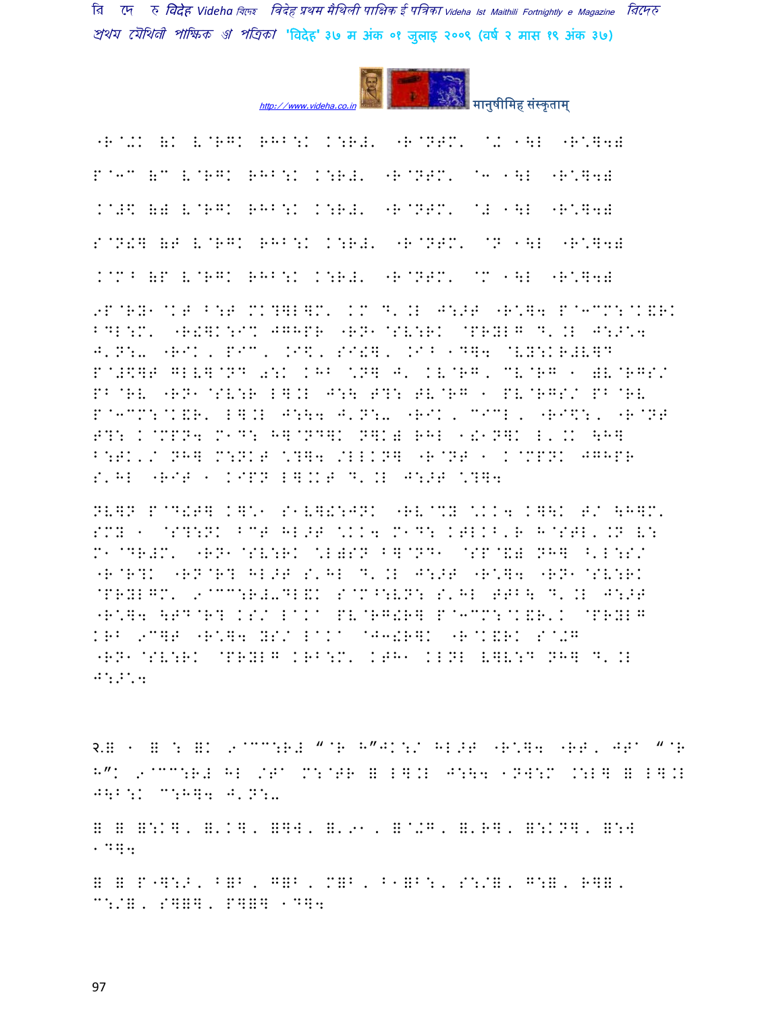

"RETING AN ALTARIA RHETING RETING ANG KALIMAN RETING ANG ARAWAY P@3C (C V@RGK RHB:K K:R#' "R@NTM' @3 1\L "R\*]4)  $.0145$  (data respectively). The respectively  $.01\times 10^{-1}$  (respectively) SOME EF EMPLO PRINCIPEED ARMEED ON FARSAHEI .@M^ (P V@RGK RHB:K K:R#' "R@NTM' @M 1\L "R\*]4)

9P@RY1@KT B:T MK?]L]M' KM D'.L J:>T "R\*]4 P@3CM:@K&RK BOL:M' "REALD" "RUNDER" "RING" DER SOLDER "ROLD DE SAN POST J'N:- "RIK, PIC, .I\$, SI!], .I^ 1D]4 @VY:KR#V]D P@#\$]T GLV]@ND 0:K KHB \*N] J' KV@RG, CV@RG 1 )V@RGS/ PB@RV "RN1@SV:R L].L J:\ T?: TV@RG 1 PV@RGS/ PB@RV P@3CM:@K&R' L].L J:\4 J'N:- "RIK, CICL, "RI\$:, "R@NT T: K@MPN4 M1D: K@MPN4 M1D: HISPANIA MARANA MARANA MARANA MARANA MARANA MARANA MARANA MARANA MARANA MARANA MARA B:THE MINITED AND A MORE TO A MARKET THE SECOND AND A MARKET AND A MONEY OF THE UPSTALL AND RELEASED AND MALK S'HL "RIT 1 KIPN L].KT D'.L J:>T \*?]4

NLAR BYRGAN (AV) (SLAGHAN (ALYON CO) (AN) AN BHR) SMY 1 @S?:NATHER TO THE REPORT OF THE STATE OF THE STATE WITH A MATERIAL AND REPORTED A MANUFACTURE OF THE UNI M1@DR#MI "PROVINCENT" "RODR#" "RODR#" "RESPONDED " PROVINCENT" " "RECORD " REPORT HE AR YOUR "ROLE OF HEARING "REPORT TO LOOK @PRYLGM' 9@CC:R#-DL&K S@M^:VN: S'HL TTB\ D'.L J:>T  $R$  and the set of the state of the state position of the set of the set of the set of the set of the set of the set of the set of the set of the set of the set of the set of the set of the set of the set of the set of the KRB 9C]T "R\*]4 YS/ LaKa @J3!R]K "R@K&RK S@+G  $R$  . The state of the state of the control of the state  $R$  of  $R$  $\{H_1, H_2, H_3\}$ 

२.= 1 = : =K 9@CC:R# "@R H"JK:/ HL>T "R\*]4 "RT, JTa "@R  $W$  , annibe a life of the Head and and at  $X$  . The state  $\mathbb{R}$ JA: T:H; J. T:H; J.

= = =:K], ='K], =]W, ='91, =@+G, ='R], =:KN], =:W  $\cdot$   $\cdot$   $\cdot$   $\cdot$   $\cdot$ 

= = P"]:>, B=B, G=B, M=B, B1=B:, S:/=, G:=, R]=, C:/=, S]=], P]=] 1D]4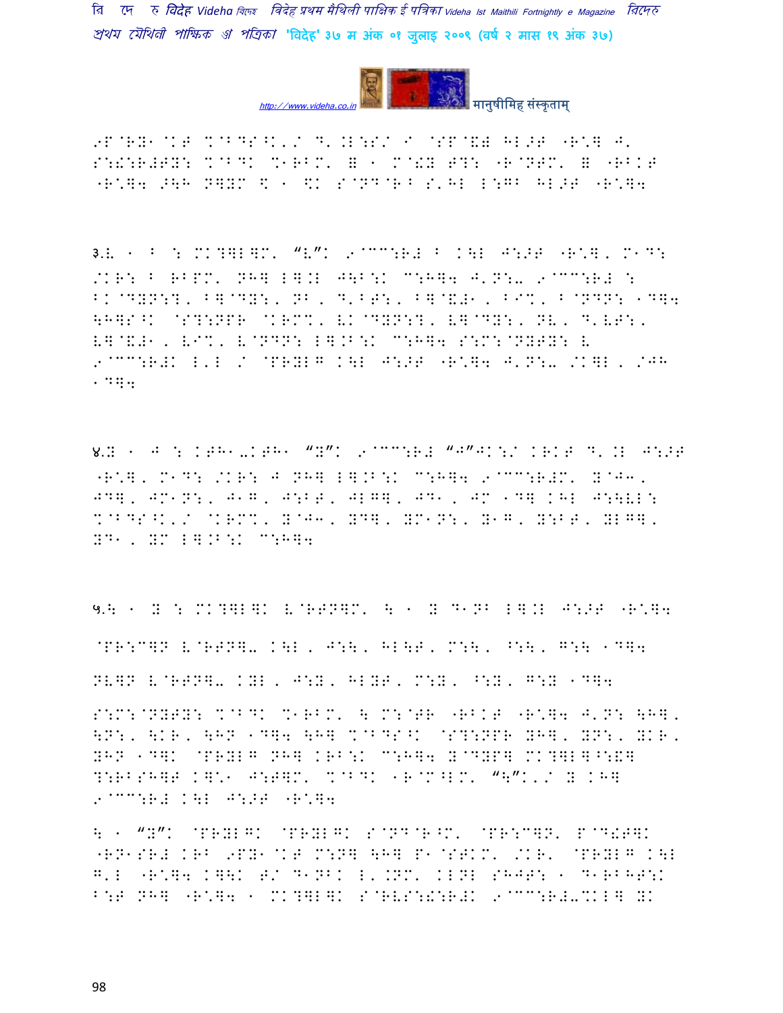

9P@RY1@KT %@BDS^K'/ D'.L:S/ I @SP@&) HL>T "R\*] J' S:!:R#TY: %@BDK %1RBM' = 1 M@!Y T?: "R@NTM' = "RBKT "R\*]4 >\H N]YM \$ 1 \$K S@ND@R^ S'HL L:GB HL>T "R\*]4

3.E + F & TIMHERT, MEWI & TUMES F INE ANSWERSHIP THAT, /KR: B RBPM' NH] L].L J\B:K C:H]4 J'N:- 9@CC:R# : BK@DYN: BHOW:, BK, DY:BI%, BUCH:, BOW: 1DPPN: 1984 \H]S^K @S?:NPR @KRM%, VK@DYN:?, V]@DY:, NV, D'VT:, V]@&#1, VI%, V@NDN: L].B:K C:H]4 S:M:@NYTY: V 9 CCC:R#CH: R L R / CC:R#GE R / DAR / ANGER / ANGER (R L DN RE L ) DAR  $1.99<sub>1.4</sub>$ 

४.Y 1 J : KTH1-KTH1 "Y"K 9@CC:R# "J"JK:/ KRKT D'.L J:>T "R#NH], DRIPA, JOEHA, H. BRH, EH DOAL, MARHH, GOMMAELD, CBOHH, J JADA, JADA, DG, J. JADA, JAGA, J. JADA, J. JADA, J. D. J. D. J. J. J. J. G. G. J. L. I. G. J. L. L. G. %@BDS^K'/ @KRM%, Y@J3, YD], YM1N:, Y1G, Y:BT, YLG], **HANDER HONDER** 

 $9.5 \rightarrow 0.3$  :  $5.71344441$   $\pm 1.34444241$  ,  $5.79$  ,  $1.33443$   $\pm 1.44443$   $\pm 1.44443$ @PR:C]N V@RTN]- K\L, J:\, HL\T, M:\, ^:\, G:\ 1D]4 NARTH A MHARRA, ISBN 1988-1981, HEBRI, ISBN 1988-1988-1988-1

SSING MARKET WITH WORKING & TRIAN (RFIR ) (RSHR "ROTE "RHE.  $\mathcal{H}:\mathbb{R}^n \to \mathbb{R}^n$  ,  $\mathcal{H}:\mathbb{R}^n \to \mathbb{R}^n$  ,  $\mathcal{H}:\mathbb{R}^n \to \mathbb{R}^n$  ,  $\mathcal{H}:\mathbb{R}^n \to \mathbb{R}^n$  ,  $\mathcal{H}:\mathbb{R}^n \to \mathbb{R}^n$ YHN 1991 (YEAH) HONH (AFYL) MAHA SOMHER CONHERING THE CHE CHIS HIMIT. THIN SET IN HIM WAS A CHE 9@CC:R# K\L J:R# K\L J:R#

\ 1 "Y"K @PRYLGK @PRYLGK S@ND@R^M' @PR:C]N' P@D!T]K "RN1SR# KRB 9PY1@KT M:N] \H] P1@STKM' /KR' @PRYLG K\L G'L E COARDINA L'ONES D'ANNES D'ANN SHIL SHIR SHI AN AN AN A-AIR AN AIR AN AIR AN AIR AN AIR AIR AN AIR AN AIR B:T NH] "R\*]4 1 MK?]L]K S@RVS:!:R#K 9@CC:R#-%KL] YK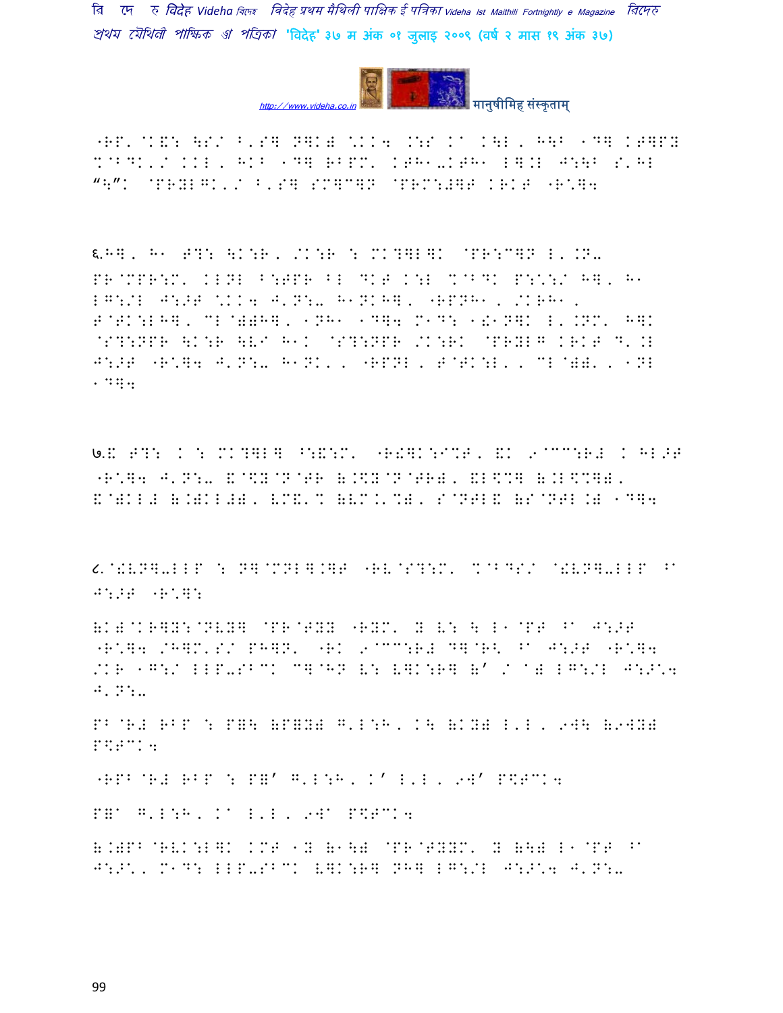

 $R$  . The contribution of the contribution of the contribution of the contribution of the  $R$  and  $R$ %@BDK'/ KKL, HKB 1D] RBPM' KTH1-KTH1 L].L J:\B S'HL "H"C @PRYLECK'/ BYSPECTORY "PRYLEGK'/ BYSPECTOR

६. में साथ अपने अन्य का साथ से प्राप्त के साथ पर से साथ से साथ से साथ से साथ से साथ से साथ से साथ से साथ से सा<br>साथ से साथ से साथ से साथ से साथ से साथ से साथ से साथ से साथ से साथ से साथ से साथ से साथ से साथ से साथ से साथ स PR@MPR:M' KLNL B:TPR BL DKT K:L %@BDK P:\*:/ H], H1 LG:/L J://LAG:/L J://L H1NKH], "RPNH1, J://L H1NKHI, "RPNH1, J://L H1NKHI, J://L H1NKHI, J://L H1NKH T@TK:LH], CL@))H], 1NH1 1D]4 M1D: 1!1N]K L'.NM' H]K @S?:NPR \K:R \VI H1K @S?:NPR /K:RK @PRYLG KRKT D'.L J:>T "R\*]4 J'N:- H1NK', "RPNL, T@TK:L', CL@))', 1NL  $1.994$ 

७.& T?: . : MK?]L] ^:&:M' "R!]K:I%T, &K 9@CC:R# . HL>T "R\*]4 J'N:- &@\$Y@N@TR (.\$Y@N@TR), &L\$%] (.L\$%]), &@)KL# (.)KL#), VM&'% (VM.'%), S@NTL& (S@NTL.) 1D]4

८.@!VN]-LLP : N]@MNL].]T "RV@S?:M' %@BDS/ @!VN]-LLP ^a J:>T "R\*]:

(K)@KR]Y:@NVY] @PR@TYY "RYM' Y V: \ L1@PT ^a J:>T "R\*]4 /H]M'S/ PH]N' "RK 9@CC:R# D]@R< ^a J:>T "R\*]4 /KR 1G:/ LLP-SBCK C]@HN V: V]K:R] (' / a) LG:/L J:>\*4  $\mathcal{F}$ :  $\mathcal{F}$  :  $\mathcal{F}$ 

PB@R# RBP : P=\ (P=Y) G'L:H, K\ (KY) L'L, 9W\ (9WY) PRESS :

"RPB@R# RBP : P=' G'L:H, K' L'L, 9W' P\$TCK4

PBT ANITH, KT INI 2007 PRATCH

(.)PB@RVK:L]K KMT 1Y (1\) @PR@TYYM' Y (\) L1@PT ^a J:: W. M. T. H: LED-SE CO. LANSARI NHA LANG ANG ANG MANGALAN NA MARAMA NA MARAMA NA MARAMA NA MARAMA NA MARAMA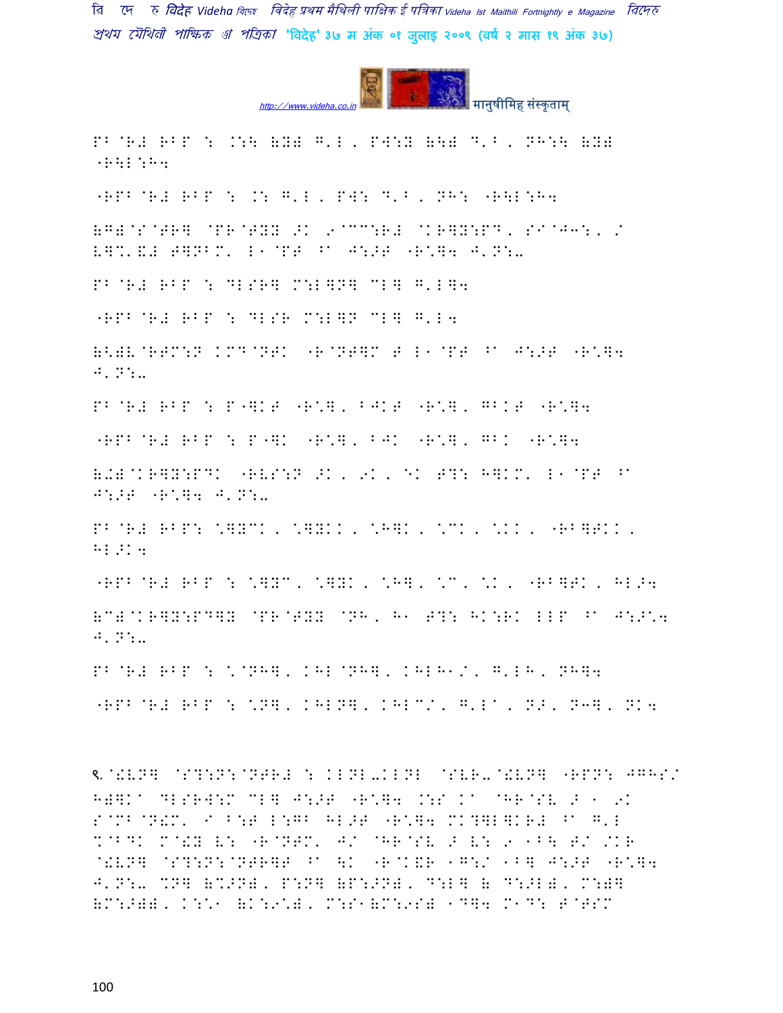

PR YELL BRP YOU CONTINUES IN PURSON BEEN MILL ON THIS GOOD  $R\cdot H\cdot H\cdot H\cdot H\cdot H$ 

"RPB@R# RBP : .: G'L, PW: D'B, NH: "R\L:H4

(G)@S@TR] @PR@TYY >K 9@CC:R# @KR]Y:PD, SI@J3:, / V]%'&# T]NBM' L1@PT ^a J:>T "R\*]4 J'N:-

PB@R# RBP : DLSR] M:L]N] CL] G'L]4

"RPB" REPORT : DESCRIPTION : DRAFT

(<)V@RTM:N KMD@NTK "R@NT]M T L1@PT ^a J:>T "R\*]4  $J:U:U$ 

PROBE RAP : P P (POR) (RAP), B P (P) (RAP), GB (P) (RAP)

"RPB@R# RBP : P"]K "R\*], BJK "R\*], GBK "R\*]4

(+) @KRIGHT "ROWS: HE ROWS: NO LOCAL "PROPERTY "ROWS: NO LINE IS TO THE ROWS: HIS POINT OF THE ROWS:  $H: H \to H: H_0 \to H: H_1 \to H_2$ 

PB@R# RBP: \*]YCK, \*]YKK, \*H]K, \*CK, \*KK, "RB]TKK,  $H: H \rightarrow H$ 

"RPB@R# RBP : \*]YC, \*]YK, \*H], \*C, \*K, "RB]TK, HL>4 (C)@KR]Y:PD]Y @PR@TYY @NH, H1 T?: HK:RK LLP ^a J:>\*4

PB@R# RBP : \*@NH], KHL@NH], KHLH1/, G'LH, NH]4

"RPB@R# RBP : \*N], KHLN], KHLC/, G'La, N>, N3], NK4

९.@!VN] @S?:N:@NTR# : KLNL-KLNL @SVR-@!VN] "RPN: JGHS/ H) A RESPONSE DE L'ANGUARDO DE L'ANGUARDO DE L'ANGUARDO DE L'ANGUARDO DE L'ANGUARDO DE L'ANGUARDO DE L'ANGUARD SMOT MEN MY ISS ESPIRATOR RENEW NOTHERLED MATCHER %@BOX MONTH: "ROWS" AND PEOPLIC PIRTY OF THE SAME ARE ARRESTED FOR THE SERVICE  $\mathcal{N}$  and the studies of the state  $\mathcal{N}$  and  $\mathcal{N}$  is the state  $\mathcal{N}$  and  $\mathcal{N}$  are the state  $\mathcal{N}$  and  $\mathcal{N}$ J'N:- %N] (%>N), P:N] (P:>N), D:L] ( D:>L), M:)] (M:S2), M:S1(M:S2), M:S1(M:S1), M:S1(M:S1) 100-201-00-201-00-201-00-201-00-201-00-201-00-201-00-201-00-201-00-

 $\mathcal{F}$ :  $\mathcal{F}$  :  $\mathcal{F}$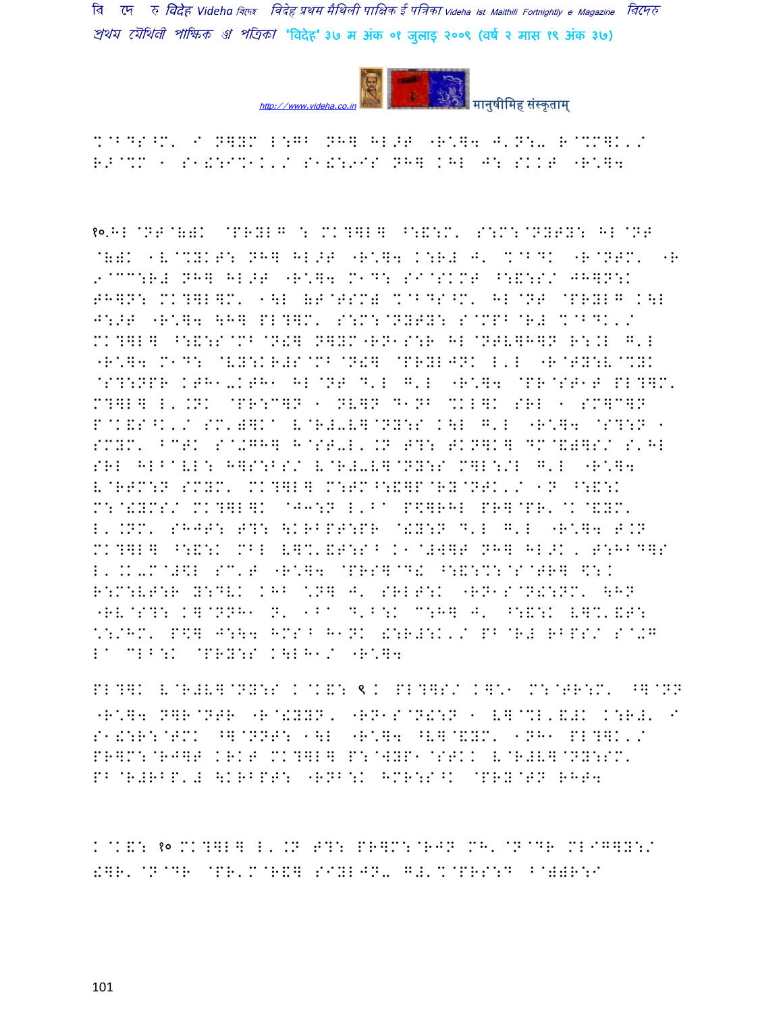

%@BDS^M' I N]YM L:GB NH] HL>T "R\*]4 J'N:- R@%M]K'/ R>@%M 1 S1!:I%1K'/ S1!:9IS NH] KHL J: SKKT "R\*]4

१०.HL@NT@()K @PRYLG : MK?]L] ^:&:M' S:M:@NYTY: HL@NT @()K 1V@%YKT: NH] HL>T "R\*]4 K:R# J' %@BDK "R@NTM' "R 9@CC:R# NH] HL>T "R\*]4 M1D: SI@SKMT ^:&:S/ JH]N:K FARRY MIRROR (THE BEGRIEG COORDING) WE CHE CHARACTER J:>T "R\*]4 \H] PL?]M' S:M:@NYTY: S@MPB@R# %@BDK'/ MK 1993 9: ANDNE MAR MADE DADE HER EN EN HE MARKED HER SE COURT. BY  $R$  . The contract of the same problems are the second problem when  $R$  and  $R$  and  $R$  and  $R$  and  $R$  and  $R$  and  $R$  and  $R$  and  $R$  and  $R$  and  $R$  and  $R$  and  $R$  and  $R$  and  $R$  and  $R$  and  $R$  and  $R$  and  $R$  and  $R$ @S?:NPR KTH1-KTH1 HL@NT D'L G'L "R\*]4 @PR@ST1T PL?]M' MORE RICE LICE COMPANY SO DERES ON DICERTING AN INVESTIGATION P@K&S^K'/ SM')]Ka V@R#-V]@NY:S K\L G'L "R\*]4 @S?:N 1 SMYM' BCTK S@+GH] H@ST-L'.N T?: TKN]K] DM@&)]S/ S'HL SRL HIPSLEY HANDIVISING MALE MANIFORMATION AND GENER V@RTM:N SMYM' MK?]L] M:TM^:&]P@RY@NTK'/ 1N ^:&:K M: N: YASI MARI PARTICO ADALE PARTICO PROVINCIA DE PRESENTA A MESSINA E PRESENTA A MESSINA PROVINCIA E PROVINCIA L'.NM' SHAPY POR BIRTENE MURR AI AI SHVAR PI MK?] THE REST PART OF THE SERVE REPORT OF THE REPORT OF THE PART OF THE UNIT OF THE PART OF THE UNIT L'.K-M@#\$L SC'T "R\*]4 @PRS]@D! ^:&:%:@S@TR] \$:. R:M:VT:R Y:DVK KHB \*N] J' SRLT:K "RN1S@N!:NM' \HN "RV@S?: K@NNH1 N' 1Ba D'B: BELLO (1891) | JON D'ALLES (1891) | D'ALLES (1891) | D'ALLES (1891) | D'ALLES (1891 \*:/\*\*:/\*\*:///HTML //HTML //HTML //HTML //HTML //HTML //HTML //HTML //HTML //HTML //HTML //HTML //HTML //HTML /  $\mathcal{L} = \mathcal{L} = \mathcal{L} = \mathcal{L} = \mathcal{L} = \mathcal{L} = \mathcal{L} = \mathcal{L} = \mathcal{L} = \mathcal{L} = \mathcal{L} = \mathcal{L} = \mathcal{L} = \mathcal{L} = \mathcal{L} = \mathcal{L} = \mathcal{L} = \mathcal{L} = \mathcal{L} = \mathcal{L} = \mathcal{L} = \mathcal{L} = \mathcal{L} = \mathcal{L} = \mathcal{L} = \mathcal{L} = \mathcal{L} = \mathcal{L} = \mathcal{L} = \mathcal{L} = \mathcal{L} = \mathcal$ 

PL?BI K VEWER VAN KONGER SOM PLYPERS OP IN STEP HIS MARKET ME VAR "R\*]4 N]R@NTR "R@!YYN, "RN1S@N!:N 1 V]@%L'&#K K:R#' I  $\sim$  state that the contract of the contract of the contract of the contract of the contract of the contract of PREDS GREEK DER WOOREN PS GEEK GOED. BORJEN VARAGE PB@R#RBP'# \KRBPT: "RNB:K HMR:S^K @PRY@TN RHT4

KANA: 19 MARS 20 MARS 20 MARS 20 MARS 20 MARS 20 MARS 20 MARS 20 MARS 20 MARS 20 MARS 20 MARS 20 MARS 20 MARS 20  $R$ GRA) (DR 1986) (PRANA) SIYOR GADI, A GI, D 1986169 (PRSER GAD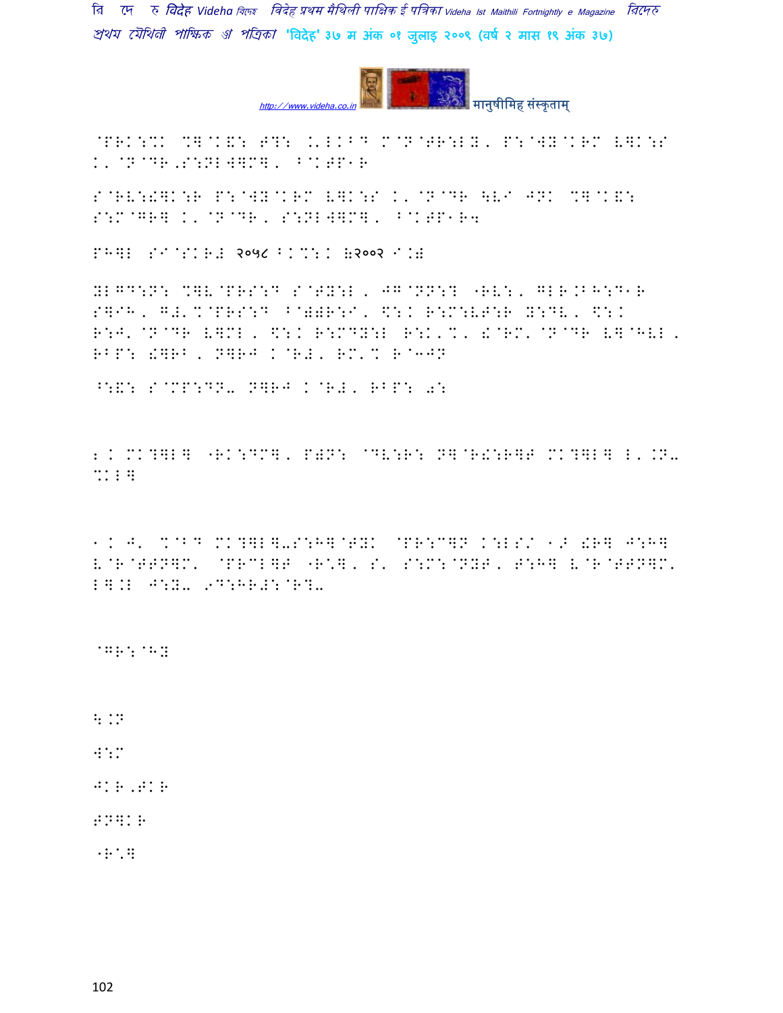

@PRK:%K %]@K&: T?: .'LKBD M@N@TR:LY, P:@WY@KRM V]K:S K'@NODR, S:NLWD, S:NLWD, S

S@RV:!]K:R P:@WY@KRM V]K:S K'@N@DR \VI JNK %]@K&: S:MOGRE KONG MEN S:NLWIGHT KONG MEN BY

 $P^{\text{H}}$ PH  $P^{\text{H}}$  ,  $P^{\text{H}}$  ,  $P^{\text{H}}$  ,  $P^{\text{H}}$  ,  $P^{\text{H}}$  ,  $P^{\text{H}}$  ,  $P^{\text{H}}$  ,  $P^{\text{H}}$  ,  $P^{\text{H}}$  ,  $P^{\text{H}}$  ,  $P^{\text{H}}$  ,  $P^{\text{H}}$  ,  $P^{\text{H}}$  ,  $P^{\text{H}}$  ,  $P^{\text{H}}$  ,  $P^{\text{H}}$  ,  $P^{\text{H}}$  ,  $P^{\text$ 

WE HANDEL THE SERVE SO SHORE , HAN TORSET , HEN IS THE DEATH ROLL. Simple the same of the state of the same of the theory). In the same of the same of the same of the same of th<br>In the same of the same of the same of the same of the same of the same of the same of the same of the same of R:J'@N@DR V]ML, \$:. R:MDY:L R:K'%, !@RM'@N@DR V]@HVL, RBP: 2001

^:&: S@MP:DN- N]RJ K@R#, RBP: 0:

2. MK?]L] "RK:DM], P)N: @DV:R: N]@R!:R]T MK?]L] L'.N-  $M \times N$ 

1. J' %@BD MK?]L]-S:H]@TYK @PR:C]N K:LS/ 1> !R] J:H]  $\mathbb{R}$  of the state  $\mathbb{R}$  . The state  $\mathbb{R}$  is the state  $\mathbb{R}$  is the state  $\mathbb{R}$  of the state  $\mathbb{R}$ La Jacques de La Jacques de La Jacques de La Jacques de La Jacques de La Jacques de La Jacques de La Jacques d<br>1909: La Jacques de La Jacques de La Jacques de La Jacques de La Jacques de La Jacques de La Jacques de La Ja

@GR:@HY

 $\ddot{\mathbf{u}}$  :  $\ddot{\mathbf{v}}$ 

 $\oplus$   $\oplus$   $\oplus$ 

JKR,TKR

**BOSH** 

 $\mathcal{R}$  :  $\mathcal{R}$  :  $\mathcal{R}$  :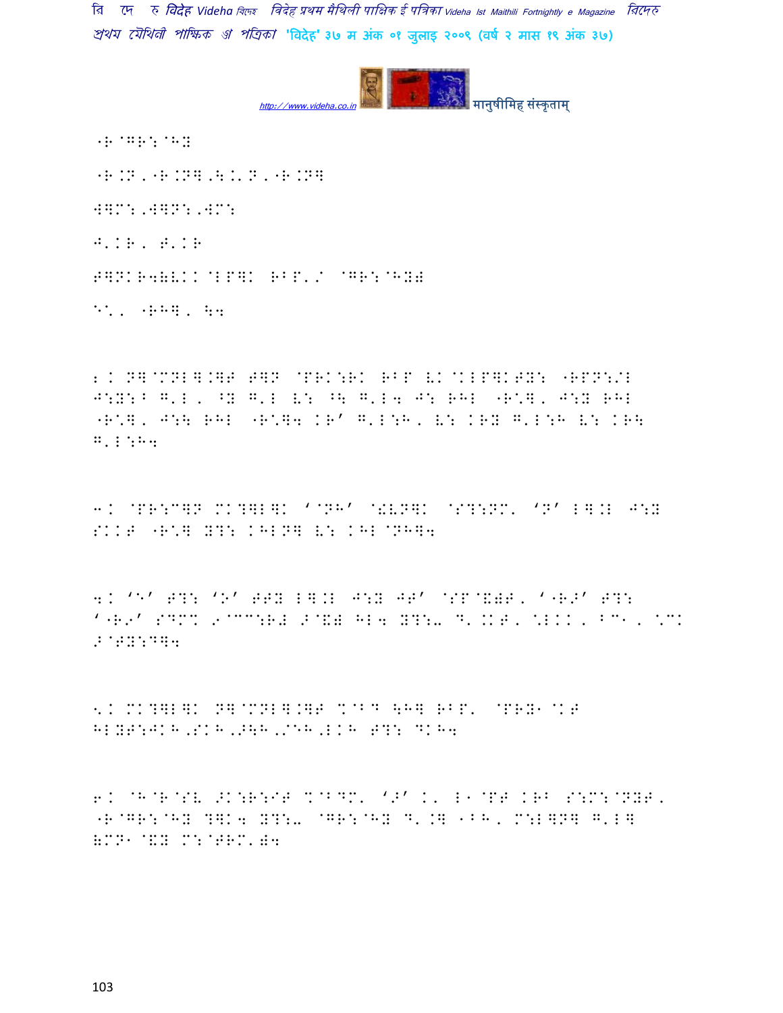

 $R$  and  $R$  and  $R$ "R.N,"R.N],\.'N,"R.N]  $M:$  , which is a set of the set of the set of the set of the set of the set of the set of the set of the set of the set of the set of the set of the set of the set of the set of the set of the set of the set of the set o J'KR, T'KR FARD RABBOY MEAN RABOT WARD WARE  $E_{\rm tot} = 0.444$ ,  $E_{\rm H}$ 

2. N]@MNL].]T T]N @PRK:RK RBP VK@KLP]KTY: "RPN:/L J:Y:^ G'L, ^Y G'L V: ^\ G'L4 J: RHL "R\*], J:Y RHL "R\*], J:\ RHL "R\*]4 KR' G'L:H, V: KRY G'L:H V: KR\  $H_1$ : H $H_2$ 

3. @PR:C]N MK?]L]K '@NH' @!VN]K @S?:NM' 'N' L].L J:Y SKKER "R\*DE" WERE THE WORLD VEHLAGE

4. 'E' T?: 'O' TTY L].L J:Y JT' @SP@&)T, '"R>' T?: '"R9' SDM% 9@CC:R# >@&) HL4 Y?:- D'.KT, \*LKK, BC1, \*CK >@TY:D]4

5. MK?]L]K N]@MNL].]T %@BD \H] RBP' @PRY1@KT HISH:BANA,HA,SH,,YKH,IIIH,HII T?: DH

6. @H@R@SV >K:R:IT %@BDM' '>' K' L1@PT KRB S:M:@NYT,  $R$  . The contract of the contract of the contract of the contract of the contract of the contract of the contract of the contract of the contract of the contract of the contract of the contract of the contract of the cont (MN1@&Y M:@TRM')4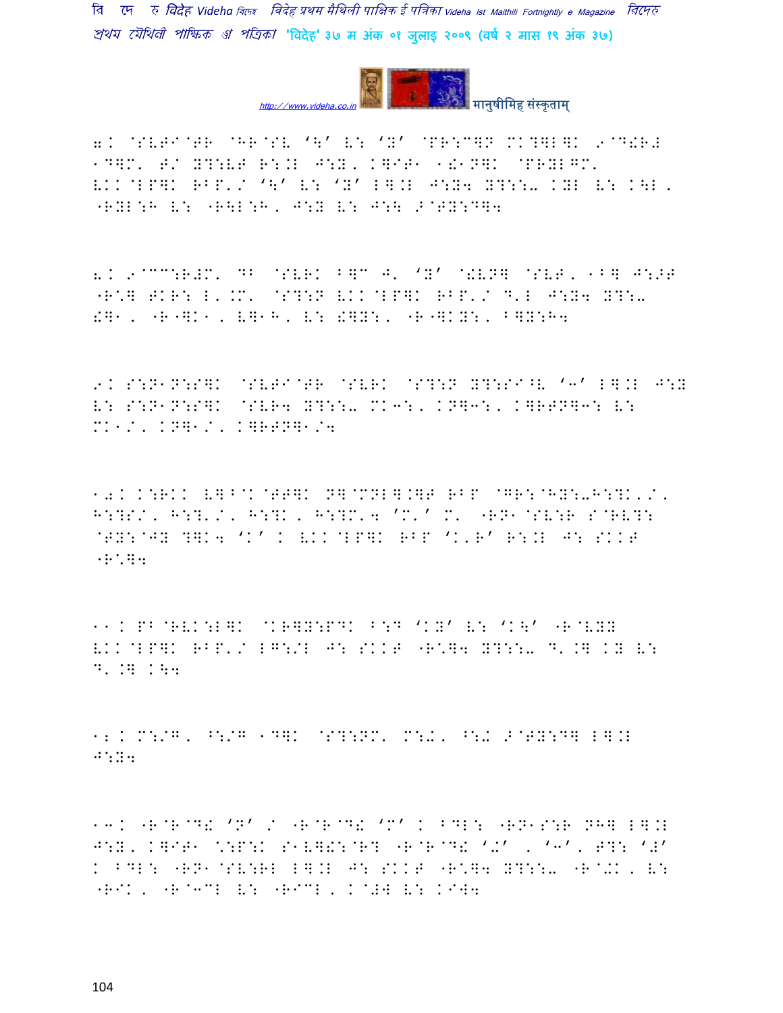

7. @SVTI@TR @HR@SV '\' V: 'Y' @PR:C]N MK?]L]K 9@D!R# 10982. B. GRALE EA H. J. AAR. CARREL 11. H. PRYLIERD. KOLPER PRIZYME KAN REAL PRISHING IN LIEU KYLNE "RYL:H V: "RYL:H V: "PHONE" AND THE VISIT PRESS

8. 9@CC:R#M' DB @SVR B}C:R#M' DB @SVR B}C:R#M' DB @SVR B}C:R#M' DB @SVR B}C:R#M' DB @SVR "RAN ROBA EL COL" (STAR ELL'IERE) BRELL' NIE (PANA NORD. !]1, "R"]K1, V]1H, V: !]Y:, "R"]KY:, B]Y:H4

9. S:N1N:S]K @SVTI@TR @SVRK @S?:N Y?:SI^V '3' L].L J:Y V: S:N1N:S]K @SVR4 Y?::- MK3:, KN]3:, K]RTN]3: V: MK1/, KNI. MK1/, KNI. MK1/1

10. K:RK:RK V) | 10. K:RKK V) | 10. K:RKK V) | 10. K:RKK V) | 10. K:RKK V) | 10. K:RKK V) | 10. K:RKK V) | 10.<br>T RBP @GR: H:-K'/, H:-K'/, H:-K'/, H:-K'/, H:-K'/, H:-K'/, H:-K'/, H:-K'/, H:-K'/, H:-K'/, H:-K'/, H:-K'/, H:-H:?S/, H:?./, H:?:, H:??4 'M'/ M, HP-'PAGE P'BE?? @TY:@JY ?]K4 'K' K VKK@LP]K RBP 'K'R' R:.L J: SKKT  $R$  and  $R$  and  $R$ 

11. PB@RK:NERV@KERRFK:PNT V:BK EN VINK B:NER VKK@LP]K RBP'/ LG:/L J: SKKT "R\*]4 Y?::- D'.] KY V: D'.] K\4

 $12.1$  M:10. M:/G,  $12.1$  M:/F,  $12.1$  M:/,  $12.1$  M:/,  $12.1$  M:/,  $12.1$  M:/,  $12.1$  $4.5\%$ 

13. "R@R@D! 'N' / "R@R@D! 'M' K BDL: "RN1S:R NH] L].L J:P:Y, K. K. S. T. Y. K. S. T. Y. Y. R. T. S. "R. "P. T. Y. T. Y. T. Y. L. Y. Y. Y. Y. H. H. Y. H. Y K BOL: "RN1@SV:RL LIGH: "RN1@SV:RL LIGH: "RN1@SV:RL LIGH: "RN1@SV:RL LIGH: "RN1@+K, V:RL LIGH: "RN1@+K, V:RL L  $R$ IK, "RIK, "RICL, KONSTRUCT, KONSTRUCT, KORPORATION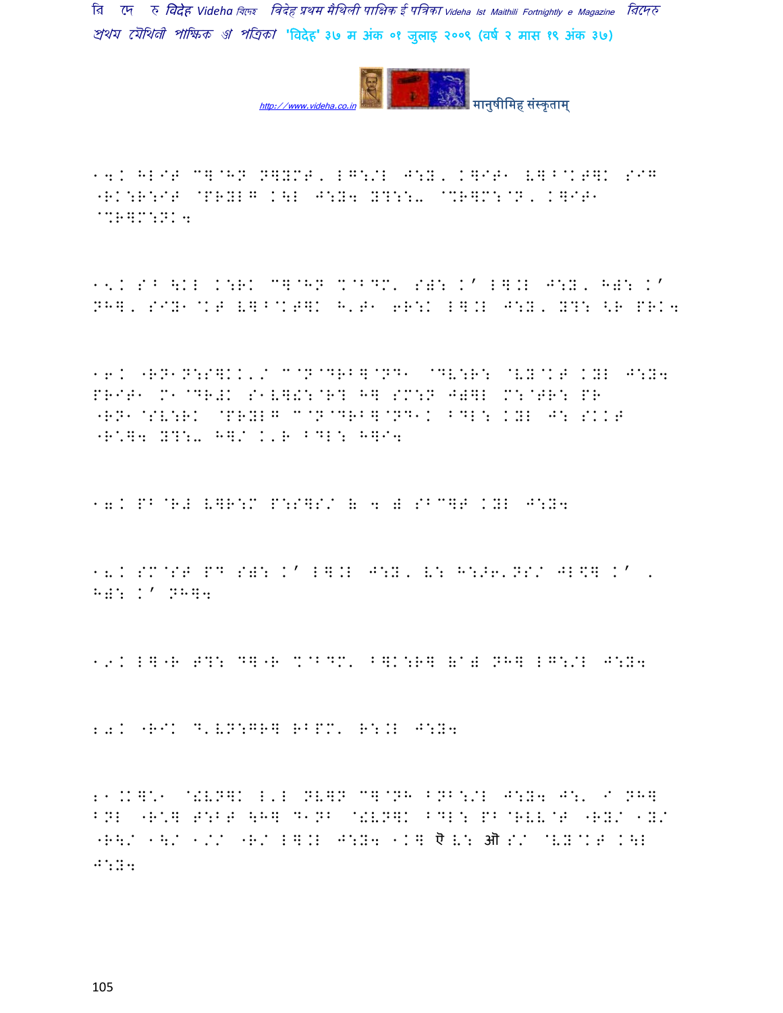

14. HLIT CHO NO SHINE, LAG: 1911, ISBN 1979, LESTIAN SIG "RESPECT TO BE A SOME BUILD COMPUTER (1979) @%R]M:NK4

 $15.5 \times 10^{-1}$  RI R (1981) MH (RP) N (FRI). Keny I:Y, HH (R): F9B ( Ref). L Y: NH], SIY1@KT V]^@KT]K H'T1 6R:K L].L J:Y, Y?: <R PRK4

16. "RN1N:S]KK'/ C@N@DRB]@ND1 @DV:R: @VY@KT KYL J:Y4 PRIT1 M1@DR#K S1V]!:@R? H] SM:N J)]L M:@TR: PR  $R$  . The state of the control control control control control control  $R$  and  $R$  is stated and  $R$  and  $R$  and  $R$  and  $R$  and  $R$  and  $R$  and  $R$  and  $R$  and  $R$  and  $R$  and  $R$  and  $R$  and  $R$  and  $R$  and  $R$  and  $R$  a  $H: H_4 \times H_1 \times H_2 \times H_3 \times H_4 \times H_5$ 

17. PB: 17. PB: 17. PB: 17. PB: 17. PB: 17. PB: 17. PB: 17. PB: 17. PB: 17. PB: 17. PB: 17. PB: 17. PB: 17. PB

18. SM ST PORT REPORT OF THE SECTION OF A SAME POST WELFARE OF THE H: W NHE

19. L]"R T?: D]"R %@BDM' B]K:R] (a) NH] LG:/L J:Y4

20. "RIK D'VN:GR] RBPM' R:.L J:Y4

21.K]\*1 @!VN]K L'L NV]N C]@NH BNB:/L J:Y4 J:' I NH] BNL "R\*] T:BT \H] D1NB @!VN]K BDL: PB@RVV@T "RY/ 1Y/ "REAL" (REC. 1/20") REC. DRI DE 1950A. (PDF) @ BOY: ON SOLUTION COND.  $\mathbb{Z}$  is  $\mathbb{Z}$  in the set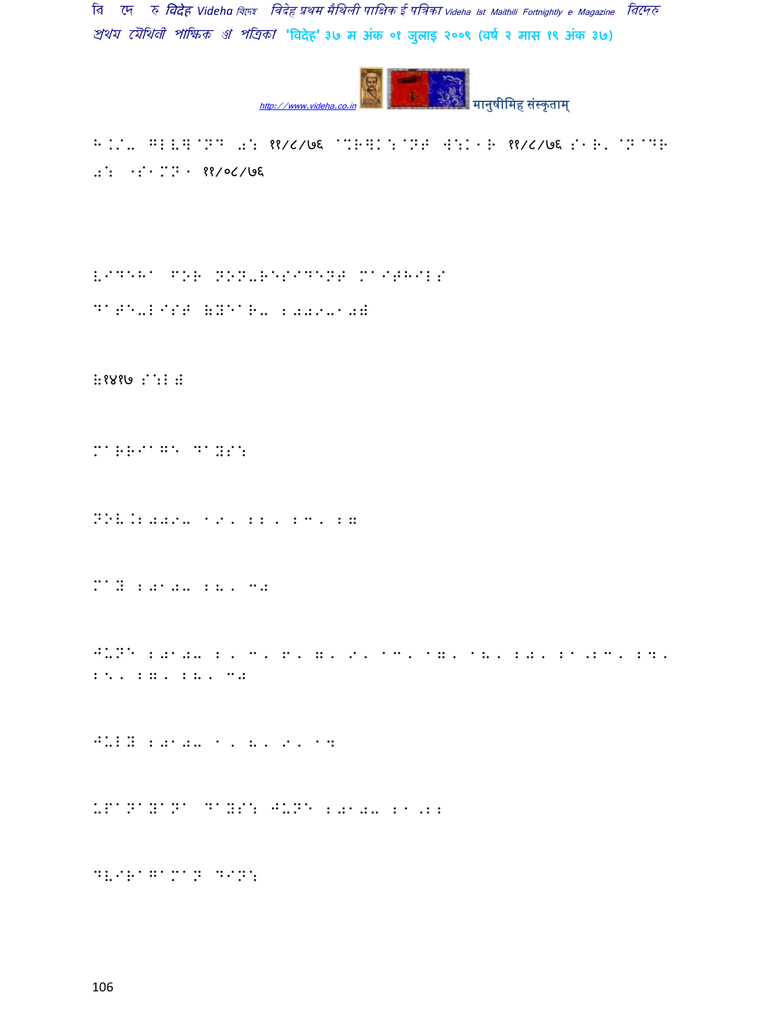

H.I.A. GLUAG 1977 G.N. 88/6/06 AMERIC: 1978 G.N. R.K. 88/6/06 STE. 1979 B. 0: "S1MN" ११/०८/७६

VIDEHa FOR NON-RESIDENT MaITHILS

DaTE-LIST (POSSESS) (POSSESS)

 $\therefore$  8889  $\therefore$   $\therefore$  3889

MaRRIaGE DaYS:

Nov. 2009-2009-2010-2010-2010

MaY 2010- 28, 30

JUNE 2010- 2, 3, 6, 7, 9, 13, 17, 18, 20, 21,23, 24, 25, 27, 28, 30

JULY 2010- 1, 8, 9, 14

UPaNaYaNa DaYS: JUNE 2010- 21,22

DVIRaGaMaN DIN: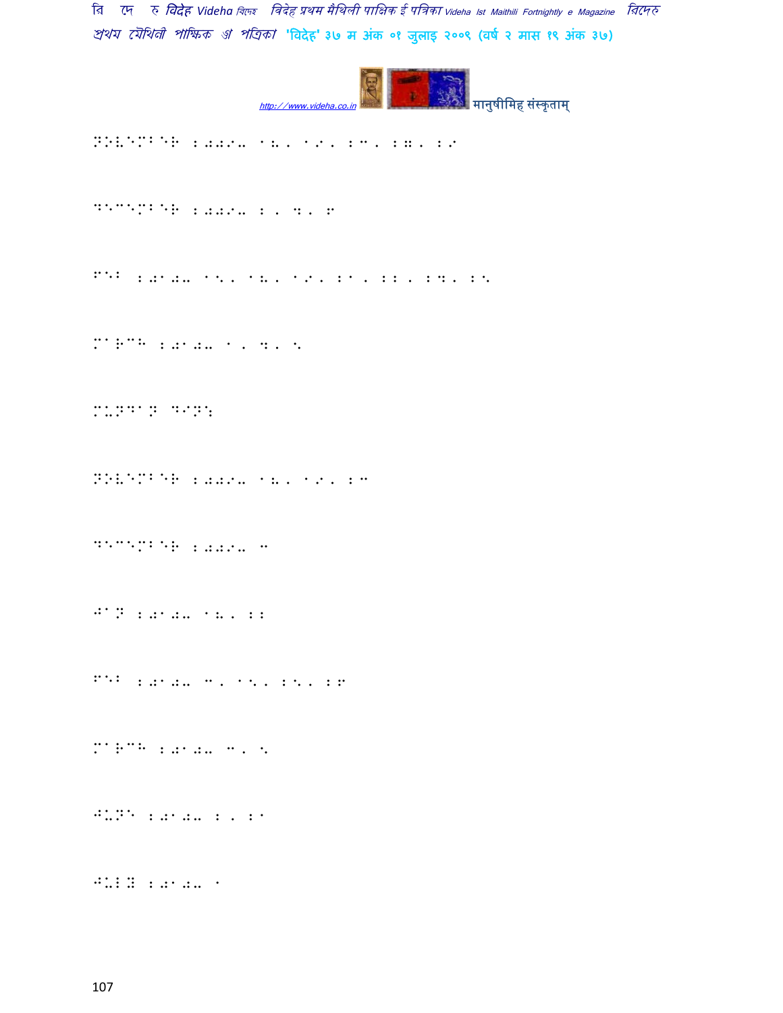

NOVEMBER 2009-2010-19, 29, 29, 29, 29, 29, 29, 27, 29, 29, 29, 27, 29, 27, 29, 29, 29, 29, 29, 29, 29, 29, 29,

DECEMBER 2009- 2, 4, 6

FEB 2010-15, 18, 19, 21, 21, 21, 21, 21, 21, 23,

MaRCH 2010- 1, 4, 5

MUNDaN DIN:

NOVEMBER 2009- 18, 19, 23

DECEMBER 2009- 3

 $\mathcal{F}(\mathcal{P})$  is defined by a constant

FFB 2010-3, 15, 25, 26, 26, 26

MaRCH 2010- 3, 5

JUNE 2010-2010 2010

JULY 2010- 1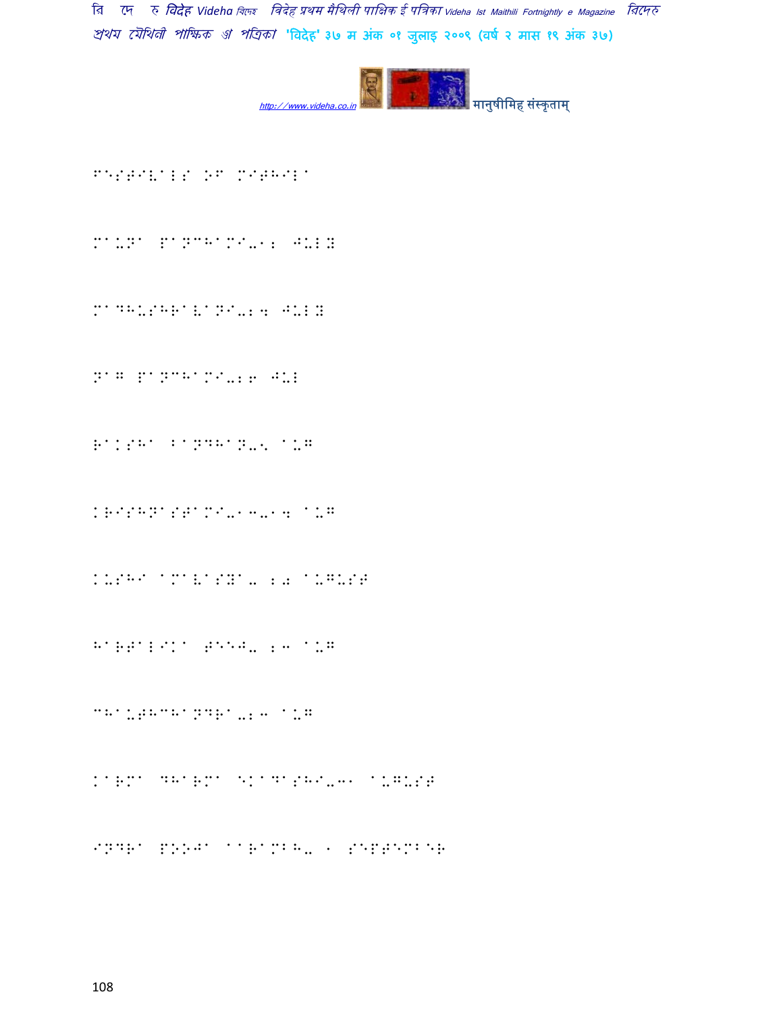

FESTIVALS OF MITHILA

MaUNa PaNCHaMI-12 JULY

Madhushavani, 1980

NaG PaNCHaMI-26 JUL

Raksha Bandhan Bandar

KRISHNaSTaMI-13-14 aUG

KUSHI aMaVASHI aMaYU 20 aUGUST

Hartalika Teel- 23 august 23 august 23 august 23 august 23 august 23 august 23 august 23 august 23 august 23 a

CHAUTHCHANDRA-23 aUG

KaRMa DHaRMa EKaDaSHI-31 aUGUST

INDRa POOJa aaRaMBH- 1 SEPTEMBER

108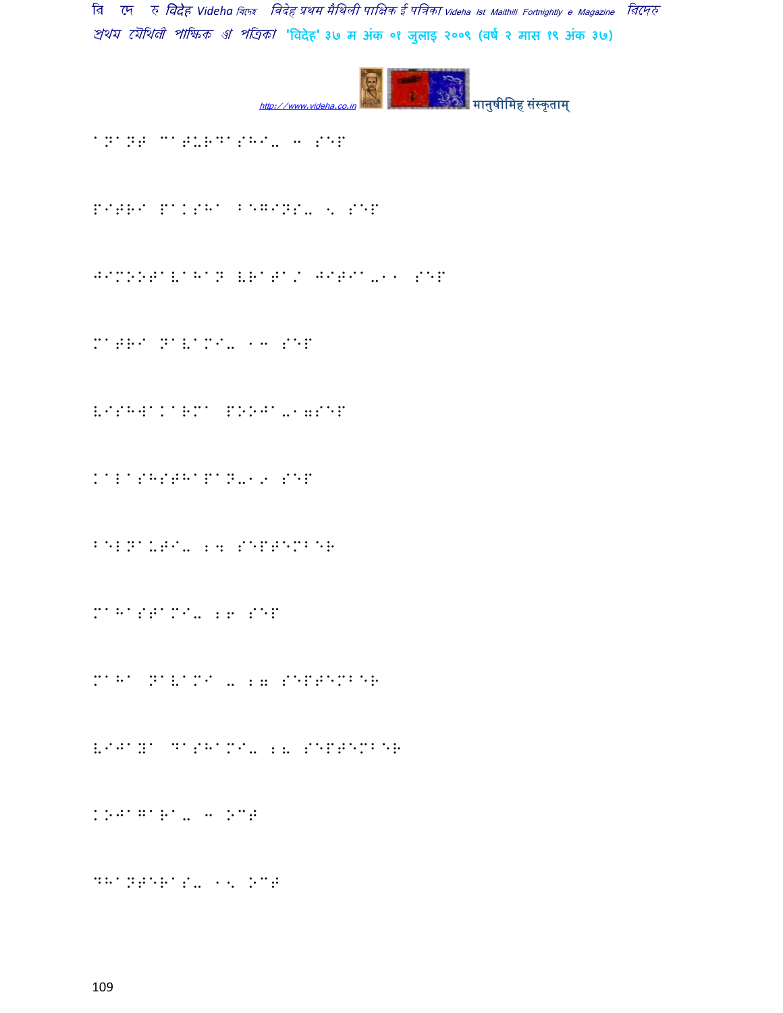िव दिन है <mark>विदेह Videha</mark> बिलर विदेह प्रथम मैथिली पाक्षिक ई पत्रिका Videha Ist Maithili Fortnightly e Magazine विदमह õथम मैिथली पािक्षक ई पिñका **'**िवदेह**'** ३७ म अंक ०१ जुलाइ २००९ (वष र् २ मास १९ अंक ३७)



aNaNT CaTURDaSHI- 3 SEP

PITRI PAKSHA BEGINS

JAMOOTAMAHAN VAHAN VAHAN VAHAN VAHAN VAHAN VAHAN VAHAN VAHAN VAHAN VAHAN VAHAN VAHAN VAHAN VAHAN VAHAN VAHAN V

MaTRI NaVaMI- 13 SEP

VISHWaKaRMa POOJa-17SEP

Kalashstan - Separat Separat

BELTIME IN STREET

MaHaSTaMI- 26 SEP

MaHa NaVaMI - 27 SEPTEMBER

VIJaYa DaSHaMI- 28 SEPTEMBER

DHaNTERaS- 15 OCT

KOJa Gara- 3 OCTOB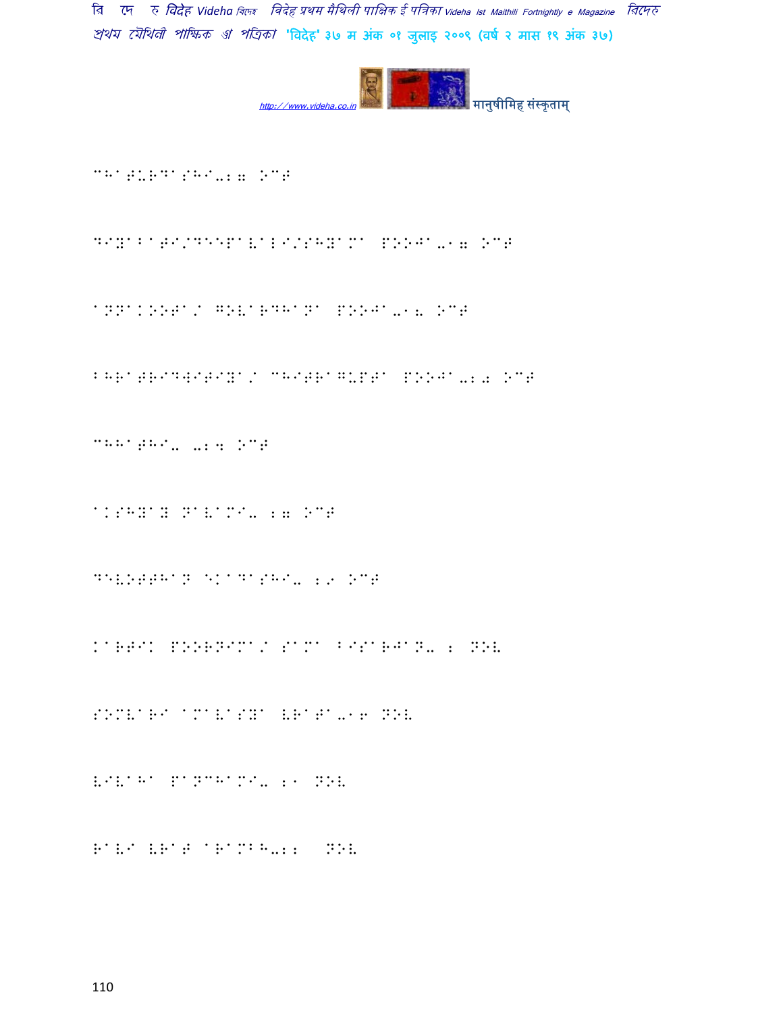िव दिन दि<mark>विदेह Videha</mark> बिलर विदेह प्रथम मैथिली पाक्षिक ई पत्रिका Videha Ist Maithili Fortnightly e Magazine विदि õथम मैिथली पािक्षक ई पिñका **'**िवदेह**'** ३७ म अंक ०१ जुलाइ २००९ (वष र् २ मास १९ अंक ३७)



CHaTURDaSHI-27 OCT

DIYaBaTI/DEEPaVaLI/SHYaMa POOJa-17 OCT

aNNaKOOTa/ GOVaRDHaNa POOJa-18 OCT

BHRaTRIDWITIYa/ CHITRaGUPTa POOJa-20 OCT

CHHATHI- -24 OCT

akawa na wana wa

DELEMAN EXAMPLE EXAMPLE EXAMPLE

SOM AMARINA AMARINA AMARINA AMARINA AMARINA A

KaRTIK POORNIMa/ SaMa BISaRJaN- 2 NOV

RALAMBAH ARAMA ARAMA ARAH

VIVaHa PaNCHaMI- 21 NOV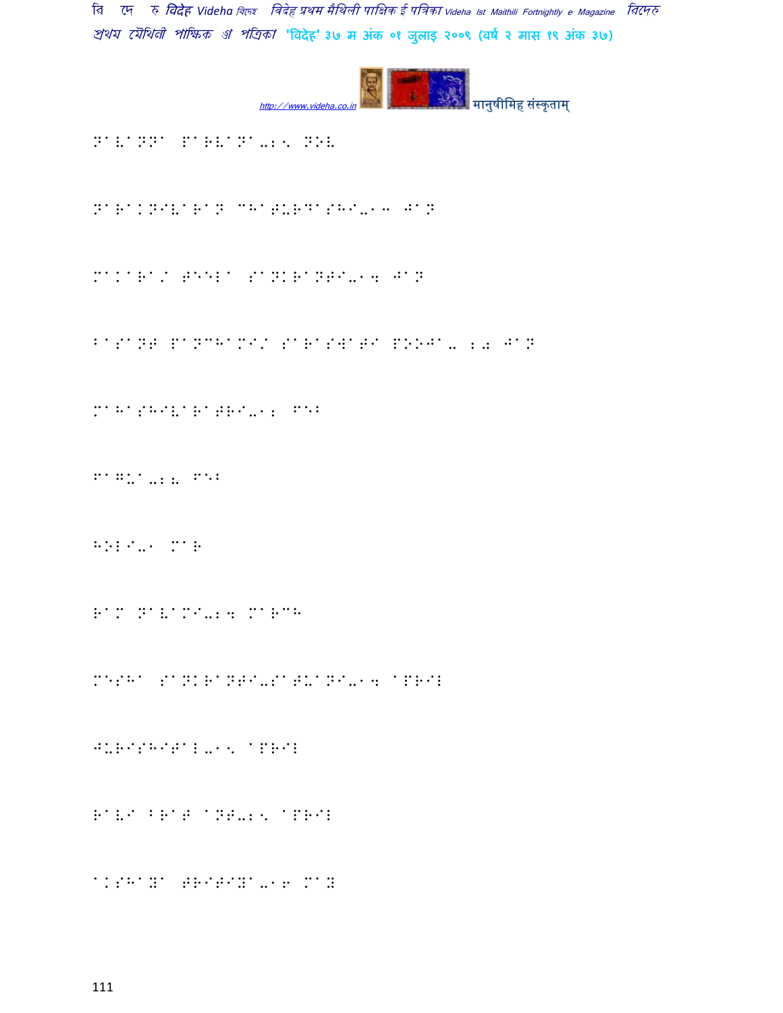िव दिन है विदेह Videha <sub>विलर</sub> विदेह प्रथम मैथिली पाक्षिक ई पत्रिका Videha Ist Maithili Fortnightly e Magazine विदि õथम मैिथली पािक्षक ई पिñका **'**िवदेह**'** ३७ म अंक ०१ जुलाइ २००९ (वष र् २ मास १९ अंक ३७)



NaVaNNa PaRVaNa-25 NOV

NaRaKNIVaRaN CHaTURDaSHI-13 JaN

MaKaRa/ TEELa SaNKRaNTI-14 JaN

BaSanT Panchami/ Santa Swambol Pooland 20 January 20 January 20 January 20 January 20 January 20 January 20 January 20 January 20 January 20 January 20 January 20 January 20 January 20 January 20 January 20 January 20 Janu

MaHaSHIVaRaTRI-12 FEB

FaGUa-28 FEB

HOLI-1 MAR

RaM NaVaMI-24 MaRCH

MESHa SaNKRaNTI-SaTUaNI-14 aPRIL

JURISHITAL-15 aPRIL

Ravis Ravis Ravis Ravis Ravis Ravis

aKSHaYa TRITIYa-16 MaY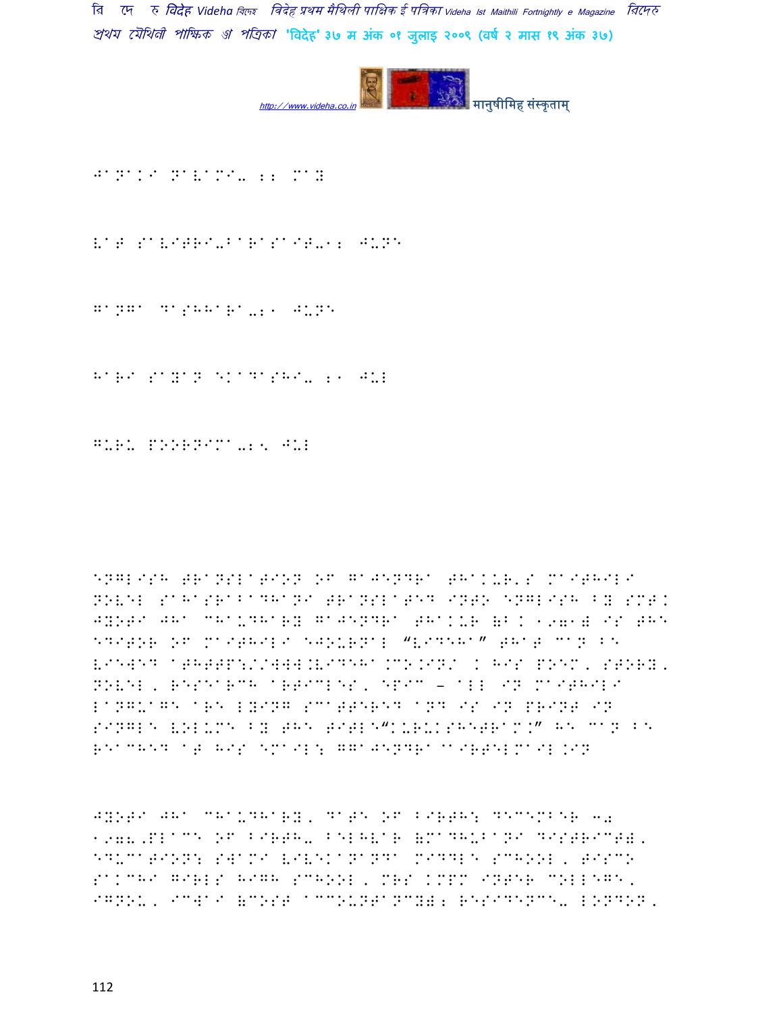JOOTI JA CHAUDHARY, DATE OF BIRTH: DATE OF BIRTH 1978,PLaCE OF BIRTH- BELHVaR (MaDHUBaNI DISTRICT), EDUCaTION: SWaMI VIVEKaNaNDa MIDDLE SCHOOL, TISCO SAKCHI GIRLS HIGH SCHOOL, MRS KOMPO INTER COLLEGE, IGNOU, ICWaI (COST aCCOUNTaNCY); RESIDENCE- LONDON,

ENGLISH TRaNSLaTION OF GaJENDRa THaKUR'S MaITHILI NOVEL SAHASPES SAHADHANI TRANSLATED INTO ENGLISH BY SMERI TRANSLATED INTO ENGLISH BY SM JOOTI JA CHAUDHARY GAJENDRA THAKUR (B. 1971) IS THACUR (B. 1971) EDITOR OF MAINTED SANCHER "VIDEHA" FRANCH "THAT VIEWED aTHTTP://WWW.VIDEHa.CO.IN/ . HIS POEM, STORY, NOVEL, RESEaRCH aRTICLES, EPIC – aLL IN MaITHILI LaNGUaGE aRE LYING SCaTTERED aND IS IN PRINT IN SINGLE VOLUME BY THE TITLE"KURUKSHETRaM." HE CaN BE REaCHED aT HIS EMaIL: GGaJENDRa@aIRTELMaIL.IN

GURU POORNIMA-25 JULI

Hari Sayan Ekademiya Saya

GaNGa DaSHHaRa-21 JUNE

EVAT STEPHENDE IN SAVITAN 1922

JaNaKI NaVaMI- 22 MaY



िव दिन दि<mark>विदेह Videha</mark> <sub>विफर</sub> विदेह प्रथम मैथिली पाक्षिक ई पत्रिका Videha Ist Maithili Fortnightly e Magazine विदिन्ह õथम मैिथली पािक्षक ई पिñका **'**िवदेह**'** ३७ म अंक ०१ जुलाइ २००९ (वष र् २ मास १९ अंक ३७)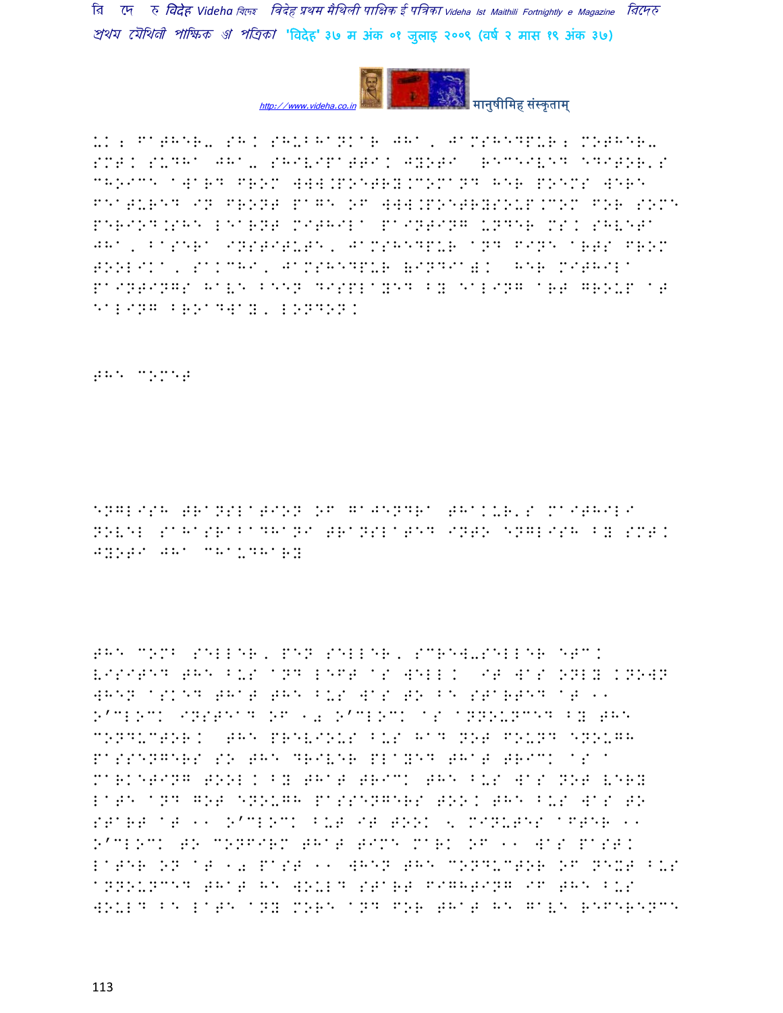THE COMB SELLER, PEN SELLER, SCREW-SELLER ETC. VISITED THE BUS aND LEFT aS WELL. IT WaS ONLY KNOWN WHEN ASKED THAT THE BUSINESS WAS TO BUSINESS OF A 111 MILLION CONTINUES. O'CLOCK INSTEaD OF 10 O'CLOCK aS aNNOUNCED BY THE CONDUCTOR. THE PREVIOUS BUS HaD NOT FOUND ENOUGH PaSSENGERS SO THE DRIVER PLaYED THaT TRICK aS a Marketing tool. By the Business Was Not very was not very LaTE aND GOT ENOUGH PaSSENGERS TOO. THE BUS WaS TO START aT 11 O'CLOCK BUT IT TOOK 5 MINUTES AFTER 11 O'CLOCK BUT IT TOOK 5 MINUTES AFTER 11 O O'CLOCK TO CONFIRM THaT TIME MaRK OF 11 WaS PaST. LaTER ON aT 10 PaST 11 WHEN THE CONDUCTOR OF NEXT BUS and the start of the would start fighting in the start fighting in the business of the business of the business WOULD BE LATE AND FOR THAT HE GAVE ANY MORE AND FOR THAT HE GAVE REFERENCE

ENGLISH TRaNSLaTION OF GaJENDRa THaKUR'S MaITHILI NOVEL SAHASPES AHADHANI TRANSLATED INTO ENGLISH BY SMERI TRANSLATED INTO ENGLISH BY SM JYOTI JYOTI JALAN SAARA SAARA SAARA SAARA SAARA SAARA SAARA SAARA SAARA SAARA SAARA SAARA SAARA SAARA SAARA SA<br>JYOTI JYOTI JYOTI JYOTI JYOTI JYOTI JYOTI JYOTI JYOTI JYOTI JYOTI JYOTI JYOTI JYOTI JYOTI JYOTI JYOTI JYOTI JY

THE COMET

UK; FaTHER- SH. SHUBHaNKaR JHa, JaMSHEDPUR; MOTHER-SMT. SUDHa JHa- SHIVIPaTTI. JYOTI RECEIVED EDITOR'S CHOICE aWaRD FROM WWW.POETRY.COMaND HER POEMS WERE FEaTURED IN FRONT PaGE OF WWW.POETRYSOUP.COM FOR SOME PERIOD.SHE LEaRNT MITHILa PaINTING UNDER MS. SHVETa JHa, BaSERa INSTITUTE, JaMSHEDPUR aND FINE aRTS FROM TOOLIKa, SaKCHI, JaMSHEDPUR (INDIa). HER MITHILa PaINTINGS HaVE BEEN DISPLaYED BY EaLING aRT GROUP aT EaLING BROaDWaY, LONDON.



िव दिन दि विदेह Videha <sub>विष्ट</sub> विदेह प्रथम मैथिली पाक्षिक ई पत्रिका <sub>Videha</sub> Ist Maithili Fortnightly e Magazine *विद*फ्ट õथम मैिथली पािक्षक ई पिñका **'**िवदेह**'** ३७ म अंक ०१ जुलाइ २००९ (वष र् २ मास १९ अंक ३७)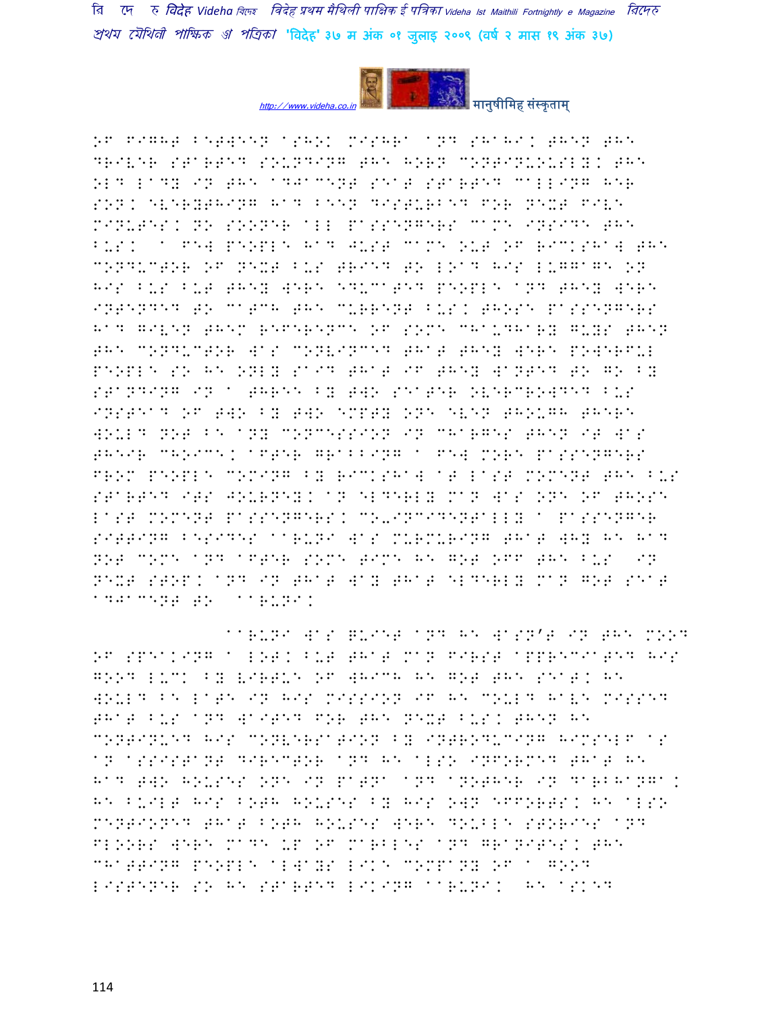OF FIGHT BETWEEN aSHOK MISHRa aND SHaHI. THEN THE DRIVER STaRTED SOUNDING THE HORN CONTINUOUSLY. THE OLD LaDY IN THE aDJaCENT SEaT STaRTED CaLLING HER SON. EVERYTHING HaD BEEN DISTURBED FOR NEXT FIVE MINUTES. NO SOONER aLL PaSSENGERS CaME INSIDE THE BUS. a FEW PEOPLE HaD JUST CaME OUT OF RICKSHaW THE CONDUCTOR OF NEXT BUS TRIED TO LOaD HIS LUGGaGE ON HIS BUS BUT THEY WERE EDUCaTED PEOPLE aND THEY WERE INTENDED TO CaTCH THE CURRENT BUS. THOSE PaSSENGERS HaD GIVEN THEM REFERENCE OF SOME CHaUDHaRY GUYS THEN THE CONDUCTOR WaS CONVINCED THaT THEY WERE POWERFUL PEOPLE SO HE ONLY SaID THaT IF THEY WaNTED TO GO BY STaNDING IN a THREE BY TWO SEaTER OVERCROWDED BUS INSTEaD OF TWO BY TWO EMPTY ONE EVEN THOUGH THERE WOULD NOT BE ANY CONCESSION IN CHARGES THE ANY CONCESSION IN CHARGES THE ANY CONCESSION IN CHARGES THE RESIDENT THEIR CHOICE. aFTER GRaBBING a FEW MORE PaSSENGERS FROM POOPLE COMPUTER BY RICH COMING BY RICHARD BY RICK STARTED ITS JOURNEY OF THE THE WAS ONE OF THE OF THE OF THE OF THE STA LaST MOMENT PaSSENGERS. CO-INCIDENTaLLY a PaSSENGER SITTING BESIDES aaRUNI WaS MURMURING THaT WHY HE HaD NOT COME AND AFTER SOME TIME HE GOT OFF THE SOME TIME  $\mathcal{A}$ NEXT STOP. aND IN THaT WaY THaT ELDERLY MaN GOT SEaT adamage extra to aa

aaRuni was die 19de eeu nie. Dit was 'n die wasneem van die wasneem van die wasneem van die wasneem van die wa OF SPEaKING a LOT. BUT THaT MaN FIRST aPPRECIaTED HIS GOOD LUCK BY LUCK DE GLUCK BY GOT THE SEAT. HE SEAT WOULD BE LATER IN HIS MISSION IN HIS MOULD HAVE MISSION THaT BUS aND WaITED FOR THE NEXT BUS. THEN HE CONTINUED HIS CONVERSaTION BY INTRODUCING HIMSELF aS aN aSSISTaNT DIRECTOR aND HE aLSO INFORMED THaT HE HaD TWO HOUSES ONE IN PaTNa aND aNOTHER IN DaRBHaNGa. HE BUILT HIS BOTH HOUSES BY HIS DISCOVERING AN ALSO MENTIONED THaT BOTH HOUSES WERE DOUBLE STORIES aND FLOORS WERE MaDE UP OF MaRBLES aND GRaNITES. THE CHaTTING PEOPLE aLWaYS LIKE COMPaNY OF a GOOD LISTENER SO HE STaRTED LIKING aaRUNI. HE aSKED

http://www.videha.co.in **मान्यु जिल्लाम्** 

िव दिन दि<mark>विदेह Videha</mark> विक्त्र विदेह प्रथम मैथिली पाक्षिक ई पत्रिका Videha Ist Maithili Fortnightly e Magazine *विC*FE õथम मैिथली पािक्षक ई पिñका **'**िवदेह**'** ३७ म अंक ०१ जुलाइ २००९ (वष र् २ मास १९ अंक ३७)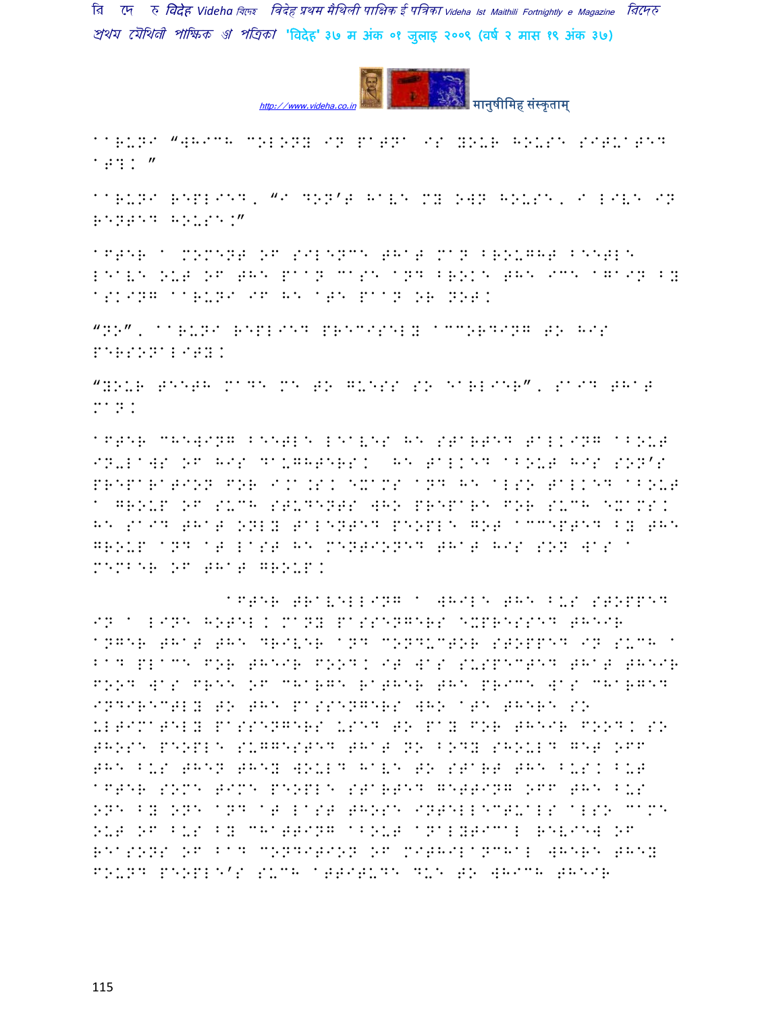िव दिन दि विदेह Videha <sub>विष्ट</sub> विदेह प्रथम मैथिली पाक्षिक ई पत्रिका <sub>Videha</sub> Ist Maithili Fortnightly e Magazine *विद*फ्ट õथम मैिथली पािक्षक ई पिñका **'**िवदेह**'** ३७ म अंक ०१ जुलाइ २००९ (वष र् २ मास १९ अंक ३७)



aaRUNI "WHICH COLONY IN PaTNa IS YOUR HOUSE SITUaTED and  $\mathbb{P}^1$  : The following  $\mathbb{P}^1$ 

aaRuni Replied, "I don't have my own house, in light in

LEaVE OUT OF THE PaaN CaSE aND BROKE THE ICE aGaIN BY

aFER a MOMENT OF SILENCE THAT MAN BROUGHT BEET

"NO", aaRUNI REPLIED PRECISELY according to his

WOOLE BYSHE MITE MADE BOOKS SO EARLIER SO EARLY SO EARLY

aFTER CHEWING BEETLE LEaVES HE STaRTED TaLKING aBOUT IN-LaWS OF HIS DaUGHTERS. HE TaLKED aBOUT HIS SON'S PREPARATION FOR INTERNATION FOR INC. EXAMS AND HE ALSO TALKED ABOUT A SERIES AND HE ALSO TALKED ABOUT A SURFACE a GROUP OF SUCH STUDENTS WHO PREPaRE FOR SUCH EXaMS. HE SaID THaT ONLY TaLENTED PEOPLE GOT aCCEPTED BY THE

GROUP aND aT LaST HE MENTIONED THaT HIS SON WaS a

IN a LINE HOTEL. MaNY PaSSENGERS EXPRESSED THEIR

INDIRECTLY TO THE PaSSENGERS WHO aTE THERE SO

aNGER THaT THE DRIVER aND CONDUCTOR STOPPED IN SUCH a BaD PLaCE FOR THEIR FOOD. IT WaS SUSPECTED THaT THEIR FOOD WaS FREE OF CHaRGE RaTHER THE PRICE WaS CHaRGED

ULTIMaTELY PaSSENGERS USED TO PaY FOR THEIR FOOD. SO THOSE PEOPLE SUGGESTED THaT NO BODY SHOULD GET OFF THE BUS THEN THEY WOULD HaVE TO STaRT THE BUS. BUT aFTER SOME TIME PEOPLE STaRTED GETTING OFF THE BUS ONE BY ONE aND aT LaST THOSE INTELLECTUaLS aLSO CaME

OUT OF BUS BY CHaTTING aBOUT aNaLYTICaL REVIEW OF REaSONS OF BaD CONDITION OF MITHILaNCHaL WHERE THEY

FOUND PEOPLE'S SUCH ATTITUDE TO WHICH THE TO WHICH THE TO WHICH THE TO

aFTER TRaVELLING a WHILE THE BUS STOPPED

aSKING aaRUNI IF HE aTE PaaN OR NOT.

RENTED HOUSE."

PERSONALITY OF PROPERTY AND THE PERSONALITY OF PROPERTY AND INCOME.

MEMBER OF THaT GROUP.

MaN.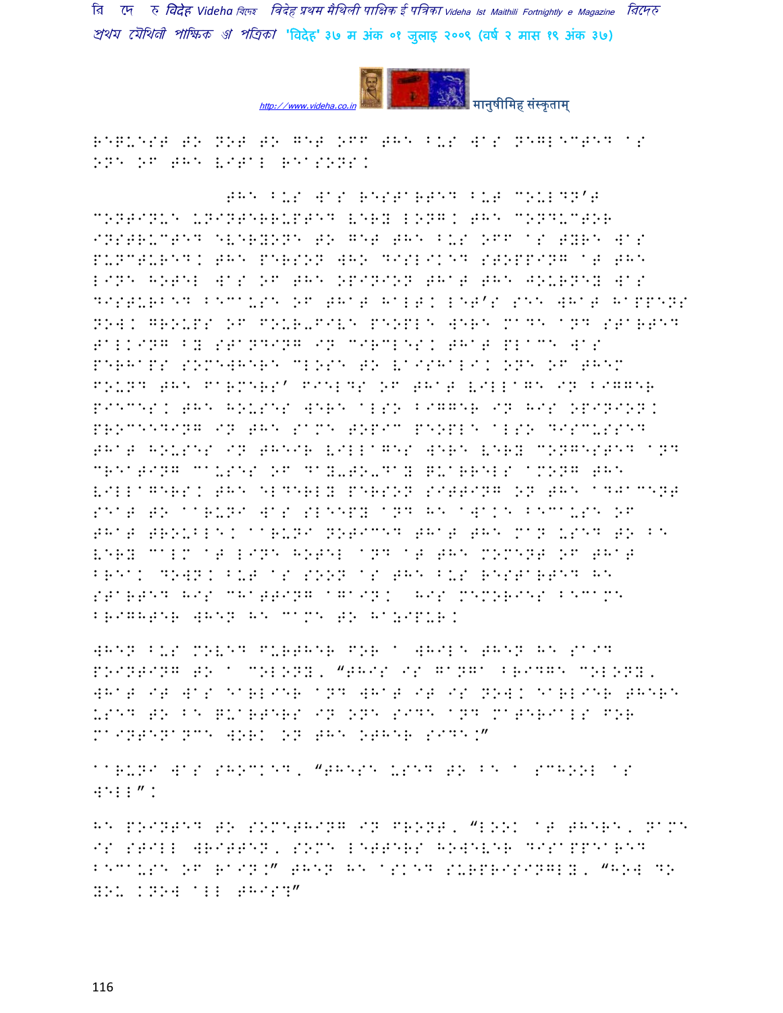ৱি দে হ *বিदेह Videha ৰিদ্*হ *विदेह प्रथम मैथिली पाक्षिक ई पत्रिका Videha Ist Maithili Fortnightly e Magazine বিদেহ* õथम मैिथली पािक्षक ई पिñका **'**िवदेह**'** ३७ म अंक ०१ जुलाइ २००९ (वष र् २ मास १९ अंक ३७)



REDUCEST TO TO GET OF THE BUS WAS SIZE OF THE BUSINESS OF ONE OF THE VITaL REaSONS.

 THE BUS WaS RESTaRTED BUT COULDN'T CONTINUE UNINTERRUPTED VERY LONG. THE CONTINUE UNINTERRUPTED VERY LONG. THE CONDUCTOR OF A STATE OF A STATE OF INSTRUCTED EVERYONE TO GET THE BUS OFF aS TYRE WaS PUNCTURED. THE PERSON WHO DISLIKED STOPPING aT THE LINE HOTEL WaS OF THE OPINION THaT THE JOURNEY WaS DISTURBED BECaUSE OF THaT HaLT. LET'S SEE WHaT HaPPENS NOW. GROUPS OF FOUR-FIVE PEOPLE WERE MaDE aND STaRTED Talking by Standard By Standard In Carlos and PERHaPS SOMEWHERE CLOSE TO VaISHaLI. ONE OF THEM FOUND THE FaRMERS' FIELDS OF THaT VILLaGE IN BIGGER PIECES. THE HOUSES WERE aLSO BIGGER IN HIS OPINION. PROCEEDING IN THE SaME TOPIC PEOPLE aLSO DISCUSSED THaT HOUSES IN THEIR VILLaGES WERE VERY CONGESTED aND CREaTING CaUSES OF DaY-TO-DaY QUaRRELS aMONG THE VILLaGERS. THE ELDERLY PERSON SITTING ON THE aDJaCENT SEaT TO aaRUNI WaS SLEEPY aND HE aWaKE BECaUSE OF THAT TROUBLES IN TROUBLE TROUBLES THAT THE MAN USED TO BE A RUNI EVER TO ENY POSSES OF THE MOMENT OF THE MOMENT OF THE MOMENT OF THE MOMENT OF THE MOMENT OF THE MOMENT OF THE MOMENT OF THE MOMENT OF THE MOMENT OF THE MOMENT OF THE MOMENT OF THE MOMENT OF THE MOMENT OF THE MOMENT OF THE BREaK DOWN. BUT aS SOON aS THE BUS RESTaRTED HE STaRTED HIS CHaTTING aGaIN. HIS MEMORIES BECaME BRIGHTER WHEN HE CaME TO HaZIPUR.

WHEN BUS MOVED FURTHER FOR A WHILE THEN HE SAID TO SAID POINTING TO a COLONY, "THIS IS GaNGa BRIDGE COLONY, WHAT IT WAS EARLIER AND WHAT IT IS NOW. EARLY IT IS NOW WHAT IT IS NOW. EARLY IT IS NOW. IT IS NOW WHAT IT IS USED TO BE QUaRTERS IN ONE SIDE aND MaTERIaLS FOR MaINTENaNCE WORK ON THE OTHER SIDE."

HE POINTED TO SOMETHING IN FRONT, "LOOK aT THERE, NaME

aaRuni Was Shocker ("These Used To Be a School as School as

IS STILL WRITTEN, SOME LETTERS HOWEVER DISaPPEaRED BECAUSE OF RAINER OF RAINER SURPRISINGLY, "HOW DO THE ASKED SURPRISINGLY, "HOW DO THE ASKED SURPRISINGLY, "HOW

HOU KNOW ALL THE HAPPEN

116

WELL".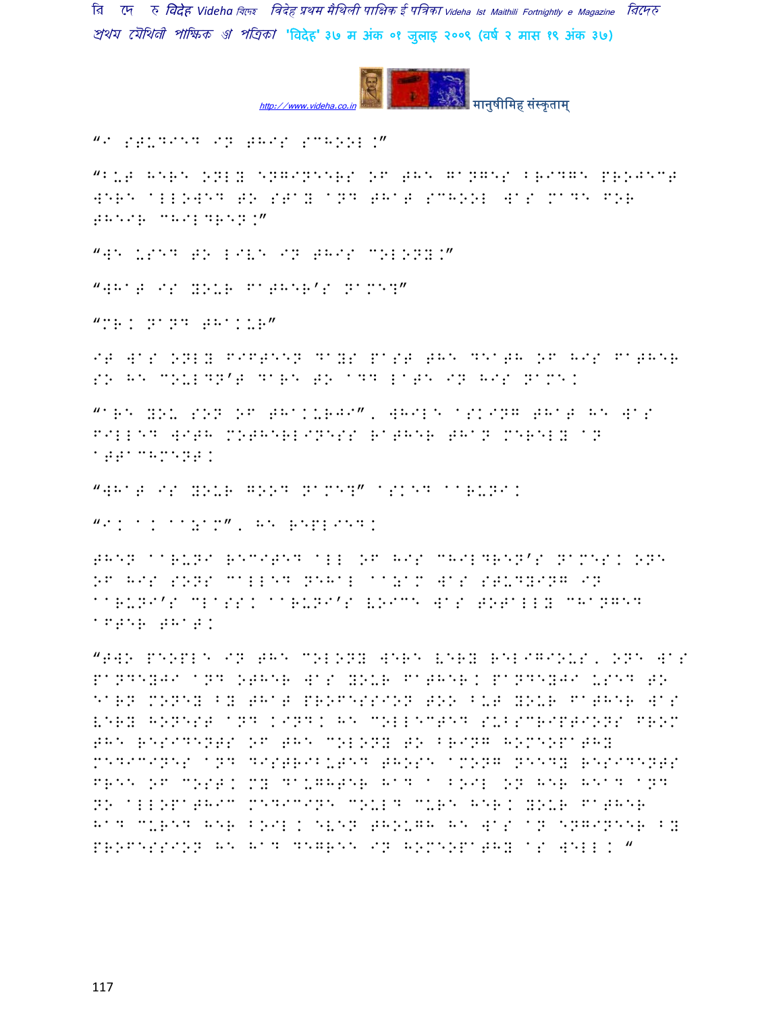"TWO PEOPLE IN THE COLONY WERE VERY RELIGIOUS, ONE WaS PaNDEYJI aND OTHER WaS YOUR FaTHER. PaNDEYJI USED TO EaRN MONEY BY THaT PROFESSION TOO BUT YOUR FaTHER WaS VERY HONEST aND KIND. HE COLLECTED SUBSCRIPTIONS FROM THE RESIDENTS OF THE COLONY TO BRING HOMEOPaTHY MEDICINES aND DISTRIBUTED THOSE aMONG NEEDY RESIDENTS FREE OF COST. DIE TELENASIE HAD A BOIL ON HER HEAD AND AND NO ALLOPATHIC MEDICINE COULD CURE HER. YOUR FATHER Had Cured Her Boiler. Even though he was an engineer by the was an engineer PROFESSION HE HaD DEGREE IN HOMEOPaTHY aS WELL. "

THEN aaRUNI RECITED aLL OF HIS CHILDREN'S NaMES. ONE OF HIS SONS CALLED NEWSFILM IN STUDYING IN STUDYING IN aaRunist 'n die baarunie volker was totalling was totally changed was totally changed was totally changed was aFTER THaT.

 $\mathbf{W} = \left\{ \begin{array}{ll} \mathbf{W} & \mathbf{W} & \mathbf{W} \\ \mathbf{W} & \mathbf{W} & \mathbf{W} \end{array} \right. \quad \text{and} \quad \mathbf{W} = \left\{ \begin{array}{ll} \mathbf{W} & \mathbf{W} & \mathbf{W} \\ \mathbf{W} & \mathbf{W} & \mathbf{W} \end{array} \right. \quad \text{and} \quad \mathbf{W} = \left\{ \begin{array}{ll} \mathbf{W} & \mathbf{W} & \mathbf{W} \\ \mathbf{W} & \mathbf{W} & \mathbf{W} \end{array} \right. \$ 

WHAT IS YOUR GOOD NAMES AND ALL AND CONTROL OF A RUN AND A RUN AND A RUN AND A RUN AND A RUN AND A RUN AND A RUN A

"THA HILL FILE IN THAKING HAM I WHILE ASKING THAT HE WAS ALL FILLED WITH MOTHERLINESS RaTHER THaN MERELY aN aTTaCHMENT.

IT WaS ONLY FIFTEEN DaYS PaST THE DEaTH OF HIS FaTHER SO HE COULDN'T DaRE TO aDD LaTE IN HIS NaME.

 $\mathbf{W} = \begin{bmatrix} \mathbf{W} & \mathbf{W} & \mathbf{W} & \mathbf{W} & \mathbf{W} & \mathbf{W} & \mathbf{W} & \mathbf{W} & \mathbf{W} & \mathbf{W} & \mathbf{W} & \mathbf{W} & \mathbf{W} & \mathbf{W} & \mathbf{W} & \mathbf{W} & \mathbf{W} & \mathbf{W} & \mathbf{W} & \mathbf{W} & \mathbf{W} & \mathbf{W} & \mathbf{W} & \mathbf{W} & \mathbf{W} & \mathbf{W} & \mathbf{W} & \mathbf{W} & \mathbf{W} & \mathbf{$ 

WHAT IS YOUR FATHERS AND PURSUAL

WE USED TO LIVE IN THIS COLONY OF THE STILL  $''$ 

"BUT HERE ONLY ENGINEERS OF THE GANGES BRIDGE PROJECT WERE all of the Superior State and That School was made for the Superior School Was Made For the Superior Superior HEIR CHILDREN."

"I STUDIED IN THIS SCHOOL."



िव दिन दि विदेह Videha <sub>विष्ट</sub> विदेह प्रथम मैथिली पाक्षिक ई पत्रिका <sub>Videha</sub> Ist Maithili Fortnightly e Magazine *विद*फ्ट õथम मैिथली पािक्षक ई पिñका **'**िवदेह**'** ३७ म अंक ०१ जुलाइ २००९ (वष र् २ मास १९ अंक ३७)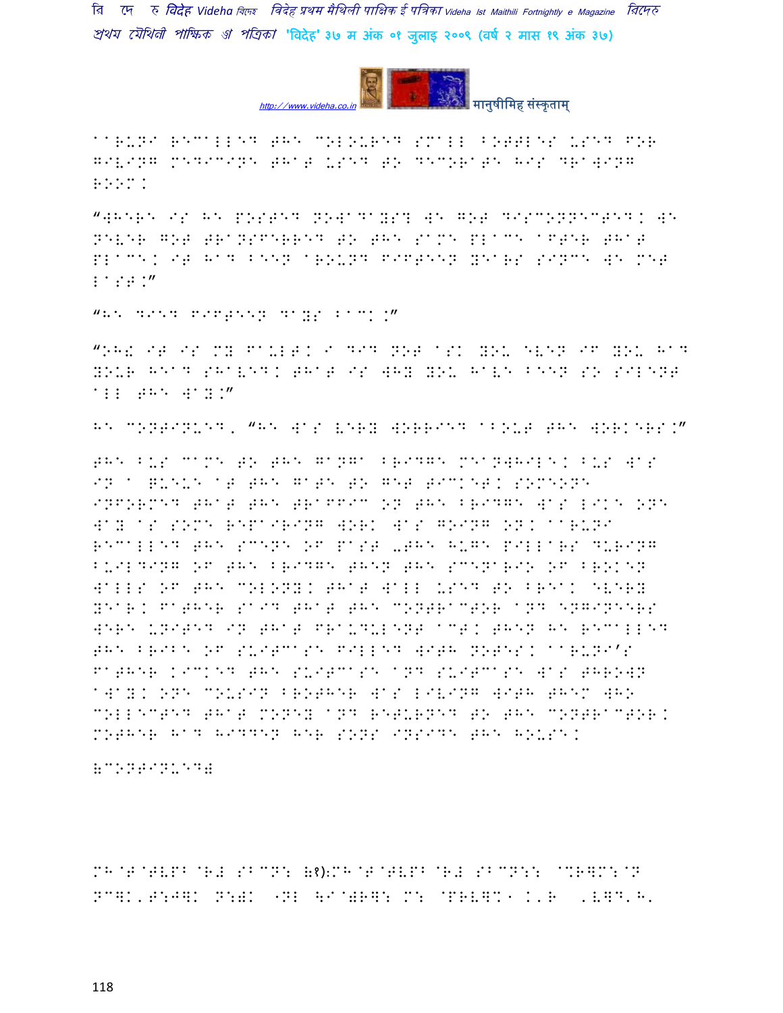िव दिन दि विदेह Videha <sub>विष्ट</sub> विदेह प्रथम मैथिली पाक्षिक ई पत्रिका <sub>Videha</sub> Ist Maithili Fortnightly e Magazine *विद*फ्ट õथम मैिथली पािक्षक ई पिñका **'**िवदेह**'** ३७ म अंक ०१ जुलाइ २००९ (वष र् २ मास १९ अंक ३७)



aaRUNI RECaLLED THE COLOURED SMaLL BOTTLES USED FOR GIVING MEDICINE THAT USED TO DECORATE HIS DRAWING THAT THAT USED TO DECORATE HIS DRAWING  $\mathcal{L}$ ROOM.

"WHERE IS HE POSTED NOWaDaYS? WE GOT DISCONNECTED. WE NEVER GOT TRaNSFERRED TO THE SaME PLaCE aFTER THaT PLaCE. IT HaD BEEN aROUND FIFTEEN YEaRS SINCE WE MET  $\vdots$   $\vdots$   $\vdots$   $\vdots$ 

which diese persons backer back in the 10

"OH! IT IS MY FaULT. I DID NOT aSK YOU EVEN IF YOU HaD HOUR HEAD SHAVED. THAT HEAD SHE HAVE BEEN SO SILENT SO SILENT SO SILENT all Free South

HE CONTINUED, "HE WaS VERY WORRIED aBOUT THE WORKERS."

THE BUS CaME TO THE GaNGa BRIDGE MEaNWHILE. BUS WaS IN a QUEUE aT THE GaTE TO GET TICKET. SOMEONE INFORMED THaT THE TRaFFIC ON THE BRIDGE WaS LIKE ONE WaY aS SOME REPaIRING WORK WaS GOING ON. aaRUNI RECaLLED THE SCENE OF PaST -THE HUGE PILLaRS DURING BUILDING OF THE BRIDGE THE BRIDGE THE SCENARIO OF BROKE WALLS OF THE COLONY COLONY OF THE COLONY OF THE COLONY OF THE COLONY OF THE COLONY OF THE COLONY OF THE COLONY YEAR. Father Said That The Contractor and Contractor and WERE UNITED IN THAT FRAUDULENT ACT. THE REPORT OF THE RECALLED THE BRIBE OF SUITCaSE FILLED WITH NOTES. aaRUNI'S FATHER KICKED THE SUITCASE AND SUITCASE SUITCASE SUITCASE aWaY. ONE COUSIN BROTHER WaS LIVING WITH THEM WHO COLLECTED THaT MONEY aND RETURNED TO THE CONTRaCTOR. MOTHER HAD HIDDEN HER SONS INSIDE THE HOUSE INSIDE

(CONTINUED)

MH@T@T&TPP@TPB@R# SBCN: (10):MH@T@T@T@TPB@R# SPCN: @N### SBCN: NC]K'T:J]K N:)K "NL \I@)R]: M: @PRV]%" K'R 'V]D'H'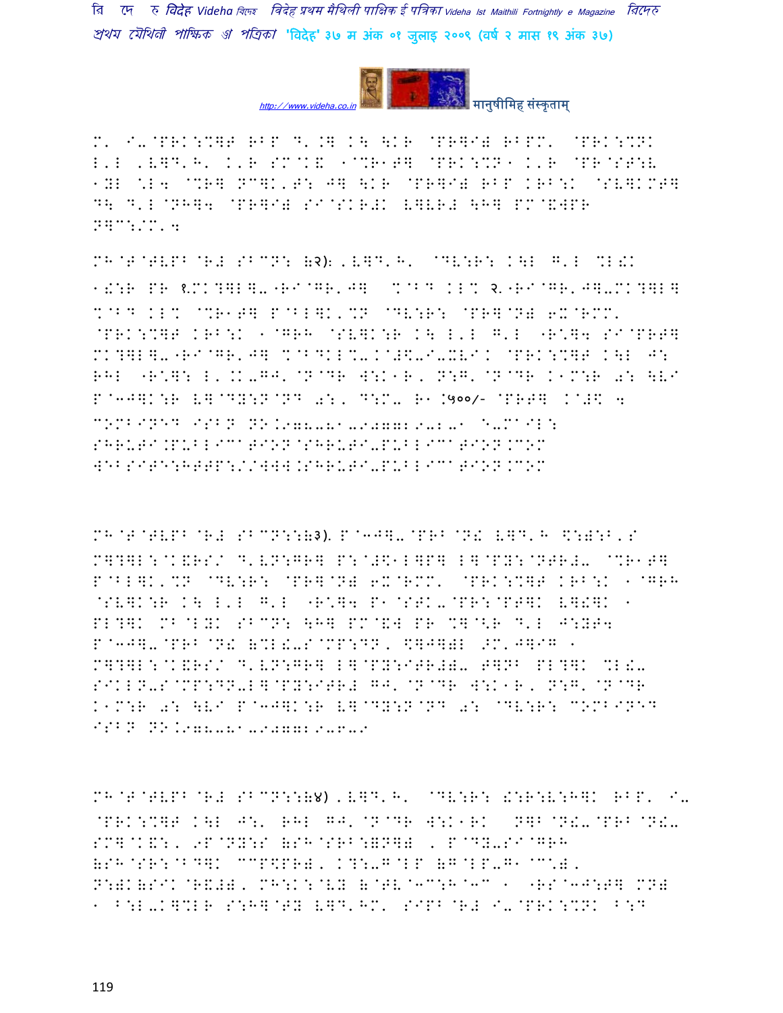िव दिन दि<mark>विदेह Videha</mark> बिल्ह विदेह प्रथम मैथिली पाक्षिक ई पत्रिका Videha Ist Maithili Fortnightly e Magazine विदिन्ह õथम मैिथली पािक्षक ई पिñका **'**िवदेह**'** ३७ म अंक ०१ जुलाइ २००९ (वष र् २ मास १९ अंक ३७)



M. I-A., MERC'STER DRIE DE LOED DA DADA DIE REARIE DRIE EN KORDONA L'L E NORDERLA L'ONDER EN DISTINCTION ANNO 1995 ANNO 1996 ANNO 1996 ANNO 1996 ANNO 1996 ANNO 1997 ANNO 1997 A 1YL \*L4 @%R] NC]K'T: J] \KR @PR]I) RBP KRB:K @SV]KMT] D\ D'L@NH]4 @PR]I) SI@SKR#K V]VR# \H] PM@&WPR N]C:/M'4

MHOTATA SHE SHA SHOTATI ARD: (1997, H. COTHENHIE CAL CHI, H. C. THE  $1.4718$  (FB  $(8.71.39193, 487.3991, 499.393, 499.393, 499.393, 499.371, 499.393,$  $\mathcal{R}$  , and the positive parameter  $\mathcal{R}$  . The probability  $\mathcal{R}$  and  $\mathcal{R}$  are probability of  $\mathcal{R}$  , and  $\mathcal{R}$ @PRK:%]T KRB:K 1@GRH @SV]K:R K\ L'L G'L "R\*]4 SI@PRT] MK? BRECH & GRANGER, ARE ON OR POLICIO CONDUCTION ON DIRACTION ON THE ONLY A RECOVERED RHL "RENADR": L'.MONAPH, "DESTAR": ADDR KN: DR MAR, "DESTAR": L'A DR R GR (A E K POSSER RECEPT OF STRING PRINCIPS (900/- CPRFE DOMESTIC

COMBINED ISBN 0-81-907-91-907729-2-1 E-MAIL: TO STATE OF THE UPSTALL IN THE UPSTALL IN THE UPSTALL IN THE UPSTALL SHRUTI.PUBLICaTION@SHRUTI-PUBLICaTION.COM WEBSITE:HTTP://WWW.SHRUTI-PUBLICaTION.COM

MH TO TO BE SPECIFE SPONSORES (SIGNED) AND TO A SECOND A SECOND SECOND SECOND SECOND SECOND SECOND SECOND SECOND SECOND SECOND SECOND SECOND SECOND SECOND SECOND SECOND SECOND SECOND SECOND SECOND SECOND SECOND SECOND SECO MARIN REAL AND DESCRIPTION OF AN INCOMERCIAL PROPERTY OF A CONTROL POINT OF A CONTROL AND DEVELOPED A CONTROL O P@BL]K'%N @DV:R: @PR]@N) 6X@RMM' @PRK:%]T KRB:K 1@GRH @SVERED ER (1961) EL E PORT A PROFIN A PORT A COMPANY VIOLENCE IN A RECENT (1970) PLYBE WAS BEN'N SPACED FOR DRIVE WAS SAFEKEEDING: THE MANAGEMENT OF DESCRIPTION OF THE DESCRIPTION OF DESCRIPTION P. THAREL (PER I TORIC BOE BOLY (DOP) POLY (PRAREH) (DON) ARAREN () MARIA EN MORERO DO VALIBIDADE EL EN ENDREGADADO DE PERSONA DE DEL DO VIENDO. SIKLN-S@MP:DN-L]@PY:ITR# GJ'@N@DR W:K1R, N:G'@N@DR KN:R 0: COMBINED ON THE COMBINED ON DESCRIPTION OF A LICENSE OF DV: COMBINED OF D ISBN NO.978-81-907729-6-9

MHOTA SABER SIYA YANG SABO ILIYAN AYA SOMA SA SAGA SAGA SA BILI ARI ING KIL @PRK:%]T K\L J:' RHL GJ'@N@DR W:K1RK N]B@N!-@PRB@N!-  $\frac{1}{2}$  ,  $\frac{1}{2}$  ,  $\frac{1}{2}$  ,  $\frac{1}{2}$  ,  $\frac{1}{2}$  ,  $\frac{1}{2}$  ,  $\frac{1}{2}$  ,  $\frac{1}{2}$  ,  $\frac{1}{2}$  ,  $\frac{1}{2}$  ,  $\frac{1}{2}$  ,  $\frac{1}{2}$  ,  $\frac{1}{2}$  ,  $\frac{1}{2}$  ,  $\frac{1}{2}$  ,  $\frac{1}{2}$  ,  $\frac{1}{2}$  ,  $\frac{1}{2}$  ,  $\frac{1}{$ (SH@SR:@BD]K CCP\$PR), K?:-G@LP (G@LP-G1@C\*), N:A:)K(SIK@3), MH:K:@VX (@TV@3C:H@3C:H@3C:H@3C:H@3C 1 B:L-K]%LR S:H]@TY V]D'HM' SIPB@R# I-@PRK:%NK B:D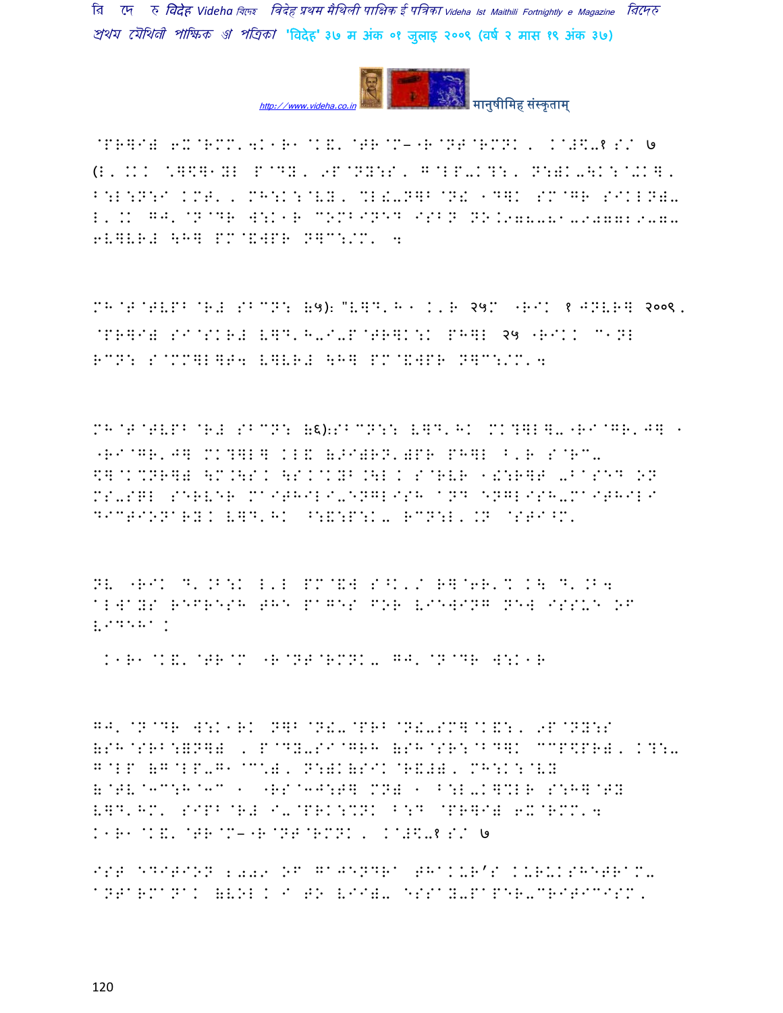िव दिन दि*विदेह Videha वि*क्ट *विदेह प्रथम मैथिली पाक्षिक ई पत्रिका videha Ist Maithili Fortnightly e Magazine विदमह* õथम मैिथली पािक्षक ई पिñका **'**िवदेह**'** ३७ म अंक ०१ जुलाइ २००९ (वष र् २ मास १९ अंक ३७)



@PR]I) 6X@RMM'4K1R1@K&'@TR@M–"R@NT@RMNK, .@#\$-१ S/ ७  $(0.1, 0.1, 0.1, 0.9)$  and  $(0.1, 0.9)$  is the contract of the contract of  $\kappa$  ,  $\kappa$  and  $\kappa$  and  $\kappa$  and  $\kappa$  and  $\kappa$ B:L:N:I KMT', MH:K:@VY, %L!-N]B@N! 1D]K SM@GR SIKLN)- L'.K GJ'@N@DR W:K1R COMBINED ISBN NO.978-81-907729-7-  $\frac{1}{2}$  ,  $\frac{1}{2}$  ,  $\frac{1}{2}$  ,  $\frac{1}{2}$  ,  $\frac{1}{2}$  ,  $\frac{1}{2}$  ,  $\frac{1}{2}$  ,  $\frac{1}{2}$  ,  $\frac{1}{2}$  ,  $\frac{1}{2}$  ,  $\frac{1}{2}$  ,  $\frac{1}{2}$  ,  $\frac{1}{2}$  ,  $\frac{1}{2}$  ,  $\frac{1}{2}$  ,  $\frac{1}{2}$  ,  $\frac{1}{2}$  ,  $\frac{1}{2}$  ,  $\frac{1$ 

MH TO TOE PROPERTY SAND TO THE SACK OF THE RESERVE TO A RELEASE 2008, @PR]I) SI@SKR# V]D'H-I-P@TR]K:K PH]L २५ "RIKK C1NL RCN: SOMETHE LENE HAT TO THIE THOMAS

MH@T@T@TEDFORE SBCN: (6):SBCN:: CONSTRATION: CONTROL MELTIPS  $R$ IRIM MERICI MERICI MARINI MERICI PRINSIPALITI \$]@K%NR]) \M.\S. \S.@KYB.\L. S@RVR 1!:R]T -BaSED ON MS-SAL SERVER MAITHILI-ENGLISH AND ENGLISH AND ENGLISH AND ENGLISH-MAITHILI-ENGLISH-MAITHILI-ENGLISH-MAITHILI-DICTIONaRY. V]D'HK ^:&:P:K- RCN:L'.N @STI^M'

NV "RIK D'AN DIRA DI RIK DI RIK DI RIK DI RIK DI RIK DI RIK DI RIK DI RIK DI RIK DI RIK DI RIK DI RIK DI RIK D aLWaYS REFRESH THE PaGES FOR VIEWING NEW ISSUE OF VIDEHa.

K1R1@K&'@TR@M "R@NT@RMNK- GJ'@N@DR W:K1R

GJ'@N@DR W:K1RK N]B@N!-@PRB@N!-SM]@K&:, 9P@NY:S (SH@SRB:=N]) , P@DY-SI@GRH (SH@SR:@BD]K CCP\$PR), K?:- G@LP (G@LP-G1@C\*), N:)K(SIK@R&#), MH:K:@VY (@TV@3C:H@3C 1 "RS@3J:T] MN) 1 B:L-K]%LR S:H]@TY V]D'HM' SIPB@R# I-@PRK:%NK B:D @PR]I) 6X@RMM'4 KIRIM KOMERCIJA KOMERCIJA I STAROVA KONGREDA

IST EDITION 2009 OF GaJENDRa THaKUR'S KURUKSHETRaMantari antara kata di serial dan bagian dan bagian dan bagian dan pertama pertama di bagian dan beras dan bagi<br>Paper-Criticism, di bagian dan bagian dan bagian dan bagian dalam bagian dalam bagian dan bagian dan bagian da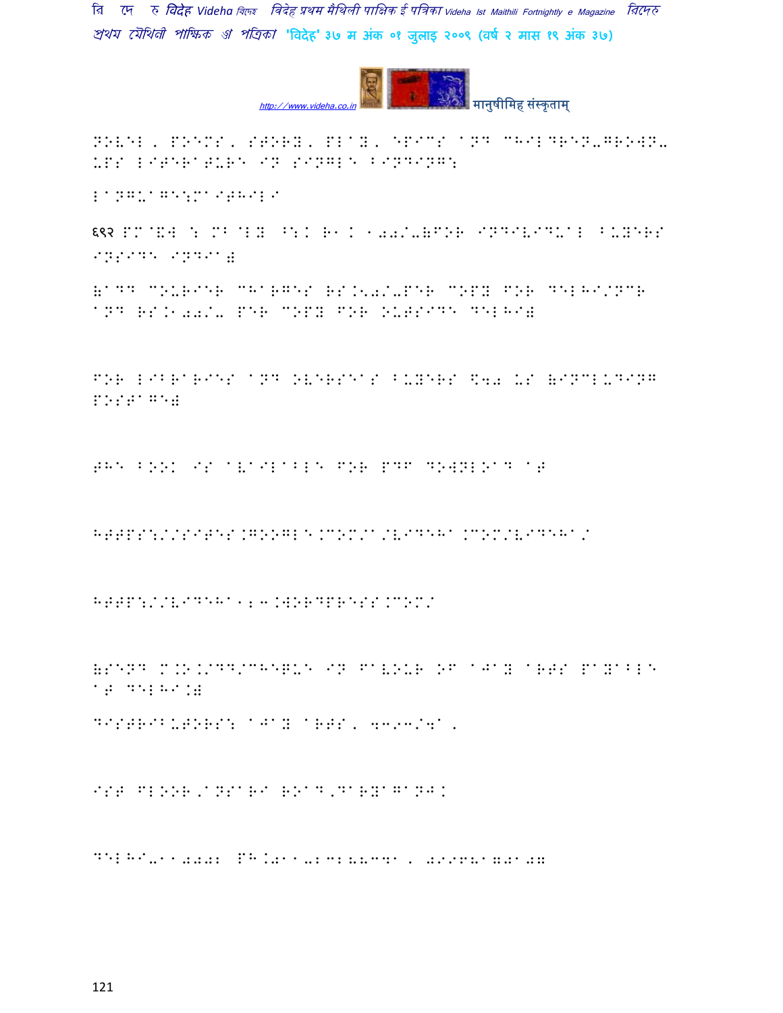िव दिन दि<mark>विदेह Videha</mark> <sub>विफर</sub> विदेह प्रथम मैथिली पाक्षिक ई पत्रिका Videha Ist Maithili Fortnightly e Magazine *वि*दिन्द õथम मैिथली पािक्षक ई पिñका **'**िवदेह**'** ३७ म अंक ०१ जुलाइ २००९ (वष र् २ मास १९ अंक ३७)



NOVEL, POEMS, STORY, PLaY, EPICS aND CHILDREN-GROWN-UPS LITERaTURE IN SINGLE BINDING:

LaNGUaGE:MaITHILI

६९२ PM (He ) : MB (HE ) (HE ) (HE ) - RELATION FOR INDIVIDUAL BUYERS INSIDE INDIa)

aDD COURTS REPORTED A SUBJECT COPY FOR DELIVERATION aND RS.100/- PER COPY FOR OUTSIDE DELEGATE

FOR LIGENES AND OUR DESERVIES BUYERS \$40 UP GROUP US (INCLUDING POSTaGE)

THE BOOK IS aVaILaBLE FOR PDF DOWNLOaD aT

HTTPS://SITES.GOOGLE.COM/a/VIDEHa.COM/VIDEHa/

HTTP://VIDEHa123.WORDPRESS.COM/

(SEND M.O./DD/CHEQUE IN FaVOUR OF aJaY aRTS PaYaBLE at delegation is a proportion of the control of the control of the control of the control of the control of th

DISTRIBUTORS: aJaY aRTS, 4393/4a,

IST FLOOR,aNSaRI ROaD,DaRYaGaNJ.

DELHI-110002 PH.011-23288341, 09968170107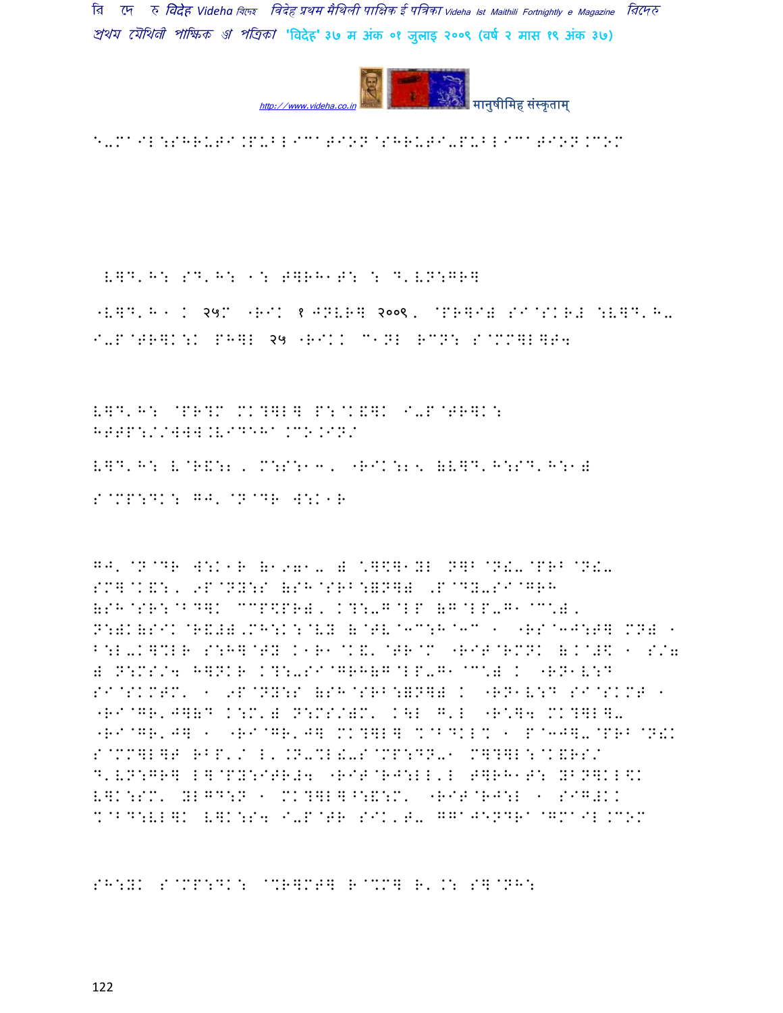SH:YK S@MP:DK: @%R]MT] R@%M] R'.: S]@NH:

BA, 'P'MB (BY) B B ZAR, B (BCB) B (BCB) DE 'DRA'TB! (DR. SM]@K&:, 9P@NY:S (SH@SRB:=N]) ,P@DY-SI@GRH (SH@SR:@BD]K CCP\$PR), K?:-G@LP (G@LP-G1@C\*), N:)K(SIK@R&#),MH:K:@VY (@TV@3C:H@3C 1 "RS@3J:T] MN) 1 B:N:L: HI: E-KINAH "RIT@M "RIT@ROM" E. "RIF@M" (. PRIF "PINE") E. I SINE (. . . . . . . . . . . . . ) N:MS/4 H]NKR K?:-SI@GRH(G@LP-G1@C\*) K "RN1V:D SIMPLE REPORT OF THE SIMPLE STRUCK IN THE SIMPLE STRUCK IN THE SIMPLE STRUCK IN THE SIMPLE STRUCK IN THE SIMPL<br>In the simple struck in the simple struck in the simple struck in the simple struck in the simple struck in th  $R$  (RIGR)  $R$  (D  $R$  (RIGR)  $R$  (D  $R$  (RIGR)  $R$  (D  $R$  )  $R$  and  $R$  and  $R$  and  $R$  and  $R$  and  $R$  $R$  (RIGGREY )  $R$  and  $R$  and  $R$  is the set of the set of the set of the set of the set of the set of the set of the set of the set of the set of the set of the set of the set of the set of the set of the set of the set SMOMPHE RBP': PRESIDENT CONTROL DE COMPORTANCE DI PORTE DE COMPARE D'V. ESPITAR LE RITOS CARROLLI L'ARITA (PAGE EL LE L'ARBARI A D'ORDO E RIT  $K$ HI:SAM', YLGE:N 1 MK? N YLGDE:N 1 MKRYN, YLGOR SHANE (1 SIGHEIL) %@BD:VL]K V]K:S4 I-P@TR SIK'T- GGaJENDRa@GMaIL.COM

S@MP:DK: GJ'@N@DR W:K1R

V]D'H: V@R&:2, M:S:13, "RIK:25 (V]D'H:SD'H:1)

V]D'H: @PR?M MK?]L] P:@K&]K I-P@TR]K: HTTP://WWW.VIDEHa.CO.IN/

V]D'H: SD'H: 1: T]RH1T: : D'VN:GR]

 $V$ DEFINE K 2000 THE RICK REPORTING THE SIDE OF THE SIDE SECTION SIDE IN A single statement of  $V$ I-P@TR]K:K PH]L २५ "RIKK C1NL RCN: S@MM]L]T4

E-MaIL:SHRUTI.PUBLICaTION@SHRUTI-PUBLICaTION.COM



िव दिन दि<mark>विदेह Videha</mark> <sub>विफर</sub> विदेह प्रथम मैथिली पाक्षिक ई पत्रिका Videha Ist Maithili Fortnightly e Magazine *वि*दिन्द õथम मैिथली पािक्षक ई पिñका **'**िवदेह**'** ३७ म अंक ०१ जुलाइ २००९ (वष र् २ मास १९ अंक ३७)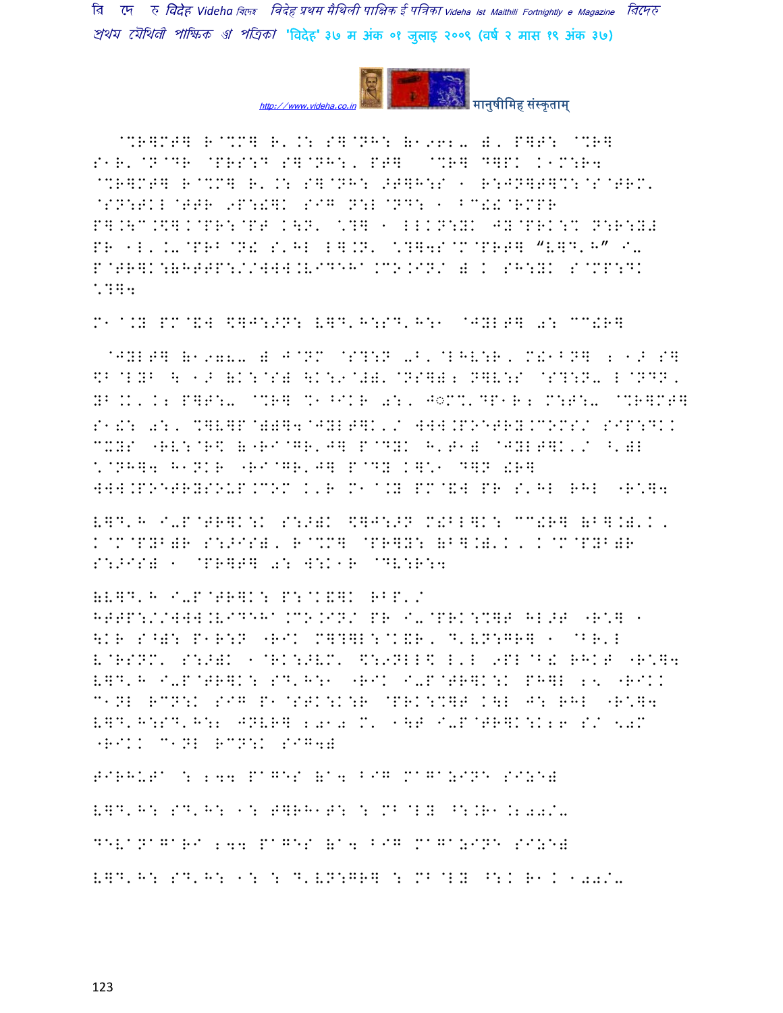िव दिन दि<mark>विदेह Videha</mark> <sub>विफर</sub> विदेह प्रथम मैथिली पाक्षिक ई पत्रिका Videha Ist Maithili Fortnightly e Magazine *वि*दिन्द õथम मैिथली पािक्षक ई पिñका **'**िवदेह**'** ३७ म अंक ०१ जुलाइ २००९ (वष र् २ मास १९ अंक ३७)

 $\begin{bmatrix} 1 & 0 & 0 \\ 0 & 0 & 0 \\ 0 & 0 & 0 \end{bmatrix}$ मानुषीमिह संस्कृताम्

 @%R]MT] R@%M] R'.: S]@NH: (1962- ), P]T: @%R] S1R'@N@DR @PRS:D S]@NH:, PT] @%R] D]PK K1M:R4 @%R]MT] R@%M] R'.: S]@NH: >T]H:S 1 R:JN]T]%:@S@TRM' @SN:TKL@TTR 9P:!]K SIG N:L@ND: 1 BC!!@RMPR P.H. CAN CRIH COMPACTMENT CONTROL AND FROM A SERVICE AND THE CANCEL PARAGE PR 11. L'ERPORE EL PROPERTO L'EBAPON PRAPO "LES PASSA" P@TR]K:(HTTP://WWW.VIDEHa.CO.IN/ ) K SH:YK S@MP:DK  $\sim$   $1444$ 

M1@.Y PM: PM: VIII ON BOOK \$10. DIN CONTROL DIN CONTROL DIN CONTROL DIN CONTROL DIN CONTROL DIN CONTROL DIN CO

MADE AN GENERAL GENERAL METHOD AND MEDIEVIC CONSIDER GENERAL ST \$B@LYB \ 10 (K: A: 10 (K: A: 10); NAS, NDNA, DARLYS @SY:N-2, A (1099); YB.K'.; PI:- @ RICHI, PI:- @ RICHI, MI:- @ RICHI, JON:- @ RICHI, MI:- @ RICHI, MI:- @ RICHI, MI:- @ RICHI, MI: S1!: 0:, %]V]P@))]4@JYLT]K'/ WWW.POETRY.COMS/ SIP:DKK CXYS "RV:@R\$ ("RI@GR'J] P@DYK H'T1) @JYLT]K'/ ^')L \*@NH]4 H1NKR "RI@GR'J] P@DY K]\*1 D]N !R] WWW.POETRYSOUP.COM KYR MIDER HE SYMBOLDER SYMBOLD

V]D'H I-P@TR]K:K S:>)K \$]J:>N M!BL]K: CC!R] (B].)'K, K@M@PYB)R S:>IS), R@%M] @PR]Y: (B].)'K, K@M@PYB)R S:>IS) 1 @PR]T] 0: W:K1R @DV:R:4

(V]D'H I-P@TR]K: P:@K&]K RBP'/ HTTP://WWW.VIDEHa.CO.IN/ PR I-@PRK:%]T HL>T "R\*] 1 \KR S^): P1R:N "RIK M]?]L:@K&R, D'VN:GR] 1 @BR'L V@RSNM' S:>)K 1@RK:>VM' \$:9NLL\$ L'L 9PL@B! RHKT "R\*]4 V]D'H I-P@TR]K: SD'H:1 "RIK I-P@TR]K:K PH]L 25 "RIKK CH: RENGRAD (PRA) PHOPEDADAE (PREDATABL) AE (PARE PARE) (PROBA V]D'H:SD'H:2 JNVR] 2010 M' 1\T I-P@TR]K:K26 S/ 50M HRIK CHE RONEL ROMAN

TIRHUTa : 244 PaGES (a4 BIG MaGaZINE SIZE) V]D'H: SD'H: 1: T]RH1T: : MB@LY ^:.R1.200/- DEVaNaGaRI 244 PaGES (a4 BIG MaGaZINE SIZE)  $\mathbb{E}$ B'H: SD'H: SD'H: GRIH: BD'HBB : D'VA: GRIH: BOG'H: GRIH: L'AGE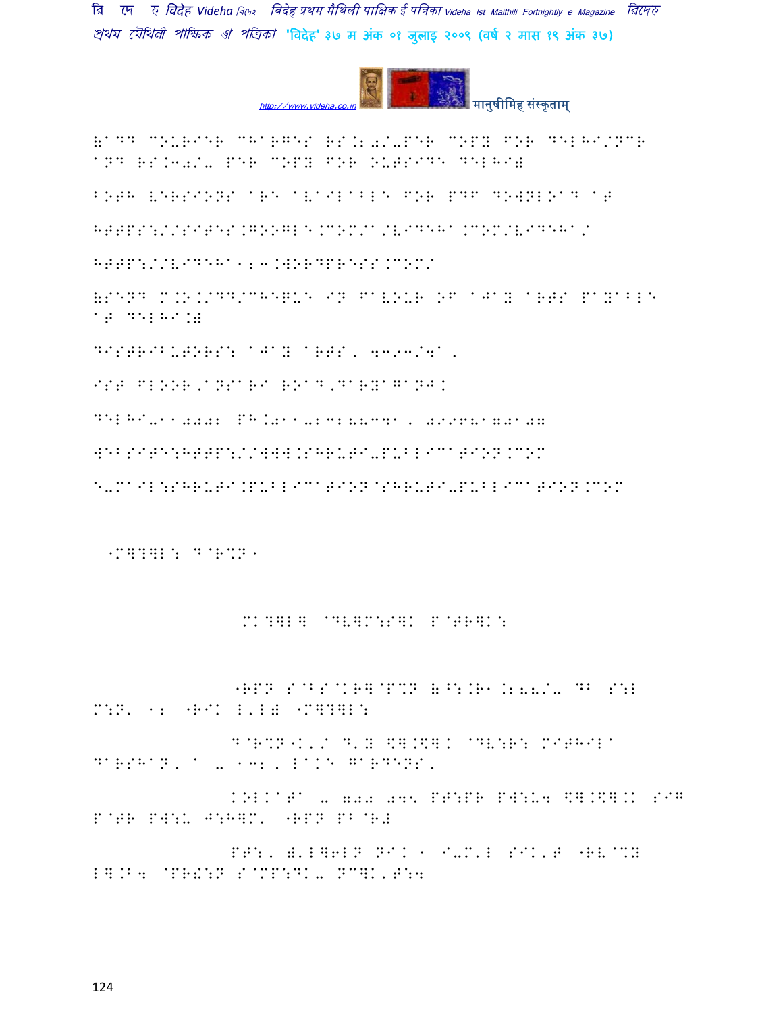िव दिन दि*विदेह Videha वि*क्ट *विदेह प्रथम मैथिली पाक्षिक ई पत्रिका videha Ist Maithili Fortnightly e Magazine विदमह* õथम मैिथली पािक्षक ई पिñका **'**िवदेह**'** ३७ म अंक ०१ जुलाइ २००९ (वष र् २ मास १९ अंक ३७)



(aDD COURIER CHaRGES RS.20/-PER COPY FOR DELHI/NCR aND RS.30/- PER COPY FOR OUTSIDE DELHI)

BOTH VERSIONS aRE aVaILaBLE FOR PDF DOWNLOaD aT

HTTPS://SITES.GOOGLE.COM/a/VIDEHa.COM/VIDEHa/

HTTP://VIDEHa123.WORDPRESS.COM/

BENGT M.O. LITTENHARLN V.E. PIOLELL OF AJAY ALAREA PARTS PAYABLE at del magnesia del

DISTRIBUTORS: aJaY aRTS, 4393/4a,

IST FLOOR,aNSaRI ROaD,DaRYaGaNJ.

DaRSHaN, a - 132, LaKE GaRDENS,

P@TR PW:U J:H]M' "RPN PB@R#

LAN SERVICE SOMETIME SOME

DELHI-110002 PH.011-23288341, 09968170107

WEBSITE:HTTp://www.shruti-publication.com/www.shruti-publication.com/www.shruti-publication.com/www.shruti-pub<br>White:http://www.shruti-publication.com/www.shruti-publication.com/www.shruti-publication.com/www.shruti-publi

E-MaIL:SHRUTI.PUBLICaTION@SHRUTI-PUBLICaTION.COM

"M]?]L: D@R%N"

MAKRED MAKES POSSESSED OF THE RESIDENT REPORTED A REPORT OF THE RESIDENCE OF THE RESIDENCE OF THE RESIDENCE OF

 $R$  . Represented the particle of the second control of the second control of the second control of the second control of the second control of the second control of the second control of the second control of the second c

M:N' 12 "RIK L'ANGERIA"

D@R%N"K'/ D'Y \$].\$]. @DV:R: MITHILa

KOLKATA - 700 045 PT:PR PUNG \$9.59. K SIG

PT:, A. B. PHIL SIK'T "RILL" "RILL" "RILL"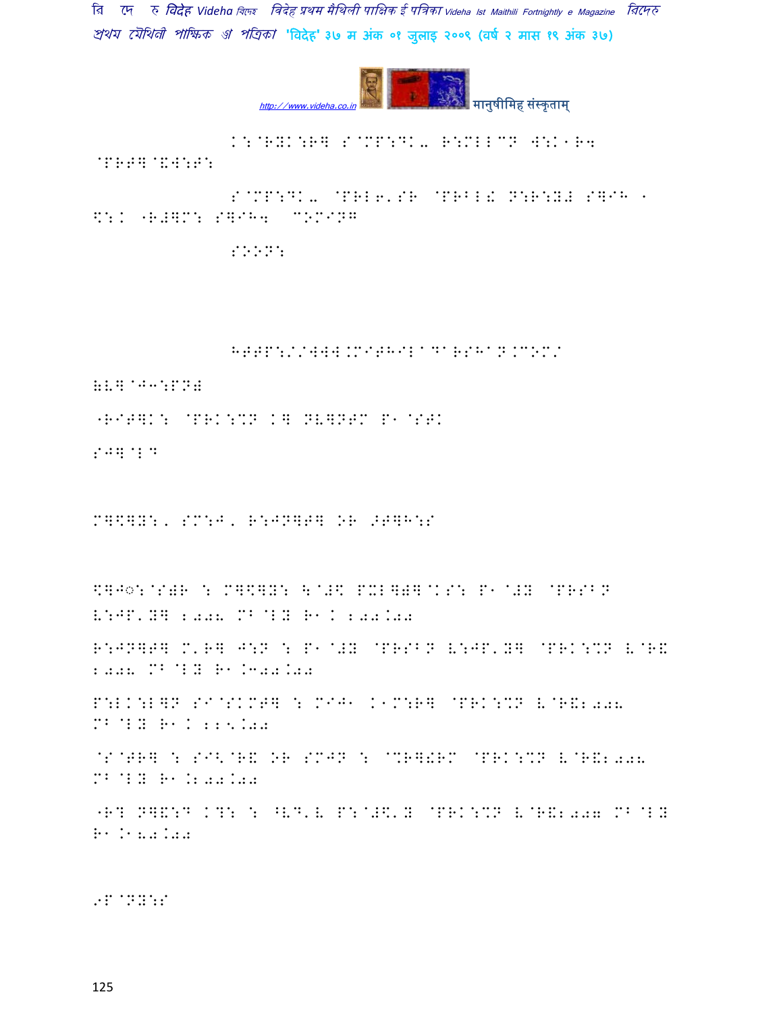िव दिन हैं *विदेह Videha विलर विदेह प्रथम मैथिली पाक्षिक ई पत्रिका Videha Ist Maithili Fortnightly e Magazine <i>विC*FE õथम मैिथली पािक्षक ई पिñका **'**िवदेह**'** ३७ म अंक ०१ जुलाइ २००९ (वष र् २ मास १९ अंक ३७)



 K:@RYK:R] S@MP:DK- R:MLLCN W:K1R4 @PRT]@&W:T:

 S@MP:DK- @PRL6'SR @PRBL! N:R:Y# S]IH 1  $\ddotsc$  . The signal component of  $\ddotsc$ 

SOON:

## HTTP://WWW.MITHILaDaRSHaN.COM/

 $\overline{u}$   $\overline{u}$   $\overline{v}$   $\overline{v}$   $\overline{v}$   $\overline{v}$   $\overline{v}$   $\overline{v}$   $\overline{v}$   $\overline{v}$   $\overline{v}$   $\overline{v}$   $\overline{v}$   $\overline{v}$   $\overline{v}$   $\overline{v}$   $\overline{v}$   $\overline{v}$   $\overline{v}$   $\overline{v}$   $\overline{v}$   $\overline{v}$   $\overline{v}$   $\overline{v}$   $\overline{$ 

"RITH" RITHS AND THE PRESS PROPERTY AND RESIDENT

SHER TEST

M]\$]Y:, SM:J, R:JN]T] OR >T]H:S

\$]J◌:@S)R : M]\$]Y: \@#\$ PXL])]@KS: P1@#Y @PRSBN E:JP:JB : JAN PRODUCT RICHARD

RSPRAH T. PH PST S PHOLE OPPINS WESTER OPPINS WHICH 2008 MB@LY R1.300.00

P:LISIN SIMILING : MIJN SIMIL TERRITORIA **MB** R<sub>1</sub>. 225.000

@S@TR] : SI<@R& OR SMJN : @%R]!RM @PRK:%N V@R&2008 MBOR R1.200.000

"R? N]&:D K?: : ^VD'V P:@#\$'Y @PRK:%N V@R&2007 MB@LY R1.180.00

9P@NY:S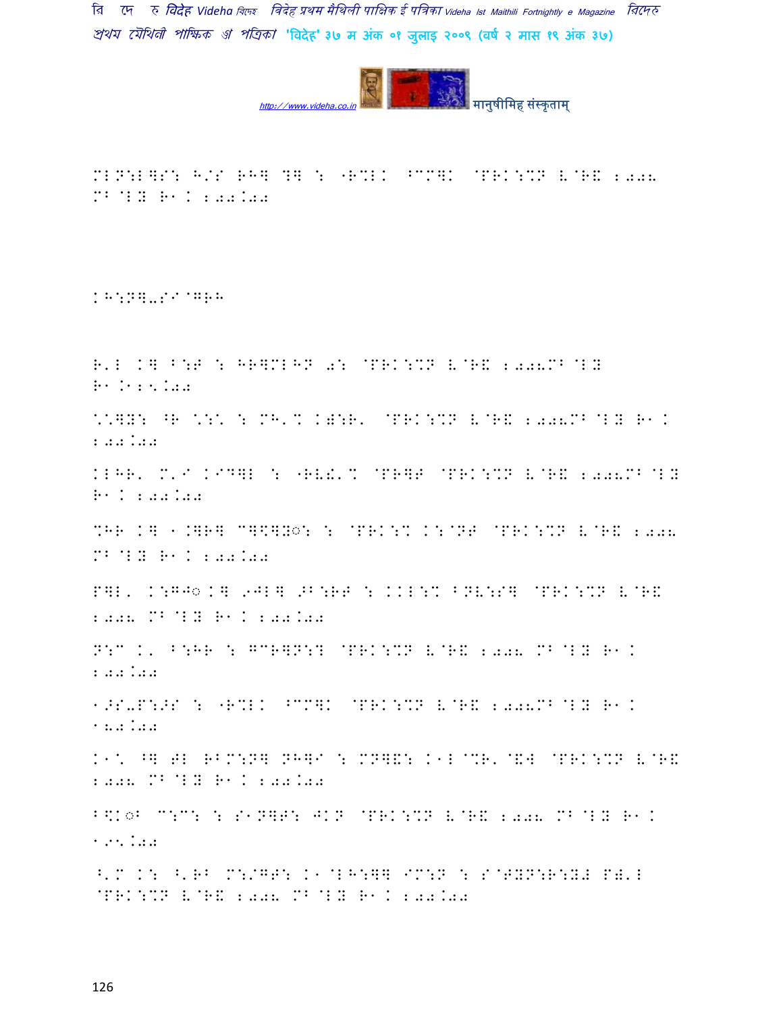िव दिन है *विदेह Videha बिलर विदेह प्रथम मैथिली पाक्षिक ई पत्रिका Videha Ist Maithili Fortnightly e Magazine <i>विC*FE õथम मैिथली पािक्षक ई पिñका **'**िवदेह**'** ३७ म अंक ०१ जुलाइ २००९ (वष र् २ मास १९ अंक ३७)



MLN:L]S: H/S RH] ?] : "R%LK ^CM]K @PRK:%N V@R& 2008  $M$  rate is a construction of the construction of the construction of the construction of the construction of the construction of the construction of the construction of the construction of the construction of the construc

 $t:0$ 

R.L CA P:H : HRIMHN 0: CORCOC ECHD LOOKS CO R1.125.00

\*\*]Y: ^R \*:\* : MH'% K):R' @PRK:%N V@R& 2008MB@LY R1. 200.00

KLHR, MY KIDAIR : "REEN THE THE NORTH BOOK CONTROL R1. 200.00

THE CONSTRUCT TO THE RESERVED ON THE CONTROL CONTROL CONTROL CONTROL CONTROL CONTROL CONTROL CONTROL CONTROL CONTROL CONTROL CONTROL CONTROL CONTROL CONTROL CONTROL CONTROL CONTROL CONTROL CONTROL CONTROL CONTROL CONTROL C WHE R1. 200.000

PHIL' CHRAGIE DARE IN HER 'N COENT SPENER (PECHTS ECHE 2008 MB@LY R1. 200.00

N:C K' B:HR : GCR]N:? @PRK:%N V@R& 2008 MB@LY R1.  $\overline{1}$  .  $\overline{2}$  .  $\overline{2}$  .  $\overline{2}$  .  $\overline{2}$  .  $\overline{2}$ 

1>S-P:>S : "R%LK ^CM]K @PRK:%N V@R& 2008MB@LY R1.  $\cdot$  1.  $\cdot$  1.  $\cdot$  1.  $\cdot$  1.  $\cdot$  1.  $\cdot$  1.  $\cdot$  1.  $\cdot$  1.  $\cdot$  1.  $\cdot$  1.  $\cdot$  1.  $\cdot$  1.  $\cdot$  1.  $\cdot$  1.  $\cdot$  1.  $\cdot$  1.  $\cdot$  1.  $\cdot$  1.  $\cdot$  1.  $\cdot$  1.  $\cdot$  1.  $\cdot$  1.  $\cdot$  1.  $\cdot$  1.  $\cdot$  1.  $\cdot$  1.  $\cdot$  1.  $\cdot$ 

K1\* CHR RBM:NDRBM:NI CHROM:NI SHE SHE SHE SHE RI SHE ramm DV R1. By Doran Lan

B\$K◌B C:C: : S1N]T: JKN @PRK:%N V@R& 2008 MB@LY R1.  $195.000$ 

^'M K: ^'RB M:/GT: K1@LH:]] IM:N : S@TYN:R:Y# P)'L @PRK:%N V@R& 2008 MB@LY R1. 200.00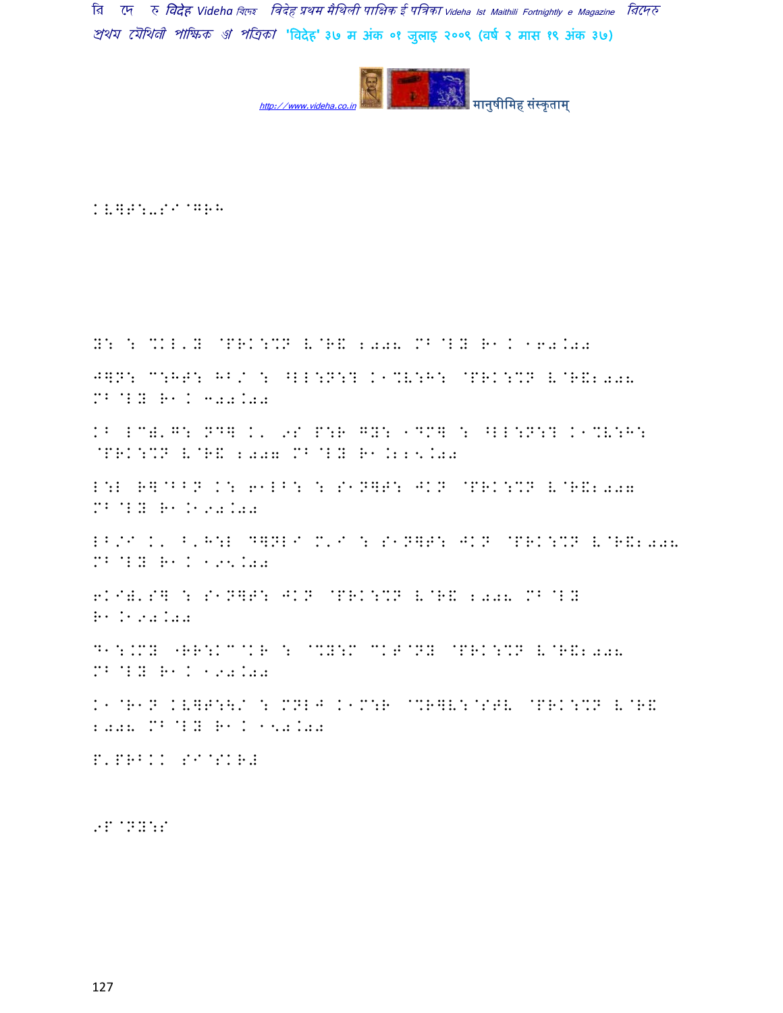िव दिन है *विदेह Videha बिलर विदेह प्रथम मैथिली पाक्षिक ई पत्रिका Videha Ist Maithili Fortnightly e Magazine विदमह* õथम मैिथली पािक्षक ई पिñका **'**िवदेह**'** ३७ म अंक ०१ जुलाइ २००९ (वष र् २ मास १९ अंक ३७)



KV]T:-SI@GRH

W: : XXL'Y @PRESS & YOU ADDED TO THE BOOK WALLET HARY TYPEY PRINTS HEARYT IS TENPY TENNING ENPERION. WHO R1. 300.000 PM KB LC PORT AND THE START FOR A STRAIN STATE OF THE START IS A STRAIN OF THE START OF THE START OF THE START OF @PRK:%N V@R& 2007 MB@LY R1.225.00 L:L REVIEW C:L RICH: SINDER HOW MORISCH ENRIGH  $T$  The R1.190.000 LB/I K' B'H:L D]NLI M'I : S1N]T: JKN @PRK:%N V@R&2008 MB@LY R1. 195.00 6KI)'S] : S1N]T: JKN @PRK:%N V@R& 2008 MB@LY R1.190.00 D1:.MY "RR:KC@KR : @%Y:M CKT@NY @PRK:%N V@R&2008  $M$  R<sub>1</sub>. 190.000  $M$ K100R1N K100R1N KVID: STORE & ROOM AND RESEARCH AND RESEARCH AND RESEARCH AND RESEARCH AND RESEARCH AND RESEARCH 2008 MB@LY R1. 150.00 P'PRBKK SIMPLE

9P@NY:S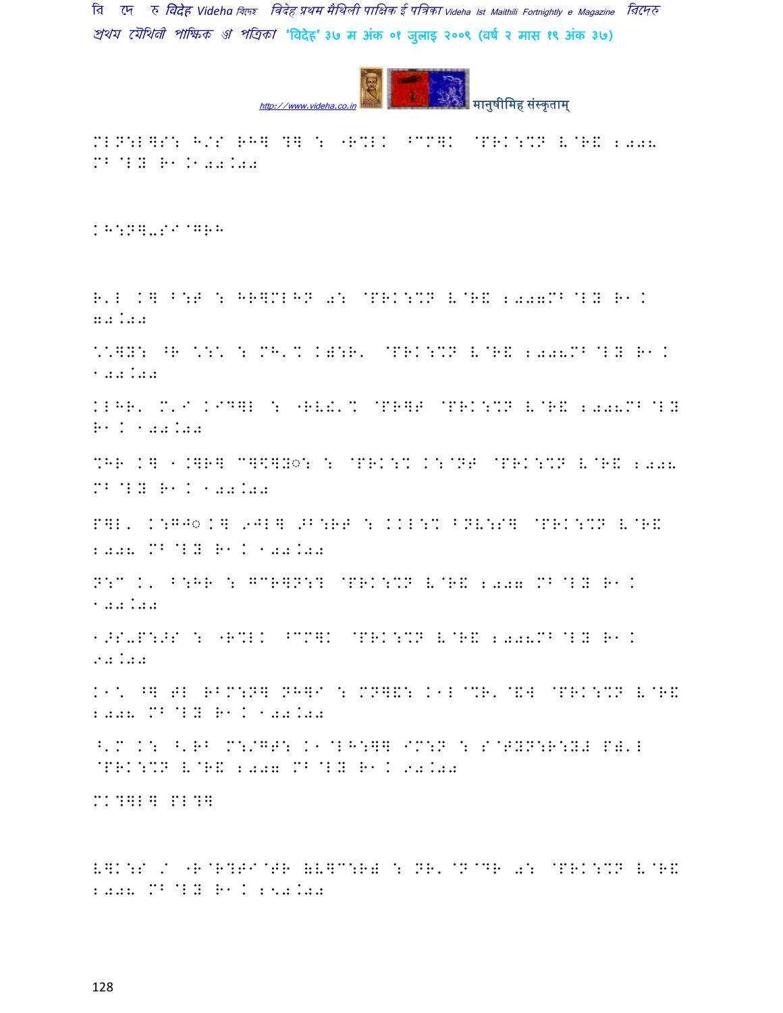िव दिन हैं *विदेह Videha विलर विदेह प्रथम मैथिली पाक्षिक ई पत्रिका Videha Ist Maithili Fortnightly e Magazine <i>विC*FE õथम मैिथली पािक्षक ई पिñका **'**िवदेह**'** ३७ म अंक ०१ जुलाइ २००९ (वष र् २ मास १९ अंक ३७)



MLPH: BML PAR TH N (POIL) POOR COMPANY LORD ESSE  $M$  rate is a construction of the construction of the construction of the construction of the construction of the construction of the construction of the construction of the construction of the construction of the construc

 $t$ : Simple Simple

R'L K] B:T : HR]MLHN 0: @PRK:%N V@R& 2007MB@LY R1. 70.00 \*\*]Y: ^R \*:\* : MH'% K):R' @PRK:%N V@R& 2008MB@LY R1. 100.00 KLHR' MARINE AND DER STRAKE HER DER STRAKE HER DER STRAKE HER DER STRAKE HER DER STRAKE HER DER STRAKE HER DER R1. 100.00  $W$  is the construction of the control of  $W$  and  $W$  is the control  $W$  of  $\mathbb{R}^n$  with  $W$ MB@LY R1. 100.00 P]L' K:GJ◌K] 9JL] >B:RT : KKL:% BNV:S] @PRK:%N V@R& 2008 MB@LY R1. 100.00

N:C K' B:HR : GCR]N:? @PRK:%N V@R& 2007 MB@LY R1. 100.00

1>S-P:>S : "R%LK ^CM]K @PRK:%N V@R& 2008MB@LY R1. 90.00

K1\* ^] TL RBM:N] NH]I : MN]&: K1L@%R'@&W @PRK:%N V@R& 2008 MB@LY R1. 100.00

^'M K: ^'RB M:/GT: K1@LH:]] IM:N : S@TYN:R:Y# P)'L @PRK:%N V@R& 2007 MB@LY R1. 90.00

 $\ldots$  and  $\ldots$  and  $\ldots$ 

KAC:S / SPORTAGE ARTIFA & PRACTIC AND THE NORTH CHE 2008 MB@LY R1. 250.00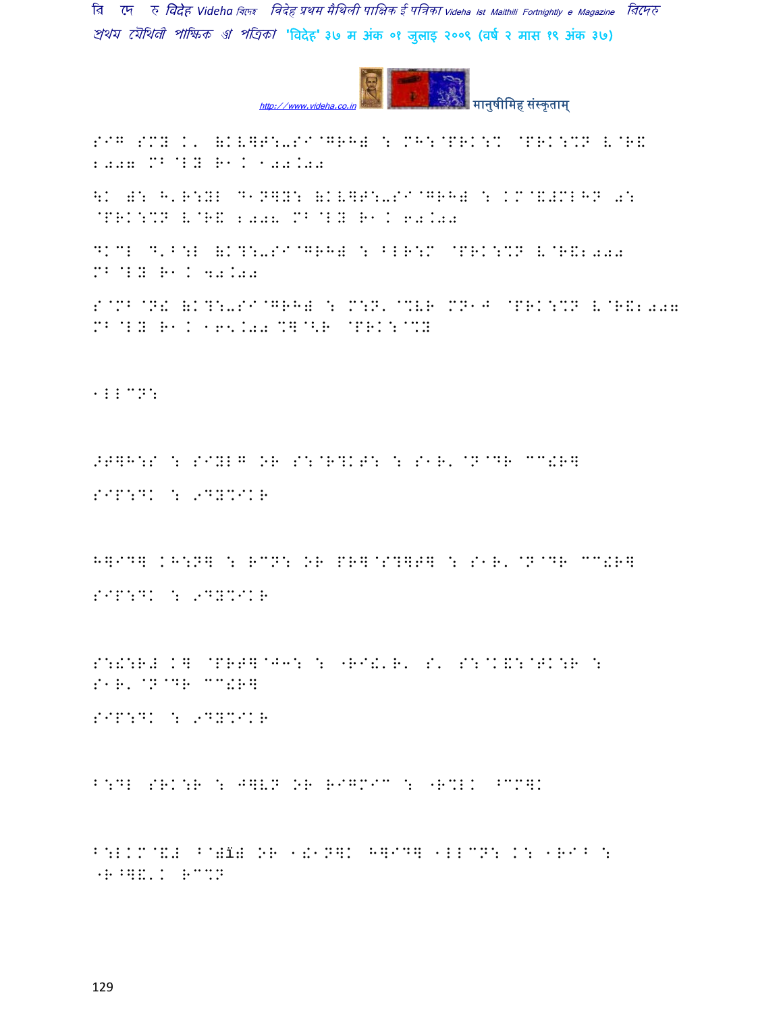िव दिन हैं *विदेह Videha विलर विदेह प्रथम मैथिली पाक्षिक ई पत्रिका Videha Ist Maithili Fortnightly e Magazine <i>विC*FE õथम मैिथली पािक्षक ई पिñका **'**िवदेह**'** ३७ म अंक ०१ जुलाइ २००९ (वष र् २ मास १९ अंक ३७)



SIG STORE SIGNED SIGN STATES IN THE STORE CONTROL STORE IN THE SIGNED SERVED IN THE SIGNED OF REAL ADDRESSED OF THE SIGNED OF REAL ADDRESSED OF THE SIGNED OF REAL ADDRESSED OF THE SIGNED OF THE SIGNED OF THE SIGNED OF THE 2007 MB@LY R1. 100.00

\K ): H'R:YL D1N]Y: (KV]T:-SI@GRH) : KM@&#MLHN 0: @PRK:%N V@R& 2008 MB@LY R1. 60.00

DKCL D'B:L (K?:-SI@GRH) : BLR:M @PRK:%N V@R&2000 **MB** R1. 40.000 PM R1. 40.000

S. S. M. S. M. S. M. S. M. S. M. S. M. S. M. S. M. S. M. S. M. S. M. S. M. S. M. S. M. S. M. S. M. S. M. S. M. MB@LY R1. 165.00 %]@<R @PRK:@%Y

1LLCN:

>T]H:S : SIYLG OR S:@R?KT: : S1R'@N@DR CC!R] SIP:DK : 9DYSIP:DK

HARITA : ROPA : SIRCRE DR CERA COARAR OR PORT OR PRESIDENT SIP:DK : 9DX : 9DX : 9DX : 9DX : 9DX : 9DX : 9DX : 9DX : 9DX : 9DX : 9DX : 9DX : 9DX : 9DX : 9DX : 9DX : 9DX :

S:!:R# K] @PRT]@J3: : "RI!'R' S' S:@K&:@TK:R : S1R'@N@DR CC!R] SIP:DK : 9DYSIP:D

B:DL SRK:R : John Or Rights, Andreas State Company, Andreas State Company, Andreas State Company, Andreas Stat

B:LICKMAD: PORTH ARD 1991 OR 10000 OR 11ND 10 10000 OR 1 "R^]&'K RC%N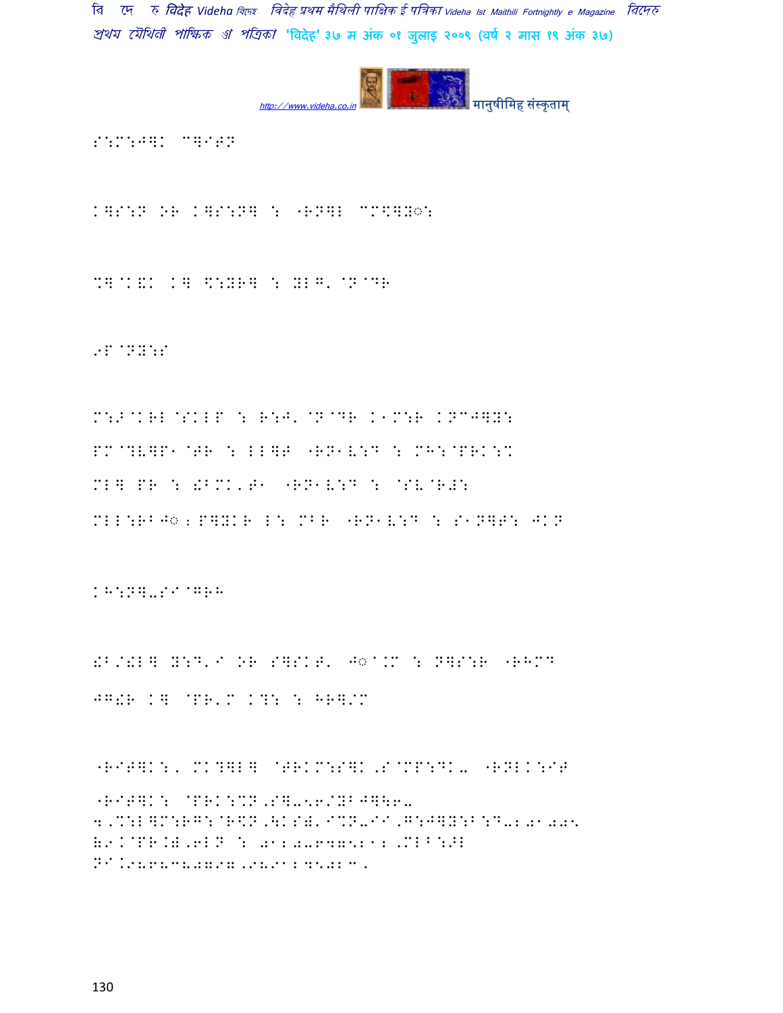िव दिन दि<mark>विदेह Videha</mark> बिल्ह विदेह प्रथम मैथिली पाक्षिक ई पत्रिका Videha Ist Maithili Fortnightly e Magazine विदिन्ह õथम मैिथली पािक्षक ई पिñका **'**िवदेह**'** ३७ म अंक ०१ जुलाइ २००९ (वष र् २ मास १९ अंक ३७)



S:M:W: M:JH

KARA KALIMATI : "RNAMA"

%]@K&K K] \$:YR] : YLG'@N@DR

9P@NY:S

M:>@KRL@SKLP : R:J'@N@DR K1M:R KNCJ]Y: PM TRANSPORTED TO THE SERVICE OF STREET TO STATE THE SERVICE OF THE SERVICE OF THE SERVICE OF THE SERVICE OF THE SERVICE OF THE SERVICE OF THE SERVICE OF THE SERVICE OF THE SERVICE OF THE SERVICE OF THE SERVICE OF THE SERV ML] PR : !BMK'T1 "RN1V:D : @SV@R#: MLL:RBC:PHILE:DOOM:PHOSES:PHOSES

KH:N]-SI@GRH

BRITH WARRY OR SHELF, HOTING SHEMB (HAND JG!R K] @PR'M K?: : HR]/M

"RIT]K:, MK?]L] @TRKM:S]K,S@MP:DK- "RNLK:IT "RITH", "RIT", "STANDARY", "STANDARY", " 4,%:L]M:RG:@R\$N,\KS)'I%N-II,G:J]Y:B:D-201005 (9. OPRIN : 0120-6475212, MLB: 0120-6475212, MLB: 0120-6475212, MLB: 0120-6475212, MLB: 0120-6475212, MLB: 012 NI.986888888888888888888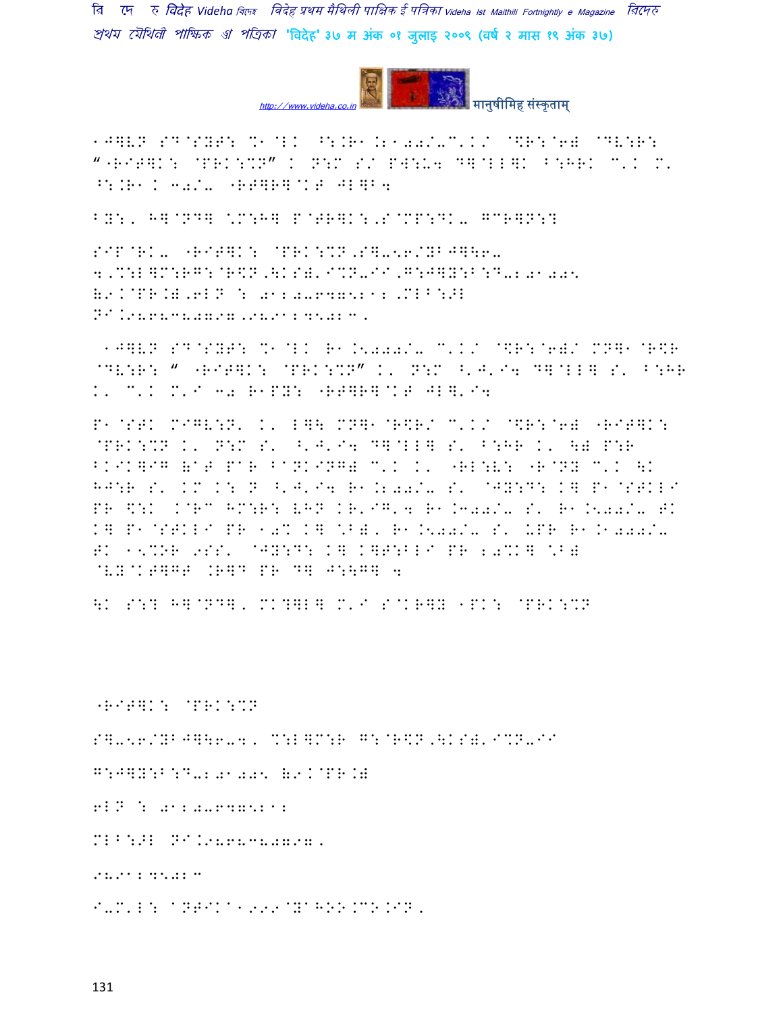िव दिन दि<mark>विदेह Videha</mark> <sub>विफर</sub> विदेह प्रथम मैथिली पाक्षिक ई पत्रिका Videha Ist Maithili Fortnightly e Magazine *वि*दिन्द õथम मैिथली पािक्षक ई पिñका **'**िवदेह**'** ३७ म अंक ०१ जुलाइ २००९ (वष र् २ मास १९ अंक ३७)



1J]VN SD@SYT: %1@LK ^:.R1.2100/-C'K/ @\$R:@6) @DV:R: "HRITH THISKS AND AN PHILE MUSIC BEEN CONSTRUCT.  $T:R:R\rightarrow R$ . And  $R:R$  and  $R:R$  in  $R$ 

BY:, H]@ND] \*M:H] P@TR]K:,S@MP:DK- GCR]N:?

SIP@RK- "RIT"K: @PRK: "RIT"K: "RIT"K: "RIT"K: "RIT"K: "BELLEVISION" 4,%:L]M:RG:@R\$N,\KS)'I%N-II,G:J]Y:B:D-201005 (9.@PR.),6LN : 0120-6475212,MLB:>L NI.9868<br>NI.98683810797,0891245023,0891245023,0991245023,0991245023,0991245023,0991245023,0991245023,0991245023,099124

 1J]VN SD@SYT: %1@LK R1.5000/- C'K/ @\$R:@6)/ MN]1@R\$R @DV:R: " "RIT]K: @PRK:%N" K' N:M ^'J'I4 D]@LL] S' B:HR K' C'H C'H 30 R1PY: "RTER ME PIR A

P1@STK MIGV:N' K' L]\ MN]1@R\$R/ C'K/ @\$R:@6) "RIT]K: @PRK:%N K' N:M S' ^'J'I4 D]@LL] S' B:HR K' \) P:R BEAN BANKING (AT PARTICULAR BANKING) COMPARENT COMPARENT CONTROL CONTROL CONTROL CONTROL CONTROL CONTROL CONTR HAGE BOOK: N K: N A.200 EX SEWEL BOOK: NAMERY CAMPAIRER PR \$:K .@RC HM:R: VHN KR'IG'4 R1.300/- S' R1.500/- TK TH PHOGENER PROVINCING THE STATE STATE RIGHT ROOM IN THE SECOND STATE STATE STATE  $\mathbb{R}^2$ TK 15%OR 9SS' @JY:D: K] K]T:BLI PR 20%K] \*B)  $Y<sub>0</sub>$  . The property of  $\overline{X}_{1}$  and  $\overline{X}_{2}$  are  $\overline{X}_{3}$  and  $\overline{X}_{4}$  are  $\overline{X}_{5}$  and  $\overline{X}_{6}$  are  $\overline{X}_{7}$  and  $\overline{X}_{8}$  are  $\overline{X}_{8}$  and  $\overline{X}_{9}$  are  $\overline{X}_{8}$  and  $\overline{X}_{9}$  are  $\overline{X}_{8}$  a

\K S:? H]@ND], MK?]L] M'I S@KR]Y 1PK: @PRK:%N

"RIT]K: @PRK:%N S]-56/YBJ]\6-4, %:L]M:R G:@R\$N,\KS)'I%N-II S:JOURNALISM CONTROLLER 6LN : 0120-6475212 MLB: LA NI.98683807, 2007. 9891245023 I-M'L: aNTIKa1999@YaHOO.CO.IN,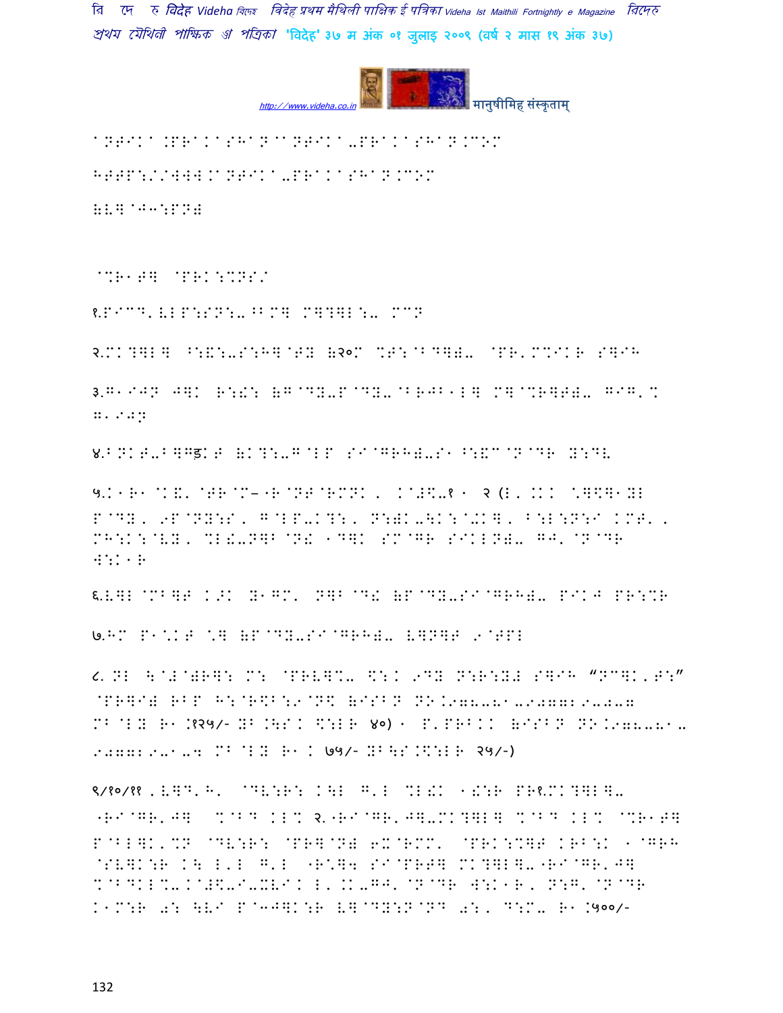िव दिन दि*विदेह Videha वि*क्ट *विदेह प्रथम मैथिली पाक्षिक ई पत्रिका videha Ist Maithili Fortnightly e Magazine विदमह* õथम मैिथली पािक्षक ई पिñका **'**िवदेह**'** ३७ म अंक ०१ जुलाइ २००९ (वष र् २ मास १९ अंक ३७)



antika. Praka maka shi ne kasha na kasha na masha na kasha na masha na kasha na kasha na kasha na kasha na kas HTTP://WWW.aNTIKa-PRaKaSHaN.COM  $H$  $H$   $H$   $H$   $H$   $H$   $H$   $H$   $H$   $H$ 

@%R1T] @PRK:%NS/

1.PICD'S REPORT OF THE PRESS OF THE REPORT OF THE PRESS OF THE REPORT OF THE PRESS OF THE REPORT OF THE REPORT OF THE REPORT OF THE REPORT OF THE REPORT OF THE REPORT OF THE REPORT OF THE REPORT OF THE REPORT OF THE REPORT

२.MM RRP (1980) - S.M. S. MARRIAGE (२०M %TECH) - @PRESS (20M %TECH) - @PRESS (20M %TECH)

३.G1IJN J]K R:!: (G@DY-P@DY-@BRJB1L] M]@%R]T)- GIG'% Halifa (1911)

४.BNKT-B]Gड़KT (K?:-G@LP SI@GRH)-S1^:&C@N@DR Y:DV

 $9.0 + i \cdot 0.001$  . The MPH of the Mentric solution  $\mathbb{R}^2$  (i.k.  $\mathbb{R}^2$ ) . The mass  $\mathbb{R}^2$ P@DY, 9P@NY:S, G@LP-K?:, N:)K-\K:@+K], B:L:N:I KMT', MH:K:B:B: MH:K:B: VX, - HE: HI 1D SAIKER, B4, VP 196 W:K1R1

६.V]L@MB]T K>K Y1GM' N]B@D! (P@DY-SI@GRH)- PIKJ PR:%R

७. HM PHOTO PHOTO BE THE STATE OF THE REPORT OF THE STATE OF THE STATE OF THE STATE OF THE STATE OF THE STATE O

 $\mathcal{L}$ , Personal Media Rimson  $\mathcal{L}$  , Media Singri Singri Singri Singri Singri Singri Singri Singri Singri Singri Singri Singri Singri Singri Singri Singri Singri Singri Singri Singri Singri Singri Singri Singri Sing @PR]I) RBP H:@R\$B:9@N\$ (ISBN NO.978-81-907729-0-7  $M$  PH  $M$  R1.1947-  $M$  .  $M$  and  $M$  and  $M$   $M$  and  $M$  and  $M$  . Then  $M$  is  $M$  is  $M$  and  $M$  is  $M$  and  $M$ 997-1: 997-1-4 MB Ranger Reserved Billian State Street Street Street Street Street Street Street Street Street

९/१०/११ : EBP, R. (19ENBN) : RECORIE (19E) : RENCORPORATION (19E) "RI@GR'J] %@BD KL% २."RI@GR'J]-MK?]L] %@BD KL% @%R1T] P@BL]K'%N @DV:R: @PR]@N) 6X@RMM' @PRK:%]T KRB:K 1@GRH @SV]K:R K\ L'L G'L "R\*]4 SI@PRT] MK?]L]-"RI@GR'J] %@BDKL%-.@#\$-I-XVI. L'.K-GJ'@N@DR W:K1R, N:G'@N@DR KN:R 0: R 0: R 0: P. 0: P. 0: P. DOW:R OR:R V.R 0: P. D. P. P. P. (900/-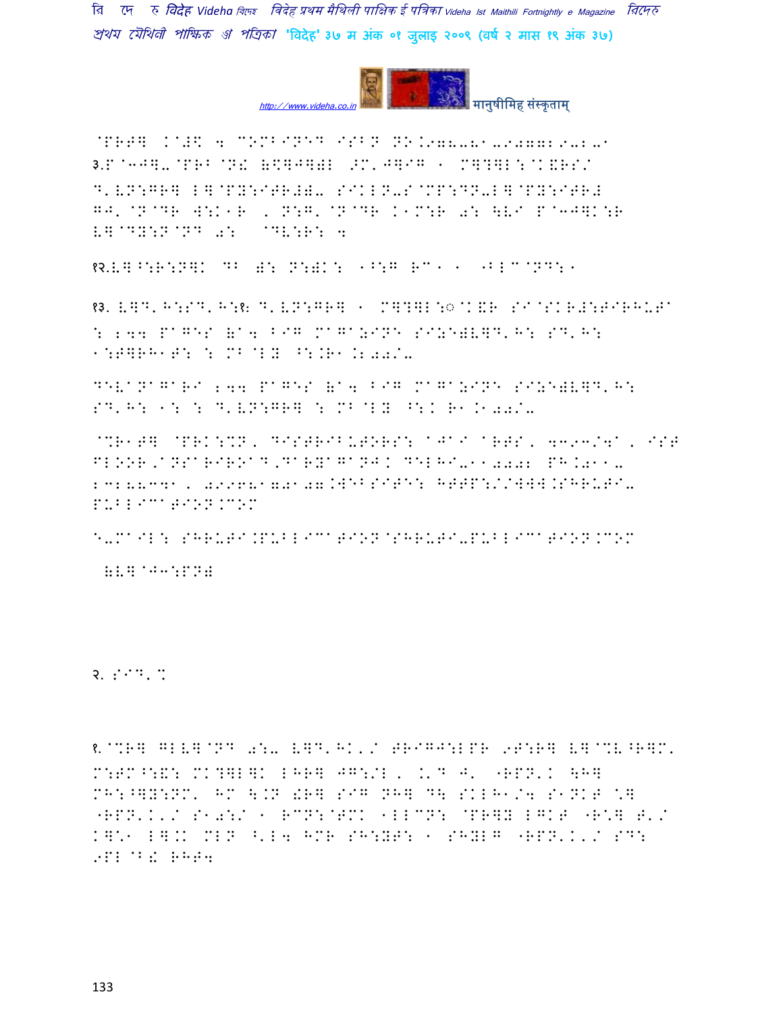िव दिन दि<mark>विदेह Videha</mark> <sub>विफर</sub> विदेह प्रथम मैथिली पाक्षिक ई पत्रिका Videha Ist Maithili Fortnightly e Magazine *वि*दिन्द õथम मैिथली पािक्षक ई पिñका **'**िवदेह**'** ३७ म अंक ०१ जुलाइ २००९ (वष र् २ मास १९ अंक ३७)



@PRT] .@#\$ 4 COMBINED ISBN NO.978-81-907729-2-1 ३.P@3J]-@PRB@N! (\$]J])L >M'J]IG 1 M]?]L:@K&RS/ D'VN:GR] L]@PY:ITR#)- SIKLN-S@MP:DN-L]@PY:ITR# GG, OR MEN GOLFEN, SPORT OR MORE ON DER KENNED KOR V]@DY:N@ND 0: @DV:R: 4

 $\color{blue}{\textbf{37.1.4:}}\begin{array}{l} \color{red}{\textbf{38.1.4:}} \begin{array}{l} \color{red}{\textbf{38.1.4:}} \begin{array}{l} \color{red}{\textbf{38.1.4:}} \end{array} \begin{array}{l} \color{red}{\textbf{38.1.4:}} \begin{array}{l} \color{red}{\textbf{38.1.4:}} \end{array} \begin{array}{l} \color{red}{\textbf{38.1.4:}} \end{array} \begin{array}{l} \color{red}{\textbf{38.1.4:}} \end{array} \begin{array}{l} \color{red}{\textbf$ 

१३. ERIP, PGEP, PGK: P. EPGRPER () | DRIRHIGO () DE () EN GODERIGE PLES : 244 PaGES (a4 BIG MaGaZINE SIZE)V]D'H: SD'H: 1:T]RH1T: : MB@LY ^:.R1.200/-

DEVaNaGaRI 244 PaGES (a4 BIG MaGaZINE SIZE)V]D'H: SOURCE: 1: D'ALEXANDE : D'ORTHE : PARTIE : PARTIE : RAPA

@%R1T] @PRK:%N, DISTRIBUTORS: aJaI aRTS, 4393/4a, IST FLOOR,aNSaRIROaD,DaRYaGaNJ. DELHI-110002 PH.011- 23338841, 099681, 09968170107.WEBSITE: HTTP://WWW.SHRUTI-I-OS PUBLICATION COMPANY

E-MaIL: SHRUTI.PUBLICaTION@SHRUTI-PUBLICaTION.COM

(V)  $\frac{1}{2}$  :  $\frac{1}{2}$  :  $\frac{1}{2}$  :  $\frac{1}{2}$  :  $\frac{1}{2}$  :  $\frac{1}{2}$  :  $\frac{1}{2}$  :  $\frac{1}{2}$  :  $\frac{1}{2}$  :  $\frac{1}{2}$  :  $\frac{1}{2}$  :  $\frac{1}{2}$  :  $\frac{1}{2}$  :  $\frac{1}{2}$  :  $\frac{1}{2}$  :  $\frac{1}{2}$  :  $\frac{1}{2}$  :  $\frac{1}{2}$  :  $\frac$ 

## २.  $\pm 37.7$

१.@%R] GLV]@ND 0:- V]D'HK'/ TRIGJ:LPR 9T:R] V]@%V^R]M' M:TM^:&: MK?]L]K LHR] JG:/L, .'D J' "RPN'K \H] MH:^]Y:NM' HM \.N !R] SIG NH] D\ SKLH1/4 S1NKT \*] "RPN'K'/ S10:/ 1 RCN:@TMK 1LLCN: @PR]Y LGKT "R\*] T'/ KAN KALIM IN LITERA KALIM SHI SHI SHI SHI SHI SHI SHI SONI SDI SOMI 9PL RHT41 RHT41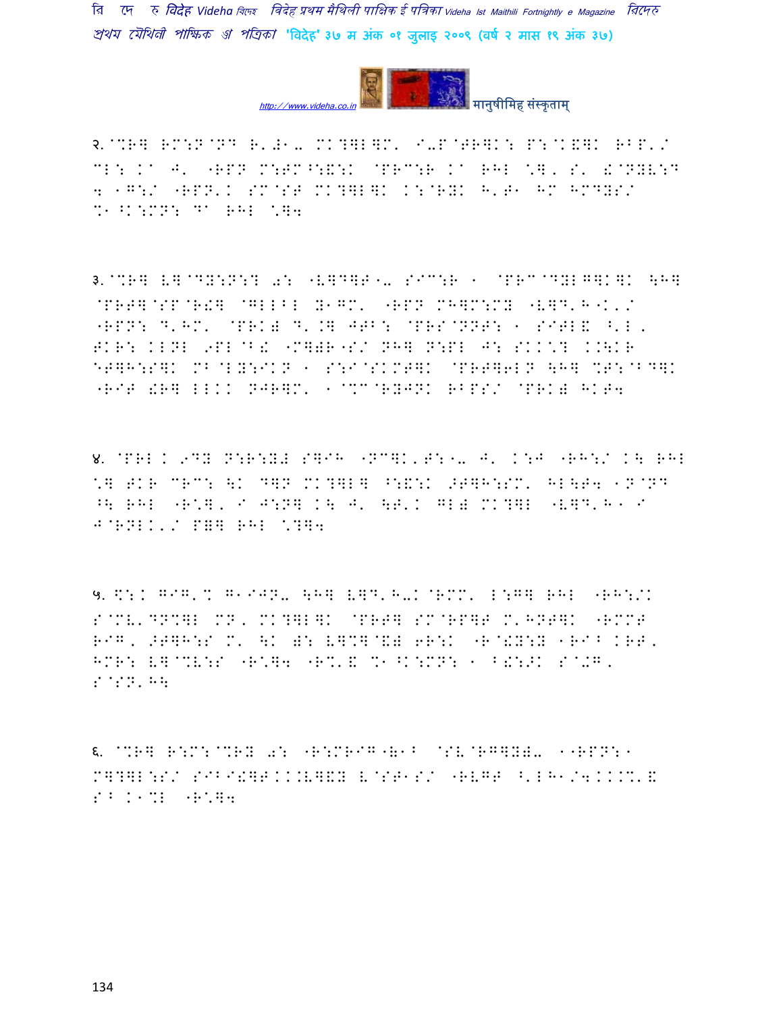िव दिन दि*विदेह Videha वि*क्ट *विदेह प्रथम मैथिली पाक्षिक ई पत्रिका videha Ist Maithili Fortnightly e Magazine विदमह* õथम मैिथली पािक्षक ई पिñका **'**िवदेह**'** ३७ म अंक ०१ जुलाइ २००९ (वष र् २ मास १९ अंक ३७)



२. 016 R | BIND ND R, IR & IN WORREN, SAFNABRING RG NORR, BRR, 2 CL: Ka J' "RPN M: "RPN M: "RPN M: "RPN M: "RPN M: "RPN M: "RPN M: "RPN M: "RPN M: " 4 1G:/ "RPN'K SM@ST MK?]L]K K:@RYK H'T1 HM HMDYS/ %1^K:MN: Da RHL \*]4

३.@%R] V]@DY:N:? 0: "V]D]T"- SIC:R 1 @PRC@DYLG]K]K \H] @PRT]@SP@R!] @GLLBL Y1GM' "RPN MH]M:MY "V]D'H"K'/ "RPORTE "POLITIC" D'ERSONE "POLISIE" (PREPIED "D'ERSONE DE L'ANGIERE D'ALLES). THE RESERVE OF A STREET ON PRESERVED AN INSTALLATION OF A SANPGEN IN NORSK KOMMUNISMED (PRANALIS APROVAS MAR "RIT !R] LLKK NJR]M' 1@%C@RYJNK RBPS/ @PRK) HKT4

४. @PRL. 9DY N:R:Y# S]IH "NC]K'T:"- J' K:J "RH:/ K\ RHL \*] TKR CRC: \K D]N MK?]L] ^:&:K >T]H:SM' HL\T4 1N@ND  $\left\{ \begin{array}{ccc} \mathrm{R} & \mathrm{R} \to \mathrm{R} \ \mathrm{R} & \mathrm{R} \to \mathrm{R} \ \mathrm{R} & \mathrm{R} \to \mathrm{R} \ \mathrm{R} & \mathrm{R} \to \mathrm{R} \ \mathrm{R} & \mathrm{R} \to \mathrm{R} \ \mathrm{R} & \mathrm{R} \to \mathrm{R} \ \mathrm{R} & \mathrm{R} \to \mathrm{R} \ \mathrm{R} & \mathrm{R} \to \mathrm{R} \ \mathrm{R} & \mathrm{R} \to \mathrm{R} \ \mathrm{R} & \mathrm{R} \to \mathrm{R} \ \mathrm{R} & \mathrm{R} \to \mathrm{R} \$ J@RNLK'/ P=] RHL \*?]4

 $9.351$  GPH, T. General APH (1971-521) BPT, (1989) PH://HPH:/ SOM SAMPLE SOME SMARPHISM IN THE MANUSCRIPT OF SMARPHISM IN THE MANUSCRIPT OF THE MINOR OF THE MANUSCRIPT OF T RIG, >T]H:S M' \K ): V]%]@&) 6R:K "R@!Y:Y 1RI^ KRT, HMR: V]@%V:S "R\*]4 "R%'& %1^K:MN: 1 B!:>K S@+G, SMS SN

६. @%R] R:M:@%RY 0: "R:MRIG"(1B @SV@RG]Y)- ""RPN:" M]?]L:S/ SIBI!]T...V]&Y V@ST1S/ "RVGT ^'LH1/4...%'& SO K1%L "RAMANG"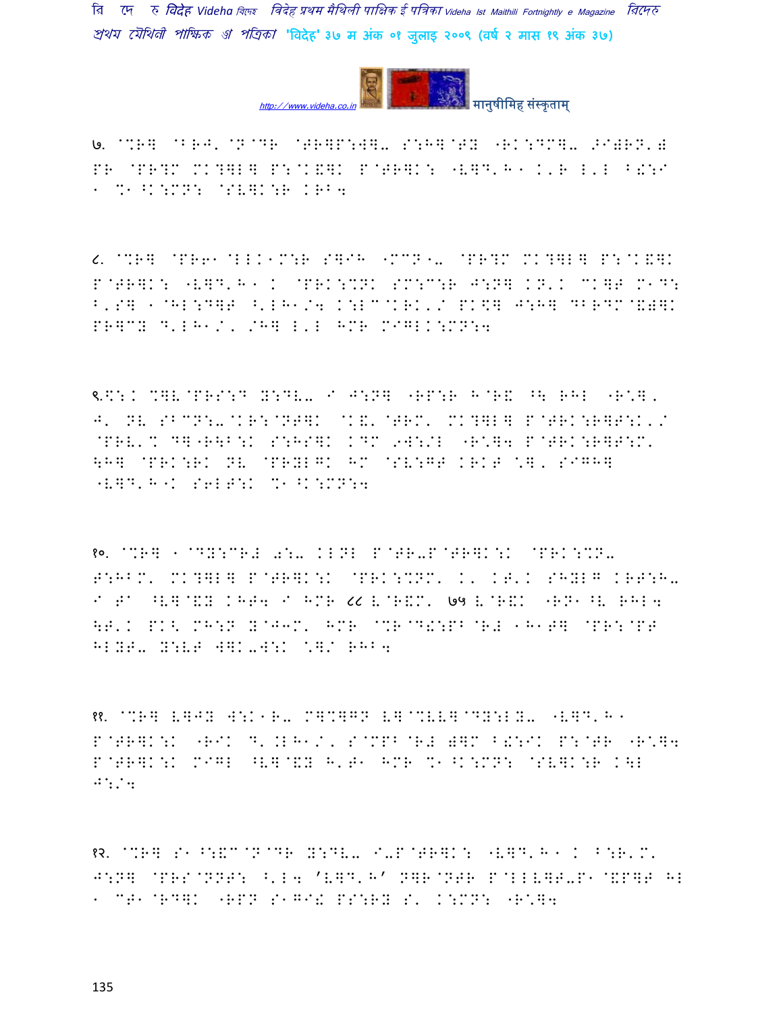िव दिन दि*विदेह Videha वि*क्ट *विदेह प्रथम मैथिली पाक्षिक ई पत्रिका videha Ist Maithili Fortnightly e Magazine विदमह* õथम मैिथली पािक्षक ई पिñका **'**िवदेह**'** ३७ म अंक ०१ जुलाइ २००९ (वष र् २ मास १९ अंक ३७)



७. @%R] @BRJ'@N@DR @TR]P:W]- S:H]@TY "RK:DM]- >I)RN') PR @PR?M MK?]L] P:@K&]K P@TR]K: "V]D'H" K'R L'L B!:I 1 %1^K:MN: @SV]K:R KRB4

८. @%R] @PR61@LLK1M:R S]IH "MCN"- @PR?M MK?]L] P:@K&]K POTREAD NO VELANO, A KODO OTREDNICTIC INCONTRACTAMENT CONCIDENT CONTRACTOR BYZE (19HL:DARK') 10HL:DAKY/ PK\$ 20HL:DARK' PR\$PY BEBY PR]CY D'LH1/, /H] L'L HMR MIGLK:MN:4

९.\$:. %]V@PRS:D Y:DV- I J:N] "RP:R H@R& ^\ RHL "R\*], JA, NOREL SER MORGIL ING AREARED IN NORTH WARD IN DISCOVERENT AT THE RIGHT REPORTED IN @PRV'% D]"R\B:K S:HS]K KDM 9W:/L "R\*]4 P@TRK:R]T:M'  $\frac{1}{2}$  . The probability of the probability of the probability of the probability of the probability of the probability of the probability of the probability of the probability of the probability of the probability of WHITE SALT SHEET IN THE SALTED STATES

१०. @ WERE IN CREATED IDENTIFY REPORT OF FREE REPORTS OF TREDATION THAM MAY MARKED AT THAM'S AN OUTLINE AN INVESTIGATION OF THE RESIDENCE AND A RELEASE. I TA YOUR CHATA I TA YOUR CONSIDERED ON A THAT I HAMP OF THE SAME OF THE CONSIDERED ON RESIDENCE THAT I RANGE \T'K PK< MH:N Y@J3M' HMR @%R@D!:PB@R# 1H1T] @PR:@PT HLYT- Y:VT W]K-W:K \*]/ RHB4

११. @%R] V]JY W:K1R- M]%]GN V]@%VV]@DY:LY- "V]D'H" P@TREELS: "RIK DOWN: K WIRP OR 440 (REPLIES ) PEOPL (RICH) P@TR]K:K MIGL ^V]@&Y H'T1 HMR %1^K:MN: @SV]K:R K\L  $\mathcal{F}:\mathcal{F}\rightarrow\mathcal{F}$ 

१२. @ 11.8-B ~ STA FI-BON Y:DV- I-P = 12.5-B & L & TRIC- I-P & FRIE H & ROOM (10) + N B:R' DOCK J:N] @PRS@NNT: ^'L4 'V]D'H' N]R@NTR P@LLV]T-P1@&P]T HL 1 CT1@RD]K "RPN S1GI! PS:RY S' K:MN: "R\*]4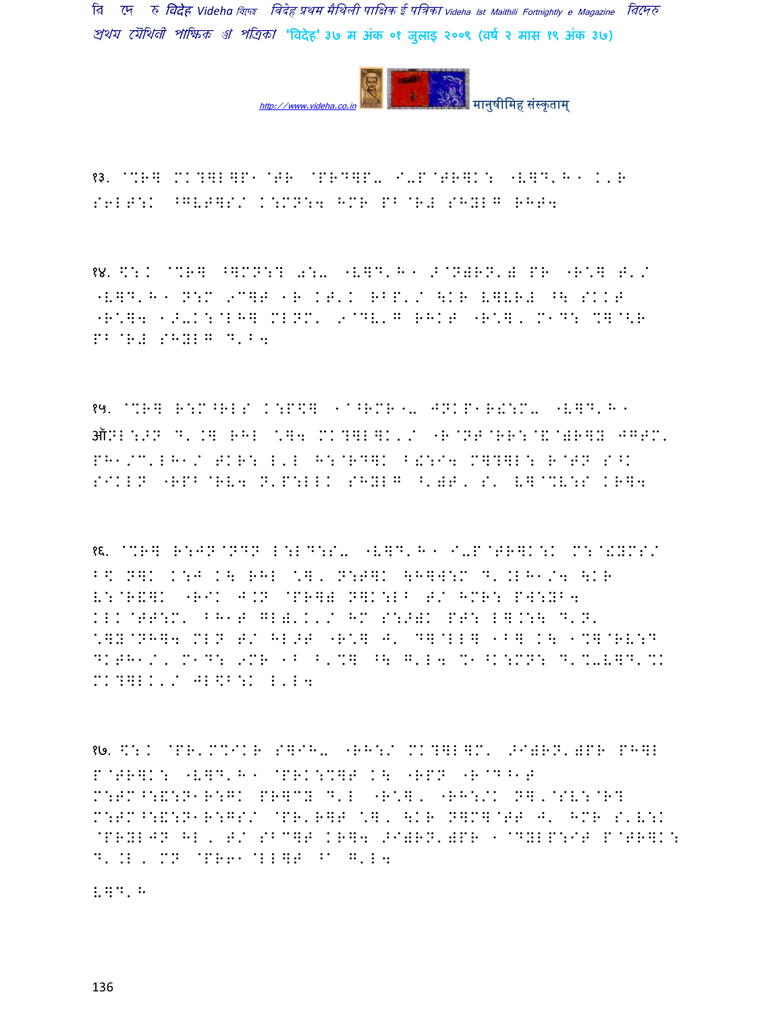िव दिन दि<mark>विदेह Videha</mark> <sub>विफर</sub> विदेह प्रथम मैथिली पाक्षिक ई पत्रिका Videha Ist Maithili Fortnightly e Magazine *वि*दिन्द õथम मैिथली पािक्षक ई पिñका **'**िवदेह**'** ३७ म अंक ०१ जुलाइ २००९ (वष र् २ मास १९ अंक ३७)



१३. MYDHE INC YER PER MERE TRIPPED. MYDD MEREC'H (HURP), PACIO DI B S6LAT: GREAKS CHORA HOR PROBE SHIP RHA.

१४. \$:. @%R] ^]MN:? 0:- "V]D'H" >@N)RN') PR "R\*] T'/ VERTIAN STOR STRENGE CELL BREVY RIB EREBE PRODUCE "R\*]4 1>-K:@LH] MLNM' 9@DV'G RHKT "R\*], M1D: %]@<R PB@R# SHYLG D'B4

१५. @WARD REPORT REPORT - MARINE - JOHN REPORT - REPORT - JAMES AND THE REPORT OF THE PURCHER PLANE ऑNL:2N P. 19 BHL 194 MINHL91.2 HETH THE BERG WHAT. PHY COLEAR CORDEN EVEN AN IRABAL (FRING SAMEREN BORDEN SOK) SIKLA DI RIPER "PENGEROAL" SI VARI PER NE BALI SI SELA TULISI DI PRAG

१६. @ MIRH L: R:JHD NDHD L: LEE HEEL LICHERD, R:H LICE MARIE BILL: D'E MAIE BIDE D  $B$  R) (2001) 1945 104 (2001) 104 (2012) 104 (2012) 104 (2014) 104 (2014) 104 (2014) 104 (2014) 104 ( V:@R&]K "RIK J.N @PR]) N]K:LB T/ HMR: PW:YB4 KLK@TT:M' BH1T GL) COMPT: SYSTEM FFROM BINE (T.F. \*]Y@NH]4 MLN T/ HL>T "R\*] J' D]@LL] 1B] K\ 1%]@RV:D DKTHE-MI, MID: 9MR 1B B'S FOR 1B B'S PHOTOGENE IN DISTURBING TO THE THIRD TO MK?)LHERT PRODUCED A LAND

१७. \$::: @PREYORY: #@PR'M&@H#1KY\_\$PREFERE, #PR'N' #P#E PORTRY NO TRONG TRINING WAS ARRESTED FOR A M:TM^:&:N1R:GK PR]CY D'L "R\*], "RH:/K N],@SV:@R? M:TM^:&:N1R:GS/ @PR'R]T \*], \KR N]M]@TT J' HMR S'V:K @PRYLJN HL, T/ SBC]T KR]4 >I)RN')PR 1@DYLP:IT P@TR]K: D'.L, MN @PR61@LL]T ^a G'L4

V]D'H